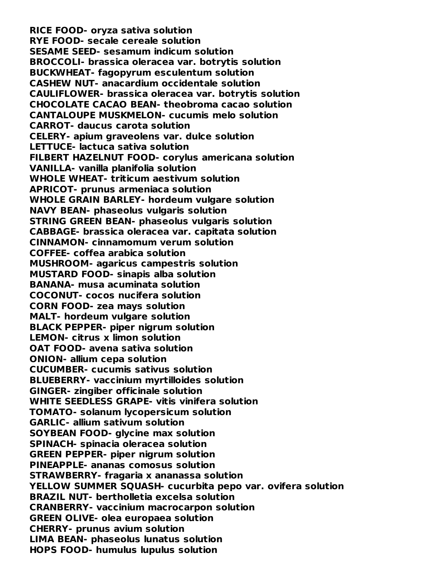**RICE FOOD- oryza sativa solution RYE FOOD- secale cereale solution SESAME SEED- sesamum indicum solution BROCCOLI- brassica oleracea var. botrytis solution BUCKWHEAT- fagopyrum esculentum solution CASHEW NUT- anacardium occidentale solution CAULIFLOWER- brassica oleracea var. botrytis solution CHOCOLATE CACAO BEAN- theobroma cacao solution CANTALOUPE MUSKMELON- cucumis melo solution CARROT- daucus carota solution CELERY- apium graveolens var. dulce solution LETTUCE- lactuca sativa solution FILBERT HAZELNUT FOOD- corylus americana solution VANILLA- vanilla planifolia solution WHOLE WHEAT- triticum aestivum solution APRICOT- prunus armeniaca solution WHOLE GRAIN BARLEY- hordeum vulgare solution NAVY BEAN- phaseolus vulgaris solution STRING GREEN BEAN- phaseolus vulgaris solution CABBAGE- brassica oleracea var. capitata solution CINNAMON- cinnamomum verum solution COFFEE- coffea arabica solution MUSHROOM- agaricus campestris solution MUSTARD FOOD- sinapis alba solution BANANA- musa acuminata solution COCONUT- cocos nucifera solution CORN FOOD- zea mays solution MALT- hordeum vulgare solution BLACK PEPPER- piper nigrum solution LEMON- citrus x limon solution OAT FOOD- avena sativa solution ONION- allium cepa solution CUCUMBER- cucumis sativus solution BLUEBERRY- vaccinium myrtilloides solution GINGER- zingiber officinale solution WHITE SEEDLESS GRAPE- vitis vinifera solution TOMATO- solanum lycopersicum solution GARLIC- allium sativum solution SOYBEAN FOOD- glycine max solution SPINACH- spinacia oleracea solution GREEN PEPPER- piper nigrum solution PINEAPPLE- ananas comosus solution STRAWBERRY- fragaria x ananassa solution YELLOW SUMMER SQUASH- cucurbita pepo var. ovifera solution BRAZIL NUT- bertholletia excelsa solution CRANBERRY- vaccinium macrocarpon solution GREEN OLIVE- olea europaea solution CHERRY- prunus avium solution LIMA BEAN- phaseolus lunatus solution HOPS FOOD- humulus lupulus solution**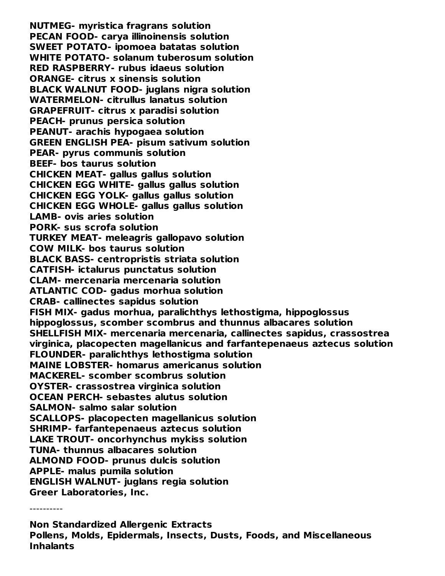**NUTMEG- myristica fragrans solution PECAN FOOD- carya illinoinensis solution SWEET POTATO- ipomoea batatas solution WHITE POTATO- solanum tuberosum solution RED RASPBERRY- rubus idaeus solution ORANGE- citrus x sinensis solution BLACK WALNUT FOOD- juglans nigra solution WATERMELON- citrullus lanatus solution GRAPEFRUIT- citrus x paradisi solution PEACH- prunus persica solution PEANUT- arachis hypogaea solution GREEN ENGLISH PEA- pisum sativum solution PEAR- pyrus communis solution BEEF- bos taurus solution CHICKEN MEAT- gallus gallus solution CHICKEN EGG WHITE- gallus gallus solution CHICKEN EGG YOLK- gallus gallus solution CHICKEN EGG WHOLE- gallus gallus solution LAMB- ovis aries solution PORK- sus scrofa solution TURKEY MEAT- meleagris gallopavo solution COW MILK- bos taurus solution BLACK BASS- centropristis striata solution CATFISH- ictalurus punctatus solution CLAM- mercenaria mercenaria solution ATLANTIC COD- gadus morhua solution CRAB- callinectes sapidus solution FISH MIX- gadus morhua, paralichthys lethostigma, hippoglossus hippoglossus, scomber scombrus and thunnus albacares solution SHELLFISH MIX- mercenaria mercenaria, callinectes sapidus, crassostrea virginica, placopecten magellanicus and farfantepenaeus aztecus solution FLOUNDER- paralichthys lethostigma solution MAINE LOBSTER- homarus americanus solution MACKEREL- scomber scombrus solution OYSTER- crassostrea virginica solution OCEAN PERCH- sebastes alutus solution SALMON- salmo salar solution SCALLOPS- placopecten magellanicus solution SHRIMP- farfantepenaeus aztecus solution LAKE TROUT- oncorhynchus mykiss solution TUNA- thunnus albacares solution ALMOND FOOD- prunus dulcis solution APPLE- malus pumila solution ENGLISH WALNUT- juglans regia solution Greer Laboratories, Inc.**

----------

**Non Standardized Allergenic Extracts Pollens, Molds, Epidermals, Insects, Dusts, Foods, and Miscellaneous Inhalants**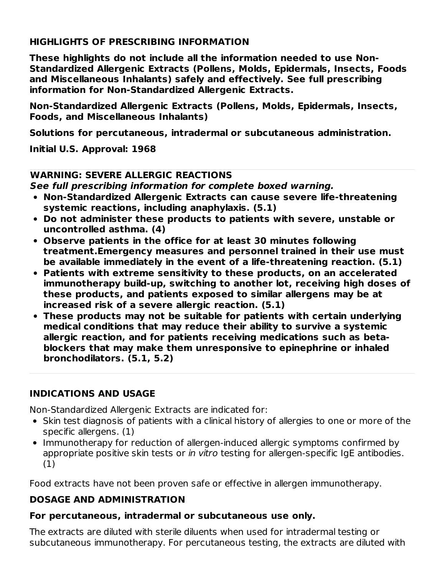#### **HIGHLIGHTS OF PRESCRIBING INFORMATION**

**These highlights do not include all the information needed to use Non-Standardized Allergenic Extracts (Pollens, Molds, Epidermals, Insects, Foods and Miscellaneous Inhalants) safely and effectively. See full prescribing information for Non-Standardized Allergenic Extracts.**

**Non-Standardized Allergenic Extracts (Pollens, Molds, Epidermals, Insects, Foods, and Miscellaneous Inhalants)**

**Solutions for percutaneous, intradermal or subcutaneous administration.**

**Initial U.S. Approval: 1968**

#### **WARNING: SEVERE ALLERGIC REACTIONS**

**See full prescribing information for complete boxed warning.**

- **Non-Standardized Allergenic Extracts can cause severe life-threatening systemic reactions, including anaphylaxis. (5.1)**
- **Do not administer these products to patients with severe, unstable or uncontrolled asthma. (4)**
- **Observe patients in the office for at least 30 minutes following treatment.Emergency measures and personnel trained in their use must be available immediately in the event of a life-threatening reaction. (5.1)**
- **Patients with extreme sensitivity to these products, on an accelerated immunotherapy build-up, switching to another lot, receiving high doses of these products, and patients exposed to similar allergens may be at increased risk of a severe allergic reaction. (5.1)**
- **These products may not be suitable for patients with certain underlying medical conditions that may reduce their ability to survive a systemic allergic reaction, and for patients receiving medications such as betablockers that may make them unresponsive to epinephrine or inhaled bronchodilators. (5.1, 5.2)**

#### **INDICATIONS AND USAGE**

Non-Standardized Allergenic Extracts are indicated for:

- Skin test diagnosis of patients with a clinical history of allergies to one or more of the specific allergens. (1)
- Immunotherapy for reduction of allergen-induced allergic symptoms confirmed by appropriate positive skin tests or in vitro testing for allergen-specific IgE antibodies. (1)

Food extracts have not been proven safe or effective in allergen immunotherapy.

## **DOSAGE AND ADMINISTRATION**

#### **For percutaneous, intradermal or subcutaneous use only.**

The extracts are diluted with sterile diluents when used for intradermal testing or subcutaneous immunotherapy. For percutaneous testing, the extracts are diluted with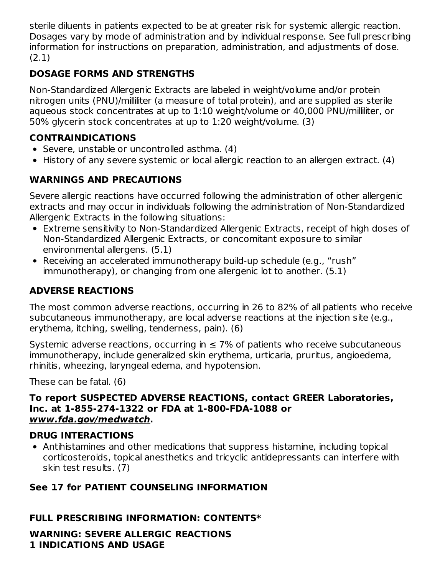sterile diluents in patients expected to be at greater risk for systemic allergic reaction. Dosages vary by mode of administration and by individual response. See full prescribing information for instructions on preparation, administration, and adjustments of dose. (2.1)

# **DOSAGE FORMS AND STRENGTHS**

Non-Standardized Allergenic Extracts are labeled in weight/volume and/or protein nitrogen units (PNU)/milliliter (a measure of total protein), and are supplied as sterile aqueous stock concentrates at up to 1:10 weight/volume or 40,000 PNU/milliliter, or 50% glycerin stock concentrates at up to 1:20 weight/volume. (3)

# **CONTRAINDICATIONS**

- Severe, unstable or uncontrolled asthma. (4)
- History of any severe systemic or local allergic reaction to an allergen extract. (4)

# **WARNINGS AND PRECAUTIONS**

Severe allergic reactions have occurred following the administration of other allergenic extracts and may occur in individuals following the administration of Non-Standardized Allergenic Extracts in the following situations:

- Extreme sensitivity to Non-Standardized Allergenic Extracts, receipt of high doses of Non-Standardized Allergenic Extracts, or concomitant exposure to similar environmental allergens. (5.1)
- Receiving an accelerated immunotherapy build-up schedule (e.g., "rush" immunotherapy), or changing from one allergenic lot to another. (5.1)

# **ADVERSE REACTIONS**

The most common adverse reactions, occurring in 26 to 82% of all patients who receive subcutaneous immunotherapy, are local adverse reactions at the injection site (e.g., erythema, itching, swelling, tenderness, pain). (6)

Systemic adverse reactions, occurring in  $\leq$  7% of patients who receive subcutaneous immunotherapy, include generalized skin erythema, urticaria, pruritus, angioedema, rhinitis, wheezing, laryngeal edema, and hypotension.

These can be fatal. (6)

#### **To report SUSPECTED ADVERSE REACTIONS, contact GREER Laboratories, Inc. at 1-855-274-1322 or FDA at 1-800-FDA-1088 or www.fda.gov/medwatch.**

# **DRUG INTERACTIONS**

Antihistamines and other medications that suppress histamine, including topical corticosteroids, topical anesthetics and tricyclic antidepressants can interfere with skin test results. (7)

# **See 17 for PATIENT COUNSELING INFORMATION**

## **FULL PRESCRIBING INFORMATION: CONTENTS\***

**WARNING: SEVERE ALLERGIC REACTIONS 1 INDICATIONS AND USAGE**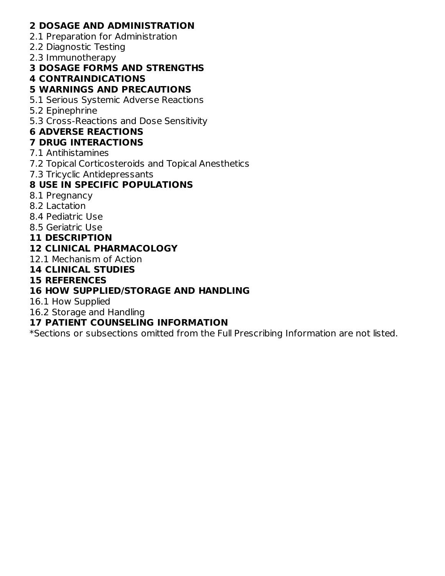#### **2 DOSAGE AND ADMINISTRATION**

- 2.1 Preparation for Administration
- 2.2 Diagnostic Testing
- 2.3 Immunotherapy

#### **3 DOSAGE FORMS AND STRENGTHS**

## **4 CONTRAINDICATIONS**

#### **5 WARNINGS AND PRECAUTIONS**

- 5.1 Serious Systemic Adverse Reactions
- 5.2 Epinephrine
- 5.3 Cross-Reactions and Dose Sensitivity

## **6 ADVERSE REACTIONS**

#### **7 DRUG INTERACTIONS**

- 7.1 Antihistamines
- 7.2 Topical Corticosteroids and Topical Anesthetics
- 7.3 Tricyclic Antidepressants

## **8 USE IN SPECIFIC POPULATIONS**

- 8.1 Pregnancy
- 8.2 Lactation
- 8.4 Pediatric Use
- 8.5 Geriatric Use
- **11 DESCRIPTION**

## **12 CLINICAL PHARMACOLOGY**

12.1 Mechanism of Action

#### **14 CLINICAL STUDIES**

#### **15 REFERENCES**

## **16 HOW SUPPLIED/STORAGE AND HANDLING**

16.1 How Supplied

16.2 Storage and Handling

#### **17 PATIENT COUNSELING INFORMATION**

\*Sections or subsections omitted from the Full Prescribing Information are not listed.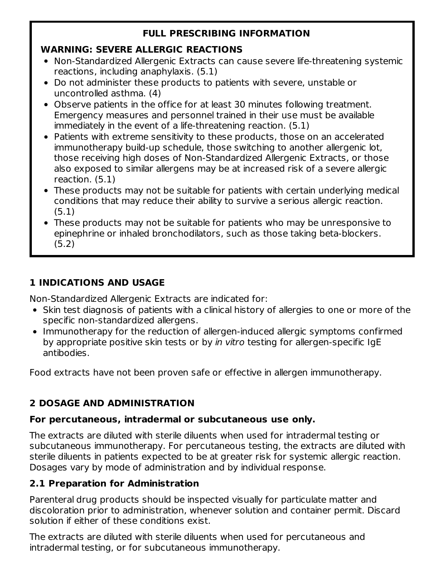# **FULL PRESCRIBING INFORMATION**

## **WARNING: SEVERE ALLERGIC REACTIONS**

- Non-Standardized Allergenic Extracts can cause severe life-threatening systemic reactions, including anaphylaxis. (5.1)
- Do not administer these products to patients with severe, unstable or uncontrolled asthma. (4)
- Observe patients in the office for at least 30 minutes following treatment. Emergency measures and personnel trained in their use must be available immediately in the event of a life-threatening reaction. (5.1)
- Patients with extreme sensitivity to these products, those on an accelerated immunotherapy build-up schedule, those switching to another allergenic lot, those receiving high doses of Non-Standardized Allergenic Extracts, or those also exposed to similar allergens may be at increased risk of a severe allergic reaction. (5.1)
- These products may not be suitable for patients with certain underlying medical conditions that may reduce their ability to survive a serious allergic reaction. (5.1)
- These products may not be suitable for patients who may be unresponsive to epinephrine or inhaled bronchodilators, such as those taking beta-blockers. (5.2)

# **1 INDICATIONS AND USAGE**

Non-Standardized Allergenic Extracts are indicated for:

- Skin test diagnosis of patients with a clinical history of allergies to one or more of the specific non-standardized allergens.
- Immunotherapy for the reduction of allergen-induced allergic symptoms confirmed by appropriate positive skin tests or by in vitro testing for allergen-specific IgE antibodies.

Food extracts have not been proven safe or effective in allergen immunotherapy.

# **2 DOSAGE AND ADMINISTRATION**

# **For percutaneous, intradermal or subcutaneous use only.**

The extracts are diluted with sterile diluents when used for intradermal testing or subcutaneous immunotherapy. For percutaneous testing, the extracts are diluted with sterile diluents in patients expected to be at greater risk for systemic allergic reaction. Dosages vary by mode of administration and by individual response.

# **2.1 Preparation for Administration**

Parenteral drug products should be inspected visually for particulate matter and discoloration prior to administration, whenever solution and container permit. Discard solution if either of these conditions exist.

The extracts are diluted with sterile diluents when used for percutaneous and intradermal testing, or for subcutaneous immunotherapy.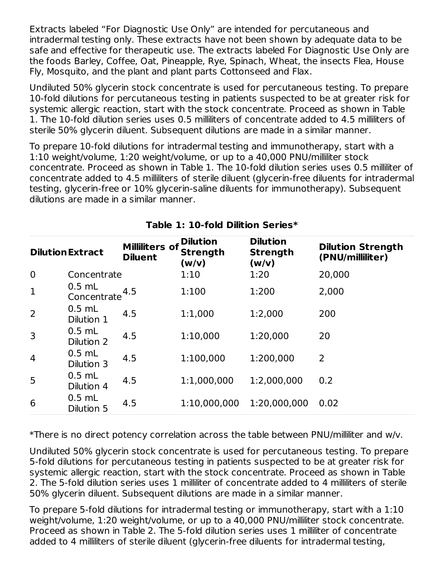Extracts labeled "For Diagnostic Use Only" are intended for percutaneous and intradermal testing only. These extracts have not been shown by adequate data to be safe and effective for therapeutic use. The extracts labeled For Diagnostic Use Only are the foods Barley, Coffee, Oat, Pineapple, Rye, Spinach, Wheat, the insects Flea, House Fly, Mosquito, and the plant and plant parts Cottonseed and Flax.

Undiluted 50% glycerin stock concentrate is used for percutaneous testing. To prepare 10-fold dilutions for percutaneous testing in patients suspected to be at greater risk for systemic allergic reaction, start with the stock concentrate. Proceed as shown in Table 1. The 10-fold dilution series uses 0.5 milliliters of concentrate added to 4.5 milliliters of sterile 50% glycerin diluent. Subsequent dilutions are made in a similar manner.

To prepare 10-fold dilutions for intradermal testing and immunotherapy, start with a 1:10 weight/volume, 1:20 weight/volume, or up to a 40,000 PNU/milliliter stock concentrate. Proceed as shown in Table 1. The 10-fold dilution series uses 0.5 milliliter of concentrate added to 4.5 milliliters of sterile diluent (glycerin-free diluents for intradermal testing, glycerin-free or 10% glycerin-saline diluents for immunotherapy). Subsequent dilutions are made in a similar manner.

|                | <b>Dilution Extract</b> | <b>Milliliters of</b><br><b>Diluent</b> | <b>Dilution</b><br><b>Strength</b><br>(w/v) | <b>Dilution</b><br><b>Strength</b><br>(w/v) | <b>Dilution Strength</b><br>(PNU/milliliter) |
|----------------|-------------------------|-----------------------------------------|---------------------------------------------|---------------------------------------------|----------------------------------------------|
| $\mathbf 0$    | Concentrate             |                                         | 1:10                                        | 1:20                                        | 20,000                                       |
| $\mathbf{1}$   | $0.5$ mL<br>Concentrate | 4.5                                     | 1:100                                       | 1:200                                       | 2,000                                        |
| 2              | $0.5$ mL<br>Dilution 1  | 4.5                                     | 1:1,000                                     | 1:2,000                                     | 200                                          |
| 3              | $0.5$ mL<br>Dilution 2  | 4.5                                     | 1:10,000                                    | 1:20,000                                    | 20                                           |
| $\overline{4}$ | $0.5$ mL<br>Dilution 3  | 4.5                                     | 1:100,000                                   | 1:200,000                                   | 2                                            |
| 5              | $0.5$ mL<br>Dilution 4  | 4.5                                     | 1:1,000,000                                 | 1:2,000,000                                 | 0.2                                          |
| 6              | $0.5$ mL<br>Dilution 5  | 4.5                                     | 1:10,000,000                                | 1:20,000,000                                | 0.02                                         |

#### **Table 1: 10-fold Dilition Series\***

\*There is no direct potency correlation across the table between PNU/milliliter and w/v.

Undiluted 50% glycerin stock concentrate is used for percutaneous testing. To prepare 5-fold dilutions for percutaneous testing in patients suspected to be at greater risk for systemic allergic reaction, start with the stock concentrate. Proceed as shown in Table 2. The 5-fold dilution series uses 1 milliliter of concentrate added to 4 milliliters of sterile 50% glycerin diluent. Subsequent dilutions are made in a similar manner.

To prepare 5-fold dilutions for intradermal testing or immunotherapy, start with a 1:10 weight/volume, 1:20 weight/volume, or up to a 40,000 PNU/milliliter stock concentrate. Proceed as shown in Table 2. The 5-fold dilution series uses 1 milliliter of concentrate added to 4 milliliters of sterile diluent (glycerin-free diluents for intradermal testing,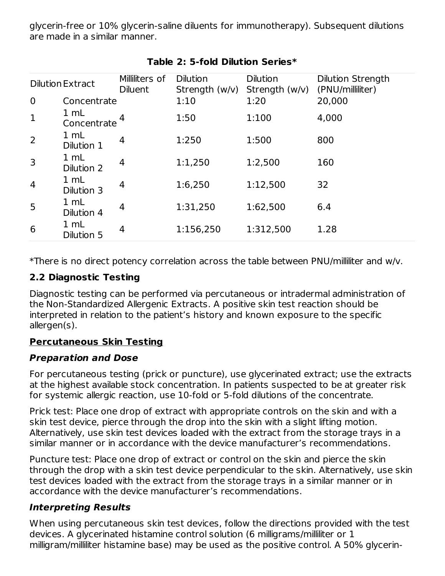glycerin-free or 10% glycerin-saline diluents for immunotherapy). Subsequent dilutions are made in a similar manner.

|                | <b>Dilution Extract</b>        | Milliliters of<br><b>Diluent</b> | <b>Dilution</b><br>Strength $(w/v)$ | <b>Dilution</b><br>Strength $(w/v)$ | <b>Dilution Strength</b><br>(PNU/milliliter) |
|----------------|--------------------------------|----------------------------------|-------------------------------------|-------------------------------------|----------------------------------------------|
| $\overline{0}$ | Concentrate                    |                                  | 1:10                                | 1:20                                | 20,000                                       |
| $\mathbf{1}$   | $1 \, \text{m}$<br>Concentrate |                                  | 1:50                                | 1:100                               | 4,000                                        |
| $\overline{2}$ | 1 mL<br>Dilution 1             | 4                                | 1:250                               | 1:500                               | 800                                          |
| 3              | 1 mL<br>Dilution 2             | 4                                | 1:1,250                             | 1:2,500                             | 160                                          |
| $\overline{4}$ | 1 mL<br>Dilution 3             | 4                                | 1:6,250                             | 1:12,500                            | 32                                           |
| 5              | $1 \,$ mL<br>Dilution 4        | 4                                | 1:31,250                            | 1:62,500                            | 6.4                                          |
| 6              | 1 mL<br>Dilution 5             | 4                                | 1:156,250                           | 1:312,500                           | 1.28                                         |

## **Table 2: 5-fold Dilution Series\***

\*There is no direct potency correlation across the table between PNU/milliliter and w/v.

## **2.2 Diagnostic Testing**

Diagnostic testing can be performed via percutaneous or intradermal administration of the Non-Standardized Allergenic Extracts. A positive skin test reaction should be interpreted in relation to the patient's history and known exposure to the specific allergen(s).

# **Percutaneous Skin Testing**

## **Preparation and Dose**

For percutaneous testing (prick or puncture), use glycerinated extract; use the extracts at the highest available stock concentration. In patients suspected to be at greater risk for systemic allergic reaction, use 10-fold or 5-fold dilutions of the concentrate.

Prick test: Place one drop of extract with appropriate controls on the skin and with a skin test device, pierce through the drop into the skin with a slight lifting motion. Alternatively, use skin test devices loaded with the extract from the storage trays in a similar manner or in accordance with the device manufacturer's recommendations.

Puncture test: Place one drop of extract or control on the skin and pierce the skin through the drop with a skin test device perpendicular to the skin. Alternatively, use skin test devices loaded with the extract from the storage trays in a similar manner or in accordance with the device manufacturer's recommendations.

## **Interpreting Results**

When using percutaneous skin test devices, follow the directions provided with the test devices. A glycerinated histamine control solution (6 milligrams/milliliter or 1 milligram/milliliter histamine base) may be used as the positive control. A 50% glycerin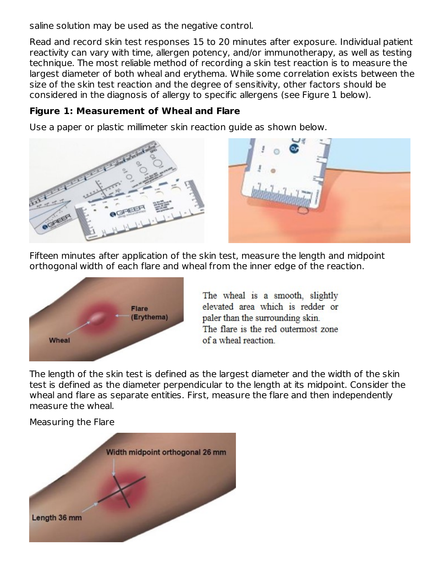saline solution may be used as the negative control.

Read and record skin test responses 15 to 20 minutes after exposure. Individual patient reactivity can vary with time, allergen potency, and/or immunotherapy, as well as testing technique. The most reliable method of recording a skin test reaction is to measure the largest diameter of both wheal and erythema. While some correlation exists between the size of the skin test reaction and the degree of sensitivity, other factors should be considered in the diagnosis of allergy to specific allergens (see Figure 1 below).

#### **Figure 1: Measurement of Wheal and Flare**

Use a paper or plastic millimeter skin reaction guide as shown below.



Fifteen minutes after application of the skin test, measure the length and midpoint orthogonal width of each flare and wheal from the inner edge of the reaction.



The wheal is a smooth, slightly elevated area which is redder or paler than the surrounding skin. The flare is the red outermost zone of a wheal reaction

The length of the skin test is defined as the largest diameter and the width of the skin test is defined as the diameter perpendicular to the length at its midpoint. Consider the wheal and flare as separate entities. First, measure the flare and then independently measure the wheal.

Measuring the Flare

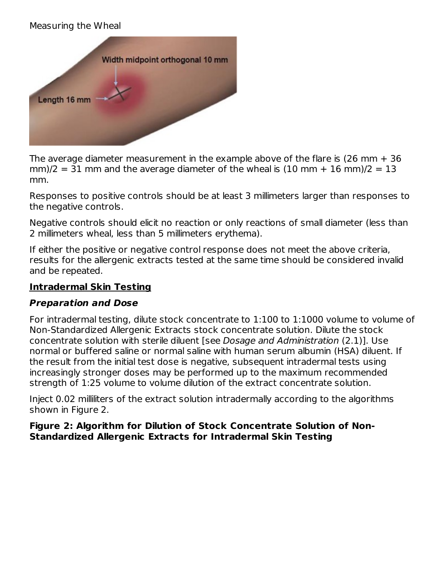#### Measuring the Wheal



The average diameter measurement in the example above of the flare is (26 mm + 36  $mm/2 = 31$  mm and the average diameter of the wheal is (10 mm + 16 mm)/2 = 13 mm.

Responses to positive controls should be at least 3 millimeters larger than responses to the negative controls.

Negative controls should elicit no reaction or only reactions of small diameter (less than 2 millimeters wheal, less than 5 millimeters erythema).

If either the positive or negative control response does not meet the above criteria, results for the allergenic extracts tested at the same time should be considered invalid and be repeated.

#### **Intradermal Skin Testing**

#### **Preparation and Dose**

For intradermal testing, dilute stock concentrate to 1:100 to 1:1000 volume to volume of Non-Standardized Allergenic Extracts stock concentrate solution. Dilute the stock concentrate solution with sterile diluent [see Dosage and Administration (2.1)]. Use normal or buffered saline or normal saline with human serum albumin (HSA) diluent. If the result from the initial test dose is negative, subsequent intradermal tests using increasingly stronger doses may be performed up to the maximum recommended strength of 1:25 volume to volume dilution of the extract concentrate solution.

Inject 0.02 milliliters of the extract solution intradermally according to the algorithms shown in Figure 2.

**Figure 2: Algorithm for Dilution of Stock Concentrate Solution of Non-Standardized Allergenic Extracts for Intradermal Skin Testing**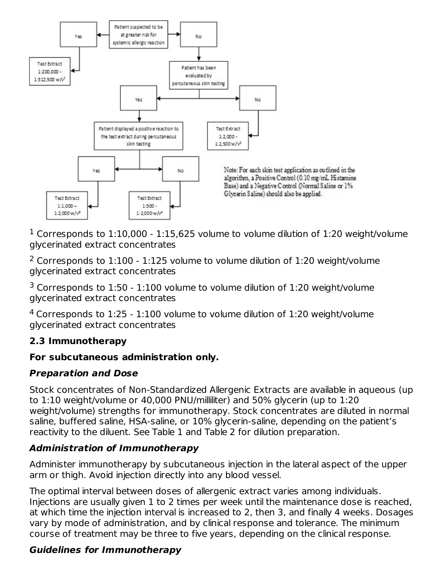

 $^1$  Corresponds to  $1:10,000$  -  $1:15,625$  volume to volume dilution of  $1:20$  weight/volume glycerinated extract concentrates

 $2$  Corresponds to  $1:100$  -  $1:125$  volume to volume dilution of  $1:20$  weight/volume glycerinated extract concentrates

 $3$  Corresponds to  $1:50$  -  $1:100$  volume to volume dilution of  $1:20$  weight/volume glycerinated extract concentrates

 $4$  Corresponds to  $1:25$  -  $1:100$  volume to volume dilution of  $1:20$  weight/volume glycerinated extract concentrates

## **2.3 Immunotherapy**

## **For subcutaneous administration only.**

## **Preparation and Dose**

Stock concentrates of Non-Standardized Allergenic Extracts are available in aqueous (up to 1:10 weight/volume or 40,000 PNU/milliliter) and 50% glycerin (up to 1:20 weight/volume) strengths for immunotherapy. Stock concentrates are diluted in normal saline, buffered saline, HSA-saline, or 10% glycerin-saline, depending on the patient's reactivity to the diluent. See Table 1 and Table 2 for dilution preparation.

# **Administration of Immunotherapy**

Administer immunotherapy by subcutaneous injection in the lateral aspect of the upper arm or thigh. Avoid injection directly into any blood vessel.

The optimal interval between doses of allergenic extract varies among individuals. Injections are usually given 1 to 2 times per week until the maintenance dose is reached, at which time the injection interval is increased to 2, then 3, and finally 4 weeks. Dosages vary by mode of administration, and by clinical response and tolerance. The minimum course of treatment may be three to five years, depending on the clinical response.

# **Guidelines for Immunotherapy**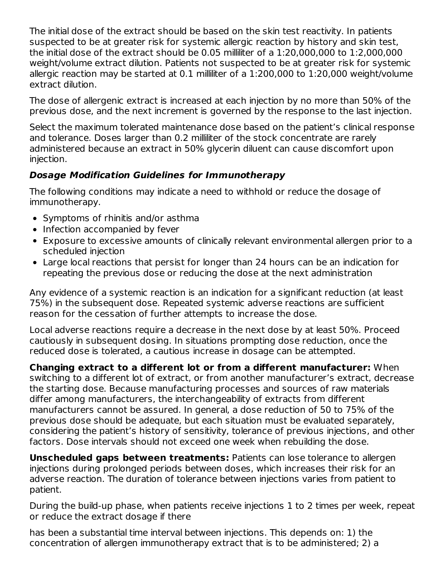The initial dose of the extract should be based on the skin test reactivity. In patients suspected to be at greater risk for systemic allergic reaction by history and skin test, the initial dose of the extract should be 0.05 milliliter of a 1:20,000,000 to 1:2,000,000 weight/volume extract dilution. Patients not suspected to be at greater risk for systemic allergic reaction may be started at 0.1 milliliter of a 1:200,000 to 1:20,000 weight/volume extract dilution.

The dose of allergenic extract is increased at each injection by no more than 50% of the previous dose, and the next increment is governed by the response to the last injection.

Select the maximum tolerated maintenance dose based on the patient's clinical response and tolerance. Doses larger than 0.2 milliliter of the stock concentrate are rarely administered because an extract in 50% glycerin diluent can cause discomfort upon injection.

# **Dosage Modification Guidelines for Immunotherapy**

The following conditions may indicate a need to withhold or reduce the dosage of immunotherapy.

- Symptoms of rhinitis and/or asthma
- Infection accompanied by fever
- Exposure to excessive amounts of clinically relevant environmental allergen prior to a scheduled injection
- Large local reactions that persist for longer than 24 hours can be an indication for repeating the previous dose or reducing the dose at the next administration

Any evidence of a systemic reaction is an indication for a significant reduction (at least 75%) in the subsequent dose. Repeated systemic adverse reactions are sufficient reason for the cessation of further attempts to increase the dose.

Local adverse reactions require a decrease in the next dose by at least 50%. Proceed cautiously in subsequent dosing. In situations prompting dose reduction, once the reduced dose is tolerated, a cautious increase in dosage can be attempted.

**Changing extract to a different lot or from a different manufacturer:** When switching to a different lot of extract, or from another manufacturer's extract, decrease the starting dose. Because manufacturing processes and sources of raw materials differ among manufacturers, the interchangeability of extracts from different manufacturers cannot be assured. In general, a dose reduction of 50 to 75% of the previous dose should be adequate, but each situation must be evaluated separately, considering the patient's history of sensitivity, tolerance of previous injections, and other factors. Dose intervals should not exceed one week when rebuilding the dose.

**Unscheduled gaps between treatments:** Patients can lose tolerance to allergen injections during prolonged periods between doses, which increases their risk for an adverse reaction. The duration of tolerance between injections varies from patient to patient.

During the build-up phase, when patients receive injections 1 to 2 times per week, repeat or reduce the extract dosage if there

has been a substantial time interval between injections. This depends on: 1) the concentration of allergen immunotherapy extract that is to be administered; 2) a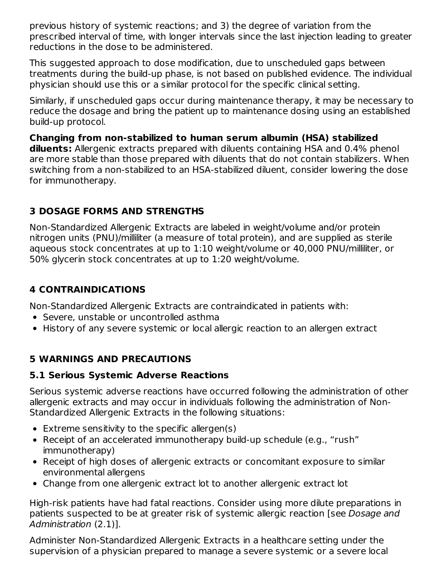previous history of systemic reactions; and 3) the degree of variation from the prescribed interval of time, with longer intervals since the last injection leading to greater reductions in the dose to be administered.

This suggested approach to dose modification, due to unscheduled gaps between treatments during the build-up phase, is not based on published evidence. The individual physician should use this or a similar protocol for the specific clinical setting.

Similarly, if unscheduled gaps occur during maintenance therapy, it may be necessary to reduce the dosage and bring the patient up to maintenance dosing using an established build-up protocol.

**Changing from non-stabilized to human serum albumin (HSA) stabilized diluents:** Allergenic extracts prepared with diluents containing HSA and 0.4% phenol are more stable than those prepared with diluents that do not contain stabilizers. When switching from a non-stabilized to an HSA-stabilized diluent, consider lowering the dose for immunotherapy.

## **3 DOSAGE FORMS AND STRENGTHS**

Non-Standardized Allergenic Extracts are labeled in weight/volume and/or protein nitrogen units (PNU)/milliliter (a measure of total protein), and are supplied as sterile aqueous stock concentrates at up to 1:10 weight/volume or 40,000 PNU/milliliter, or 50% glycerin stock concentrates at up to 1:20 weight/volume.

## **4 CONTRAINDICATIONS**

Non-Standardized Allergenic Extracts are contraindicated in patients with:

- Severe, unstable or uncontrolled asthma
- History of any severe systemic or local allergic reaction to an allergen extract

## **5 WARNINGS AND PRECAUTIONS**

#### **5.1 Serious Systemic Adverse Reactions**

Serious systemic adverse reactions have occurred following the administration of other allergenic extracts and may occur in individuals following the administration of Non-Standardized Allergenic Extracts in the following situations:

- $\bullet$  Extreme sensitivity to the specific allergen(s)
- Receipt of an accelerated immunotherapy build-up schedule (e.g., "rush" immunotherapy)
- Receipt of high doses of allergenic extracts or concomitant exposure to similar environmental allergens
- Change from one allergenic extract lot to another allergenic extract lot

High-risk patients have had fatal reactions. Consider using more dilute preparations in patients suspected to be at greater risk of systemic allergic reaction [see Dosage and Administration (2.1)].

Administer Non-Standardized Allergenic Extracts in a healthcare setting under the supervision of a physician prepared to manage a severe systemic or a severe local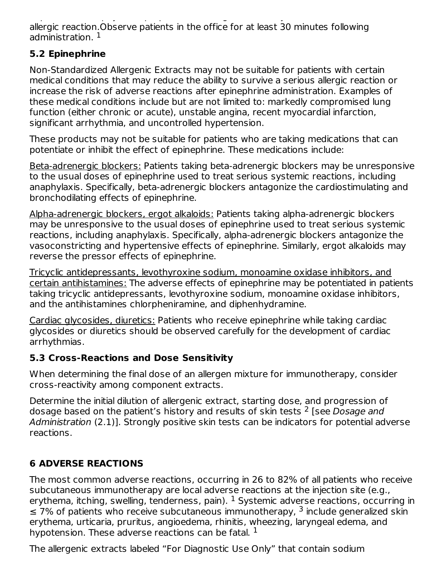supervision of a physician prepared to manage a severe systemic or a severe local allergic reaction.Observe patients in the office for at least 30 minutes following administration. 1

## **5.2 Epinephrine**

Non-Standardized Allergenic Extracts may not be suitable for patients with certain medical conditions that may reduce the ability to survive a serious allergic reaction or increase the risk of adverse reactions after epinephrine administration. Examples of these medical conditions include but are not limited to: markedly compromised lung function (either chronic or acute), unstable angina, recent myocardial infarction, significant arrhythmia, and uncontrolled hypertension.

These products may not be suitable for patients who are taking medications that can potentiate or inhibit the effect of epinephrine. These medications include:

Βeta-adrenergic blockers: Patients taking beta-adrenergic blockers may be unresponsive to the usual doses of epinephrine used to treat serious systemic reactions, including anaphylaxis. Specifically, beta-adrenergic blockers antagonize the cardiostimulating and bronchodilating effects of epinephrine.

Alpha-adrenergic blockers, ergot alkaloids: Patients taking alpha-adrenergic blockers may be unresponsive to the usual doses of epinephrine used to treat serious systemic reactions, including anaphylaxis. Specifically, alpha-adrenergic blockers antagonize the vasoconstricting and hypertensive effects of epinephrine. Similarly, ergot alkaloids may reverse the pressor effects of epinephrine.

Tricyclic antidepressants, levothyroxine sodium, monoamine oxidase inhibitors, and certain antihistamines: The adverse effects of epinephrine may be potentiated in patients taking tricyclic antidepressants, levothyroxine sodium, monoamine oxidase inhibitors, and the antihistamines chlorpheniramine, and diphenhydramine.

Cardiac glycosides, diuretics: Patients who receive epinephrine while taking cardiac glycosides or diuretics should be observed carefully for the development of cardiac arrhythmias.

# **5.3 Cross-Reactions and Dose Sensitivity**

When determining the final dose of an allergen mixture for immunotherapy, consider cross-reactivity among component extracts.

Determine the initial dilution of allergenic extract, starting dose, and progression of dosage based on the patient's history and results of skin tests <sup>2</sup> [see Dosage and Administration (2.1)]. Strongly positive skin tests can be indicators for potential adverse reactions.

# **6 ADVERSE REACTIONS**

The most common adverse reactions, occurring in 26 to 82% of all patients who receive subcutaneous immunotherapy are local adverse reactions at the injection site (e.g., erythema, itching, swelling, tenderness, pain).  $^1$  Systemic adverse reactions, occurring in  $\leq$  7% of patients who receive subcutaneous immunotherapy, <sup>3</sup> include generalized skin erythema, urticaria, pruritus, angioedema, rhinitis, wheezing, laryngeal edema, and hypotension. These adverse reactions can be fatal.  $^{\rm 1}$ 

The allergenic extracts labeled "For Diagnostic Use Only" that contain sodium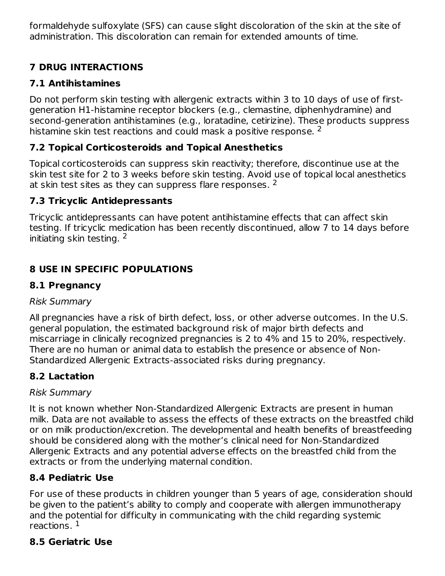formaldehyde sulfoxylate (SFS) can cause slight discoloration of the skin at the site of administration. This discoloration can remain for extended amounts of time.

# **7 DRUG INTERACTIONS**

# **7.1 Antihistamines**

Do not perform skin testing with allergenic extracts within 3 to 10 days of use of firstgeneration H1-histamine receptor blockers (e.g., clemastine, diphenhydramine) and second-generation antihistamines (e.g., loratadine, cetirizine). These products suppress histamine skin test reactions and could mask a positive response.  $^2$ 

# **7.2 Topical Corticosteroids and Topical Anesthetics**

Topical corticosteroids can suppress skin reactivity; therefore, discontinue use at the skin test site for 2 to 3 weeks before skin testing. Avoid use of topical local anesthetics at skin test sites as they can suppress flare responses.  $2$ 

# **7.3 Tricyclic Antidepressants**

Tricyclic antidepressants can have potent antihistamine effects that can affect skin testing. If tricyclic medication has been recently discontinued, allow 7 to 14 days before initiating skin testing. 2

# **8 USE IN SPECIFIC POPULATIONS**

## **8.1 Pregnancy**

## Risk Summary

All pregnancies have a risk of birth defect, loss, or other adverse outcomes. In the U.S. general population, the estimated background risk of major birth defects and miscarriage in clinically recognized pregnancies is 2 to 4% and 15 to 20%, respectively. There are no human or animal data to establish the presence or absence of Non-Standardized Allergenic Extracts-associated risks during pregnancy.

# **8.2 Lactation**

## Risk Summary

It is not known whether Non-Standardized Allergenic Extracts are present in human milk. Data are not available to assess the effects of these extracts on the breastfed child or on milk production/excretion. The developmental and health benefits of breastfeeding should be considered along with the mother's clinical need for Non-Standardized Allergenic Extracts and any potential adverse effects on the breastfed child from the extracts or from the underlying maternal condition.

# **8.4 Pediatric Use**

For use of these products in children younger than 5 years of age, consideration should be given to the patient's ability to comply and cooperate with allergen immunotherapy and the potential for difficulty in communicating with the child regarding systemic reactions. 1

## **8.5 Geriatric Use**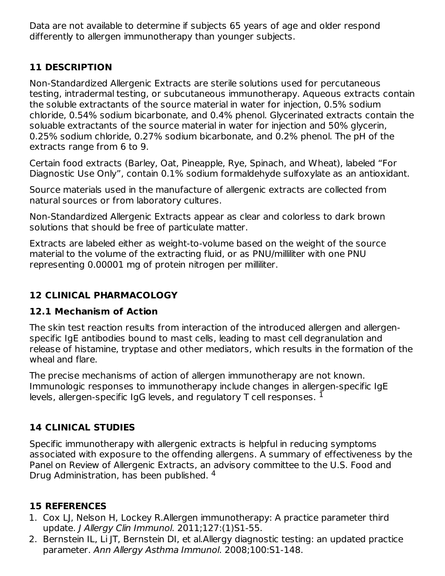Data are not available to determine if subjects 65 years of age and older respond differently to allergen immunotherapy than younger subjects.

## **11 DESCRIPTION**

Non-Standardized Allergenic Extracts are sterile solutions used for percutaneous testing, intradermal testing, or subcutaneous immunotherapy. Aqueous extracts contain the soluble extractants of the source material in water for injection, 0.5% sodium chloride, 0.54% sodium bicarbonate, and 0.4% phenol. Glycerinated extracts contain the soluable extractants of the source material in water for injection and 50% glycerin, 0.25% sodium chloride, 0.27% sodium bicarbonate, and 0.2% phenol. The pH of the extracts range from 6 to 9.

Certain food extracts (Barley, Oat, Pineapple, Rye, Spinach, and Wheat), labeled "For Diagnostic Use Only", contain 0.1% sodium formaldehyde sulfoxylate as an antioxidant.

Source materials used in the manufacture of allergenic extracts are collected from natural sources or from laboratory cultures.

Non-Standardized Allergenic Extracts appear as clear and colorless to dark brown solutions that should be free of particulate matter.

Extracts are labeled either as weight-to-volume based on the weight of the source material to the volume of the extracting fluid, or as PNU/milliliter with one PNU representing 0.00001 mg of protein nitrogen per milliliter.

# **12 CLINICAL PHARMACOLOGY**

## **12.1 Mechanism of Action**

The skin test reaction results from interaction of the introduced allergen and allergenspecific IgE antibodies bound to mast cells, leading to mast cell degranulation and release of histamine, tryptase and other mediators, which results in the formation of the wheal and flare.

The precise mechanisms of action of allergen immunotherapy are not known. Immunologic responses to immunotherapy include changes in allergen-specific IgE levels, allergen-specific IgG levels, and regulatory T cell responses.  $^{\rm 1}$ 

## **14 CLINICAL STUDIES**

Specific immunotherapy with allergenic extracts is helpful in reducing symptoms associated with exposure to the offending allergens. A summary of effectiveness by the Panel on Review of Allergenic Extracts, an advisory committee to the U.S. Food and Drug Administration, has been published. <sup>4</sup>

#### **15 REFERENCES**

- 1. Cox LJ, Nelson H, Lockey R.Allergen immunotherapy: A practice parameter third update. J Allergy Clin Immunol. 2011;127:(1)S1-55.
- 2. Bernstein IL, Li JT, Bernstein DI, et al.Allergy diagnostic testing: an updated practice parameter. Ann Allergy Asthma Immunol. 2008;100:S1-148.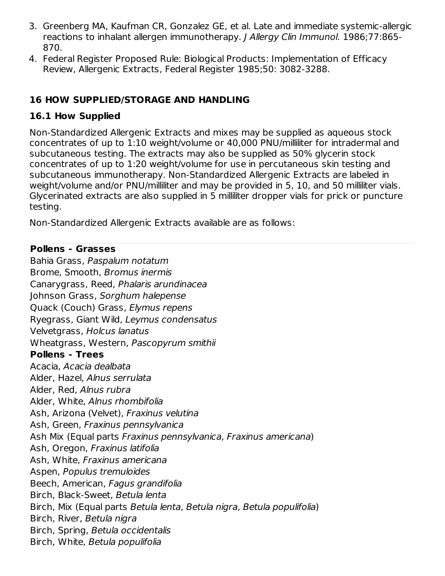- 3. Greenberg MA, Kaufman CR, Gonzalez GE, et al. Late and immediate systemic-allergic reactions to inhalant allergen immunotherapy. J Allergy Clin Immunol. 1986;77:865- 870.
- 4. Federal Register Proposed Rule: Biological Products: Implementation of Efficacy Review, Allergenic Extracts, Federal Register 1985;50: 3082-3288.

## **16 HOW SUPPLIED/STORAGE AND HANDLING**

## **16.1 How Supplied**

Non-Standardized Allergenic Extracts and mixes may be supplied as aqueous stock concentrates of up to 1:10 weight/volume or 40,000 PNU/milliliter for intradermal and subcutaneous testing. The extracts may also be supplied as 50% glycerin stock concentrates of up to 1:20 weight/volume for use in percutaneous skin testing and subcutaneous immunotherapy. Non-Standardized Allergenic Extracts are labeled in weight/volume and/or PNU/milliliter and may be provided in 5, 10, and 50 milliliter vials. Glycerinated extracts are also supplied in 5 milliliter dropper vials for prick or puncture testing.

Non-Standardized Allergenic Extracts available are as follows:

#### **Pollens ‑ Grasses**

Bahia Grass, Paspalum notatum Brome, Smooth, Bromus inermis Canarygrass, Reed, Phalaris arundinacea Johnson Grass, Sorghum halepense Quack (Couch) Grass, Elymus repens Ryegrass, Giant Wild, Leymus condensatus Velvetgrass, Holcus lanatus Wheatgrass, Western, Pascopyrum smithii **Pollens - Trees** Acacia, Acacia dealbata Alder, Hazel, Alnus serrulata Alder, Red, Alnus rubra Alder, White, Alnus rhombifolia Ash, Arizona (Velvet), Fraxinus velutina Ash, Green, Fraxinus pennsylvanica Ash Mix (Equal parts Fraxinus pennsylvanica, Fraxinus americana) Ash, Oregon, Fraxinus latifolia Ash, White, Fraxinus americana Aspen, Populus tremuloides Beech, American, Fagus grandifolia Birch, Black-Sweet, Betula lenta Birch, Mix (Equal parts Betula lenta, Betula nigra, Betula populifolia) Birch, River, Betula nigra Birch, Spring, Betula occidentalis Birch, White, Betula populifolia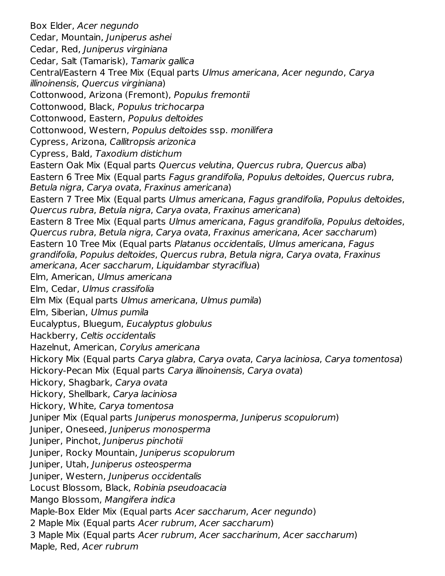Box Elder, Acer negundo Cedar, Mountain, Juniperus ashei Cedar, Red, Juniperus virginiana Cedar, Salt (Tamarisk), Tamarix gallica Central/Eastern 4 Tree Mix (Equal parts Ulmus americana, Acer negundo, Carya illinoinensis, Quercus virginiana) Cottonwood, Arizona (Fremont), Populus fremontii Cottonwood, Black, Populus trichocarpa Cottonwood, Eastern, Populus deltoides Cottonwood, Western, Populus deltoides ssp. monilifera Cypress, Arizona, Callitropsis arizonica Cypress, Bald, Taxodium distichum Eastern Oak Mix (Equal parts Quercus velutina, Quercus rubra, Quercus alba) Eastern 6 Tree Mix (Equal parts Fagus grandifolia, Populus deltoides, Quercus rubra, Betula nigra, Carya ovata, Fraxinus americana) Eastern 7 Tree Mix (Equal parts Ulmus americana, Fagus grandifolia, Populus deltoides, Quercus rubra, Betula nigra, Carya ovata, Fraxinus americana) Eastern 8 Tree Mix (Equal parts Ulmus americana, Fagus grandifolia, Populus deltoides, Quercus rubra, Betula nigra, Carya ovata, Fraxinus americana, Acer saccharum) Eastern 10 Tree Mix (Equal parts Platanus occidentalis, Ulmus americana, Fagus grandifolia, Populus deltoides, Quercus rubra, Betula nigra, Carya ovata, Fraxinus americana, Acer saccharum, Liquidambar styraciflua) Elm, American, Ulmus americana Elm, Cedar, Ulmus crassifolia Elm Mix (Equal parts Ulmus americana, Ulmus pumila) Elm, Siberian, Ulmus pumila Eucalyptus, Bluegum, Eucalyptus globulus Hackberry, Celtis occidentalis Hazelnut, American, Corylus americana Hickory Mix (Equal parts Carya glabra, Carya ovata, Carya laciniosa, Carya tomentosa) Hickory-Pecan Mix (Equal parts Carya illinoinensis, Carya ovata) Hickory, Shagbark, Carya ovata Hickory, Shellbark, Carya laciniosa Hickory, White, Carya tomentosa Juniper Mix (Equal parts Juniperus monosperma, Juniperus scopulorum) Juniper, Oneseed, Juniperus monosperma Juniper, Pinchot, Juniperus pinchotii Juniper, Rocky Mountain, Juniperus scopulorum Juniper, Utah, Juniperus osteosperma Juniper, Western, Juniperus occidentalis Locust Blossom, Black, Robinia pseudoacacia Mango Blossom, Mangifera indica Maple-Box Elder Mix (Equal parts Acer saccharum, Acer negundo) 2 Maple Mix (Equal parts Acer rubrum, Acer saccharum) 3 Maple Mix (Equal parts Acer rubrum, Acer saccharinum, Acer saccharum) Maple, Red, Acer rubrum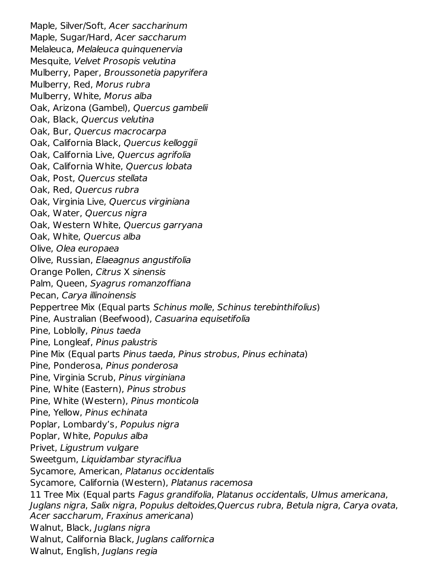Maple, Silver/Soft, Acer saccharinum Maple, Sugar/Hard, Acer saccharum Melaleuca, Melaleuca quinquenervia Mesquite, Velvet Prosopis velutina Mulberry, Paper, Broussonetia papyrifera Mulberry, Red, Morus rubra Mulberry, White, Morus alba Oak, Arizona (Gambel), Quercus gambelii Oak, Black, Quercus velutina Oak, Bur, Quercus macrocarpa Oak, California Black, Quercus kelloggii Oak, California Live, Quercus agrifolia Oak, California White, Quercus lobata Oak, Post, Quercus stellata Oak, Red, Quercus rubra Oak, Virginia Live, Quercus virginiana Oak, Water, Quercus nigra Oak, Western White, Quercus garryana Oak, White, Quercus alba Olive, Olea europaea Olive, Russian, Elaeagnus angustifolia Orange Pollen, Citrus X sinensis Palm, Queen, Syagrus romanzoffiana Pecan, Carya illinoinensis Peppertree Mix (Equal parts Schinus molle, Schinus terebinthifolius) Pine, Australian (Beefwood), Casuarina equisetifolia Pine, Loblolly, Pinus taeda Pine, Longleaf, Pinus palustris Pine Mix (Equal parts Pinus taeda, Pinus strobus, Pinus echinata) Pine, Ponderosa, Pinus ponderosa Pine, Virginia Scrub, Pinus virginiana Pine, White (Eastern), Pinus strobus Pine, White (Western), Pinus monticola Pine, Yellow, Pinus echinata Poplar, Lombardy's, Populus nigra Poplar, White, Populus alba Privet, Ligustrum vulgare Sweetgum, Liquidambar styraciflua Sycamore, American, Platanus occidentalis Sycamore, California (Western), Platanus racemosa 11 Tree Mix (Equal parts Fagus grandifolia, Platanus occidentalis, Ulmus americana, Juglans nigra, Salix nigra, Populus deltoides,Quercus rubra, Betula nigra, Carya ovata, Acer saccharum, Fraxinus americana) Walnut, Black, Juglans nigra Walnut, California Black, Juglans californica Walnut, English, Juglans regia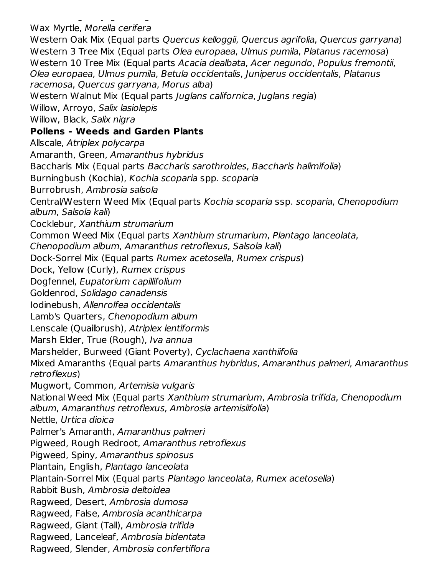Walnut, English, Juglans regia Wax Myrtle, Morella cerifera

Western Oak Mix (Equal parts Quercus kelloggii, Quercus agrifolia, Quercus garryana) Western 3 Tree Mix (Equal parts Olea europaea, Ulmus pumila, Platanus racemosa) Western 10 Tree Mix (Equal parts Acacia dealbata, Acer negundo, Populus fremontii, Olea europaea, Ulmus pumila, Betula occidentalis, Juniperus occidentalis, Platanus racemosa, Quercus garryana, Morus alba) Western Walnut Mix (Equal parts Juglans californica, Juglans regia) Willow, Arroyo, Salix lasiolepis Willow, Black, Salix nigra **Pollens - Weeds and Garden Plants** Allscale, Atriplex polycarpa Amaranth, Green, Amaranthus hybridus Baccharis Mix (Equal parts Baccharis sarothroides, Baccharis halimifolia)

Burningbush (Kochia), Kochia scoparia spp. scoparia

Burrobrush, Ambrosia salsola

Central/Western Weed Mix (Equal parts Kochia scoparia ssp. scoparia, Chenopodium album, Salsola kali)

Cocklebur, Xanthium strumarium

Common Weed Mix (Equal parts Xanthium strumarium, Plantago lanceolata,

Chenopodium album, Amaranthus retroflexus, Salsola kali)

Dock-Sorrel Mix (Equal parts Rumex acetosella, Rumex crispus)

Dock, Yellow (Curly), Rumex crispus

Dogfennel, Eupatorium capillifolium

Goldenrod, Solidago canadensis

Iodinebush, Allenrolfea occidentalis

Lamb's Quarters, Chenopodium album

Lenscale (Quailbrush), Atriplex lentiformis

Marsh Elder, True (Rough), Iva annua

Marshelder, Burweed (Giant Poverty), Cyclachaena xanthiifolia

Mixed Amaranths (Equal parts Amaranthus hybridus, Amaranthus palmeri, Amaranthus retroflexus)

Mugwort, Common, Artemisia vulgaris

National Weed Mix (Equal parts Xanthium strumarium, Ambrosia trifida, Chenopodium album, Amaranthus retroflexus, Ambrosia artemisiifolia)

Nettle, Urtica dioica

Palmer's Amaranth, Amaranthus palmeri

Pigweed, Rough Redroot, Amaranthus retroflexus

Pigweed, Spiny, Amaranthus spinosus

Plantain, English, Plantago lanceolata

Plantain-Sorrel Mix (Equal parts Plantago lanceolata, Rumex acetosella)

Rabbit Bush, Ambrosia deltoidea

Ragweed, Desert, Ambrosia dumosa

Ragweed, False, Ambrosia acanthicarpa

Ragweed, Giant (Tall), Ambrosia trifida

Ragweed, Lanceleaf, Ambrosia bidentata

Ragweed, Slender, Ambrosia confertiflora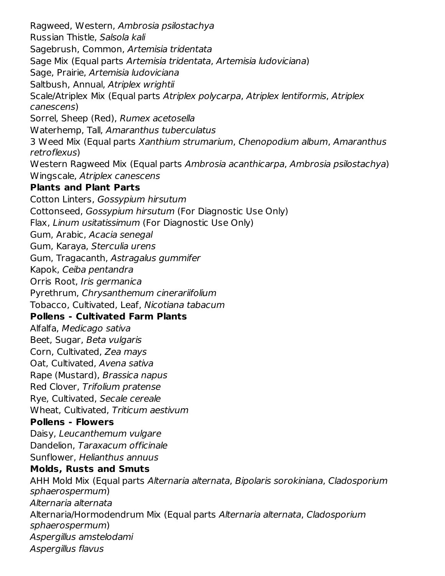Ragweed, Western, Ambrosia psilostachya Russian Thistle, Salsola kali Sagebrush, Common, Artemisia tridentata Sage Mix (Equal parts Artemisia tridentata, Artemisia ludoviciana) Sage, Prairie, Artemisia ludoviciana Saltbush, Annual, Atriplex wrightii Scale/Atriplex Mix (Equal parts Atriplex polycarpa, Atriplex lentiformis, Atriplex canescens) Sorrel, Sheep (Red), Rumex acetosella Waterhemp, Tall, Amaranthus tuberculatus 3 Weed Mix (Equal parts Xanthium strumarium, Chenopodium album, Amaranthus retroflexus) Western Ragweed Mix (Equal parts Ambrosia acanthicarpa, Ambrosia psilostachya) Wingscale, Atriplex canescens **Plants and Plant Parts** Cotton Linters, Gossypium hirsutum Cottonseed, Gossypium hirsutum (For Diagnostic Use Only) Flax, Linum usitatissimum (For Diagnostic Use Only) Gum, Arabic, Acacia senegal Gum, Karaya, Sterculia urens Gum, Tragacanth, Astragalus gummifer Kapok, Ceiba pentandra Orris Root, Iris germanica Pyrethrum, Chrysanthemum cinerariifolium Tobacco, Cultivated, Leaf, Nicotiana tabacum **Pollens - Cultivated Farm Plants** Alfalfa, Medicago sativa Beet, Sugar, Beta vulgaris Corn, Cultivated, Zea mays Oat, Cultivated, Avena sativa Rape (Mustard), Brassica napus Red Clover, Trifolium pratense Rye, Cultivated, Secale cereale Wheat, Cultivated, Triticum aestivum **Pollens - Flowers** Daisy, Leucanthemum vulgare Dandelion, Taraxacum officinale Sunflower, Helianthus annuus **Molds, Rusts and Smuts** AHH Mold Mix (Equal parts Alternaria alternata, Bipolaris sorokiniana, Cladosporium sphaerospermum) Alternaria alternata Alternaria/Hormodendrum Mix (Equal parts Alternaria alternata, Cladosporium sphaerospermum) Aspergillus amstelodami Aspergillus flavus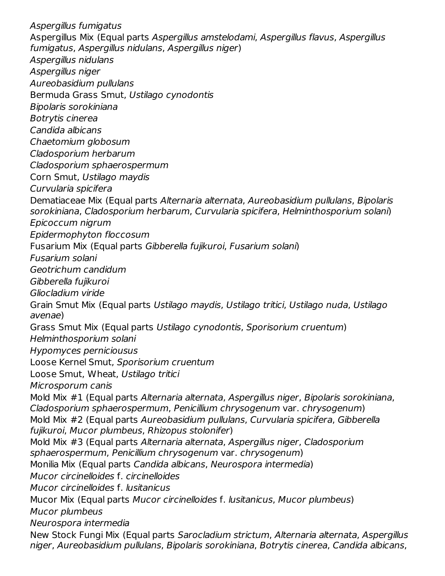Aspergillus fumigatus Aspergillus Mix (Equal parts Aspergillus amstelodami, Aspergillus flavus, Aspergillus fumigatus, Aspergillus nidulans, Aspergillus niger) Aspergillus nidulans Aspergillus niger Aureobasidium pullulans Bermuda Grass Smut, Ustilago cynodontis Bipolaris sorokiniana Botrytis cinerea Candida albicans Chaetomium globosum Cladosporium herbarum Cladosporium sphaerospermum Corn Smut, Ustilago maydis Curvularia spicifera Dematiaceae Mix (Equal parts Alternaria alternata, Aureobasidium pullulans, Bipolaris sorokiniana, Cladosporium herbarum, Curvularia spicifera, Helminthosporium solani) Epicoccum nigrum Epidermophyton floccosum Fusarium Mix (Equal parts Gibberella fujikuroi, Fusarium solani) Fusarium solani Geotrichum candidum Gibberella fujikuroi Gliocladium viride Grain Smut Mix (Equal parts Ustilago maydis, Ustilago tritici, Ustilago nuda, Ustilago avenae) Grass Smut Mix (Equal parts Ustilago cynodontis, Sporisorium cruentum) Helminthosporium solani Hypomyces perniciousus Loose Kernel Smut, Sporisorium cruentum Loose Smut, Wheat, Ustilago tritici Microsporum canis Mold Mix #1 (Equal parts Alternaria alternata, Aspergillus niger, Bipolaris sorokiniana, Cladosporium sphaerospermum, Penicillium chrysogenum var. chrysogenum) Mold Mix #2 (Equal parts Aureobasidium pullulans, Curvularia spicifera, Gibberella fujikuroi, Mucor plumbeus, Rhizopus stolonifer) Mold Mix #3 (Equal parts Alternaria alternata, Aspergillus niger, Cladosporium sphaerospermum, Penicillium chrysogenum var. chrysogenum) Monilia Mix (Equal parts Candida albicans, Neurospora intermedia) Mucor circinelloides f. circinelloides Mucor circinelloides f. lusitanicus Mucor Mix (Equal parts Mucor circinelloides f. lusitanicus, Mucor plumbeus) Mucor plumbeus Neurospora intermedia New Stock Fungi Mix (Equal parts Sarocladium strictum, Alternaria alternata, Aspergillus niger, Aureobasidium pullulans, Bipolaris sorokiniana, Botrytis cinerea, Candida albicans,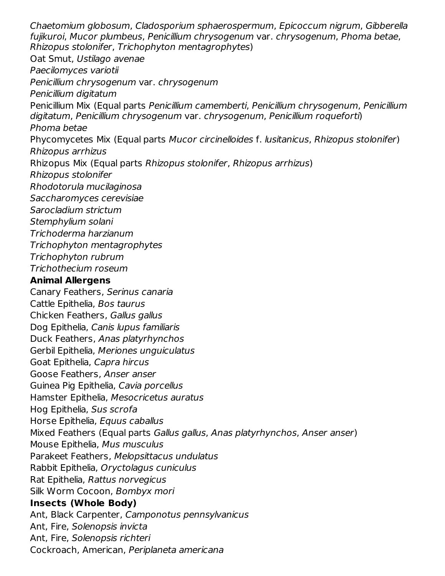Chaetomium globosum, Cladosporium sphaerospermum, Epicoccum nigrum, Gibberella fujikuroi, Mucor plumbeus, Penicillium chrysogenum var. chrysogenum, Phoma betae, Rhizopus stolonifer, Trichophyton mentagrophytes) Oat Smut, Ustilago avenae Paecilomyces variotii Penicillium chrysogenum var. chrysogenum Penicillium digitatum Penicillium Mix (Equal parts Penicillium camemberti, Penicillium chrysogenum, Penicillium digitatum, Penicillium chrysogenum var. chrysogenum, Penicillium roqueforti) Phoma betae Phycomycetes Mix (Equal parts Mucor circinelloides f. lusitanicus, Rhizopus stolonifer) Rhizopus arrhizus Rhizopus Mix (Equal parts Rhizopus stolonifer, Rhizopus arrhizus) Rhizopus stolonifer Rhodotorula mucilaginosa Saccharomyces cerevisiae Sarocladium strictum Stemphylium solani Trichoderma harzianum Trichophyton mentagrophytes Trichophyton rubrum Trichothecium roseum **Animal Allergens** Canary Feathers, Serinus canaria Cattle Epithelia, Bos taurus Chicken Feathers, Gallus gallus Dog Epithelia, Canis lupus familiaris Duck Feathers, Anas platyrhynchos Gerbil Epithelia, Meriones unguiculatus Goat Epithelia, Capra hircus Goose Feathers, Anser anser Guinea Pig Epithelia, Cavia porcellus Hamster Epithelia, Mesocricetus auratus Hog Epithelia, Sus scrofa Horse Epithelia, Equus caballus Mixed Feathers (Equal parts Gallus gallus, Anas platyrhynchos, Anser anser) Mouse Epithelia, Mus musculus Parakeet Feathers, Melopsittacus undulatus Rabbit Epithelia, Oryctolagus cuniculus Rat Epithelia, Rattus norvegicus Silk Worm Cocoon, Bombyx mori **Insects (Whole Body)** Ant, Black Carpenter, Camponotus pennsylvanicus Ant, Fire, Solenopsis invicta Ant, Fire, Solenopsis richteri

Cockroach, American, Periplaneta americana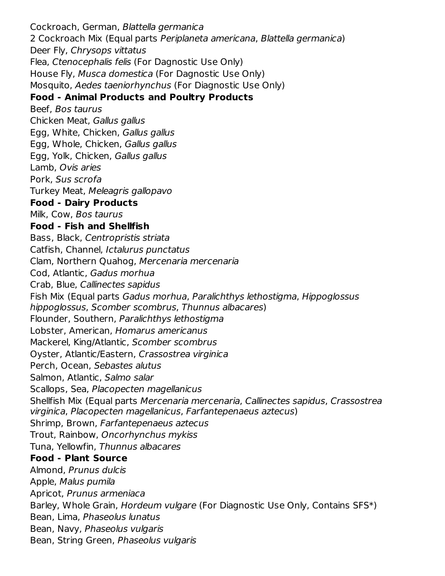Cockroach, German, Blattella germanica 2 Cockroach Mix (Equal parts Periplaneta americana, Blattella germanica) Deer Fly, Chrysops vittatus Flea, Ctenocephalis felis (For Dagnostic Use Only) House Fly, Musca domestica (For Dagnostic Use Only) Mosquito, Aedes taeniorhynchus (For Diagnostic Use Only) **Food - Animal Products and Poultry Products** Beef, Bos taurus Chicken Meat, Gallus gallus Egg, White, Chicken, Gallus gallus Egg, Whole, Chicken, Gallus gallus Egg, Yolk, Chicken, Gallus gallus Lamb, Ovis aries Pork, Sus scrofa Turkey Meat, Meleagris gallopavo **Food - Dairy Products** Milk, Cow, Bos taurus **Food - Fish and Shellfish** Bass, Black, Centropristis striata Catfish, Channel, Ictalurus punctatus Clam, Northern Quahog, Mercenaria mercenaria Cod, Atlantic, Gadus morhua Crab, Blue, Callinectes sapidus Fish Mix (Equal parts Gadus morhua, Paralichthys lethostigma, Hippoglossus hippoglossus, Scomber scombrus, Thunnus albacares) Flounder, Southern, Paralichthys lethostigma Lobster, American, Homarus americanus Mackerel, King/Atlantic, Scomber scombrus Oyster, Atlantic/Eastern, Crassostrea virginica Perch, Ocean, Sebastes alutus Salmon, Atlantic, Salmo salar Scallops, Sea, Placopecten magellanicus Shellfish Mix (Equal parts Mercenaria mercenaria, Callinectes sapidus, Crassostrea virginica, Placopecten magellanicus, Farfantepenaeus aztecus) Shrimp, Brown, Farfantepenaeus aztecus Trout, Rainbow, Oncorhynchus mykiss Tuna, Yellowfin, Thunnus albacares **Food - Plant Source** Almond, Prunus dulcis Apple, Malus pumila Apricot, Prunus armeniaca Barley, Whole Grain, Hordeum vulgare (For Diagnostic Use Only, Contains SFS\*) Bean, Lima, Phaseolus lunatus Bean, Navy, Phaseolus vulgaris Bean, String Green, Phaseolus vulgaris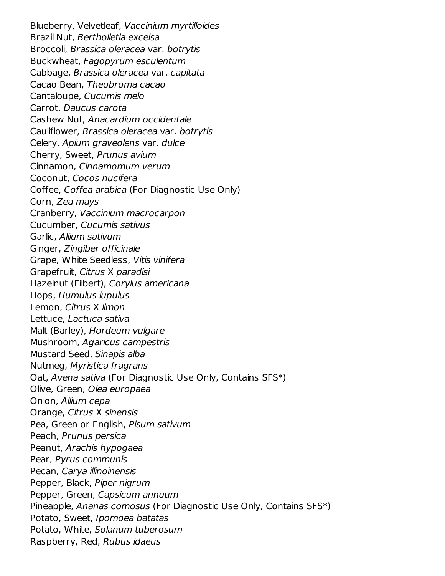Blueberry, Velvetleaf, Vaccinium myrtilloides Brazil Nut, Bertholletia excelsa Broccoli, Brassica oleracea var. botrytis Buckwheat, Fagopyrum esculentum Cabbage, Brassica oleracea var. capitata Cacao Bean, Theobroma cacao Cantaloupe, Cucumis melo Carrot, Daucus carota Cashew Nut, Anacardium occidentale Cauliflower, Brassica oleracea var. botrytis Celery, Apium graveolens var. dulce Cherry, Sweet, Prunus avium Cinnamon, Cinnamomum verum Coconut, Cocos nucifera Coffee, Coffea arabica (For Diagnostic Use Only) Corn, Zea mays Cranberry, Vaccinium macrocarpon Cucumber, Cucumis sativus Garlic, Allium sativum Ginger, Zingiber officinale Grape, White Seedless, Vitis vinifera Grapefruit, Citrus X paradisi Hazelnut (Filbert), Corylus americana Hops, Humulus lupulus Lemon, Citrus X limon Lettuce, Lactuca sativa Malt (Barley), Hordeum vulgare Mushroom, Agaricus campestris Mustard Seed, Sinapis alba Nutmeg, Myristica fragrans Oat, Avena sativa (For Diagnostic Use Only, Contains SFS\*) Olive, Green, Olea europaea Onion, Allium cepa Orange, Citrus X sinensis Pea, Green or English, Pisum sativum Peach, Prunus persica Peanut, Arachis hypogaea Pear, Pyrus communis Pecan, Carya illinoinensis Pepper, Black, Piper nigrum Pepper, Green, Capsicum annuum Pineapple, Ananas comosus (For Diagnostic Use Only, Contains SFS\*) Potato, Sweet, Ipomoea batatas Potato, White, Solanum tuberosum Raspberry, Red, Rubus idaeus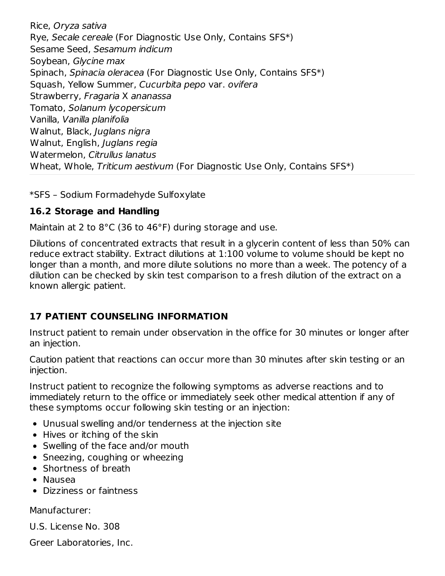Rice, Oryza sativa Rye, Secale cereale (For Diagnostic Use Only, Contains SFS\*) Sesame Seed, Sesamum indicum Soybean, Glycine max Spinach, Spinacia oleracea (For Diagnostic Use Only, Contains SFS\*) Squash, Yellow Summer, Cucurbita pepo var. ovifera Strawberry, Fragaria X ananassa Tomato, Solanum lycopersicum Vanilla, Vanilla planifolia Walnut, Black, Juglans nigra Walnut, English, Juglans regia Watermelon, Citrullus lanatus Wheat, Whole, Triticum aestivum (For Diagnostic Use Only, Contains SFS\*)

\*SFS – Sodium Formadehyde Sulfoxylate

## **16.2 Storage and Handling**

Maintain at 2 to 8°C (36 to 46°F) during storage and use.

Dilutions of concentrated extracts that result in a glycerin content of less than 50% can reduce extract stability. Extract dilutions at 1:100 volume to volume should be kept no longer than a month, and more dilute solutions no more than a week. The potency of a dilution can be checked by skin test comparison to a fresh dilution of the extract on a known allergic patient.

# **17 PATIENT COUNSELING INFORMATION**

Instruct patient to remain under observation in the office for 30 minutes or longer after an injection.

Caution patient that reactions can occur more than 30 minutes after skin testing or an injection.

Instruct patient to recognize the following symptoms as adverse reactions and to immediately return to the office or immediately seek other medical attention if any of these symptoms occur following skin testing or an injection:

- Unusual swelling and/or tenderness at the injection site
- Hives or itching of the skin
- Swelling of the face and/or mouth
- Sneezing, coughing or wheezing
- Shortness of breath
- Nausea
- Dizziness or faintness

Manufacturer:

U.S. License No. 308

Greer Laboratories, Inc.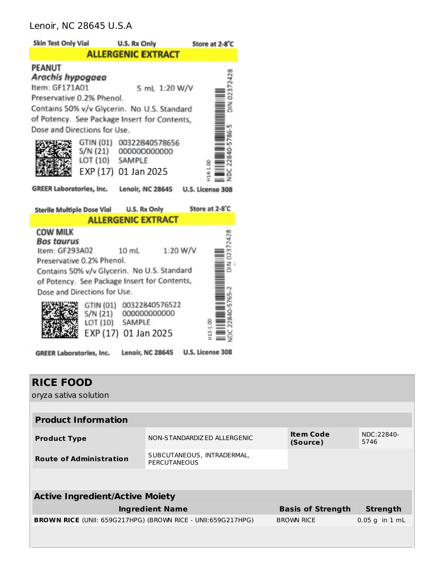#### Lenoir, NC 28645 U.S.A



| <b>RICE FOOD</b><br>oryza sativa solution                           |                                                   |                              |                    |
|---------------------------------------------------------------------|---------------------------------------------------|------------------------------|--------------------|
|                                                                     |                                                   |                              |                    |
| <b>Product Information</b>                                          |                                                   |                              |                    |
| <b>Product Type</b>                                                 | NON-STANDARDIZED ALLERGENIC                       | <b>Item Code</b><br>(Source) | NDC:22840-<br>5746 |
| <b>Route of Administration</b>                                      | SUBCUTANEOUS, INTRADERMAL,<br><b>PERCUTANEOUS</b> |                              |                    |
|                                                                     |                                                   |                              |                    |
| <b>Active Ingredient/Active Moiety</b>                              |                                                   |                              |                    |
|                                                                     | <b>Ingredient Name</b>                            | <b>Basis of Strength</b>     | <b>Strength</b>    |
| <b>BROWN RICE (UNII: 659G217HPG) (BROWN RICE - UNII:659G217HPG)</b> |                                                   | <b>BROWN RICE</b>            | $0.05$ g in 1 mL   |
|                                                                     |                                                   |                              |                    |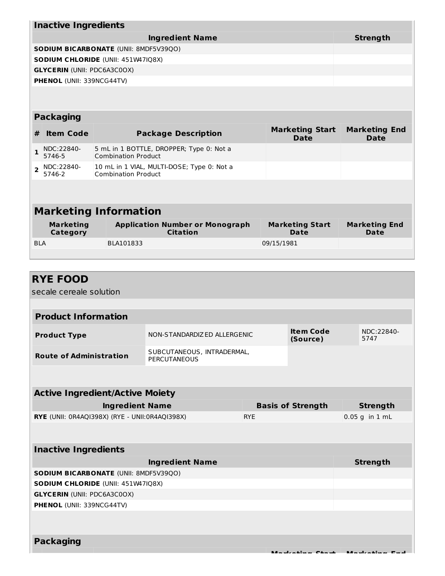|                | <b>Inactive Ingredients</b>         |  |                                                                          |  |                                       |                              |  |
|----------------|-------------------------------------|--|--------------------------------------------------------------------------|--|---------------------------------------|------------------------------|--|
|                |                                     |  | <b>Ingredient Name</b>                                                   |  |                                       | <b>Strength</b>              |  |
|                |                                     |  | <b>SODIUM BICARBONATE (UNII: 8MDF5V39QO)</b>                             |  |                                       |                              |  |
|                |                                     |  | SODIUM CHLORIDE (UNII: 451W47IQ8X)                                       |  |                                       |                              |  |
|                | <b>GLYCERIN (UNII: PDC6A3C0OX)</b>  |  |                                                                          |  |                                       |                              |  |
|                | <b>PHENOL (UNII: 339NCG44TV)</b>    |  |                                                                          |  |                                       |                              |  |
|                |                                     |  |                                                                          |  |                                       |                              |  |
|                |                                     |  |                                                                          |  |                                       |                              |  |
|                | <b>Packaging</b>                    |  |                                                                          |  |                                       |                              |  |
| #              | <b>Item Code</b>                    |  | <b>Package Description</b>                                               |  | <b>Marketing Start</b><br><b>Date</b> | <b>Marketing End</b><br>Date |  |
| 1              | NDC:22840-<br>5746-5                |  | 5 mL in 1 BOTTLE, DROPPER; Type 0: Not a<br><b>Combination Product</b>   |  |                                       |                              |  |
| $\overline{2}$ | NDC:22840-<br>5746-2                |  | 10 mL in 1 VIAL, MULTI-DOSE; Type 0: Not a<br><b>Combination Product</b> |  |                                       |                              |  |
|                |                                     |  |                                                                          |  |                                       |                              |  |
|                |                                     |  |                                                                          |  |                                       |                              |  |
|                | <b>Marketing Information</b>        |  |                                                                          |  |                                       |                              |  |
|                | <b>Marketing</b><br><b>Category</b> |  | <b>Application Number or Monograph</b><br><b>Citation</b>                |  | <b>Marketing Start</b><br><b>Date</b> | <b>Marketing End</b><br>Date |  |
| <b>BLA</b>     |                                     |  | BLA101833                                                                |  | 09/15/1981                            |                              |  |
|                |                                     |  |                                                                          |  |                                       |                              |  |

| <b>RYE FOOD</b>                                 |                                                   |            |                              |                                  |
|-------------------------------------------------|---------------------------------------------------|------------|------------------------------|----------------------------------|
| secale cereale solution                         |                                                   |            |                              |                                  |
|                                                 |                                                   |            |                              |                                  |
| <b>Product Information</b>                      |                                                   |            |                              |                                  |
| <b>Product Type</b>                             | NON-STANDARDIZED ALLERGENIC                       |            | <b>Item Code</b><br>(Source) | NDC:22840-<br>5747               |
| <b>Route of Administration</b>                  | SUBCUTANEOUS, INTRADERMAL,<br><b>PERCUTANEOUS</b> |            |                              |                                  |
|                                                 |                                                   |            |                              |                                  |
| <b>Active Ingredient/Active Moiety</b>          |                                                   |            |                              |                                  |
| <b>Ingredient Name</b>                          |                                                   |            | <b>Basis of Strength</b>     | <b>Strength</b>                  |
| RYE (UNII: 0R4AQI398X) (RYE - UNII: 0R4AQI398X) |                                                   | <b>RYE</b> |                              | $0.05$ g in $1$ mL               |
|                                                 |                                                   |            |                              |                                  |
| <b>Inactive Ingredients</b>                     |                                                   |            |                              |                                  |
|                                                 | <b>Ingredient Name</b>                            |            |                              | <b>Strength</b>                  |
| SODIUM BICARBONATE (UNII: 8MDF5V39Q0)           |                                                   |            |                              |                                  |
| <b>SODIUM CHLORIDE (UNII: 451W47IQ8X)</b>       |                                                   |            |                              |                                  |
| <b>GLYCERIN (UNII: PDC6A3C0OX)</b>              |                                                   |            |                              |                                  |
| PHENOL (UNII: 339NCG44TV)                       |                                                   |            |                              |                                  |
|                                                 |                                                   |            |                              |                                  |
| <b>Packaging</b>                                |                                                   |            |                              |                                  |
|                                                 |                                                   |            |                              | Madisation Chapter Madisation P. |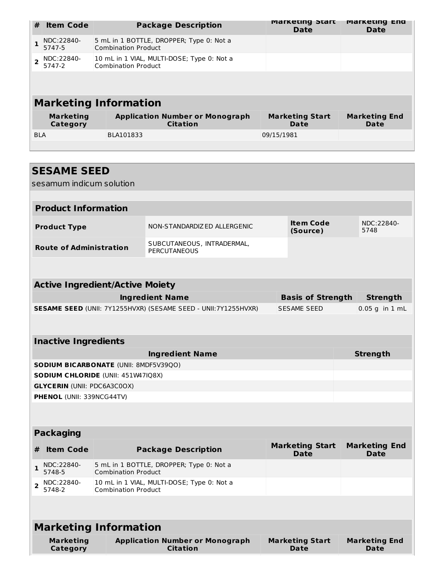| #                        | <b>Item Code</b>             | <b>Package Description</b>                                               | <b>Marketing Start</b><br>Date | <b>Marketing End</b><br><b>Date</b> |  |  |
|--------------------------|------------------------------|--------------------------------------------------------------------------|--------------------------------|-------------------------------------|--|--|
|                          | NDC:22840-<br>5747-5         | 5 mL in 1 BOTTLE, DROPPER; Type 0: Not a<br><b>Combination Product</b>   |                                |                                     |  |  |
| $\overline{\phantom{a}}$ | NDC:22840-<br>5747-2         | 10 mL in 1 VIAL, MULTI-DOSE; Type 0: Not a<br><b>Combination Product</b> |                                |                                     |  |  |
|                          |                              |                                                                          |                                |                                     |  |  |
|                          | <b>Marketing Information</b> |                                                                          |                                |                                     |  |  |
|                          | <b>Marketing</b><br>Category | <b>Application Number or Monograph</b><br><b>Citation</b>                | <b>Marketing Start</b><br>Date | <b>Marketing End</b><br>Date        |  |  |
| <b>BLA</b>               |                              | BLA101833                                                                | 09/15/1981                     |                                     |  |  |
|                          |                              |                                                                          |                                |                                     |  |  |

| <b>SESAME SEED</b><br>sesamum indicum solution             |                                                                        |  |                                       |                              |  |  |  |
|------------------------------------------------------------|------------------------------------------------------------------------|--|---------------------------------------|------------------------------|--|--|--|
|                                                            |                                                                        |  |                                       |                              |  |  |  |
| <b>Product Information</b>                                 |                                                                        |  |                                       |                              |  |  |  |
| <b>Product Type</b>                                        | NON-STANDARDIZED ALLERGENIC                                            |  | <b>Item Code</b><br>(Source)          | NDC:22840-<br>5748           |  |  |  |
| <b>Route of Administration</b>                             | SUBCUTANEOUS, INTRADERMAL,<br><b>PERCUTANEOUS</b>                      |  |                                       |                              |  |  |  |
|                                                            |                                                                        |  |                                       |                              |  |  |  |
| <b>Active Ingredient/Active Moiety</b>                     |                                                                        |  |                                       |                              |  |  |  |
|                                                            | <b>Ingredient Name</b>                                                 |  | <b>Basis of Strength</b>              | <b>Strength</b>              |  |  |  |
|                                                            | <b>SESAME SEED</b> (UNII: 7Y1255HVXR) (SESAME SEED - UNII: 7Y1255HVXR) |  | <b>SESAME SEED</b>                    | $0.05$ g in $1$ mL           |  |  |  |
|                                                            |                                                                        |  |                                       |                              |  |  |  |
| <b>Inactive Ingredients</b>                                |                                                                        |  |                                       |                              |  |  |  |
|                                                            |                                                                        |  |                                       |                              |  |  |  |
| <b>SODIUM BICARBONATE (UNII: 8MDF5V39QO)</b>               | <b>Ingredient Name</b>                                                 |  |                                       | <b>Strength</b>              |  |  |  |
| <b>SODIUM CHLORIDE (UNII: 451W47IQ8X)</b>                  |                                                                        |  |                                       |                              |  |  |  |
| <b>GLYCERIN (UNII: PDC6A3C0OX)</b>                         |                                                                        |  |                                       |                              |  |  |  |
| PHENOL (UNII: 339NCG44TV)                                  |                                                                        |  |                                       |                              |  |  |  |
|                                                            |                                                                        |  |                                       |                              |  |  |  |
| <b>Packaging</b>                                           |                                                                        |  |                                       |                              |  |  |  |
| <b>Item Code</b><br>#                                      | <b>Package Description</b>                                             |  | <b>Marketing Start</b><br><b>Date</b> | <b>Marketing End</b><br>Date |  |  |  |
| NDC:22840-<br>1<br>5748-5<br><b>Combination Product</b>    | 5 mL in 1 BOTTLE, DROPPER; Type 0: Not a                               |  |                                       |                              |  |  |  |
| NDC:22840-<br>2<br>5748-2<br><b>Combination Product</b>    | 10 mL in 1 VIAL, MULTI-DOSE; Type 0: Not a                             |  |                                       |                              |  |  |  |
|                                                            |                                                                        |  |                                       |                              |  |  |  |
|                                                            | <b>Marketing Information</b>                                           |  |                                       |                              |  |  |  |
| <b>Marketing</b><br><b>Application Number or Monograph</b> |                                                                        |  | <b>Marketing Start</b>                | <b>Marketing End</b>         |  |  |  |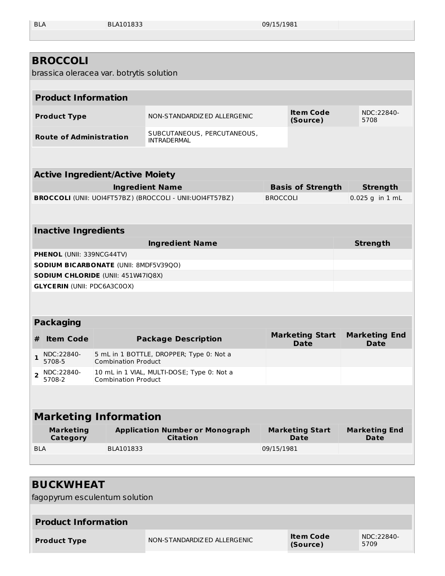BLA BLA101833 09/15/1981

|              | <b>BROCCOLI</b><br>brassica oleracea var. botrytis solution |                                        |                                                                 |                 |                                       |                                     |
|--------------|-------------------------------------------------------------|----------------------------------------|-----------------------------------------------------------------|-----------------|---------------------------------------|-------------------------------------|
|              |                                                             |                                        |                                                                 |                 |                                       |                                     |
|              | <b>Product Information</b>                                  |                                        |                                                                 |                 |                                       |                                     |
|              | <b>Product Type</b>                                         |                                        | NON-STANDARDIZ ED ALLERGENIC                                    |                 | <b>Item Code</b><br>(Source)          | NDC:22840-<br>5708                  |
|              | <b>Route of Administration</b>                              |                                        | SUBCUTANEOUS, PERCUTANEOUS,<br><b>INTRADERMAL</b>               |                 |                                       |                                     |
|              |                                                             |                                        |                                                                 |                 |                                       |                                     |
|              |                                                             | <b>Active Ingredient/Active Moiety</b> |                                                                 |                 |                                       |                                     |
|              |                                                             |                                        | <b>Ingredient Name</b>                                          |                 | <b>Basis of Strength</b>              | <b>Strength</b>                     |
|              |                                                             |                                        | <b>BROCCOLI</b> (UNII: UOI4FT57BZ) (BROCCOLI - UNII:UOI4FT57BZ) | <b>BROCCOLI</b> |                                       | 0.025 g in 1 mL                     |
|              |                                                             |                                        |                                                                 |                 |                                       |                                     |
|              | <b>Inactive Ingredients</b>                                 |                                        |                                                                 |                 |                                       |                                     |
|              |                                                             |                                        | <b>Ingredient Name</b>                                          |                 |                                       | <b>Strength</b>                     |
|              | PHENOL (UNII: 339NCG44TV)                                   |                                        |                                                                 |                 |                                       |                                     |
|              |                                                             | SODIUM BICARBONATE (UNII: 8MDF5V39QO)  |                                                                 |                 |                                       |                                     |
|              |                                                             | SODIUM CHLORIDE (UNII: 451W47IQ8X)     |                                                                 |                 |                                       |                                     |
|              | <b>GLYCERIN (UNII: PDC6A3C0OX)</b>                          |                                        |                                                                 |                 |                                       |                                     |
|              |                                                             |                                        |                                                                 |                 |                                       |                                     |
|              | <b>Packaging</b>                                            |                                        |                                                                 |                 |                                       |                                     |
| #            | <b>Item Code</b>                                            |                                        | <b>Package Description</b>                                      |                 | <b>Marketing Start</b><br><b>Date</b> | <b>Marketing End</b><br><b>Date</b> |
| $\mathbf{1}$ | NDC:22840-<br>5708-5                                        | <b>Combination Product</b>             | 5 mL in 1 BOTTLE, DROPPER; Type 0: Not a                        |                 |                                       |                                     |
| $\mathbf{2}$ | NDC:22840-<br>5708-2                                        | <b>Combination Product</b>             | 10 mL in 1 VIAL, MULTI-DOSE; Type 0: Not a                      |                 |                                       |                                     |
|              |                                                             |                                        |                                                                 |                 |                                       |                                     |
|              |                                                             | <b>Marketing Information</b>           |                                                                 |                 |                                       |                                     |
|              | <b>Marketing</b>                                            |                                        | <b>Application Number or Monograph</b>                          |                 | <b>Marketing Start</b>                | <b>Marketing End</b>                |
| <b>BLA</b>   | <b>Category</b>                                             |                                        | <b>Citation</b>                                                 |                 | <b>Date</b>                           | <b>Date</b>                         |
|              |                                                             | BLA101833                              |                                                                 | 09/15/1981      |                                       |                                     |
|              |                                                             |                                        |                                                                 |                 |                                       |                                     |

| <b>BUCKWHEAT</b>           |                               |                              |                    |  |
|----------------------------|-------------------------------|------------------------------|--------------------|--|
|                            | fagopyrum esculentum solution |                              |                    |  |
|                            |                               |                              |                    |  |
| <b>Product Information</b> |                               |                              |                    |  |
| <b>Product Type</b>        | NON-STANDARDIZ ED ALLERGENIC  | <b>Item Code</b><br>(Source) | NDC:22840-<br>5709 |  |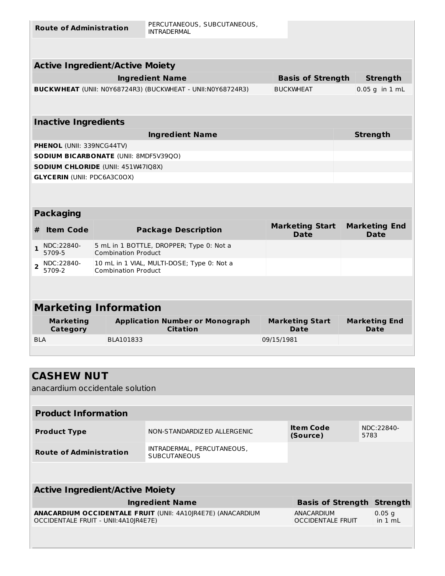**Route of Administration**

PERCUTANEOUS, SUBCUTANEOUS, INTRADERMAL

| <b>Active Ingredient/Active Moiety</b>                            |                          |                    |  |  |  |  |
|-------------------------------------------------------------------|--------------------------|--------------------|--|--|--|--|
| <b>Ingredient Name</b>                                            | <b>Basis of Strength</b> | <b>Strength</b>    |  |  |  |  |
| <b>BUCKWHEAT</b> (UNII: NOY68724R3) (BUCKWHEAT - UNII:NOY68724R3) | <b>BUCKWHEAT</b>         | $0.05$ g in $1$ mL |  |  |  |  |
|                                                                   |                          |                    |  |  |  |  |
| <b>Inactive Ingredients</b>                                       |                          |                    |  |  |  |  |
| <b>Ingredient Name</b>                                            |                          | <b>Strength</b>    |  |  |  |  |

| <b>PHENOL</b> (UNII: 339NCG44TV)             |  |
|----------------------------------------------|--|
| <b>SODIUM BICARBONATE (UNII: 8MDF5V3900)</b> |  |
| <b>SODIUM CHLORIDE</b> (UNII: 451W47IO8X)    |  |
| GLYCERIN (UNII: PDC6A3C0OX)                  |  |

| <b>Packaging</b>             |                      |                                                                          |                                |                              |  |  |
|------------------------------|----------------------|--------------------------------------------------------------------------|--------------------------------|------------------------------|--|--|
| #                            | <b>Item Code</b>     | <b>Package Description</b>                                               | <b>Marketing Start</b><br>Date | <b>Marketing End</b><br>Date |  |  |
|                              | NDC:22840-<br>5709-5 | 5 mL in 1 BOTTLE, DROPPER; Type 0: Not a<br><b>Combination Product</b>   |                                |                              |  |  |
|                              | NDC:22840-<br>5709-2 | 10 mL in 1 VIAL, MULTI-DOSE; Type 0: Not a<br><b>Combination Product</b> |                                |                              |  |  |
|                              |                      |                                                                          |                                |                              |  |  |
| <b>Marketing Information</b> |                      |                                                                          |                                |                              |  |  |
| <b>Marketing</b>             |                      | <b>Application Number or Monograph</b>                                   | <b>Marketing Start</b>         | <b>Marketing End</b>         |  |  |

| Marketing<br>Category | Application Number or Monograph<br>Citation | Marketing Start<br><b>Date</b> | Marketing End<br><b>Date</b> |
|-----------------------|---------------------------------------------|--------------------------------|------------------------------|
| <b>BLA</b>            | BLA101833                                   | 09/15/1981                     |                              |
|                       |                                             |                                |                              |

| <b>CASHEW NUT</b>                       |                                                             |                                        |      |                               |  |  |  |
|-----------------------------------------|-------------------------------------------------------------|----------------------------------------|------|-------------------------------|--|--|--|
| anacardium occidentale solution         |                                                             |                                        |      |                               |  |  |  |
|                                         |                                                             |                                        |      |                               |  |  |  |
| <b>Product Information</b>              |                                                             |                                        |      |                               |  |  |  |
| <b>Product Type</b>                     | NON-STANDARDIZED ALLERGENIC                                 | <b>Item Code</b><br>(Source)           | 5783 | NDC:22840-                    |  |  |  |
| <b>Route of Administration</b>          | INTRADERMAL, PERCUTANEOUS,<br><b>SUBCUTANEOUS</b>           |                                        |      |                               |  |  |  |
|                                         |                                                             |                                        |      |                               |  |  |  |
| <b>Active Ingredient/Active Moiety</b>  |                                                             |                                        |      |                               |  |  |  |
|                                         | <b>Ingredient Name</b>                                      | <b>Basis of Strength</b>               |      | <b>Strength</b>               |  |  |  |
| OCCIDENTALE FRUIT - UNII: 4A10   R4E7E) | ANACARDIUM OCCIDENTALE FRUIT (UNII: 4A10JR4E7E) (ANACARDIUM | ANACARDIUM<br><b>OCCIDENTALE FRUIT</b> |      | $0.05$ g<br>in $1 \text{ mL}$ |  |  |  |
|                                         |                                                             |                                        |      |                               |  |  |  |
|                                         |                                                             |                                        |      |                               |  |  |  |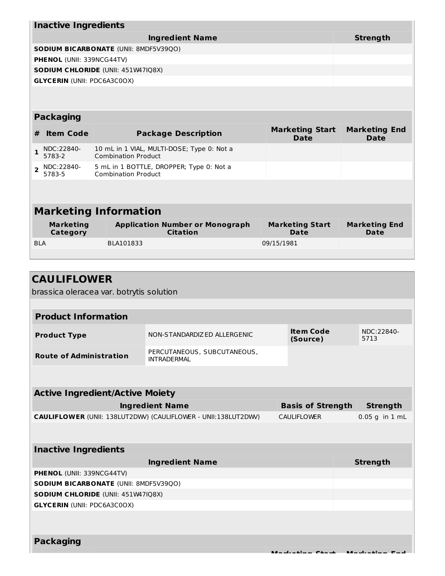|                | <b>Inactive Ingredients</b>        |                 |                                                                          |                                       |                                     |  |  |
|----------------|------------------------------------|-----------------|--------------------------------------------------------------------------|---------------------------------------|-------------------------------------|--|--|
|                |                                    | <b>Strength</b> |                                                                          |                                       |                                     |  |  |
|                |                                    |                 | <b>SODIUM BICARBONATE (UNII: 8MDF5V39QO)</b>                             |                                       |                                     |  |  |
|                | <b>PHENOL (UNII: 339NCG44TV)</b>   |                 |                                                                          |                                       |                                     |  |  |
|                |                                    |                 | <b>SODIUM CHLORIDE (UNII: 451W47IQ8X)</b>                                |                                       |                                     |  |  |
|                | <b>GLYCERIN (UNII: PDC6A3C0OX)</b> |                 |                                                                          |                                       |                                     |  |  |
|                |                                    |                 |                                                                          |                                       |                                     |  |  |
|                |                                    |                 |                                                                          |                                       |                                     |  |  |
|                | <b>Packaging</b>                   |                 |                                                                          |                                       |                                     |  |  |
| #              | <b>Item Code</b>                   |                 | <b>Package Description</b>                                               | <b>Marketing Start</b><br><b>Date</b> | <b>Marketing End</b><br><b>Date</b> |  |  |
| $\mathbf{1}$   | NDC:22840-<br>5783-2               |                 | 10 mL in 1 VIAL, MULTI-DOSE; Type 0: Not a<br><b>Combination Product</b> |                                       |                                     |  |  |
| $\overline{2}$ | NDC:22840-<br>5783-5               |                 | 5 mL in 1 BOTTLE, DROPPER; Type 0: Not a<br><b>Combination Product</b>   |                                       |                                     |  |  |
|                |                                    |                 |                                                                          |                                       |                                     |  |  |
|                |                                    |                 |                                                                          |                                       |                                     |  |  |
|                |                                    |                 | <b>Marketing Information</b>                                             |                                       |                                     |  |  |
|                | <b>Marketing</b><br>Category       |                 | <b>Application Number or Monograph</b><br><b>Citation</b>                | <b>Marketing Start</b><br><b>Date</b> | <b>Marketing End</b><br>Date        |  |  |
| <b>BIA</b>     |                                    |                 | BLA101833                                                                | 09/15/1981                            |                                     |  |  |
|                |                                    |                 |                                                                          |                                       |                                     |  |  |

| <b>CAULIFLOWER</b>                        |                                                                       |                              |                                          |
|-------------------------------------------|-----------------------------------------------------------------------|------------------------------|------------------------------------------|
| brassica oleracea var. botrytis solution  |                                                                       |                              |                                          |
|                                           |                                                                       |                              |                                          |
| <b>Product Information</b>                |                                                                       |                              |                                          |
| <b>Product Type</b>                       | NON-STANDARDIZED ALLERGENIC                                           | <b>Item Code</b><br>(Source) | NDC:22840-<br>5713                       |
| <b>Route of Administration</b>            | PERCUTANEOUS, SUBCUTANEOUS,<br><b>INTRADERMAL</b>                     |                              |                                          |
|                                           |                                                                       |                              |                                          |
| <b>Active Ingredient/Active Moiety</b>    |                                                                       |                              |                                          |
|                                           | <b>Ingredient Name</b>                                                | <b>Basis of Strength</b>     | <b>Strength</b>                          |
|                                           | <b>CAULIFLOWER (UNII: 138LUT2DWV) (CAULIFLOWER - UNII:138LUT2DWV)</b> | <b>CAULIFLOWER</b>           | $0.05$ g in $1$ mL                       |
|                                           |                                                                       |                              |                                          |
| <b>Inactive Ingredients</b>               |                                                                       |                              |                                          |
|                                           | <b>Ingredient Name</b>                                                |                              | <b>Strength</b>                          |
| <b>PHENOL (UNII: 339NCG44TV)</b>          |                                                                       |                              |                                          |
| SODIUM BICARBONATE (UNII: 8MDF5V39QO)     |                                                                       |                              |                                          |
| <b>SODIUM CHLORIDE (UNII: 451W47IQ8X)</b> |                                                                       |                              |                                          |
| <b>GLYCERIN (UNII: PDC6A3C0OX)</b>        |                                                                       |                              |                                          |
|                                           |                                                                       |                              |                                          |
| <b>Packaging</b>                          |                                                                       |                              |                                          |
|                                           |                                                                       | Moderation Chapt             | <b>March Montenant Commerce Property</b> |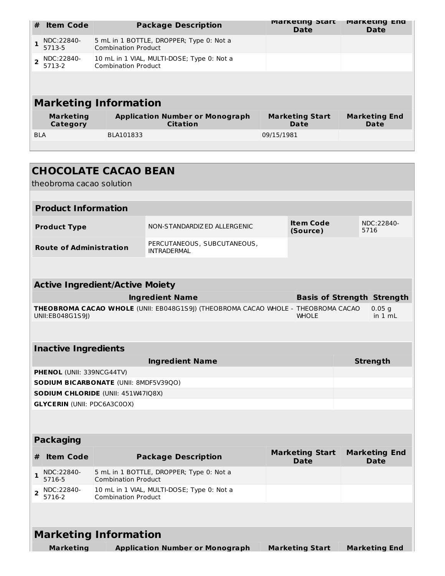| #              | <b>Item Code</b>             | <b>Package Description</b>                                               | <b>Marketing Start</b><br>Date | <b>Marketing End</b><br><b>Date</b> |
|----------------|------------------------------|--------------------------------------------------------------------------|--------------------------------|-------------------------------------|
|                | NDC:22840-<br>5713-5         | 5 mL in 1 BOTTLE, DROPPER; Type 0: Not a<br><b>Combination Product</b>   |                                |                                     |
| $\overline{2}$ | NDC:22840-<br>5713-2         | 10 mL in 1 VIAL, MULTI-DOSE; Type 0: Not a<br><b>Combination Product</b> |                                |                                     |
|                |                              |                                                                          |                                |                                     |
|                |                              | <b>Marketing Information</b>                                             |                                |                                     |
|                | <b>Marketing</b><br>Category | <b>Application Number or Monograph</b><br><b>Citation</b>                | <b>Marketing Start</b><br>Date | <b>Marketing End</b><br><b>Date</b> |
| <b>BLA</b>     |                              | BLA101833                                                                | 09/15/1981                     |                                     |
|                |                              |                                                                          |                                |                                     |
|                |                              |                                                                          |                                |                                     |

|                        |                             | <b>CHOCOLATE CACAO BEAN</b><br>theobroma cacao solution |                                                                                   |                                       |                                     |
|------------------------|-----------------------------|---------------------------------------------------------|-----------------------------------------------------------------------------------|---------------------------------------|-------------------------------------|
|                        |                             |                                                         |                                                                                   |                                       |                                     |
|                        | <b>Product Information</b>  |                                                         |                                                                                   |                                       |                                     |
|                        | <b>Product Type</b>         |                                                         | NON-STANDARDIZED ALLERGENIC                                                       | <b>Item Code</b><br>(Source)          | NDC:22840-<br>5716                  |
|                        |                             | <b>Route of Administration</b>                          | PERCUTANEOUS, SUBCUTANEOUS,<br><b>INTRADERMAL</b>                                 |                                       |                                     |
|                        |                             |                                                         |                                                                                   |                                       |                                     |
|                        |                             | <b>Active Ingredient/Active Moiety</b>                  |                                                                                   |                                       |                                     |
|                        |                             |                                                         | <b>Ingredient Name</b>                                                            |                                       | <b>Basis of Strength Strength</b>   |
|                        | UNII:EB048G1S9J)            |                                                         | THEOBROMA CACAO WHOLE (UNII: EB048G1S9)) (THEOBROMA CACAO WHOLE - THEOBROMA CACAO | <b>WHOLE</b>                          | $0.05$ g<br>in 1 mL                 |
|                        |                             |                                                         |                                                                                   |                                       |                                     |
|                        | <b>Inactive Ingredients</b> |                                                         |                                                                                   |                                       |                                     |
|                        |                             |                                                         | <b>Ingredient Name</b>                                                            |                                       | <b>Strength</b>                     |
|                        | PHENOL (UNII: 339NCG44TV)   |                                                         |                                                                                   |                                       |                                     |
|                        |                             | SODIUM BICARBONATE (UNII: 8MDF5V39QO)                   |                                                                                   |                                       |                                     |
|                        |                             | SODIUM CHLORIDE (UNII: 451W47IQ8X)                      |                                                                                   |                                       |                                     |
|                        |                             | <b>GLYCERIN (UNII: PDC6A3C0OX)</b>                      |                                                                                   |                                       |                                     |
|                        |                             |                                                         |                                                                                   |                                       |                                     |
|                        | <b>Packaging</b>            |                                                         |                                                                                   |                                       |                                     |
| #                      | <b>Item Code</b>            |                                                         | <b>Package Description</b>                                                        | <b>Marketing Start</b><br><b>Date</b> | <b>Marketing End</b><br><b>Date</b> |
| $\mathbf{1}$<br>5716-5 | NDC:22840-                  | <b>Combination Product</b>                              | 5 mL in 1 BOTTLE, DROPPER; Type 0: Not a                                          |                                       |                                     |
| $\mathbf{2}$<br>5716-2 | NDC:22840-                  | <b>Combination Product</b>                              | 10 mL in 1 VIAL, MULTI-DOSE; Type 0: Not a                                        |                                       |                                     |
|                        |                             |                                                         |                                                                                   |                                       |                                     |
|                        |                             | <b>Marketing Information</b>                            |                                                                                   |                                       |                                     |
|                        | <b>Marketing</b>            |                                                         | <b>Application Number or Monograph</b>                                            | <b>Marketing Start</b>                | <b>Marketing End</b>                |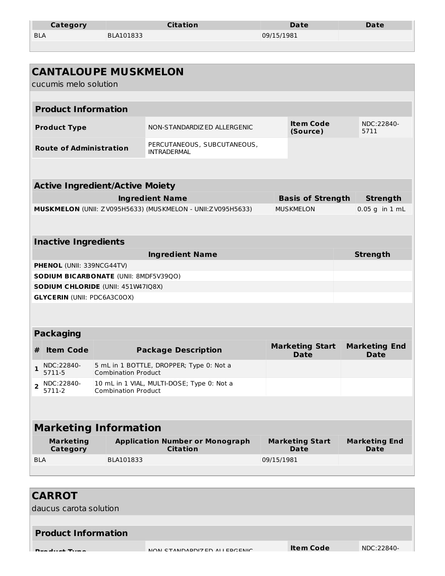| Category   | <b>Citation</b> | Date       | Date |
|------------|-----------------|------------|------|
| <b>BLA</b> | BLA101833       | 09/15/1981 |      |

|                |                                     | <b>CANTALOUPE MUSKMELON</b>            |                                                            |            |                                       |                                     |  |
|----------------|-------------------------------------|----------------------------------------|------------------------------------------------------------|------------|---------------------------------------|-------------------------------------|--|
|                | cucumis melo solution               |                                        |                                                            |            |                                       |                                     |  |
|                | <b>Product Information</b>          |                                        |                                                            |            |                                       |                                     |  |
|                | <b>Product Type</b>                 |                                        | NON-STANDARDIZ ED ALLERGENIC                               |            | <b>Item Code</b><br>(Source)          | NDC:22840-<br>5711                  |  |
|                | <b>Route of Administration</b>      |                                        | PERCUTANEOUS, SUBCUTANEOUS,<br><b>INTRADERMAL</b>          |            |                                       |                                     |  |
|                |                                     |                                        |                                                            |            |                                       |                                     |  |
|                |                                     | <b>Active Ingredient/Active Moiety</b> |                                                            |            |                                       |                                     |  |
|                |                                     |                                        | <b>Ingredient Name</b>                                     |            | <b>Basis of Strength</b>              | <b>Strength</b>                     |  |
|                |                                     |                                        | MUSKMELON (UNII: ZV095H5633) (MUSKMELON - UNII:ZV095H5633) |            | <b>MUSKMELON</b>                      | $0.05$ g in $1$ mL                  |  |
|                |                                     |                                        |                                                            |            |                                       |                                     |  |
|                | <b>Inactive Ingredients</b>         |                                        |                                                            |            |                                       |                                     |  |
|                |                                     |                                        | <b>Ingredient Name</b>                                     |            |                                       | <b>Strength</b>                     |  |
|                | PHENOL (UNII: 339NCG44TV)           |                                        |                                                            |            |                                       |                                     |  |
|                |                                     | SODIUM BICARBONATE (UNII: 8MDF5V39QO)  |                                                            |            |                                       |                                     |  |
|                |                                     | SODIUM CHLORIDE (UNII: 451W47IQ8X)     |                                                            |            |                                       |                                     |  |
|                | <b>GLYCERIN (UNII: PDC6A3C0OX)</b>  |                                        |                                                            |            |                                       |                                     |  |
|                | <b>Packaging</b>                    |                                        |                                                            |            |                                       |                                     |  |
| #              | <b>Item Code</b>                    |                                        | <b>Package Description</b>                                 |            | <b>Marketing Start</b><br><b>Date</b> | <b>Marketing End</b><br><b>Date</b> |  |
| $\mathbf{1}$   | NDC:22840-<br>5711-5                | <b>Combination Product</b>             | 5 mL in 1 BOTTLE, DROPPER; Type 0: Not a                   |            |                                       |                                     |  |
| $\overline{2}$ | NDC:22840-<br>5711-2                | <b>Combination Product</b>             | 10 mL in 1 VIAL, MULTI-DOSE; Type 0: Not a                 |            |                                       |                                     |  |
|                |                                     |                                        |                                                            |            |                                       |                                     |  |
|                |                                     | <b>Marketing Information</b>           |                                                            |            |                                       |                                     |  |
|                | <b>Marketing</b><br><b>Category</b> |                                        | <b>Application Number or Monograph</b><br><b>Citation</b>  |            | <b>Marketing Start</b><br><b>Date</b> | <b>Marketing End</b><br><b>Date</b> |  |
| <b>BLA</b>     |                                     | BLA101833                              |                                                            | 09/15/1981 |                                       |                                     |  |
|                |                                     |                                        |                                                            |            |                                       |                                     |  |
|                |                                     |                                        |                                                            |            |                                       |                                     |  |

| <b>CARROT</b><br>daucus carota solution |                             |                  |            |
|-----------------------------------------|-----------------------------|------------------|------------|
|                                         |                             |                  |            |
| <b>Product Information</b>              |                             |                  |            |
| Dua du ab Tuma                          | MON CTANDARDIZED ALLERCENIC | <b>Item Code</b> | NDC:22840- |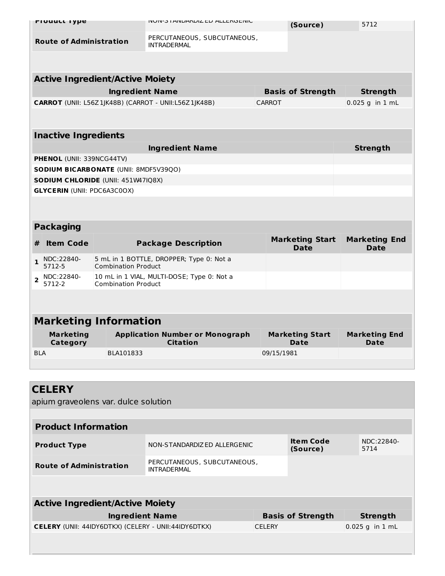| <b>Product Type</b>                                                 |                            | <b>INUIN-3 I AINDARDIL ED ALLERUEINIU</b>            |               | (Source)                              | 5712                                |
|---------------------------------------------------------------------|----------------------------|------------------------------------------------------|---------------|---------------------------------------|-------------------------------------|
| <b>Route of Administration</b>                                      |                            | PERCUTANEOUS, SUBCUTANEOUS,<br><b>INTRADERMAL</b>    |               |                                       |                                     |
|                                                                     |                            |                                                      |               |                                       |                                     |
| <b>Active Ingredient/Active Moiety</b>                              |                            |                                                      |               |                                       |                                     |
|                                                                     | <b>Ingredient Name</b>     |                                                      |               | <b>Basis of Strength</b>              | <b>Strength</b>                     |
|                                                                     |                            | CARROT (UNII: L56Z1JK48B) (CARROT - UNII:L56Z1JK48B) | <b>CARROT</b> |                                       | $0.025$ g in 1 mL                   |
|                                                                     |                            |                                                      |               |                                       |                                     |
| <b>Inactive Ingredients</b>                                         |                            |                                                      |               |                                       |                                     |
|                                                                     |                            | <b>Ingredient Name</b>                               |               |                                       | <b>Strength</b>                     |
| <b>PHENOL (UNII: 339NCG44TV)</b>                                    |                            |                                                      |               |                                       |                                     |
| <b>SODIUM BICARBONATE (UNII: 8MDF5V39QO)</b>                        |                            |                                                      |               |                                       |                                     |
| SODIUM CHLORIDE (UNII: 451W47IQ8X)                                  |                            |                                                      |               |                                       |                                     |
| <b>GLYCERIN (UNII: PDC6A3C0OX)</b>                                  |                            |                                                      |               |                                       |                                     |
|                                                                     |                            |                                                      |               |                                       |                                     |
|                                                                     |                            |                                                      |               |                                       |                                     |
| <b>Packaging</b>                                                    |                            |                                                      |               |                                       |                                     |
| <b>Item Code</b><br>#                                               |                            | <b>Package Description</b>                           |               | <b>Marketing Start</b><br><b>Date</b> | <b>Marketing End</b><br><b>Date</b> |
|                                                                     |                            |                                                      |               |                                       |                                     |
| NDC:22840-<br>$\mathbf{1}$<br>5712-5                                | <b>Combination Product</b> | 5 mL in 1 BOTTLE, DROPPER; Type 0: Not a             |               |                                       |                                     |
| NDC:22840-<br>$\overline{2}$<br>5712-2                              | <b>Combination Product</b> | 10 mL in 1 VIAL, MULTI-DOSE; Type 0: Not a           |               |                                       |                                     |
|                                                                     |                            |                                                      |               |                                       |                                     |
|                                                                     |                            |                                                      |               |                                       |                                     |
| <b>Marketing Information</b><br><b>Marketing</b><br><b>Category</b> |                            | <b>Application Number or Monograph</b><br>Citation   |               | <b>Marketing Start</b><br><b>Date</b> | <b>Marketing End</b><br><b>Date</b> |
| <b>BLA</b>                                                          | BLA101833                  |                                                      | 09/15/1981    |                                       |                                     |
|                                                                     |                            |                                                      |               |                                       |                                     |
|                                                                     |                            |                                                      |               |                                       |                                     |
|                                                                     |                            |                                                      |               |                                       |                                     |
| apium graveolens var. dulce solution                                |                            |                                                      |               |                                       |                                     |
|                                                                     |                            |                                                      |               |                                       |                                     |
| <b>CELERY</b><br><b>Product Information</b>                         |                            |                                                      |               |                                       |                                     |

| <b>Active Ingredient/Active Moiety</b>                      |                          |                   |  |  |  |
|-------------------------------------------------------------|--------------------------|-------------------|--|--|--|
| <b>Ingredient Name</b>                                      | <b>Basis of Strength</b> | Strength          |  |  |  |
| <b>CELERY</b> (UNII: 44IDY6DTKX) (CELERY - UNII:44IDY6DTKX) | <b>CELERY</b>            | $0.025$ g in 1 mL |  |  |  |
|                                                             |                          |                   |  |  |  |

PERCUTANEOUS, SUBCUTANEOUS,

INTRADERMAL

**Route of Administration**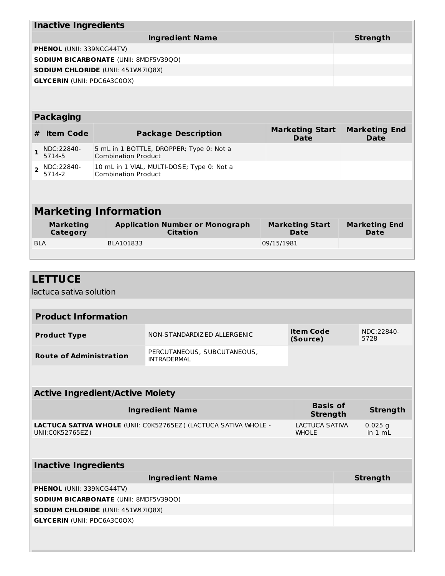|                | <b>Inactive Ingredients</b>         |                 |                                                                          |                                       |                                     |  |  |
|----------------|-------------------------------------|-----------------|--------------------------------------------------------------------------|---------------------------------------|-------------------------------------|--|--|
|                |                                     | <b>Strength</b> |                                                                          |                                       |                                     |  |  |
|                | <b>PHENOL (UNII: 339NCG44TV)</b>    |                 |                                                                          |                                       |                                     |  |  |
|                |                                     |                 | <b>SODIUM BICARBONATE (UNII: 8MDF5V39QO)</b>                             |                                       |                                     |  |  |
|                |                                     |                 | <b>SODIUM CHLORIDE (UNII: 451W47IQ8X)</b>                                |                                       |                                     |  |  |
|                | <b>GLYCERIN (UNII: PDC6A3C0OX)</b>  |                 |                                                                          |                                       |                                     |  |  |
|                |                                     |                 |                                                                          |                                       |                                     |  |  |
|                |                                     |                 |                                                                          |                                       |                                     |  |  |
|                | <b>Packaging</b>                    |                 |                                                                          |                                       |                                     |  |  |
| #              | <b>Item Code</b>                    |                 | <b>Package Description</b>                                               | <b>Marketing Start</b><br><b>Date</b> | <b>Marketing End</b><br><b>Date</b> |  |  |
| 1              | NDC:22840-<br>5714-5                |                 | 5 mL in 1 BOTTLE, DROPPER; Type 0: Not a<br><b>Combination Product</b>   |                                       |                                     |  |  |
| $\overline{2}$ | NDC:22840-<br>5714-2                |                 | 10 mL in 1 VIAL, MULTI-DOSE; Type 0: Not a<br><b>Combination Product</b> |                                       |                                     |  |  |
|                |                                     |                 |                                                                          |                                       |                                     |  |  |
|                |                                     |                 |                                                                          |                                       |                                     |  |  |
|                |                                     |                 | <b>Marketing Information</b>                                             |                                       |                                     |  |  |
|                | <b>Marketing</b><br><b>Category</b> |                 | <b>Application Number or Monograph</b><br><b>Citation</b>                | <b>Marketing Start</b><br><b>Date</b> | <b>Marketing End</b><br>Date        |  |  |
| <b>BLA</b>     |                                     |                 | BLA101833                                                                | 09/15/1981                            |                                     |  |  |
|                |                                     |                 |                                                                          |                                       |                                     |  |  |

| <b>LETTUCE</b>                                                                      |                                                   |                                       |                                    |                      |
|-------------------------------------------------------------------------------------|---------------------------------------------------|---------------------------------------|------------------------------------|----------------------|
| lactuca sativa solution                                                             |                                                   |                                       |                                    |                      |
|                                                                                     |                                                   |                                       |                                    |                      |
| <b>Product Information</b>                                                          |                                                   |                                       |                                    |                      |
| <b>Product Type</b>                                                                 | NON-STANDARDIZED ALLERGENIC                       | <b>Item Code</b><br>(Source)          |                                    | NDC:22840-<br>5728   |
| <b>Route of Administration</b>                                                      | PERCUTANEOUS, SUBCUTANEOUS,<br><b>INTRADERMAL</b> |                                       |                                    |                      |
|                                                                                     |                                                   |                                       |                                    |                      |
| <b>Active Ingredient/Active Moiety</b>                                              |                                                   |                                       |                                    |                      |
| <b>Ingredient Name</b>                                                              |                                                   |                                       | <b>Basis of</b><br><b>Strength</b> |                      |
| LACTUCA SATIVA WHOLE (UNII: COK52765EZ) (LACTUCA SATIVA WHOLE -<br>UNII:C0K52765EZ) |                                                   | <b>LACTUCA SATIVA</b><br><b>WHOLE</b> |                                    | $0.025$ g<br>in 1 mL |
|                                                                                     |                                                   |                                       |                                    |                      |
| <b>Inactive Ingredients</b>                                                         |                                                   |                                       |                                    |                      |
| <b>Ingredient Name</b>                                                              |                                                   |                                       | <b>Strength</b>                    |                      |
| PHENOL (UNII: 339NCG44TV)                                                           |                                                   |                                       |                                    |                      |
| SODIUM BICARBONATE (UNII: 8MDF5V39QO)                                               |                                                   |                                       |                                    |                      |
| SODIUM CHLORIDE (UNII: 451W47IQ8X)                                                  |                                                   |                                       |                                    |                      |
| <b>GLYCERIN (UNII: PDC6A3C0OX)</b>                                                  |                                                   |                                       |                                    |                      |
|                                                                                     |                                                   |                                       |                                    |                      |
|                                                                                     |                                                   |                                       |                                    |                      |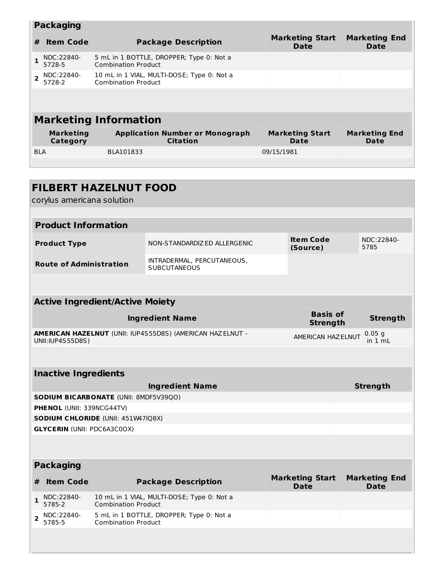|            | <b>Packaging</b>             |                                                                          |                                |                              |  |  |  |  |  |
|------------|------------------------------|--------------------------------------------------------------------------|--------------------------------|------------------------------|--|--|--|--|--|
| #          | <b>Item Code</b>             | <b>Marketing Start</b><br><b>Package Description</b><br><b>Date</b>      |                                | <b>Marketing End</b><br>Date |  |  |  |  |  |
|            | NDC:22840-<br>5728-5         | 5 mL in 1 BOTTLE, DROPPER; Type 0: Not a<br><b>Combination Product</b>   |                                |                              |  |  |  |  |  |
|            | NDC:22840-<br>5728-2         | 10 mL in 1 VIAL, MULTI-DOSE; Type 0: Not a<br><b>Combination Product</b> |                                |                              |  |  |  |  |  |
|            |                              |                                                                          |                                |                              |  |  |  |  |  |
|            |                              |                                                                          |                                |                              |  |  |  |  |  |
|            |                              | <b>Marketing Information</b>                                             |                                |                              |  |  |  |  |  |
|            | <b>Marketing</b><br>Category | <b>Application Number or Monograph</b><br><b>Citation</b>                | <b>Marketing Start</b><br>Date | <b>Marketing End</b><br>Date |  |  |  |  |  |
| <b>BLA</b> |                              | BLA101833                                                                | 09/15/1981                     |                              |  |  |  |  |  |
|            |                              |                                                                          |                                |                              |  |  |  |  |  |

|                                                                                    | corylus americana solution                                   | <b>FILBERT HAZELNUT FOOD</b>           |                                                                  |  |                                       |                 |                                     |  |  |
|------------------------------------------------------------------------------------|--------------------------------------------------------------|----------------------------------------|------------------------------------------------------------------|--|---------------------------------------|-----------------|-------------------------------------|--|--|
|                                                                                    |                                                              |                                        |                                                                  |  |                                       |                 |                                     |  |  |
|                                                                                    | <b>Product Information</b>                                   |                                        |                                                                  |  |                                       |                 |                                     |  |  |
| <b>Item Code</b><br>NON-STANDARDIZED ALLERGENIC<br><b>Product Type</b><br>(Source) |                                                              |                                        |                                                                  |  |                                       |                 | NDC:22840-<br>5785                  |  |  |
|                                                                                    | <b>Route of Administration</b>                               |                                        | INTRADERMAL, PERCUTANEOUS,<br><b>SUBCUTANEOUS</b>                |  |                                       |                 |                                     |  |  |
|                                                                                    |                                                              |                                        |                                                                  |  |                                       |                 |                                     |  |  |
|                                                                                    |                                                              | <b>Active Ingredient/Active Moiety</b> |                                                                  |  |                                       |                 |                                     |  |  |
|                                                                                    | <b>Basis of</b><br><b>Ingredient Name</b><br><b>Strength</b> |                                        |                                                                  |  |                                       | <b>Strength</b> |                                     |  |  |
|                                                                                    | UNII: IUP4S55D8S)                                            |                                        | <b>AMERICAN HAZELNUT (UNII: IUP4S55D8S) (AMERICAN HAZELNUT -</b> |  | AMERICAN HAZ ELNUT                    |                 | 0.05 <sub>g</sub><br>in 1 mL        |  |  |
|                                                                                    |                                                              |                                        |                                                                  |  |                                       |                 |                                     |  |  |
|                                                                                    | <b>Inactive Ingredients</b>                                  |                                        |                                                                  |  |                                       |                 |                                     |  |  |
|                                                                                    |                                                              |                                        | <b>Ingredient Name</b>                                           |  |                                       |                 | <b>Strength</b>                     |  |  |
|                                                                                    |                                                              | SODIUM BICARBONATE (UNII: 8MDF5V39QO)  |                                                                  |  |                                       |                 |                                     |  |  |
|                                                                                    | <b>PHENOL (UNII: 339NCG44TV)</b>                             |                                        |                                                                  |  |                                       |                 |                                     |  |  |
|                                                                                    |                                                              | SODIUM CHLORIDE (UNII: 451W47IQ8X)     |                                                                  |  |                                       |                 |                                     |  |  |
|                                                                                    | <b>GLYCERIN (UNII: PDC6A3C0OX)</b>                           |                                        |                                                                  |  |                                       |                 |                                     |  |  |
|                                                                                    |                                                              |                                        |                                                                  |  |                                       |                 |                                     |  |  |
|                                                                                    | <b>Packaging</b>                                             |                                        |                                                                  |  |                                       |                 |                                     |  |  |
| #                                                                                  | <b>Item Code</b>                                             |                                        | <b>Package Description</b>                                       |  | <b>Marketing Start</b><br><b>Date</b> |                 | <b>Marketing End</b><br><b>Date</b> |  |  |
| $\mathbf{1}$                                                                       | NDC:22840-<br>5785-2                                         | <b>Combination Product</b>             | 10 mL in 1 VIAL, MULTI-DOSE; Type 0: Not a                       |  |                                       |                 |                                     |  |  |
| $\overline{2}$                                                                     | NDC:22840-<br>5785-5                                         | <b>Combination Product</b>             | 5 mL in 1 BOTTLE, DROPPER; Type 0: Not a                         |  |                                       |                 |                                     |  |  |
|                                                                                    |                                                              |                                        |                                                                  |  |                                       |                 |                                     |  |  |

<u> De Carlos de Carlos de </u>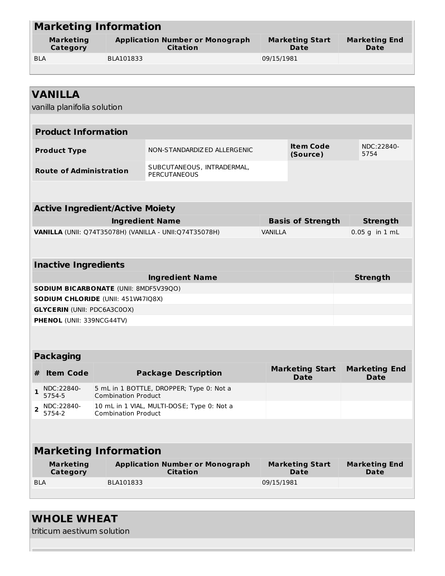|                                                         | <b>Marketing Information</b>                  |                                              |                                                           |                                |                                       |                                     |  |  |  |
|---------------------------------------------------------|-----------------------------------------------|----------------------------------------------|-----------------------------------------------------------|--------------------------------|---------------------------------------|-------------------------------------|--|--|--|
|                                                         | <b>Marketing</b><br>Category                  |                                              | <b>Application Number or Monograph</b><br><b>Citation</b> | <b>Marketing Start</b><br>Date |                                       | <b>Marketing End</b><br>Date        |  |  |  |
| <b>BLA</b>                                              |                                               | BLA101833                                    |                                                           | 09/15/1981                     |                                       |                                     |  |  |  |
|                                                         |                                               |                                              |                                                           |                                |                                       |                                     |  |  |  |
|                                                         |                                               |                                              |                                                           |                                |                                       |                                     |  |  |  |
|                                                         | <b>VANILLA</b><br>vanilla planifolia solution |                                              |                                                           |                                |                                       |                                     |  |  |  |
|                                                         | <b>Product Information</b>                    |                                              |                                                           |                                |                                       |                                     |  |  |  |
|                                                         | <b>Product Type</b>                           |                                              | NON-STANDARDIZED ALLERGENIC                               |                                | <b>Item Code</b><br>(Source)          | NDC:22840-<br>5754                  |  |  |  |
|                                                         | <b>Route of Administration</b>                |                                              | SUBCUTANEOUS, INTRADERMAL,<br><b>PERCUTANEOUS</b>         |                                |                                       |                                     |  |  |  |
|                                                         |                                               |                                              |                                                           |                                |                                       |                                     |  |  |  |
|                                                         |                                               | <b>Active Ingredient/Active Moiety</b>       |                                                           |                                |                                       |                                     |  |  |  |
|                                                         |                                               |                                              | <b>Ingredient Name</b>                                    |                                | <b>Basis of Strength</b>              | <b>Strength</b>                     |  |  |  |
| VANILLA (UNII: Q74T35078H) (VANILLA - UNII: Q74T35078H) |                                               |                                              |                                                           | <b>VANILLA</b>                 |                                       | $0.05$ g in $1$ mL                  |  |  |  |
|                                                         |                                               |                                              |                                                           |                                |                                       |                                     |  |  |  |
|                                                         | <b>Inactive Ingredients</b>                   |                                              |                                                           |                                |                                       |                                     |  |  |  |
|                                                         |                                               |                                              | <b>Ingredient Name</b>                                    |                                |                                       | <b>Strength</b>                     |  |  |  |
|                                                         |                                               | <b>SODIUM BICARBONATE (UNII: 8MDF5V39QO)</b> |                                                           |                                |                                       |                                     |  |  |  |
|                                                         |                                               | SODIUM CHLORIDE (UNII: 451W47IQ8X)           |                                                           |                                |                                       |                                     |  |  |  |
|                                                         | <b>GLYCERIN (UNII: PDC6A3C0OX)</b>            |                                              |                                                           |                                |                                       |                                     |  |  |  |
|                                                         | PHENOL (UNII: 339NCG44TV)                     |                                              |                                                           |                                |                                       |                                     |  |  |  |
|                                                         |                                               |                                              |                                                           |                                |                                       |                                     |  |  |  |
|                                                         | <b>Packaging</b>                              |                                              |                                                           |                                |                                       |                                     |  |  |  |
| #                                                       | <b>Item Code</b>                              |                                              | <b>Package Description</b>                                |                                | <b>Marketing Start</b><br><b>Date</b> | <b>Marketing End</b><br><b>Date</b> |  |  |  |
| $\mathbf{1}$                                            | NDC:22840-<br>5754-5                          | <b>Combination Product</b>                   | 5 mL in 1 BOTTLE, DROPPER; Type 0: Not a                  |                                |                                       |                                     |  |  |  |
| $\overline{2}$                                          | NDC:22840-<br>5754-2                          | <b>Combination Product</b>                   | 10 mL in 1 VIAL, MULTI-DOSE; Type 0: Not a                |                                |                                       |                                     |  |  |  |
|                                                         |                                               |                                              |                                                           |                                |                                       |                                     |  |  |  |
|                                                         |                                               | <b>Marketing Information</b>                 |                                                           |                                |                                       |                                     |  |  |  |
|                                                         | <b>Marketing</b><br>Category                  |                                              | <b>Application Number or Monograph</b><br><b>Citation</b> |                                | <b>Marketing Start</b><br><b>Date</b> | <b>Marketing End</b><br>Date        |  |  |  |
| <b>BLA</b>                                              |                                               | BLA101833                                    |                                                           | 09/15/1981                     |                                       |                                     |  |  |  |
|                                                         |                                               |                                              |                                                           |                                |                                       |                                     |  |  |  |

triticum aestivum solution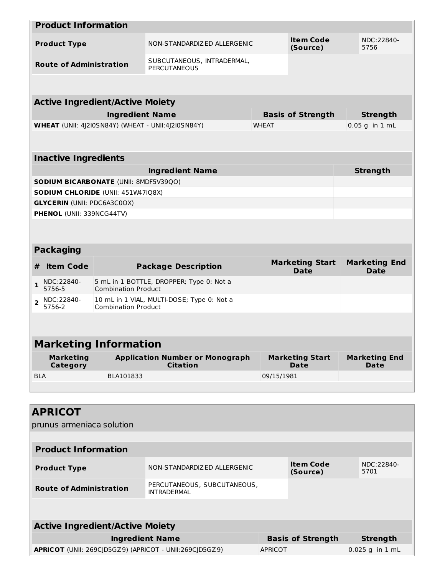|                | <b>Product Information</b>                   |                            |                                                           |              |            |                                       |                                     |
|----------------|----------------------------------------------|----------------------------|-----------------------------------------------------------|--------------|------------|---------------------------------------|-------------------------------------|
|                | <b>Product Type</b>                          |                            | NON-STANDARDIZED ALLERGENIC                               |              |            | <b>Item Code</b><br>(Source)          | NDC:22840-<br>5756                  |
|                | <b>Route of Administration</b>               |                            | SUBCUTANEOUS, INTRADERMAL,<br>PERCUTANEOUS                |              |            |                                       |                                     |
|                |                                              |                            |                                                           |              |            |                                       |                                     |
|                | <b>Active Ingredient/Active Moiety</b>       |                            |                                                           |              |            |                                       |                                     |
|                |                                              | <b>Ingredient Name</b>     |                                                           |              |            | <b>Basis of Strength</b>              | <b>Strength</b>                     |
|                |                                              |                            | <b>WHEAT</b> (UNII: 4J2I0SN84Y) (WHEAT - UNII:4J2I0SN84Y) | <b>WHEAT</b> |            |                                       | $0.05$ g in 1 mL                    |
|                |                                              |                            |                                                           |              |            |                                       |                                     |
|                | <b>Inactive Ingredients</b>                  |                            |                                                           |              |            |                                       |                                     |
|                |                                              |                            | <b>Ingredient Name</b>                                    |              |            |                                       | <b>Strength</b>                     |
|                | <b>SODIUM BICARBONATE (UNII: 8MDF5V39QO)</b> |                            |                                                           |              |            |                                       |                                     |
|                | <b>SODIUM CHLORIDE (UNII: 451W47IQ8X)</b>    |                            |                                                           |              |            |                                       |                                     |
|                | <b>GLYCERIN (UNII: PDC6A3C0OX)</b>           |                            |                                                           |              |            |                                       |                                     |
|                | <b>PHENOL (UNII: 339NCG44TV)</b>             |                            |                                                           |              |            |                                       |                                     |
|                |                                              |                            |                                                           |              |            |                                       |                                     |
|                | <b>Packaging</b>                             |                            |                                                           |              |            |                                       |                                     |
| #              | <b>Item Code</b>                             |                            | <b>Package Description</b>                                |              |            | <b>Marketing Start</b><br><b>Date</b> | <b>Marketing End</b><br><b>Date</b> |
| $\mathbf{1}$   | NDC:22840-<br>5756-5                         | <b>Combination Product</b> | 5 mL in 1 BOTTLE, DROPPER; Type 0: Not a                  |              |            |                                       |                                     |
| $\overline{2}$ | NDC:22840-<br>5756-2                         | <b>Combination Product</b> | 10 mL in 1 VIAL, MULTI-DOSE; Type 0: Not a                |              |            |                                       |                                     |
|                |                                              |                            |                                                           |              |            |                                       |                                     |
|                | <b>Marketing Information</b>                 |                            |                                                           |              |            |                                       |                                     |
|                | <b>Marketing</b><br>Category                 |                            | <b>Application Number or Monograph</b><br><b>Citation</b> |              |            | <b>Marketing Start</b><br>Date        | <b>Marketing End</b><br>Date        |
| <b>BLA</b>     |                                              | BLA101833                  |                                                           |              | 09/15/1981 |                                       |                                     |
|                |                                              |                            |                                                           |              |            |                                       |                                     |
|                |                                              |                            |                                                           |              |            |                                       |                                     |

| <b>APRICOT</b>                                                |                                                                       |                |                              |                    |  |  |  |  |
|---------------------------------------------------------------|-----------------------------------------------------------------------|----------------|------------------------------|--------------------|--|--|--|--|
| prunus armeniaca solution                                     |                                                                       |                |                              |                    |  |  |  |  |
|                                                               |                                                                       |                |                              |                    |  |  |  |  |
| <b>Product Information</b>                                    |                                                                       |                |                              |                    |  |  |  |  |
| <b>Product Type</b>                                           | NON-STANDARDIZ ED ALLERGENIC                                          |                | <b>Item Code</b><br>(Source) | NDC:22840-<br>5701 |  |  |  |  |
| <b>Route of Administration</b>                                | PERCUTANEOUS, SUBCUTANEOUS,<br><b>INTRADERMAL</b>                     |                |                              |                    |  |  |  |  |
|                                                               |                                                                       |                |                              |                    |  |  |  |  |
| <b>Active Ingredient/Active Moiety</b>                        |                                                                       |                |                              |                    |  |  |  |  |
|                                                               | <b>Basis of Strength</b><br><b>Ingredient Name</b><br><b>Strength</b> |                |                              |                    |  |  |  |  |
| <b>APRICOT</b> (UNII: 269CID5GZ9) (APRICOT - UNII:269CID5GZ9) |                                                                       | <b>APRICOT</b> |                              | $0.025$ g in 1 mL  |  |  |  |  |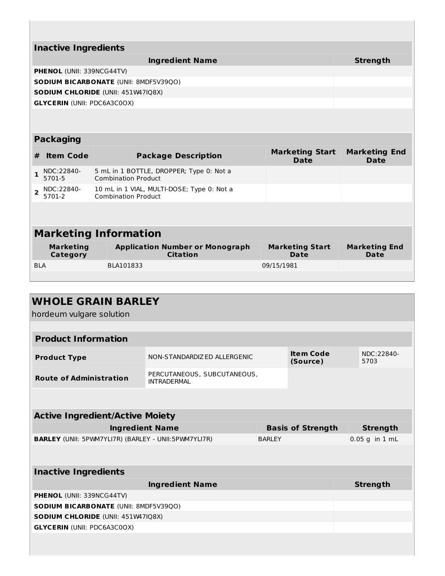|                | <b>Inactive Ingredients</b>        |  |                                                                          |                                       |                                     |  |  |  |
|----------------|------------------------------------|--|--------------------------------------------------------------------------|---------------------------------------|-------------------------------------|--|--|--|
|                |                                    |  | <b>Ingredient Name</b>                                                   |                                       | <b>Strength</b>                     |  |  |  |
|                | <b>PHENOL (UNII: 339NCG44TV)</b>   |  |                                                                          |                                       |                                     |  |  |  |
|                |                                    |  | <b>SODIUM BICARBONATE (UNII: 8MDF5V39QO)</b>                             |                                       |                                     |  |  |  |
|                |                                    |  | <b>SODIUM CHLORIDE (UNII: 451W47IQ8X)</b>                                |                                       |                                     |  |  |  |
|                | <b>GLYCERIN (UNII: PDC6A3C0OX)</b> |  |                                                                          |                                       |                                     |  |  |  |
|                | <b>Packaging</b>                   |  |                                                                          |                                       |                                     |  |  |  |
|                |                                    |  |                                                                          |                                       |                                     |  |  |  |
| #              | <b>Item Code</b>                   |  | <b>Package Description</b>                                               | <b>Marketing Start</b><br><b>Date</b> | <b>Marketing End</b><br><b>Date</b> |  |  |  |
| 1.             | NDC:22840-<br>5701-5               |  | 5 mL in 1 BOTTLE, DROPPER; Type 0: Not a<br><b>Combination Product</b>   |                                       |                                     |  |  |  |
| $\overline{2}$ | NDC:22840-<br>5701-2               |  | 10 mL in 1 VIAL, MULTI-DOSE; Type 0: Not a<br><b>Combination Product</b> |                                       |                                     |  |  |  |
|                |                                    |  |                                                                          |                                       |                                     |  |  |  |
|                |                                    |  | <b>Marketing Information</b>                                             |                                       |                                     |  |  |  |
|                | <b>Marketing</b><br>Category       |  | <b>Application Number or Monograph</b><br>Citation                       | <b>Marketing Start</b><br><b>Date</b> | <b>Marketing End</b><br><b>Date</b> |  |  |  |
| <b>BIA</b>     |                                    |  | BLA101833                                                                | 09/15/1981                            |                                     |  |  |  |
|                |                                    |  |                                                                          |                                       |                                     |  |  |  |

| <b>WHOLE GRAIN BARLEY</b><br>hordeum vulgare solution       |                                                   |               |                              |                    |  |  |  |  |
|-------------------------------------------------------------|---------------------------------------------------|---------------|------------------------------|--------------------|--|--|--|--|
|                                                             |                                                   |               |                              |                    |  |  |  |  |
| <b>Product Information</b>                                  |                                                   |               |                              |                    |  |  |  |  |
| <b>Product Type</b>                                         | NON-STANDARDIZED ALLERGENIC                       |               | <b>Item Code</b><br>(Source) | NDC:22840-<br>5703 |  |  |  |  |
| <b>Route of Administration</b>                              | PERCUTANEOUS, SUBCUTANEOUS,<br><b>INTRADERMAL</b> |               |                              |                    |  |  |  |  |
|                                                             |                                                   |               |                              |                    |  |  |  |  |
| <b>Active Ingredient/Active Moiety</b>                      |                                                   |               |                              |                    |  |  |  |  |
| <b>Ingredient Name</b>                                      |                                                   |               | <b>Basis of Strength</b>     | <b>Strength</b>    |  |  |  |  |
| <b>BARLEY</b> (UNII: 5PWM7YLI7R) (BARLEY - UNII:5PWM7YLI7R) |                                                   | <b>BARLEY</b> |                              | $0.05$ g in $1$ mL |  |  |  |  |
|                                                             |                                                   |               |                              |                    |  |  |  |  |
| <b>Inactive Ingredients</b>                                 |                                                   |               |                              |                    |  |  |  |  |
|                                                             | <b>Ingredient Name</b>                            |               |                              | <b>Strength</b>    |  |  |  |  |
| PHENOL (UNII: 339NCG44TV)                                   |                                                   |               |                              |                    |  |  |  |  |
| <b>SODIUM BICARBONATE (UNII: 8MDF5V39QO)</b>                |                                                   |               |                              |                    |  |  |  |  |
| SODIUM CHLORIDE (UNII: 451W47IQ8X)                          |                                                   |               |                              |                    |  |  |  |  |
| <b>GLYCERIN (UNII: PDC6A3C0OX)</b>                          |                                                   |               |                              |                    |  |  |  |  |
|                                                             |                                                   |               |                              |                    |  |  |  |  |
|                                                             |                                                   |               |                              |                    |  |  |  |  |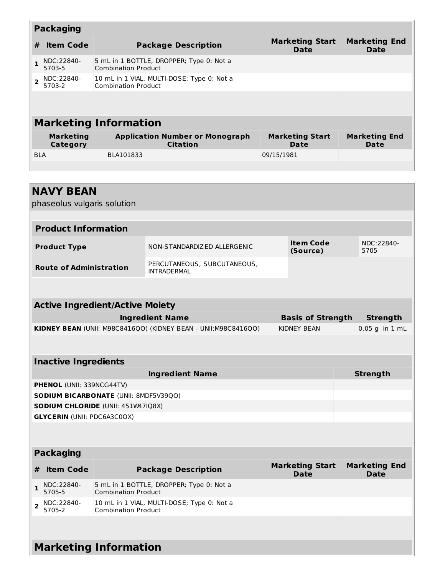|                              | <b>Packaging</b>             |                                                                          |                                                                              |  |  |  |  |  |  |
|------------------------------|------------------------------|--------------------------------------------------------------------------|------------------------------------------------------------------------------|--|--|--|--|--|--|
| #                            | <b>Item Code</b>             | <b>Package Description</b>                                               | <b>Marketing Start</b><br><b>Marketing End</b><br><b>Date</b><br><b>Date</b> |  |  |  |  |  |  |
|                              | NDC:22840-<br>5703-5         | 5 mL in 1 BOTTLE, DROPPER; Type 0: Not a<br><b>Combination Product</b>   |                                                                              |  |  |  |  |  |  |
|                              | NDC:22840-<br>5703-2         | 10 mL in 1 VIAL, MULTI-DOSE; Type 0: Not a<br><b>Combination Product</b> |                                                                              |  |  |  |  |  |  |
|                              |                              |                                                                          |                                                                              |  |  |  |  |  |  |
| <b>Marketing Information</b> |                              |                                                                          |                                                                              |  |  |  |  |  |  |
|                              | <b>Marketing</b><br>Category | <b>Application Number or Monograph</b><br><b>Citation</b>                | <b>Marketing Start</b><br><b>Marketing End</b><br>Date<br>Date               |  |  |  |  |  |  |
| <b>BLA</b>                   |                              | BLA101833                                                                | 09/15/1981                                                                   |  |  |  |  |  |  |
|                              |                              |                                                                          |                                                                              |  |  |  |  |  |  |
|                              |                              |                                                                          |                                                                              |  |  |  |  |  |  |

|                | <b>NAVY BEAN</b><br>phaseolus vulgaris solution |                                        |                                                                 |                                       |                                     |
|----------------|-------------------------------------------------|----------------------------------------|-----------------------------------------------------------------|---------------------------------------|-------------------------------------|
|                |                                                 |                                        |                                                                 |                                       |                                     |
|                | <b>Product Information</b>                      |                                        |                                                                 |                                       |                                     |
|                | <b>Product Type</b>                             |                                        | NON-STANDARDIZ ED ALLERGENIC                                    | <b>Item Code</b><br>(Source)          | NDC:22840-<br>5705                  |
|                | <b>Route of Administration</b>                  |                                        | PERCUTANEOUS, SUBCUTANEOUS,<br><b>INTRADERMAL</b>               |                                       |                                     |
|                |                                                 |                                        |                                                                 |                                       |                                     |
|                |                                                 | <b>Active Ingredient/Active Moiety</b> |                                                                 |                                       |                                     |
|                |                                                 |                                        | <b>Ingredient Name</b>                                          | <b>Basis of Strength</b>              | <b>Strength</b>                     |
|                |                                                 |                                        | KIDNEY BEAN (UNII: M98C8416QO) (KIDNEY BEAN - UNII: M98C8416QO) | <b>KIDNEY BEAN</b>                    | $0.05$ g in $1$ mL                  |
|                |                                                 |                                        |                                                                 |                                       |                                     |
|                | <b>Inactive Ingredients</b>                     |                                        |                                                                 |                                       |                                     |
|                |                                                 |                                        | <b>Ingredient Name</b>                                          |                                       | <b>Strength</b>                     |
|                | PHENOL (UNII: 339NCG44TV)                       |                                        |                                                                 |                                       |                                     |
|                |                                                 | SODIUM BICARBONATE (UNII: 8MDF5V39QO)  |                                                                 |                                       |                                     |
|                |                                                 | SODIUM CHLORIDE (UNII: 451W47IQ8X)     |                                                                 |                                       |                                     |
|                | <b>GLYCERIN (UNII: PDC6A3C0OX)</b>              |                                        |                                                                 |                                       |                                     |
|                |                                                 |                                        |                                                                 |                                       |                                     |
|                | <b>Packaging</b>                                |                                        |                                                                 |                                       |                                     |
| #              | <b>Item Code</b>                                |                                        | <b>Package Description</b>                                      | <b>Marketing Start</b><br><b>Date</b> | <b>Marketing End</b><br><b>Date</b> |
| 1              | NDC:22840-<br>5705-5                            | <b>Combination Product</b>             | 5 mL in 1 BOTTLE, DROPPER; Type 0: Not a                        |                                       |                                     |
| $\overline{2}$ | NDC:22840-<br>5705-2                            | <b>Combination Product</b>             | 10 mL in 1 VIAL, MULTI-DOSE; Type 0: Not a                      |                                       |                                     |
|                |                                                 |                                        |                                                                 |                                       |                                     |
|                |                                                 | <b>Marketing Information</b>           |                                                                 |                                       |                                     |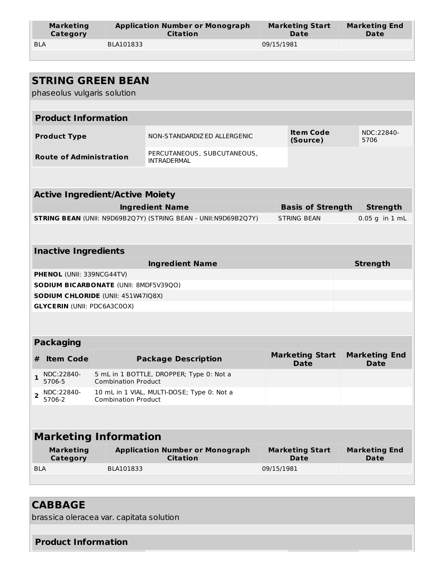| <b>Marketing</b> | <b>Application Number or Monograph</b> | <b>Marketing Start</b> | <b>Marketing End</b> |
|------------------|----------------------------------------|------------------------|----------------------|
| Category         | <b>Citation</b>                        | Date                   | Date                 |
| <b>BLA</b>       | BLA101833                              | 09/15/1981             |                      |

|              | phaseolus vulgaris solution         | <b>STRING GREEN BEAN</b>                                                           |                                                                       |            |                                       |  |                                     |  |
|--------------|-------------------------------------|------------------------------------------------------------------------------------|-----------------------------------------------------------------------|------------|---------------------------------------|--|-------------------------------------|--|
|              |                                     |                                                                                    |                                                                       |            |                                       |  |                                     |  |
|              | <b>Product Information</b>          |                                                                                    |                                                                       |            |                                       |  |                                     |  |
|              |                                     |                                                                                    |                                                                       |            |                                       |  |                                     |  |
|              | <b>Product Type</b>                 |                                                                                    | NON-STANDARDIZED ALLERGENIC                                           |            | <b>Item Code</b><br>(Source)          |  | NDC:22840-<br>5706                  |  |
|              | <b>Route of Administration</b>      |                                                                                    | PERCUTANEOUS, SUBCUTANEOUS,<br><b>INTRADERMAL</b>                     |            |                                       |  |                                     |  |
|              |                                     |                                                                                    |                                                                       |            |                                       |  |                                     |  |
|              |                                     | <b>Active Ingredient/Active Moiety</b>                                             |                                                                       |            |                                       |  |                                     |  |
|              |                                     |                                                                                    | <b>Ingredient Name</b>                                                |            | <b>Basis of Strength</b>              |  | <b>Strength</b>                     |  |
|              |                                     |                                                                                    | <b>STRING BEAN (UNII: N9D69B2Q7Y) (STRING BEAN - UNII:N9D69B2Q7Y)</b> |            | <b>STRING BEAN</b>                    |  | $0.05$ g in $1$ mL                  |  |
|              |                                     |                                                                                    |                                                                       |            |                                       |  |                                     |  |
|              |                                     |                                                                                    |                                                                       |            |                                       |  |                                     |  |
|              | <b>Inactive Ingredients</b>         |                                                                                    |                                                                       |            |                                       |  |                                     |  |
|              |                                     |                                                                                    | <b>Ingredient Name</b>                                                |            |                                       |  | <b>Strength</b>                     |  |
|              | <b>PHENOL (UNII: 339NCG44TV)</b>    |                                                                                    |                                                                       |            |                                       |  |                                     |  |
|              |                                     | <b>SODIUM BICARBONATE (UNII: 8MDF5V39QO)</b><br>SODIUM CHLORIDE (UNII: 451W47IQ8X) |                                                                       |            |                                       |  |                                     |  |
|              | <b>GLYCERIN (UNII: PDC6A3C0OX)</b>  |                                                                                    |                                                                       |            |                                       |  |                                     |  |
|              |                                     |                                                                                    |                                                                       |            |                                       |  |                                     |  |
|              |                                     |                                                                                    |                                                                       |            |                                       |  |                                     |  |
|              | <b>Packaging</b>                    |                                                                                    |                                                                       |            |                                       |  |                                     |  |
| #            | <b>Item Code</b>                    |                                                                                    | <b>Package Description</b>                                            |            | <b>Marketing Start</b><br><b>Date</b> |  | <b>Marketing End</b><br><b>Date</b> |  |
| $\mathbf{1}$ | NDC:22840-<br>5706-5                | <b>Combination Product</b>                                                         | 5 mL in 1 BOTTLE, DROPPER; Type 0: Not a                              |            |                                       |  |                                     |  |
| 2            | NDC:22840-<br>5706-2                | <b>Combination Product</b>                                                         | 10 mL in 1 VIAL, MULTI-DOSE; Type 0: Not a                            |            |                                       |  |                                     |  |
|              |                                     |                                                                                    |                                                                       |            |                                       |  |                                     |  |
|              | <b>Marketing Information</b>        |                                                                                    |                                                                       |            |                                       |  |                                     |  |
|              | <b>Marketing</b><br><b>Category</b> |                                                                                    | <b>Application Number or Monograph</b><br><b>Citation</b>             |            | <b>Marketing Start</b><br><b>Date</b> |  | <b>Marketing End</b><br>Date        |  |
| <b>BLA</b>   |                                     | BLA101833                                                                          |                                                                       | 09/15/1981 |                                       |  |                                     |  |
|              |                                     |                                                                                    |                                                                       |            |                                       |  |                                     |  |

### **CABBAGE**

brassica oleracea var. capitata solution

### **Product Information**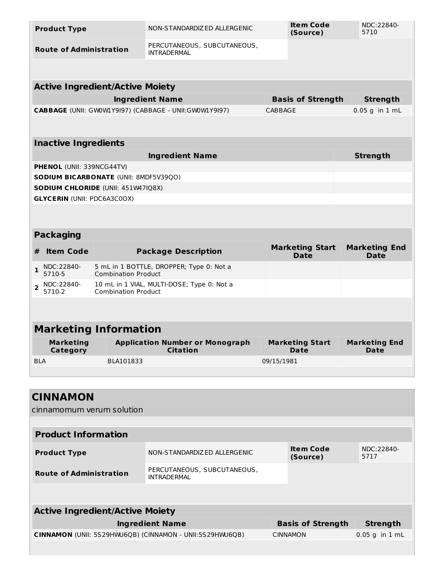|                                | <b>Product Type</b>                |                                           | NON-STANDARDIZ ED ALLERGENIC                              |            | Item Code<br>(Source)                 | NDC:22840-<br>5710                  |
|--------------------------------|------------------------------------|-------------------------------------------|-----------------------------------------------------------|------------|---------------------------------------|-------------------------------------|
| <b>Route of Administration</b> |                                    |                                           | PERCUTANEOUS, SUBCUTANEOUS,<br><b>INTRADERMAL</b>         |            |                                       |                                     |
|                                |                                    |                                           |                                                           |            |                                       |                                     |
|                                |                                    | <b>Active Ingredient/Active Moiety</b>    |                                                           |            |                                       |                                     |
|                                |                                    |                                           | <b>Ingredient Name</b>                                    |            | <b>Basis of Strength</b>              | <b>Strength</b>                     |
|                                |                                    |                                           | CABBAGE (UNII: GW0W1Y9I97) (CABBAGE - UNII: GW0W1Y9I97)   | CABBAGE    |                                       | $0.05$ q in $1$ mL                  |
|                                |                                    |                                           |                                                           |            |                                       |                                     |
|                                | <b>Inactive Ingredients</b>        |                                           |                                                           |            |                                       |                                     |
|                                |                                    |                                           | <b>Ingredient Name</b>                                    |            |                                       | <b>Strength</b>                     |
|                                | PHENOL (UNII: 339NCG44TV)          |                                           |                                                           |            |                                       |                                     |
|                                |                                    | SODIUM BICARBONATE (UNII: 8MDF5V39QO)     |                                                           |            |                                       |                                     |
|                                |                                    | <b>SODIUM CHLORIDE (UNII: 451W47IQ8X)</b> |                                                           |            |                                       |                                     |
|                                | <b>GLYCERIN (UNII: PDC6A3C0OX)</b> |                                           |                                                           |            |                                       |                                     |
|                                |                                    |                                           |                                                           |            |                                       |                                     |
|                                |                                    |                                           |                                                           |            |                                       |                                     |
|                                | <b>Packaging</b>                   |                                           |                                                           |            |                                       |                                     |
| #                              | <b>Item Code</b>                   |                                           | <b>Package Description</b>                                |            | <b>Marketing Start</b><br><b>Date</b> | <b>Marketing End</b><br><b>Date</b> |
| $\mathbf{1}$                   | NDC:22840-<br>5710-5               | <b>Combination Product</b>                | 5 mL in 1 BOTTLE, DROPPER; Type 0: Not a                  |            |                                       |                                     |
| $\overline{2}$                 | NDC:22840-<br>5710-2               | <b>Combination Product</b>                | 10 mL in 1 VIAL, MULTI-DOSE; Type 0: Not a                |            |                                       |                                     |
|                                |                                    |                                           |                                                           |            |                                       |                                     |
|                                |                                    |                                           |                                                           |            |                                       |                                     |
|                                |                                    | <b>Marketing Information</b>              |                                                           |            |                                       |                                     |
|                                | <b>Marketing</b><br>Category       |                                           | <b>Application Number or Monograph</b><br><b>Citation</b> |            | <b>Marketing Start</b><br><b>Date</b> | <b>Marketing End</b><br><b>Date</b> |
| <b>BLA</b>                     |                                    | BLA101833                                 |                                                           | 09/15/1981 |                                       |                                     |
|                                |                                    |                                           |                                                           |            |                                       |                                     |

| <b>CINNAMON</b><br>cinnamomum verum solution             |                                                   |                              |                    |
|----------------------------------------------------------|---------------------------------------------------|------------------------------|--------------------|
| <b>Product Information</b>                               |                                                   |                              |                    |
| <b>Product Type</b>                                      | NON-STANDARDIZED ALLERGENIC                       | <b>Item Code</b><br>(Source) | NDC:22840-<br>5717 |
| <b>Route of Administration</b>                           | PERCUTANEOUS, SUBCUTANEOUS,<br><b>INTRADERMAL</b> |                              |                    |
|                                                          |                                                   |                              |                    |
| <b>Active Ingredient/Active Moiety</b>                   |                                                   |                              |                    |
|                                                          | <b>Ingredient Name</b>                            | <b>Basis of Strength</b>     | <b>Strength</b>    |
| CINNAMON (UNII: 5S29HWJ6QB) (CINNAMON - UNII:5S29HWJ6QB) |                                                   | <b>CINNAMON</b>              | 0.05 g in 1 mL     |
|                                                          |                                                   |                              |                    |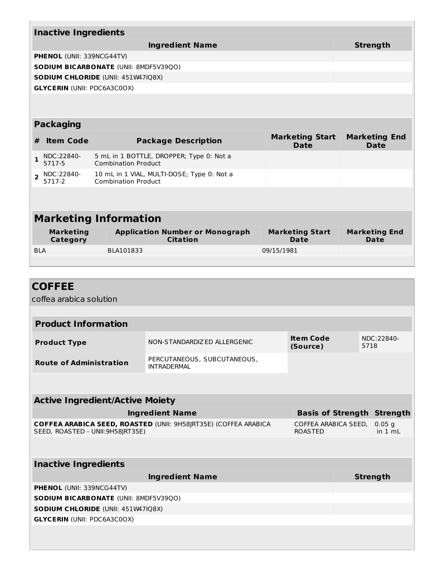|                | <b>Inactive Ingredients</b>        |                 |                                              |                                                           |                                       |                              |  |  |
|----------------|------------------------------------|-----------------|----------------------------------------------|-----------------------------------------------------------|---------------------------------------|------------------------------|--|--|
|                |                                    | <b>Strength</b> |                                              |                                                           |                                       |                              |  |  |
|                | <b>PHENOL (UNII: 339NCG44TV)</b>   |                 |                                              |                                                           |                                       |                              |  |  |
|                |                                    |                 | <b>SODIUM BICARBONATE (UNII: 8MDF5V39QO)</b> |                                                           |                                       |                              |  |  |
|                |                                    |                 | <b>SODIUM CHLORIDE (UNII: 451W47IQ8X)</b>    |                                                           |                                       |                              |  |  |
|                | <b>GLYCERIN (UNII: PDC6A3C0OX)</b> |                 |                                              |                                                           |                                       |                              |  |  |
|                |                                    |                 |                                              |                                                           |                                       |                              |  |  |
|                | <b>Packaging</b>                   |                 |                                              |                                                           |                                       |                              |  |  |
| #              | <b>Item Code</b>                   |                 |                                              | <b>Package Description</b>                                | <b>Marketing Start</b><br><b>Date</b> | <b>Marketing End</b><br>Date |  |  |
| 1              | NDC:22840-<br>5717-5               |                 | <b>Combination Product</b>                   | 5 mL in 1 BOTTLE, DROPPER; Type 0: Not a                  |                                       |                              |  |  |
| $\overline{2}$ | NDC:22840-<br>5717-2               |                 | <b>Combination Product</b>                   | 10 mL in 1 VIAL, MULTI-DOSE; Type 0: Not a                |                                       |                              |  |  |
|                |                                    |                 |                                              |                                                           |                                       |                              |  |  |
|                | <b>Marketing Information</b>       |                 |                                              |                                                           |                                       |                              |  |  |
|                |                                    |                 |                                              |                                                           |                                       |                              |  |  |
|                | <b>Marketing</b><br>Category       |                 |                                              | <b>Application Number or Monograph</b><br><b>Citation</b> | <b>Marketing Start</b><br>Date        | <b>Marketing End</b><br>Date |  |  |
| <b>BLA</b>     |                                    |                 | BLA101833                                    |                                                           | 09/15/1981                            |                              |  |  |

<u> 1989 - Andrea Stadt Britain, amerikansk politiker (d. 1989)</u>

| <b>COFFEE</b>                                |                                                                 |                                        |      |                                   |
|----------------------------------------------|-----------------------------------------------------------------|----------------------------------------|------|-----------------------------------|
| coffea arabica solution                      |                                                                 |                                        |      |                                   |
|                                              |                                                                 |                                        |      |                                   |
| <b>Product Information</b>                   |                                                                 |                                        |      |                                   |
| <b>Product Type</b>                          | NON-STANDARDIZED ALLERGENIC                                     | <b>Item Code</b><br>(Source)           | 5718 | NDC:22840-                        |
| <b>Route of Administration</b>               | PERCUTANEOUS, SUBCUTANEOUS,<br><b>INTRADERMAL</b>               |                                        |      |                                   |
|                                              |                                                                 |                                        |      |                                   |
| <b>Active Ingredient/Active Moiety</b>       |                                                                 |                                        |      |                                   |
|                                              | <b>Ingredient Name</b>                                          |                                        |      | <b>Basis of Strength Strength</b> |
| SEED, ROASTED - UNII:9H58JRT35E)             | COFFEA ARABICA SEED, ROASTED (UNII: 9H58JRT35E) (COFFEA ARABICA | COFFEA ARABICA SEED,<br><b>ROASTED</b> |      | 0.05 <sub>q</sub><br>in $1 mL$    |
|                                              |                                                                 |                                        |      |                                   |
| <b>Inactive Ingredients</b>                  |                                                                 |                                        |      |                                   |
|                                              | <b>Ingredient Name</b>                                          |                                        |      | <b>Strength</b>                   |
| PHENOL (UNII: 339NCG44TV)                    |                                                                 |                                        |      |                                   |
| <b>SODIUM BICARBONATE (UNII: 8MDF5V39QO)</b> |                                                                 |                                        |      |                                   |
| <b>SODIUM CHLORIDE (UNII: 451W47IQ8X)</b>    |                                                                 |                                        |      |                                   |
| <b>GLYCERIN (UNII: PDC6A3C0OX)</b>           |                                                                 |                                        |      |                                   |
|                                              |                                                                 |                                        |      |                                   |
|                                              |                                                                 |                                        |      |                                   |
|                                              |                                                                 |                                        |      |                                   |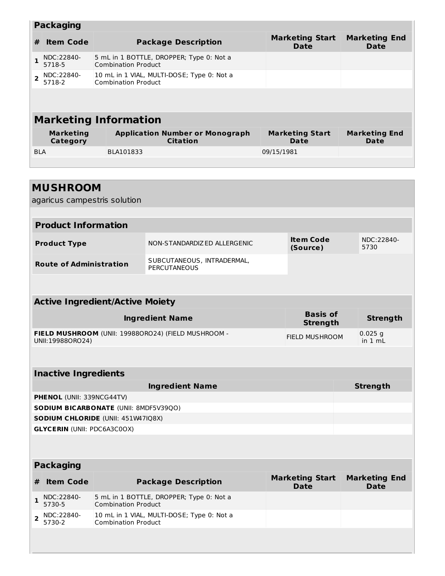|            | <b>Packaging</b>             |                                                                          |                                       |                                     |  |  |  |  |  |
|------------|------------------------------|--------------------------------------------------------------------------|---------------------------------------|-------------------------------------|--|--|--|--|--|
| #          | <b>Item Code</b>             | <b>Package Description</b>                                               | <b>Marketing Start</b><br><b>Date</b> | <b>Marketing End</b><br><b>Date</b> |  |  |  |  |  |
|            | NDC:22840-<br>5718-5         | 5 mL in 1 BOTTLE, DROPPER; Type 0: Not a<br><b>Combination Product</b>   |                                       |                                     |  |  |  |  |  |
|            | NDC:22840-<br>5718-2         | 10 mL in 1 VIAL, MULTI-DOSE; Type 0: Not a<br><b>Combination Product</b> |                                       |                                     |  |  |  |  |  |
|            |                              |                                                                          |                                       |                                     |  |  |  |  |  |
|            |                              |                                                                          |                                       |                                     |  |  |  |  |  |
|            |                              | <b>Marketing Information</b>                                             |                                       |                                     |  |  |  |  |  |
|            | <b>Marketing</b><br>Category | <b>Application Number or Monograph</b><br><b>Citation</b>                | <b>Marketing Start</b><br>Date        | <b>Marketing End</b><br>Date        |  |  |  |  |  |
| <b>BLA</b> |                              | BLA101833                                                                | 09/15/1981                            |                                     |  |  |  |  |  |
|            |                              |                                                                          |                                       |                                     |  |  |  |  |  |

|                | <b>MUSHROOM</b>                    |                                              |                                                     |                                       |                              |
|----------------|------------------------------------|----------------------------------------------|-----------------------------------------------------|---------------------------------------|------------------------------|
|                | agaricus campestris solution       |                                              |                                                     |                                       |                              |
|                |                                    |                                              |                                                     |                                       |                              |
|                | <b>Product Information</b>         |                                              |                                                     |                                       |                              |
|                | <b>Product Type</b>                |                                              | NON-STANDARDIZED ALLERGENIC                         | <b>Item Code</b><br>(Source)          | NDC:22840-<br>5730           |
|                | <b>Route of Administration</b>     |                                              | SUBCUTANEOUS, INTRADERMAL,<br><b>PERCUTANEOUS</b>   |                                       |                              |
|                |                                    |                                              |                                                     |                                       |                              |
|                |                                    | <b>Active Ingredient/Active Moiety</b>       |                                                     |                                       |                              |
|                |                                    |                                              | <b>Ingredient Name</b>                              | <b>Basis of</b><br><b>Strength</b>    | <b>Strength</b>              |
|                | UNII:19988ORO24)                   |                                              | FIELD MUSHROOM (UNII: 199880RO24) (FIELD MUSHROOM - | <b>FIELD MUSHROOM</b>                 | $0.025$ q<br>in $1 mL$       |
|                |                                    |                                              |                                                     |                                       |                              |
|                | <b>Inactive Ingredients</b>        |                                              |                                                     |                                       |                              |
|                |                                    |                                              | <b>Ingredient Name</b>                              |                                       | <b>Strength</b>              |
|                | PHENOL (UNII: 339NCG44TV)          |                                              |                                                     |                                       |                              |
|                |                                    | <b>SODIUM BICARBONATE (UNII: 8MDF5V39QO)</b> |                                                     |                                       |                              |
|                |                                    | <b>SODIUM CHLORIDE (UNII: 451W47IQ8X)</b>    |                                                     |                                       |                              |
|                | <b>GLYCERIN (UNII: PDC6A3C0OX)</b> |                                              |                                                     |                                       |                              |
|                |                                    |                                              |                                                     |                                       |                              |
|                | <b>Packaging</b>                   |                                              |                                                     |                                       |                              |
| #              | <b>Item Code</b>                   |                                              | <b>Package Description</b>                          | <b>Marketing Start</b><br><b>Date</b> | <b>Marketing End</b><br>Date |
| 1              | NDC:22840-<br>5730-5               | <b>Combination Product</b>                   | 5 mL in 1 BOTTLE, DROPPER; Type 0: Not a            |                                       |                              |
| $\overline{2}$ | NDC:22840-<br>5730-2               | <b>Combination Product</b>                   | 10 mL in 1 VIAL, MULTI-DOSE; Type 0: Not a          |                                       |                              |
|                |                                    |                                              |                                                     |                                       |                              |

**Common**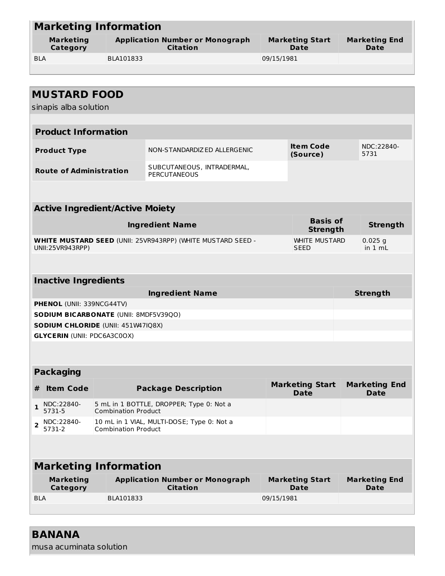|                |                                              | <b>Marketing Information</b>           |                                                                    |            |                                       |                                     |
|----------------|----------------------------------------------|----------------------------------------|--------------------------------------------------------------------|------------|---------------------------------------|-------------------------------------|
|                | <b>Marketing</b><br><b>Category</b>          |                                        | <b>Application Number or Monograph</b><br><b>Citation</b>          |            | <b>Marketing Start</b><br>Date        | <b>Marketing End</b><br><b>Date</b> |
| <b>BLA</b>     |                                              | BLA101833                              |                                                                    | 09/15/1981 |                                       |                                     |
|                |                                              |                                        |                                                                    |            |                                       |                                     |
|                |                                              |                                        |                                                                    |            |                                       |                                     |
|                | <b>MUSTARD FOOD</b><br>sinapis alba solution |                                        |                                                                    |            |                                       |                                     |
|                | <b>Product Information</b>                   |                                        |                                                                    |            |                                       |                                     |
|                |                                              |                                        |                                                                    |            |                                       |                                     |
|                | <b>Product Type</b>                          |                                        | NON-STANDARDIZED ALLERGENIC                                        |            | <b>Item Code</b><br>(Source)          | NDC:22840-<br>5731                  |
|                | <b>Route of Administration</b>               |                                        | SUBCUTANEOUS, INTRADERMAL,<br><b>PERCUTANEOUS</b>                  |            |                                       |                                     |
|                |                                              |                                        |                                                                    |            |                                       |                                     |
|                |                                              | <b>Active Ingredient/Active Moiety</b> |                                                                    |            |                                       |                                     |
|                |                                              |                                        | <b>Ingredient Name</b>                                             |            | <b>Basis of</b><br><b>Strength</b>    | <b>Strength</b>                     |
|                | UNII:25VR943RPP)                             |                                        | <b>WHITE MUSTARD SEED (UNII: 25VR943RPP) (WHITE MUSTARD SEED -</b> |            | <b>WHITE MUSTARD</b><br><b>SEED</b>   | $0.025$ g<br>in 1 mL                |
|                |                                              |                                        |                                                                    |            |                                       |                                     |
|                | <b>Inactive Ingredients</b>                  |                                        |                                                                    |            |                                       |                                     |
|                |                                              |                                        | <b>Ingredient Name</b>                                             |            |                                       | <b>Strength</b>                     |
|                | PHENOL (UNII: 339NCG44TV)                    |                                        |                                                                    |            |                                       |                                     |
|                |                                              | SODIUM BICARBONATE (UNII: 8MDF5V39QO)  |                                                                    |            |                                       |                                     |
|                |                                              | SODIUM CHLORIDE (UNII: 451W47IQ8X)     |                                                                    |            |                                       |                                     |
|                | <b>GLYCERIN (UNII: PDC6A3C0OX)</b>           |                                        |                                                                    |            |                                       |                                     |
|                |                                              |                                        |                                                                    |            |                                       |                                     |
|                | <b>Packaging</b>                             |                                        |                                                                    |            |                                       |                                     |
| #              | <b>Item Code</b>                             |                                        | <b>Package Description</b>                                         |            | <b>Marketing Start</b><br><b>Date</b> | <b>Marketing End</b><br><b>Date</b> |
| $\mathbf{1}$   | NDC:22840-<br>5731-5                         | <b>Combination Product</b>             | 5 mL in 1 BOTTLE, DROPPER; Type 0: Not a                           |            |                                       |                                     |
| $\overline{2}$ | NDC:22840-<br>5731-2                         | <b>Combination Product</b>             | 10 mL in 1 VIAL, MULTI-DOSE; Type 0: Not a                         |            |                                       |                                     |
|                |                                              |                                        |                                                                    |            |                                       |                                     |
|                |                                              | <b>Marketing Information</b>           |                                                                    |            |                                       |                                     |
|                | <b>Marketing</b><br>Category                 |                                        | <b>Application Number or Monograph</b><br><b>Citation</b>          |            | <b>Marketing Start</b><br>Date        | <b>Marketing End</b><br><b>Date</b> |
| <b>BLA</b>     |                                              | BLA101833                              |                                                                    | 09/15/1981 |                                       |                                     |

#### **BANANA**

musa acuminata solution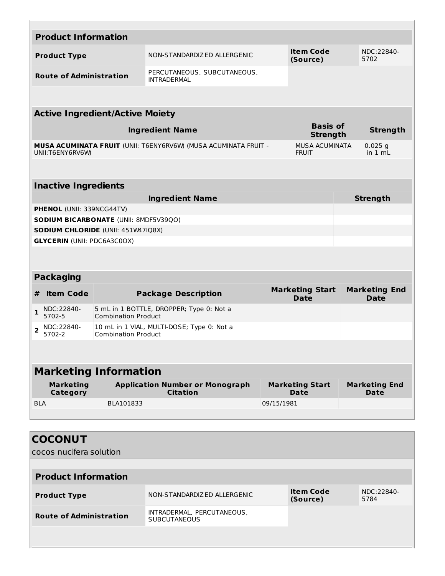|                | <b>Product Information</b>         |                                           |                                                                        |            |                                       |                                     |
|----------------|------------------------------------|-------------------------------------------|------------------------------------------------------------------------|------------|---------------------------------------|-------------------------------------|
|                | <b>Product Type</b>                |                                           | NON-STANDARDIZED ALLERGENIC                                            |            | <b>Item Code</b><br>(Source)          | NDC:22840-<br>5702                  |
|                | <b>Route of Administration</b>     |                                           | PERCUTANEOUS, SUBCUTANEOUS,<br><b>INTRADERMAL</b>                      |            |                                       |                                     |
|                |                                    |                                           |                                                                        |            |                                       |                                     |
|                |                                    | <b>Active Ingredient/Active Moiety</b>    |                                                                        |            |                                       |                                     |
|                |                                    |                                           | <b>Ingredient Name</b>                                                 |            | <b>Basis of</b><br><b>Strength</b>    | <b>Strength</b>                     |
|                | UNII:T6ENY6RV6W                    |                                           | <b>MUSA ACUMINATA FRUIT</b> (UNII: T6ENY6RV6W) (MUSA ACUMINATA FRUIT - |            | <b>MUSA ACUMINATA</b><br><b>FRUIT</b> | $0.025$ g<br>in $1 mL$              |
|                |                                    |                                           |                                                                        |            |                                       |                                     |
|                | <b>Inactive Ingredients</b>        |                                           |                                                                        |            |                                       |                                     |
|                |                                    |                                           | <b>Ingredient Name</b>                                                 |            |                                       | <b>Strength</b>                     |
|                | <b>PHENOL (UNII: 339NCG44TV)</b>   |                                           |                                                                        |            |                                       |                                     |
|                |                                    | SODIUM BICARBONATE (UNII: 8MDF5V39QO)     |                                                                        |            |                                       |                                     |
|                |                                    | <b>SODIUM CHLORIDE (UNII: 451W47IQ8X)</b> |                                                                        |            |                                       |                                     |
|                | <b>GLYCERIN (UNII: PDC6A3C0OX)</b> |                                           |                                                                        |            |                                       |                                     |
|                |                                    |                                           |                                                                        |            |                                       |                                     |
|                | <b>Packaging</b>                   |                                           |                                                                        |            |                                       |                                     |
| #              | <b>Item Code</b>                   |                                           | <b>Package Description</b>                                             |            | <b>Marketing Start</b><br><b>Date</b> | <b>Marketing End</b><br>Date        |
| $\mathbf{1}$   | NDC:22840-<br>5702-5               | <b>Combination Product</b>                | 5 mL in 1 BOTTLE, DROPPER; Type 0: Not a                               |            |                                       |                                     |
| $\overline{2}$ | NDC:22840-<br>5702-2               | <b>Combination Product</b>                | 10 mL in 1 VIAL, MULTI-DOSE; Type 0: Not a                             |            |                                       |                                     |
|                |                                    |                                           |                                                                        |            |                                       |                                     |
|                |                                    | <b>Marketing Information</b>              |                                                                        |            |                                       |                                     |
|                | <b>Marketing</b><br>Category       |                                           | <b>Application Number or Monograph</b><br><b>Citation</b>              |            | <b>Marketing Start</b><br>Date        | <b>Marketing End</b><br><b>Date</b> |
| <b>BLA</b>     |                                    | BLA101833                                 |                                                                        | 09/15/1981 |                                       |                                     |
|                |                                    |                                           |                                                                        |            |                                       |                                     |
|                |                                    |                                           |                                                                        |            |                                       |                                     |

| <b>COCONUT</b>                 |                                                   |                              |                    |
|--------------------------------|---------------------------------------------------|------------------------------|--------------------|
| cocos nucifera solution        |                                                   |                              |                    |
|                                |                                                   |                              |                    |
| <b>Product Information</b>     |                                                   |                              |                    |
| <b>Product Type</b>            | NON-STANDARDIZ ED ALLERGENIC                      | <b>Item Code</b><br>(Source) | NDC:22840-<br>5784 |
| <b>Route of Administration</b> | INTRADERMAL, PERCUTANEOUS,<br><b>SUBCUTANEOUS</b> |                              |                    |
|                                |                                                   |                              |                    |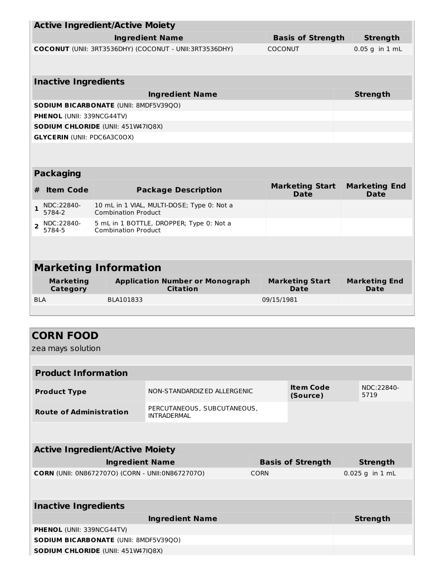|                                                         | <b>Active Ingredient/Active Moiety</b>                                 |  |                            |                                                           |             |                |                                       |                                     |  |
|---------------------------------------------------------|------------------------------------------------------------------------|--|----------------------------|-----------------------------------------------------------|-------------|----------------|---------------------------------------|-------------------------------------|--|
|                                                         |                                                                        |  |                            | <b>Ingredient Name</b>                                    |             |                | <b>Basis of Strength</b>              | <b>Strength</b>                     |  |
| COCONUT (UNII: 3RT3536DHY) (COCONUT - UNII: 3RT3536DHY) |                                                                        |  |                            |                                                           |             | <b>COCONUT</b> |                                       | $0.05$ g in $1$ mL                  |  |
|                                                         |                                                                        |  |                            |                                                           |             |                |                                       |                                     |  |
|                                                         | <b>Inactive Ingredients</b>                                            |  |                            |                                                           |             |                |                                       |                                     |  |
|                                                         |                                                                        |  |                            |                                                           |             |                |                                       |                                     |  |
|                                                         | <b>Ingredient Name</b><br><b>SODIUM BICARBONATE (UNII: 8MDF5V39QO)</b> |  |                            |                                                           |             |                |                                       | <b>Strength</b>                     |  |
|                                                         | PHENOL (UNII: 339NCG44TV)                                              |  |                            |                                                           |             |                |                                       |                                     |  |
|                                                         | SODIUM CHLORIDE (UNII: 451W47IQ8X)                                     |  |                            |                                                           |             |                |                                       |                                     |  |
|                                                         | <b>GLYCERIN (UNII: PDC6A3C0OX)</b>                                     |  |                            |                                                           |             |                |                                       |                                     |  |
|                                                         |                                                                        |  |                            |                                                           |             |                |                                       |                                     |  |
|                                                         |                                                                        |  |                            |                                                           |             |                |                                       |                                     |  |
|                                                         | <b>Packaging</b>                                                       |  |                            |                                                           |             |                |                                       |                                     |  |
| #                                                       | <b>Item Code</b>                                                       |  |                            | <b>Package Description</b>                                |             |                | <b>Marketing Start</b><br><b>Date</b> | <b>Marketing End</b><br><b>Date</b> |  |
| $\mathbf{1}$                                            | NDC:22840-<br>5784-2                                                   |  | <b>Combination Product</b> | 10 mL in 1 VIAL, MULTI-DOSE; Type 0: Not a                |             |                |                                       |                                     |  |
| $\overline{2}$                                          | NDC:22840-<br>5784-5                                                   |  | <b>Combination Product</b> | 5 mL in 1 BOTTLE, DROPPER; Type 0: Not a                  |             |                |                                       |                                     |  |
|                                                         |                                                                        |  |                            |                                                           |             |                |                                       |                                     |  |
|                                                         |                                                                        |  |                            |                                                           |             |                |                                       |                                     |  |
|                                                         | <b>Marketing Information</b>                                           |  |                            |                                                           |             |                |                                       |                                     |  |
|                                                         | <b>Marketing</b><br>Category                                           |  |                            | <b>Application Number or Monograph</b><br><b>Citation</b> |             |                | <b>Marketing Start</b><br>Date        | <b>Marketing End</b><br>Date        |  |
| <b>BLA</b>                                              |                                                                        |  | BLA101833                  |                                                           |             | 09/15/1981     |                                       |                                     |  |
|                                                         |                                                                        |  |                            |                                                           |             |                |                                       |                                     |  |
|                                                         |                                                                        |  |                            |                                                           |             |                |                                       |                                     |  |
|                                                         | <b>CORN FOOD</b>                                                       |  |                            |                                                           |             |                |                                       |                                     |  |
|                                                         | zea mays solution                                                      |  |                            |                                                           |             |                |                                       |                                     |  |
|                                                         |                                                                        |  |                            |                                                           |             |                |                                       |                                     |  |
|                                                         | <b>Product Information</b>                                             |  |                            |                                                           |             |                |                                       |                                     |  |
|                                                         | <b>Product Type</b>                                                    |  |                            | NON-STANDARDIZED ALLERGENIC                               |             |                | <b>Item Code</b><br>(Source)          | NDC:22840-<br>5719                  |  |
|                                                         | <b>Route of Administration</b>                                         |  |                            | PERCUTANEOUS, SUBCUTANEOUS,<br><b>INTRADERMAL</b>         |             |                |                                       |                                     |  |
|                                                         |                                                                        |  |                            |                                                           |             |                |                                       |                                     |  |
|                                                         |                                                                        |  |                            |                                                           |             |                |                                       |                                     |  |
|                                                         | <b>Active Ingredient/Active Moiety</b>                                 |  |                            |                                                           |             |                |                                       |                                     |  |
|                                                         |                                                                        |  | <b>Ingredient Name</b>     |                                                           |             |                | <b>Basis of Strength</b>              | <b>Strength</b>                     |  |
|                                                         |                                                                        |  |                            | CORN (UNII: 0N86727070) (CORN - UNII:0N86727070)          | <b>CORN</b> |                |                                       | 0.025 g in 1 mL                     |  |
|                                                         |                                                                        |  |                            |                                                           |             |                |                                       |                                     |  |
|                                                         | <b>Inactive Ingredients</b>                                            |  |                            |                                                           |             |                |                                       |                                     |  |
|                                                         |                                                                        |  |                            | <b>Ingredient Name</b>                                    |             |                |                                       | <b>Strength</b>                     |  |
|                                                         | <b>PHENOL (UNII: 339NCG44TV)</b>                                       |  |                            |                                                           |             |                |                                       |                                     |  |
|                                                         | SODIUM BICARBONATE (UNII: 8MDF5V39QO)                                  |  |                            |                                                           |             |                |                                       |                                     |  |

**SODIUM CHLORIDE** (UNII: 451W47IQ8X)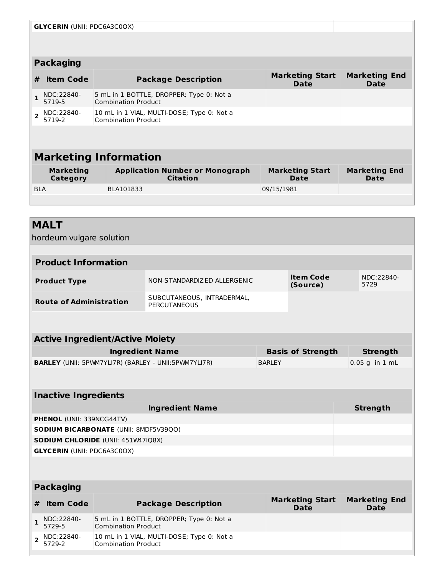|                                                                                              | <b>GLYCERIN (UNII: PDC6A3C0OX)</b>                                                                                                                          |  |                                                                          |            |                              |  |  |  |  |
|----------------------------------------------------------------------------------------------|-------------------------------------------------------------------------------------------------------------------------------------------------------------|--|--------------------------------------------------------------------------|------------|------------------------------|--|--|--|--|
|                                                                                              |                                                                                                                                                             |  |                                                                          |            |                              |  |  |  |  |
|                                                                                              | <b>Packaging</b>                                                                                                                                            |  |                                                                          |            |                              |  |  |  |  |
| <b>Marketing Start</b><br>#<br><b>Item Code</b><br><b>Package Description</b><br><b>Date</b> |                                                                                                                                                             |  |                                                                          |            | <b>Marketing End</b><br>Date |  |  |  |  |
|                                                                                              | NDC:22840-<br>5719-5                                                                                                                                        |  | 5 mL in 1 BOTTLE, DROPPER; Type 0: Not a<br><b>Combination Product</b>   |            |                              |  |  |  |  |
| $\overline{ }$                                                                               | NDC:22840-<br>5719-2                                                                                                                                        |  | 10 mL in 1 VIAL, MULTI-DOSE; Type 0: Not a<br><b>Combination Product</b> |            |                              |  |  |  |  |
|                                                                                              |                                                                                                                                                             |  |                                                                          |            |                              |  |  |  |  |
|                                                                                              | <b>Marketing Information</b>                                                                                                                                |  |                                                                          |            |                              |  |  |  |  |
|                                                                                              | <b>Application Number or Monograph</b><br><b>Marketing Start</b><br><b>Marketing End</b><br><b>Marketing</b><br><b>Citation</b><br>Category<br>Date<br>Date |  |                                                                          |            |                              |  |  |  |  |
| <b>BLA</b>                                                                                   |                                                                                                                                                             |  | BLA101833                                                                | 09/15/1981 |                              |  |  |  |  |

## **MALT**

hordeum vulgare solution

| <b>Product Information</b>     |                                            |                       |                    |  |  |
|--------------------------------|--------------------------------------------|-----------------------|--------------------|--|--|
| <b>Product Type</b>            | NON-STANDARDIZ ED ALLERGENIC               | Item Code<br>(Source) | NDC:22840-<br>5729 |  |  |
| <b>Route of Administration</b> | SUBCUTANEOUS, INTRADERMAL,<br>PERCUTANEOUS |                       |                    |  |  |

| <b>Active Ingredient/Active Moiety</b>                      |                          |                   |  |  |  |
|-------------------------------------------------------------|--------------------------|-------------------|--|--|--|
| Ingredient Name                                             | <b>Basis of Strength</b> | Strength          |  |  |  |
| <b>BARLEY</b> (UNII: 5PWM7YLI7R) (BARLEY - UNII:5PWM7YLI7R) | <b>BARLEY</b>            | $ 0.05$ g in 1 mL |  |  |  |

### **Inactive Ingredients**

| <b>Ingredient Name</b>                       | <b>Strength</b> |
|----------------------------------------------|-----------------|
| <b>PHENOL</b> (UNII: 339NCG44TV)             |                 |
| <b>SODIUM BICARBONATE (UNII: 8MDF5V39QO)</b> |                 |
| <b>SODIUM CHLORIDE (UNII: 451W47IQ8X)</b>    |                 |
| <b>GLYCERIN (UNII: PDC6A3C0OX)</b>           |                 |

### **Packaging**

| # | <b>Item Code</b>                                        | <b>Package Description</b>                                               | <b>Marketing Start</b><br>Date | <b>Marketing End</b><br>Date |
|---|---------------------------------------------------------|--------------------------------------------------------------------------|--------------------------------|------------------------------|
|   | $\frac{1}{5729-5}$                                      | 5 mL in 1 BOTTLE, DROPPER; Type 0: Not a<br><b>Combination Product</b>   |                                |                              |
|   | $2 \big  \frac{\text{NDC}:22840-5729-2}{\text{5729-2}}$ | 10 mL in 1 VIAL, MULTI-DOSE; Type 0: Not a<br><b>Combination Product</b> |                                |                              |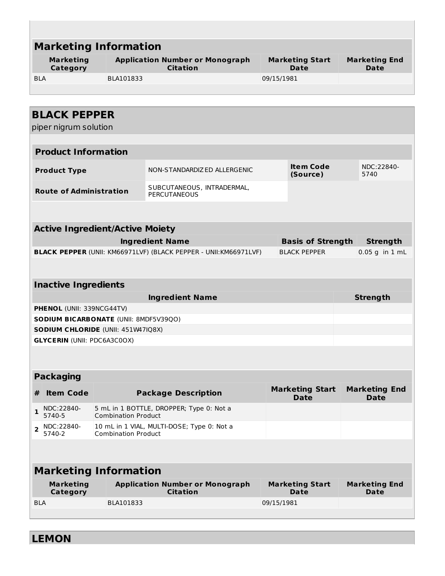| <b>Marketing Information</b>           |                            |                                                                         |            |                                       |                                     |
|----------------------------------------|----------------------------|-------------------------------------------------------------------------|------------|---------------------------------------|-------------------------------------|
| <b>Marketing</b><br><b>Category</b>    |                            | <b>Application Number or Monograph</b><br><b>Citation</b>               |            | <b>Marketing Start</b><br><b>Date</b> | <b>Marketing End</b><br>Date        |
| <b>BLA</b>                             | BLA101833                  |                                                                         | 09/15/1981 |                                       |                                     |
|                                        |                            |                                                                         |            |                                       |                                     |
|                                        |                            |                                                                         |            |                                       |                                     |
| <b>BLACK PEPPER</b>                    |                            |                                                                         |            |                                       |                                     |
| piper nigrum solution                  |                            |                                                                         |            |                                       |                                     |
|                                        |                            |                                                                         |            |                                       |                                     |
| <b>Product Information</b>             |                            |                                                                         |            |                                       |                                     |
| <b>Product Type</b>                    |                            | NON-STANDARDIZ ED ALLERGENIC                                            |            | <b>Item Code</b><br>(Source)          | NDC:22840-<br>5740                  |
| <b>Route of Administration</b>         |                            | SUBCUTANEOUS, INTRADERMAL,<br><b>PERCUTANEOUS</b>                       |            |                                       |                                     |
|                                        |                            |                                                                         |            |                                       |                                     |
| <b>Active Ingredient/Active Moiety</b> |                            |                                                                         |            |                                       |                                     |
|                                        |                            | <b>Ingredient Name</b>                                                  |            | <b>Basis of Strength</b>              | <b>Strength</b>                     |
|                                        |                            | <b>BLACK PEPPER (UNII: KM66971LVF) (BLACK PEPPER - UNII:KM66971LVF)</b> |            | <b>BLACK PEPPER</b>                   | $0.05$ g in $1$ mL                  |
|                                        |                            |                                                                         |            |                                       |                                     |
| <b>Inactive Ingredients</b>            |                            |                                                                         |            |                                       |                                     |
|                                        |                            | <b>Ingredient Name</b>                                                  |            |                                       | <b>Strength</b>                     |
| <b>PHENOL</b> (UNII: 339NCG44TV)       |                            |                                                                         |            |                                       |                                     |
| SODIUM BICARBONATE (UNII: 8MDF5V39QO)  |                            |                                                                         |            |                                       |                                     |
| SODIUM CHLORIDE (UNII: 451W47IQ8X)     |                            |                                                                         |            |                                       |                                     |
| <b>GLYCERIN (UNII: PDC6A3C0OX)</b>     |                            |                                                                         |            |                                       |                                     |
|                                        |                            |                                                                         |            |                                       |                                     |
|                                        |                            |                                                                         |            |                                       |                                     |
| <b>Packaging</b>                       |                            |                                                                         |            |                                       |                                     |
| <b>Item Code</b><br>#                  |                            | <b>Package Description</b>                                              |            | <b>Marketing Start</b><br><b>Date</b> | <b>Marketing End</b><br><b>Date</b> |
| NDC:22840-<br>$\mathbf{1}$<br>5740-5   | <b>Combination Product</b> | 5 mL in 1 BOTTLE, DROPPER; Type 0: Not a                                |            |                                       |                                     |
| NDC:22840-<br>$\overline{2}$<br>5740-2 | <b>Combination Product</b> | 10 mL in 1 VIAL, MULTI-DOSE; Type 0: Not a                              |            |                                       |                                     |
|                                        |                            |                                                                         |            |                                       |                                     |
| <b>Marketing Information</b>           |                            |                                                                         |            |                                       |                                     |
| <b>Marketing</b><br>Category           |                            | <b>Application Number or Monograph</b><br><b>Citation</b>               |            | <b>Marketing Start</b><br><b>Date</b> | <b>Marketing End</b><br>Date        |
| <b>BLA</b>                             | BLA101833                  |                                                                         | 09/15/1981 |                                       |                                     |
|                                        |                            |                                                                         |            |                                       |                                     |

**LEMON**

Г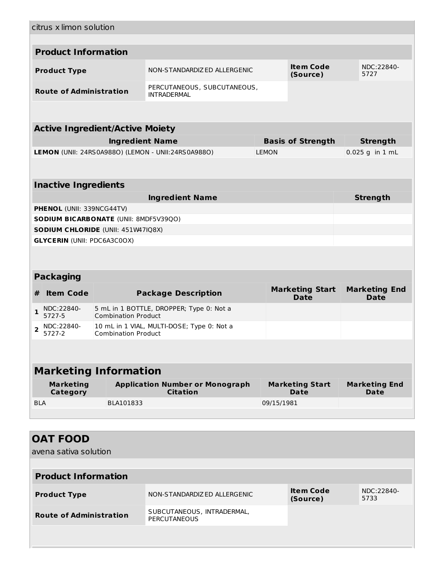|              | citrus x limon solution            |                                              |                                                           |              |                                       |                                     |  |
|--------------|------------------------------------|----------------------------------------------|-----------------------------------------------------------|--------------|---------------------------------------|-------------------------------------|--|
|              |                                    |                                              |                                                           |              |                                       |                                     |  |
|              | <b>Product Information</b>         |                                              |                                                           |              |                                       |                                     |  |
|              | <b>Product Type</b>                |                                              | NON-STANDARDIZED ALLERGENIC                               |              | <b>Item Code</b><br>(Source)          | NDC:22840-<br>5727                  |  |
|              | <b>Route of Administration</b>     |                                              | PERCUTANEOUS, SUBCUTANEOUS,<br><b>INTRADERMAL</b>         |              |                                       |                                     |  |
|              |                                    |                                              |                                                           |              |                                       |                                     |  |
|              |                                    | <b>Active Ingredient/Active Moiety</b>       |                                                           |              |                                       |                                     |  |
|              |                                    | <b>Ingredient Name</b>                       |                                                           |              | <b>Basis of Strength</b>              | <b>Strength</b>                     |  |
|              |                                    |                                              | LEMON (UNII: 24RS0A988O) (LEMON - UNII:24RS0A988O)        | <b>LEMON</b> |                                       | 0.025 g in 1 mL                     |  |
|              |                                    |                                              |                                                           |              |                                       |                                     |  |
|              |                                    |                                              |                                                           |              |                                       |                                     |  |
|              | <b>Inactive Ingredients</b>        |                                              |                                                           |              |                                       |                                     |  |
|              |                                    |                                              | <b>Ingredient Name</b>                                    |              |                                       | <b>Strength</b>                     |  |
|              | <b>PHENOL (UNII: 339NCG44TV)</b>   |                                              |                                                           |              |                                       |                                     |  |
|              |                                    | <b>SODIUM BICARBONATE (UNII: 8MDF5V39QO)</b> |                                                           |              |                                       |                                     |  |
|              |                                    | SODIUM CHLORIDE (UNII: 451W47IQ8X)           |                                                           |              |                                       |                                     |  |
|              | <b>GLYCERIN (UNII: PDC6A3C0OX)</b> |                                              |                                                           |              |                                       |                                     |  |
|              |                                    |                                              |                                                           |              |                                       |                                     |  |
|              |                                    |                                              |                                                           |              |                                       |                                     |  |
|              | <b>Packaging</b>                   |                                              |                                                           |              |                                       |                                     |  |
| #            | <b>Item Code</b>                   |                                              | <b>Package Description</b>                                |              | <b>Marketing Start</b><br><b>Date</b> | <b>Marketing End</b><br><b>Date</b> |  |
| $\mathbf{1}$ | NDC:22840-<br>5727-5               | <b>Combination Product</b>                   | 5 mL in 1 BOTTLE, DROPPER; Type 0: Not a                  |              |                                       |                                     |  |
| 2            | NDC:22840-<br>5727-2               | <b>Combination Product</b>                   | 10 mL in 1 VIAL, MULTI-DOSE; Type 0: Not a                |              |                                       |                                     |  |
|              |                                    |                                              |                                                           |              |                                       |                                     |  |
|              |                                    | <b>Marketing Information</b>                 |                                                           |              |                                       |                                     |  |
|              | <b>Marketing</b><br>Category       |                                              | <b>Application Number or Monograph</b><br><b>Citation</b> |              | <b>Marketing Start</b><br>Date        | <b>Marketing End</b><br>Date        |  |
| <b>BLA</b>   |                                    | BLA101833                                    |                                                           | 09/15/1981   |                                       |                                     |  |
|              |                                    |                                              |                                                           |              |                                       |                                     |  |
|              |                                    |                                              |                                                           |              |                                       |                                     |  |
|              | <b>OAT FOOD</b>                    |                                              |                                                           |              |                                       |                                     |  |
|              | avena sativa solution              |                                              |                                                           |              |                                       |                                     |  |
|              |                                    |                                              |                                                           |              |                                       |                                     |  |
|              | <b>Product Information</b>         |                                              |                                                           |              |                                       |                                     |  |

| <b>Product Type</b>            | NON-STANDARDIZ ED ALLERGENIC                      | <b>Item Code</b><br>(Source) | NDC:22840-<br>5733 |
|--------------------------------|---------------------------------------------------|------------------------------|--------------------|
| <b>Route of Administration</b> | SUBCUTANEOUS, INTRADERMAL,<br><b>PERCUTANEOUS</b> |                              |                    |
|                                |                                                   |                              |                    |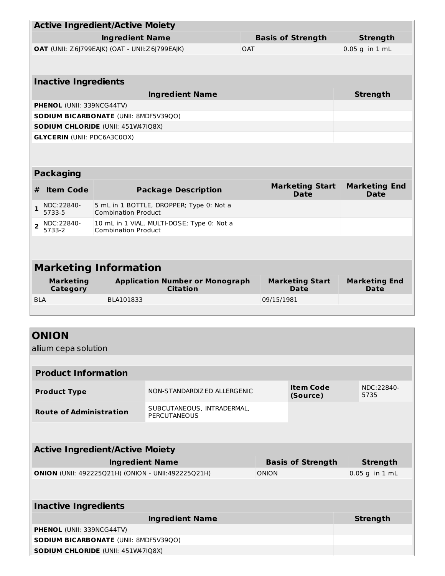| <b>Active Ingredient/Active Moiety</b> |                                                               |                                                    |  |              |                              |  |                      |  |
|----------------------------------------|---------------------------------------------------------------|----------------------------------------------------|--|--------------|------------------------------|--|----------------------|--|
|                                        | <b>Ingredient Name</b>                                        |                                                    |  |              | <b>Basis of Strength</b>     |  | <b>Strength</b>      |  |
|                                        | OAT (UNII: Z6J799EAJK) (OAT - UNII: Z6J799EAJK)<br><b>OAT</b> |                                                    |  |              | $0.05$ g in $1$ mL           |  |                      |  |
|                                        |                                                               |                                                    |  |              |                              |  |                      |  |
| <b>Inactive Ingredients</b>            |                                                               |                                                    |  |              |                              |  |                      |  |
|                                        | <b>Ingredient Name</b>                                        |                                                    |  |              |                              |  |                      |  |
| PHENOL (UNII: 339NCG44TV)              |                                                               |                                                    |  |              |                              |  |                      |  |
|                                        | SODIUM BICARBONATE (UNII: 8MDF5V39QO)                         |                                                    |  |              |                              |  |                      |  |
| SODIUM CHLORIDE (UNII: 451W47IQ8X)     |                                                               |                                                    |  |              |                              |  |                      |  |
| <b>GLYCERIN (UNII: PDC6A3C0OX)</b>     |                                                               |                                                    |  |              |                              |  |                      |  |
|                                        |                                                               |                                                    |  |              |                              |  |                      |  |
| <b>Packaging</b>                       |                                                               |                                                    |  |              |                              |  |                      |  |
| <b>Item Code</b><br>#                  |                                                               | <b>Package Description</b>                         |  |              | <b>Marketing Start</b>       |  | <b>Marketing End</b> |  |
|                                        |                                                               |                                                    |  |              | <b>Date</b>                  |  | <b>Date</b>          |  |
| NDC:22840-<br>$\mathbf{1}$<br>5733-5   | <b>Combination Product</b>                                    | 5 mL in 1 BOTTLE, DROPPER; Type 0: Not a           |  |              |                              |  |                      |  |
| NDC:22840-<br>$\overline{2}$<br>5733-2 | <b>Combination Product</b>                                    | 10 mL in 1 VIAL, MULTI-DOSE; Type 0: Not a         |  |              |                              |  |                      |  |
|                                        |                                                               |                                                    |  |              |                              |  |                      |  |
| <b>Marketing Information</b>           |                                                               |                                                    |  |              |                              |  |                      |  |
| <b>Marketing</b>                       |                                                               | <b>Application Number or Monograph</b>             |  |              | <b>Marketing Start</b>       |  | <b>Marketing End</b> |  |
| <b>Category</b>                        |                                                               | <b>Citation</b>                                    |  |              | Date                         |  | Date                 |  |
| <b>BLA</b>                             | BLA101833                                                     |                                                    |  | 09/15/1981   |                              |  |                      |  |
|                                        |                                                               |                                                    |  |              |                              |  |                      |  |
| <b>ONION</b>                           |                                                               |                                                    |  |              |                              |  |                      |  |
|                                        |                                                               |                                                    |  |              |                              |  |                      |  |
| allium cepa solution                   |                                                               |                                                    |  |              |                              |  |                      |  |
| <b>Product Information</b>             |                                                               |                                                    |  |              |                              |  |                      |  |
|                                        |                                                               |                                                    |  |              |                              |  |                      |  |
| <b>Product Type</b>                    |                                                               | NON-STANDARDIZED ALLERGENIC                        |  |              | <b>Item Code</b><br>(Source) |  | NDC:22840-<br>5735   |  |
| <b>Route of Administration</b>         |                                                               | SUBCUTANEOUS, INTRADERMAL,<br><b>PERCUTANEOUS</b>  |  |              |                              |  |                      |  |
|                                        |                                                               |                                                    |  |              |                              |  |                      |  |
| <b>Active Ingredient/Active Moiety</b> |                                                               |                                                    |  |              |                              |  |                      |  |
|                                        | <b>Ingredient Name</b>                                        |                                                    |  |              | <b>Basis of Strength</b>     |  | <b>Strength</b>      |  |
|                                        |                                                               | ONION (UNII: 492225Q21H) (ONION - UNII:492225Q21H) |  | <b>ONION</b> |                              |  | $0.05$ g in $1$ mL   |  |
|                                        |                                                               |                                                    |  |              |                              |  |                      |  |
| <b>Inactive Ingredients</b>            |                                                               |                                                    |  |              |                              |  |                      |  |
|                                        |                                                               | <b>Ingredient Name</b>                             |  |              |                              |  | <b>Strength</b>      |  |
| <b>PHENOL</b> (UNII: 339NCG44TV)       |                                                               |                                                    |  |              |                              |  |                      |  |
| SODIUM BICARBONATE (UNII: 8MDF5V39QO)  |                                                               |                                                    |  |              |                              |  |                      |  |
| SODIUM CHLORIDE (UNII: 451W47IQ8X)     |                                                               |                                                    |  |              |                              |  |                      |  |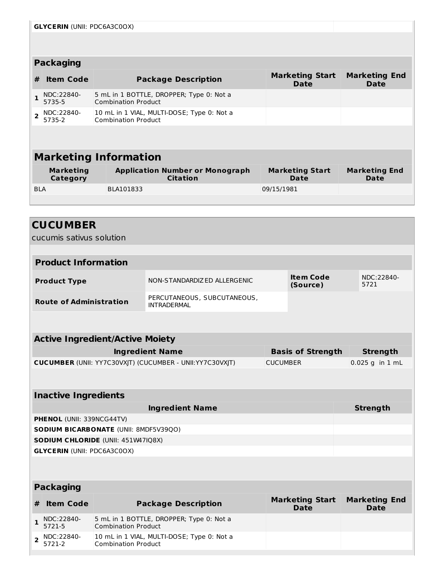|                | <b>GLYCERIN (UNII: PDC6A3C0OX)</b> |  |                                                                          |                                       |                                     |  |  |
|----------------|------------------------------------|--|--------------------------------------------------------------------------|---------------------------------------|-------------------------------------|--|--|
|                |                                    |  |                                                                          |                                       |                                     |  |  |
|                |                                    |  |                                                                          |                                       |                                     |  |  |
|                | <b>Packaging</b>                   |  |                                                                          |                                       |                                     |  |  |
| #              | <b>Item Code</b>                   |  | <b>Package Description</b>                                               | <b>Marketing Start</b><br><b>Date</b> | <b>Marketing End</b><br><b>Date</b> |  |  |
| 1              | NDC:22840-<br>5735-5               |  | 5 mL in 1 BOTTLE, DROPPER; Type 0: Not a<br><b>Combination Product</b>   |                                       |                                     |  |  |
| $\overline{2}$ | NDC:22840-<br>5735-2               |  | 10 mL in 1 VIAL, MULTI-DOSE; Type 0: Not a<br><b>Combination Product</b> |                                       |                                     |  |  |
|                |                                    |  |                                                                          |                                       |                                     |  |  |
|                |                                    |  |                                                                          |                                       |                                     |  |  |
|                | <b>Marketing Information</b>       |  |                                                                          |                                       |                                     |  |  |
|                | <b>Marketing</b><br>Category       |  | <b>Application Number or Monograph</b><br><b>Citation</b>                | <b>Marketing Start</b><br>Date        | <b>Marketing End</b><br>Date        |  |  |
| <b>BLA</b>     |                                    |  | BLA101833                                                                | 09/15/1981                            |                                     |  |  |

|                | <b>CUCUMBER</b>                                    |                                        |                                                                  |                 |                                       |                                     |
|----------------|----------------------------------------------------|----------------------------------------|------------------------------------------------------------------|-----------------|---------------------------------------|-------------------------------------|
|                | cucumis sativus solution                           |                                        |                                                                  |                 |                                       |                                     |
|                |                                                    |                                        |                                                                  |                 |                                       |                                     |
|                | <b>Product Information</b>                         |                                        |                                                                  |                 |                                       |                                     |
|                | <b>Product Type</b>                                |                                        | NON-STANDARDIZED ALLERGENIC                                      |                 | <b>Item Code</b><br>(Source)          | NDC:22840-<br>5721                  |
|                | <b>Route of Administration</b>                     |                                        | PERCUTANEOUS, SUBCUTANEOUS,<br><b>INTRADERMAL</b>                |                 |                                       |                                     |
|                |                                                    |                                        |                                                                  |                 |                                       |                                     |
|                |                                                    | <b>Active Ingredient/Active Moiety</b> |                                                                  |                 |                                       |                                     |
|                | <b>Ingredient Name</b><br><b>Basis of Strength</b> |                                        |                                                                  |                 | <b>Strength</b>                       |                                     |
|                |                                                    |                                        | <b>CUCUMBER (UNII: YY7C30VXJT) (CUCUMBER - UNII: YY7C30VXJT)</b> | <b>CUCUMBER</b> |                                       | $0.025$ g in 1 mL                   |
|                |                                                    |                                        |                                                                  |                 |                                       |                                     |
|                | <b>Inactive Ingredients</b>                        |                                        |                                                                  |                 |                                       |                                     |
|                |                                                    |                                        | <b>Ingredient Name</b>                                           |                 |                                       | <b>Strength</b>                     |
|                | PHENOL (UNII: 339NCG44TV)                          |                                        |                                                                  |                 |                                       |                                     |
|                |                                                    | SODIUM BICARBONATE (UNII: 8MDF5V39QO)  |                                                                  |                 |                                       |                                     |
|                |                                                    | SODIUM CHLORIDE (UNII: 451W47IQ8X)     |                                                                  |                 |                                       |                                     |
|                | <b>GLYCERIN (UNII: PDC6A3C0OX)</b>                 |                                        |                                                                  |                 |                                       |                                     |
|                |                                                    |                                        |                                                                  |                 |                                       |                                     |
|                | <b>Packaging</b>                                   |                                        |                                                                  |                 |                                       |                                     |
| #              | <b>Item Code</b>                                   |                                        | <b>Package Description</b>                                       |                 | <b>Marketing Start</b><br><b>Date</b> | <b>Marketing End</b><br><b>Date</b> |
| $\mathbf{1}$   | NDC:22840-<br>5721-5                               | <b>Combination Product</b>             | 5 mL in 1 BOTTLE, DROPPER; Type 0: Not a                         |                 |                                       |                                     |
| $\overline{2}$ | NDC:22840-<br>ר ורד:                               | $C$ ambination Draduct                 | 10 mL in 1 VIAL, MULTI-DOSE; Type 0: Not a                       |                 |                                       |                                     |

5721-2

Combination Product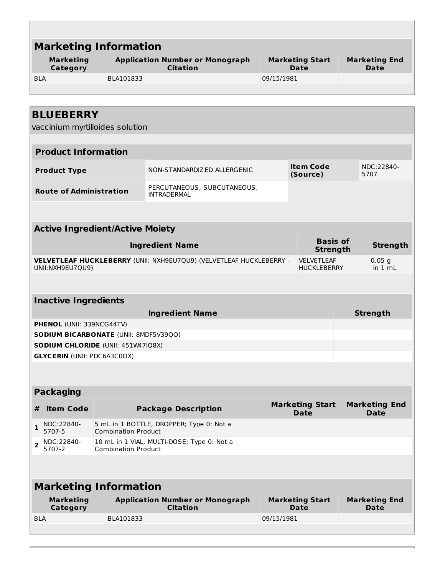| <b>Marketing Information</b>                        |                            |                                                                     |            |                                         |                                     |
|-----------------------------------------------------|----------------------------|---------------------------------------------------------------------|------------|-----------------------------------------|-------------------------------------|
| <b>Marketing</b><br>Category                        |                            | <b>Application Number or Monograph</b><br><b>Citation</b>           |            | <b>Marketing Start</b><br>Date          | <b>Marketing End</b><br>Date        |
| <b>BLA</b>                                          | BLA101833                  |                                                                     | 09/15/1981 |                                         |                                     |
|                                                     |                            |                                                                     |            |                                         |                                     |
|                                                     |                            |                                                                     |            |                                         |                                     |
| <b>BLUEBERRY</b><br>vaccinium myrtilloides solution |                            |                                                                     |            |                                         |                                     |
| <b>Product Information</b>                          |                            |                                                                     |            |                                         |                                     |
|                                                     |                            |                                                                     |            |                                         |                                     |
| <b>Product Type</b>                                 |                            | NON-STANDARDIZ ED ALLERGENIC                                        |            | <b>Item Code</b><br>(Source)            | NDC:22840-<br>5707                  |
| <b>Route of Administration</b>                      |                            | PERCUTANEOUS, SUBCUTANEOUS,<br><b>INTRADERMAL</b>                   |            |                                         |                                     |
|                                                     |                            |                                                                     |            |                                         |                                     |
| <b>Active Ingredient/Active Moiety</b>              |                            |                                                                     |            |                                         |                                     |
|                                                     |                            | <b>Ingredient Name</b>                                              |            | <b>Basis of</b><br><b>Strength</b>      | <b>Strength</b>                     |
| UNII:NXH9EU7QU9)                                    |                            | VELVETLEAF HUCKLEBERRY (UNII: NXH9EU7QU9) (VELVETLEAF HUCKLEBERRY - |            | <b>VELVETLEAF</b><br><b>HUCKLEBERRY</b> | 0.05 <sub>q</sub><br>in 1 mL        |
|                                                     |                            |                                                                     |            |                                         |                                     |
| <b>Inactive Ingredients</b>                         |                            |                                                                     |            |                                         |                                     |
|                                                     |                            | <b>Ingredient Name</b>                                              |            |                                         | <b>Strength</b>                     |
| PHENOL (UNII: 339NCG44TV)                           |                            |                                                                     |            |                                         |                                     |
| SODIUM BICARBONATE (UNII: 8MDF5V39QO)               |                            |                                                                     |            |                                         |                                     |
| SODIUM CHLORIDE (UNII: 451W47IQ8X)                  |                            |                                                                     |            |                                         |                                     |
| <b>GLYCERIN (UNII: PDC6A3C0OX)</b>                  |                            |                                                                     |            |                                         |                                     |
|                                                     |                            |                                                                     |            |                                         |                                     |
| <b>Packaging</b>                                    |                            |                                                                     |            |                                         |                                     |
| <b>Item Code</b><br>#                               |                            | <b>Package Description</b>                                          |            | <b>Marketing Start</b><br><b>Date</b>   | <b>Marketing End</b><br><b>Date</b> |
| NDC:22840-<br>$\mathbf{1}$<br>5707-5                | <b>Combination Product</b> | 5 mL in 1 BOTTLE, DROPPER; Type 0: Not a                            |            |                                         |                                     |
| NDC:22840-<br>$\overline{2}$<br>5707-2              | <b>Combination Product</b> | 10 mL in 1 VIAL, MULTI-DOSE; Type 0: Not a                          |            |                                         |                                     |
|                                                     |                            |                                                                     |            |                                         |                                     |
| <b>Marketing Information</b>                        |                            |                                                                     |            |                                         |                                     |
| <b>Marketing</b><br>Category                        |                            | <b>Application Number or Monograph</b><br><b>Citation</b>           |            | <b>Marketing Start</b><br><b>Date</b>   | <b>Marketing End</b><br>Date        |
| <b>BLA</b>                                          | BLA101833                  |                                                                     | 09/15/1981 |                                         |                                     |
|                                                     |                            |                                                                     |            |                                         |                                     |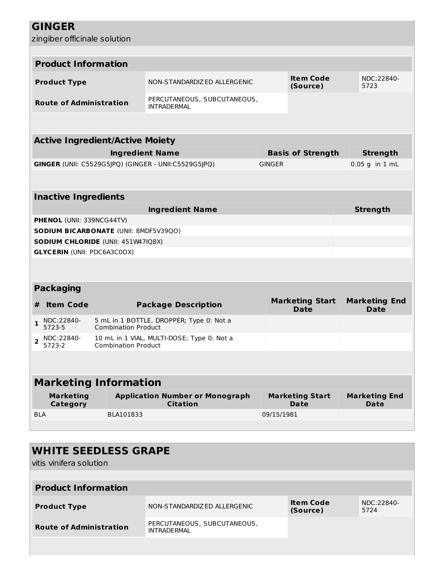|  | <b>GINGER</b> |  |  |  |
|--|---------------|--|--|--|
|  |               |  |  |  |

|  | zingiber officinale solution |  |
|--|------------------------------|--|
|--|------------------------------|--|

|                | <b>Product Information</b>         |                                        |                                                           |               |                                       |                                     |
|----------------|------------------------------------|----------------------------------------|-----------------------------------------------------------|---------------|---------------------------------------|-------------------------------------|
|                | <b>Product Type</b>                |                                        | NON-STANDARDIZED ALLERGENIC                               |               | <b>Item Code</b><br>(Source)          | NDC:22840-<br>5723                  |
|                | <b>Route of Administration</b>     |                                        | PERCUTANEOUS, SUBCUTANEOUS,<br><b>INTRADERMAL</b>         |               |                                       |                                     |
|                |                                    |                                        |                                                           |               |                                       |                                     |
|                |                                    | <b>Active Ingredient/Active Moiety</b> |                                                           |               |                                       |                                     |
|                |                                    |                                        | <b>Ingredient Name</b>                                    |               | <b>Basis of Strength</b>              | <b>Strength</b>                     |
|                |                                    |                                        | GINGER (UNII: C5529G5JPQ) (GINGER - UNII:C5529G5JPQ)      | <b>GINGER</b> |                                       | $0.05$ g in $1$ mL                  |
|                |                                    |                                        |                                                           |               |                                       |                                     |
|                | <b>Inactive Ingredients</b>        |                                        |                                                           |               |                                       |                                     |
|                |                                    |                                        | <b>Ingredient Name</b>                                    |               |                                       | <b>Strength</b>                     |
|                | PHENOL (UNII: 339NCG44TV)          |                                        |                                                           |               |                                       |                                     |
|                |                                    | SODIUM BICARBONATE (UNII: 8MDF5V39QO)  |                                                           |               |                                       |                                     |
|                |                                    | SODIUM CHLORIDE (UNII: 451W47IQ8X)     |                                                           |               |                                       |                                     |
|                | <b>GLYCERIN (UNII: PDC6A3C0OX)</b> |                                        |                                                           |               |                                       |                                     |
|                |                                    |                                        |                                                           |               |                                       |                                     |
|                |                                    |                                        |                                                           |               |                                       |                                     |
|                | <b>Packaging</b>                   |                                        |                                                           |               |                                       |                                     |
| #              | <b>Item Code</b>                   |                                        | <b>Package Description</b>                                |               | <b>Marketing Start</b><br><b>Date</b> | <b>Marketing End</b><br><b>Date</b> |
| 1              | NDC:22840-<br>5723-5               | <b>Combination Product</b>             | 5 mL in 1 BOTTLE, DROPPER; Type 0: Not a                  |               |                                       |                                     |
| $\overline{2}$ | NDC:22840-<br>5723-2               | <b>Combination Product</b>             | 10 mL in 1 VIAL, MULTI-DOSE; Type 0: Not a                |               |                                       |                                     |
|                |                                    |                                        |                                                           |               |                                       |                                     |
|                |                                    | <b>Marketing Information</b>           |                                                           |               |                                       |                                     |
|                | <b>Marketing</b><br>Category       |                                        | <b>Application Number or Monograph</b><br><b>Citation</b> |               | <b>Marketing Start</b><br><b>Date</b> | <b>Marketing End</b><br>Date        |
| <b>BLA</b>     |                                    | BLA101833                              |                                                           | 09/15/1981    |                                       |                                     |
|                |                                    |                                        |                                                           |               |                                       |                                     |
|                |                                    |                                        |                                                           |               |                                       |                                     |
|                |                                    | <b>WHITE SEEDLESS GRAPE</b>            |                                                           |               |                                       |                                     |
|                |                                    |                                        |                                                           |               |                                       |                                     |

vitis vinifera solution

| <b>Product Information</b>     |                                            |                       |                    |
|--------------------------------|--------------------------------------------|-----------------------|--------------------|
| <b>Product Type</b>            | NON-STANDARDIZ ED ALLERGENIC               | Item Code<br>(Source) | NDC:22840-<br>5724 |
| <b>Route of Administration</b> | PERCUTANEOUS, SUBCUTANEOUS,<br>INTRADERMAI |                       |                    |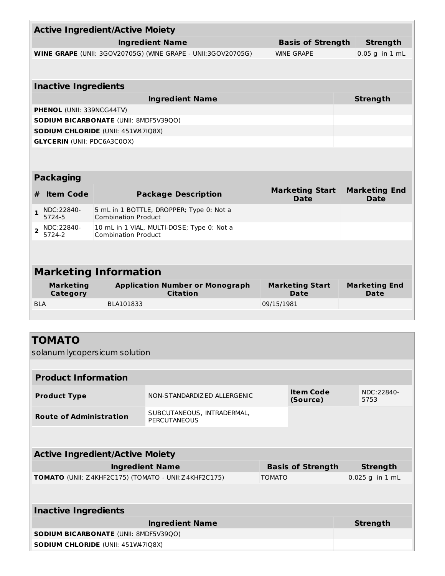| <b>Active Ingredient/Active Moiety</b>                                           |                            |                                                              |            |                                       |  |                                     |
|----------------------------------------------------------------------------------|----------------------------|--------------------------------------------------------------|------------|---------------------------------------|--|-------------------------------------|
|                                                                                  |                            |                                                              |            |                                       |  |                                     |
|                                                                                  |                            | <b>Ingredient Name</b>                                       |            | <b>Basis of Strength</b>              |  | <b>Strength</b>                     |
|                                                                                  |                            | WINE GRAPE (UNII: 3GOV20705G) (WINE GRAPE - UNII:3GOV20705G) |            | <b>WINE GRAPE</b>                     |  | $0.05$ q in $1$ mL                  |
|                                                                                  |                            |                                                              |            |                                       |  |                                     |
|                                                                                  |                            |                                                              |            |                                       |  |                                     |
| <b>Inactive Ingredients</b>                                                      |                            |                                                              |            |                                       |  |                                     |
|                                                                                  |                            | <b>Ingredient Name</b>                                       |            |                                       |  | <b>Strength</b>                     |
| <b>PHENOL (UNII: 339NCG44TV)</b><br><b>SODIUM BICARBONATE (UNII: 8MDF5V39QO)</b> |                            |                                                              |            |                                       |  |                                     |
| SODIUM CHLORIDE (UNII: 451W47IQ8X)                                               |                            |                                                              |            |                                       |  |                                     |
| <b>GLYCERIN (UNII: PDC6A3C0OX)</b>                                               |                            |                                                              |            |                                       |  |                                     |
|                                                                                  |                            |                                                              |            |                                       |  |                                     |
|                                                                                  |                            |                                                              |            |                                       |  |                                     |
| <b>Packaging</b>                                                                 |                            |                                                              |            |                                       |  |                                     |
| <b>Item Code</b><br>#                                                            |                            | <b>Package Description</b>                                   |            | <b>Marketing Start</b><br><b>Date</b> |  | <b>Marketing End</b><br><b>Date</b> |
| NDC:22840-<br>$\mathbf{1}$<br>5724-5                                             | <b>Combination Product</b> | 5 mL in 1 BOTTLE, DROPPER; Type 0: Not a                     |            |                                       |  |                                     |
| NDC:22840-<br>$\overline{2}$<br>5724-2                                           | <b>Combination Product</b> | 10 mL in 1 VIAL, MULTI-DOSE; Type 0: Not a                   |            |                                       |  |                                     |
|                                                                                  |                            |                                                              |            |                                       |  |                                     |
|                                                                                  |                            |                                                              |            |                                       |  |                                     |
| <b>Marketing Information</b>                                                     |                            |                                                              |            |                                       |  |                                     |
|                                                                                  |                            |                                                              |            | <b>Marketing Start</b>                |  |                                     |
| <b>Marketing</b><br>Category                                                     |                            |                                                              |            |                                       |  |                                     |
|                                                                                  |                            | <b>Application Number or Monograph</b><br><b>Citation</b>    |            | <b>Date</b>                           |  | <b>Marketing End</b><br>Date        |
| <b>BLA</b>                                                                       | BLA101833                  |                                                              | 09/15/1981 |                                       |  |                                     |
|                                                                                  |                            |                                                              |            |                                       |  |                                     |
|                                                                                  |                            |                                                              |            |                                       |  |                                     |
| <b>TOMATO</b>                                                                    |                            |                                                              |            |                                       |  |                                     |
| solanum lycopersicum solution                                                    |                            |                                                              |            |                                       |  |                                     |
|                                                                                  |                            |                                                              |            |                                       |  |                                     |
| <b>Product Information</b>                                                       |                            |                                                              |            |                                       |  |                                     |
| <b>Product Type</b>                                                              |                            | NON-STANDARDIZ ED ALLERGENIC                                 |            | <b>Item Code</b><br>(Source)          |  | NDC:22840-<br>5753                  |
| <b>Route of Administration</b>                                                   |                            | SUBCUTANEOUS, INTRADERMAL,<br><b>PERCUTANEOUS</b>            |            |                                       |  |                                     |
|                                                                                  |                            |                                                              |            |                                       |  |                                     |
| <b>Active Ingredient/Active Moiety</b>                                           |                            |                                                              |            |                                       |  |                                     |
|                                                                                  |                            | <b>Ingredient Name</b>                                       |            | <b>Basis of Strength</b>              |  | <b>Strength</b>                     |

| <b>Inactive Ingredients</b>                  |                 |  |  |  |
|----------------------------------------------|-----------------|--|--|--|
| <b>Ingredient Name</b>                       | <b>Strength</b> |  |  |  |
| <b>SODIUM BICARBONATE (UNII: 8MDF5V39QO)</b> |                 |  |  |  |
| <b>SODIUM CHLORIDE (UNII: 451W47IQ8X)</b>    |                 |  |  |  |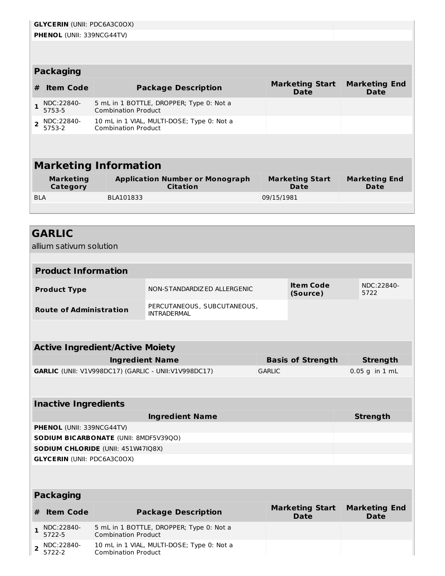|                         | <b>GLYCERIN (UNII: PDC6A3C0OX)</b>                                                                                                                          |                                                                          |            |  |  |  |  |
|-------------------------|-------------------------------------------------------------------------------------------------------------------------------------------------------------|--------------------------------------------------------------------------|------------|--|--|--|--|
|                         | <b>PHENOL (UNII: 339NCG44TV)</b>                                                                                                                            |                                                                          |            |  |  |  |  |
|                         |                                                                                                                                                             |                                                                          |            |  |  |  |  |
|                         |                                                                                                                                                             |                                                                          |            |  |  |  |  |
|                         | <b>Packaging</b>                                                                                                                                            |                                                                          |            |  |  |  |  |
| #                       | <b>Marketing Start</b><br><b>Marketing End</b><br><b>Item Code</b><br><b>Package Description</b><br><b>Date</b><br><b>Date</b>                              |                                                                          |            |  |  |  |  |
|                         | NDC:22840-<br>5 mL in 1 BOTTLE, DROPPER; Type 0: Not a<br>5753-5<br><b>Combination Product</b>                                                              |                                                                          |            |  |  |  |  |
| $\overline{\mathbf{z}}$ | NDC:22840-<br>5753-2                                                                                                                                        | 10 mL in 1 VIAL, MULTI-DOSE; Type 0: Not a<br><b>Combination Product</b> |            |  |  |  |  |
|                         |                                                                                                                                                             |                                                                          |            |  |  |  |  |
|                         |                                                                                                                                                             |                                                                          |            |  |  |  |  |
|                         |                                                                                                                                                             | <b>Marketing Information</b>                                             |            |  |  |  |  |
|                         | <b>Marketing</b><br><b>Application Number or Monograph</b><br><b>Marketing Start</b><br><b>Marketing End</b><br><b>Citation</b><br>Category<br>Date<br>Date |                                                                          |            |  |  |  |  |
| <b>BLA</b>              |                                                                                                                                                             | BLA101833                                                                | 09/15/1981 |  |  |  |  |
|                         |                                                                                                                                                             |                                                                          |            |  |  |  |  |

# **GARLIC**

allium sativum solution

| <b>Product Information</b>     |                                            |                              |                    |
|--------------------------------|--------------------------------------------|------------------------------|--------------------|
| <b>Product Type</b>            | NON-STANDARDIZ ED ALLERGENIC               | <b>Item Code</b><br>(Source) | NDC:22840-<br>5722 |
| <b>Route of Administration</b> | PERCUTANEOUS, SUBCUTANEOUS,<br>INTRADFRMAI |                              |                    |

| <b>Basis of Strength</b> | Strength          |
|--------------------------|-------------------|
| <b>GARLIC</b>            | $ 0.05$ g in 1 mL |
|                          |                   |

### **Inactive Ingredients**

| <b>Ingredient Name</b>                       | <b>Strength</b> |
|----------------------------------------------|-----------------|
| <b>PHENOL</b> (UNII: 339NCG44TV)             |                 |
| <b>SODIUM BICARBONATE (UNII: 8MDF5V39QO)</b> |                 |
| <b>SODIUM CHLORIDE</b> (UNII: 451W47IQ8X)    |                 |
| <b>GLYCERIN (UNII: PDC6A3C0OX)</b>           |                 |

#### **Packaging**

| # Item Code                                             | <b>Package Description</b>                                               | <b>Marketing Start</b><br><b>Date</b> | <b>Marketing End</b><br>Date |
|---------------------------------------------------------|--------------------------------------------------------------------------|---------------------------------------|------------------------------|
| $\frac{1}{5722-5}$                                      | 5 mL in 1 BOTTLE, DROPPER; Type 0: Not a<br><b>Combination Product</b>   |                                       |                              |
| $2 \big  \frac{\text{NDC}:22840-5722-2}{\text{5722-2}}$ | 10 mL in 1 VIAL, MULTI-DOSE; Type 0: Not a<br><b>Combination Product</b> |                                       |                              |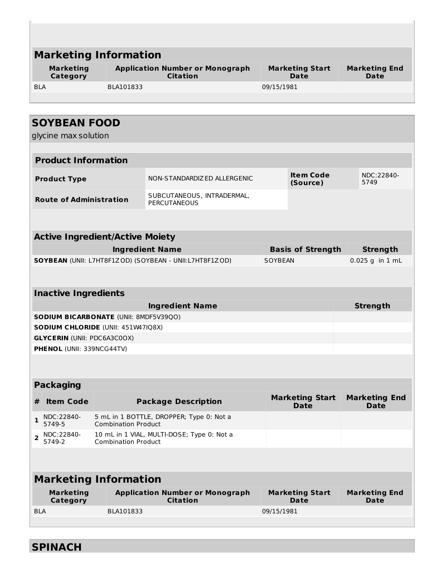| <b>Marketing Information</b>                 |                            |                                                           |                |                                       |                              |
|----------------------------------------------|----------------------------|-----------------------------------------------------------|----------------|---------------------------------------|------------------------------|
| <b>Marketing</b><br>Category                 |                            | <b>Application Number or Monograph</b><br><b>Citation</b> |                | <b>Marketing Start</b><br>Date        | <b>Marketing End</b><br>Date |
| <b>BLA</b>                                   | BLA101833                  |                                                           | 09/15/1981     |                                       |                              |
|                                              |                            |                                                           |                |                                       |                              |
|                                              |                            |                                                           |                |                                       |                              |
| <b>SOYBEAN FOOD</b>                          |                            |                                                           |                |                                       |                              |
| glycine max solution                         |                            |                                                           |                |                                       |                              |
| <b>Product Information</b>                   |                            |                                                           |                |                                       |                              |
|                                              |                            |                                                           |                |                                       |                              |
| <b>Product Type</b>                          |                            | NON-STANDARDIZED ALLERGENIC                               |                | <b>Item Code</b><br>(Source)          | NDC:22840-<br>5749           |
| <b>Route of Administration</b>               |                            | SUBCUTANEOUS, INTRADERMAL,<br><b>PERCUTANEOUS</b>         |                |                                       |                              |
|                                              |                            |                                                           |                |                                       |                              |
|                                              |                            |                                                           |                |                                       |                              |
| <b>Active Ingredient/Active Moiety</b>       |                            |                                                           |                |                                       |                              |
|                                              |                            | <b>Ingredient Name</b>                                    |                | <b>Basis of Strength</b>              | <b>Strength</b>              |
|                                              |                            | SOYBEAN (UNII: L7HT8F1ZOD) (SOYBEAN - UNII:L7HT8F1ZOD)    | <b>SOYBEAN</b> |                                       | $0.025$ g in 1 mL            |
|                                              |                            |                                                           |                |                                       |                              |
| <b>Inactive Ingredients</b>                  |                            |                                                           |                |                                       |                              |
|                                              |                            | <b>Ingredient Name</b>                                    |                |                                       | <b>Strength</b>              |
| <b>SODIUM BICARBONATE (UNII: 8MDF5V39QO)</b> |                            |                                                           |                |                                       |                              |
| <b>SODIUM CHLORIDE (UNII: 451W47IQ8X)</b>    |                            |                                                           |                |                                       |                              |
| <b>GLYCERIN (UNII: PDC6A3C0OX)</b>           |                            |                                                           |                |                                       |                              |
| PHENOL (UNII: 339NCG44TV)                    |                            |                                                           |                |                                       |                              |
|                                              |                            |                                                           |                |                                       |                              |
| <b>Packaging</b>                             |                            |                                                           |                |                                       |                              |
| <b>Item Code</b>                             |                            | <b>Package Description</b>                                |                | <b>Marketing Start</b>                | <b>Marketing End</b>         |
| #                                            |                            |                                                           |                | <b>Date</b>                           | <b>Date</b>                  |
| NDC:22840-<br>1<br>5749-5                    | <b>Combination Product</b> | 5 mL in 1 BOTTLE, DROPPER; Type 0: Not a                  |                |                                       |                              |
| NDC:22840-<br>$\overline{2}$<br>5749-2       | <b>Combination Product</b> | 10 mL in 1 VIAL, MULTI-DOSE; Type 0: Not a                |                |                                       |                              |
|                                              |                            |                                                           |                |                                       |                              |
| <b>Marketing Information</b>                 |                            |                                                           |                |                                       |                              |
| <b>Marketing</b><br>Category                 |                            | <b>Application Number or Monograph</b><br><b>Citation</b> |                | <b>Marketing Start</b><br><b>Date</b> | <b>Marketing End</b><br>Date |
| <b>BLA</b>                                   | BLA101833                  |                                                           | 09/15/1981     |                                       |                              |
|                                              |                            |                                                           |                |                                       |                              |
|                                              |                            |                                                           |                |                                       |                              |

**SPINACH**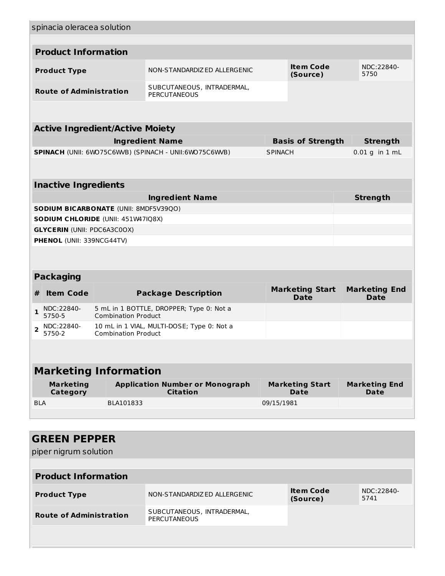|                | spinacia oleracea solution          |                                              |                                                           |                |                                       |                                     |
|----------------|-------------------------------------|----------------------------------------------|-----------------------------------------------------------|----------------|---------------------------------------|-------------------------------------|
|                |                                     |                                              |                                                           |                |                                       |                                     |
|                | <b>Product Information</b>          |                                              |                                                           |                |                                       |                                     |
|                | <b>Product Type</b>                 |                                              | NON-STANDARDIZED ALLERGENIC                               |                | <b>Item Code</b><br>(Source)          | NDC:22840-<br>5750                  |
|                | <b>Route of Administration</b>      |                                              | SUBCUTANEOUS, INTRADERMAL,<br><b>PERCUTANEOUS</b>         |                |                                       |                                     |
|                |                                     |                                              |                                                           |                |                                       |                                     |
|                |                                     | <b>Active Ingredient/Active Moiety</b>       |                                                           |                |                                       |                                     |
|                |                                     |                                              | <b>Ingredient Name</b>                                    |                | <b>Basis of Strength</b>              | <b>Strength</b>                     |
|                |                                     |                                              | SPINACH (UNII: 6WO75C6WVB) (SPINACH - UNII:6WO75C6WVB)    | <b>SPINACH</b> |                                       | $0.01$ g in $1$ mL                  |
|                | <b>Inactive Ingredients</b>         |                                              |                                                           |                |                                       |                                     |
|                |                                     |                                              | <b>Ingredient Name</b>                                    |                |                                       | <b>Strength</b>                     |
|                |                                     | <b>SODIUM BICARBONATE (UNII: 8MDF5V39QO)</b> |                                                           |                |                                       |                                     |
|                |                                     | <b>SODIUM CHLORIDE (UNII: 451W47IQ8X)</b>    |                                                           |                |                                       |                                     |
|                | <b>GLYCERIN (UNII: PDC6A3C0OX)</b>  |                                              |                                                           |                |                                       |                                     |
|                | PHENOL (UNII: 339NCG44TV)           |                                              |                                                           |                |                                       |                                     |
|                |                                     |                                              |                                                           |                |                                       |                                     |
|                | <b>Packaging</b>                    |                                              |                                                           |                |                                       |                                     |
| #              | <b>Item Code</b>                    |                                              | <b>Package Description</b>                                |                | <b>Marketing Start</b><br><b>Date</b> | <b>Marketing End</b><br><b>Date</b> |
| 1              | NDC:22840-<br>5750-5                | <b>Combination Product</b>                   | 5 mL in 1 BOTTLE, DROPPER; Type 0: Not a                  |                |                                       |                                     |
| $\overline{2}$ | NDC:22840-<br>5750-2                | <b>Combination Product</b>                   | 10 mL in 1 VIAL, MULTI-DOSE; Type 0: Not a                |                |                                       |                                     |
|                |                                     |                                              |                                                           |                |                                       |                                     |
|                |                                     | <b>Marketing Information</b>                 |                                                           |                |                                       |                                     |
|                | <b>Marketing</b><br><b>Category</b> |                                              | <b>Application Number or Monograph</b><br><b>Citation</b> |                | <b>Marketing Start</b><br>Date        | <b>Marketing End</b><br>Date        |
| <b>BLA</b>     |                                     | BLA101833                                    |                                                           | 09/15/1981     |                                       |                                     |
|                |                                     |                                              |                                                           |                |                                       |                                     |
|                |                                     |                                              |                                                           |                |                                       |                                     |
|                | <b>GREEN PEPPER</b>                 |                                              |                                                           |                |                                       |                                     |
|                | piper nigrum solution               |                                              |                                                           |                |                                       |                                     |
|                |                                     |                                              |                                                           |                |                                       |                                     |
|                | <b>Product Information</b>          |                                              |                                                           |                |                                       |                                     |
|                | <b>Product Type</b>                 |                                              | NON-STANDARDIZED ALLERGENIC                               |                | <b>Item Code</b><br>(Source)          | NDC:22840-<br>5741                  |

SUBCUTANEOUS, INTRADERMAL,

PERCUTANEOUS

**Route of Administration**

**(Source)**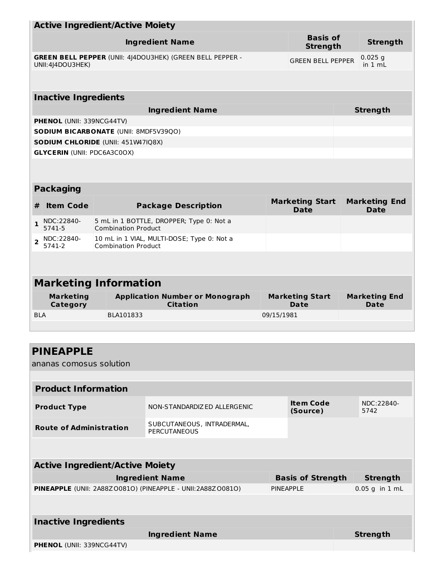|                                        | <b>Active Ingredient/Active Moiety</b>                                   |            |                                       |                                     |
|----------------------------------------|--------------------------------------------------------------------------|------------|---------------------------------------|-------------------------------------|
|                                        | <b>Ingredient Name</b>                                                   |            | <b>Basis of</b><br><b>Strength</b>    | <b>Strength</b>                     |
| UNII: 4 4DOU3HEK)                      | GREEN BELL PEPPER (UNII: 4J4DOU3HEK) (GREEN BELL PEPPER -                |            | <b>GREEN BELL PEPPER</b>              | $0.025$ q<br>in 1 mL                |
|                                        |                                                                          |            |                                       |                                     |
| <b>Inactive Ingredients</b>            |                                                                          |            |                                       |                                     |
|                                        | <b>Ingredient Name</b>                                                   |            |                                       | <b>Strength</b>                     |
| PHENOL (UNII: 339NCG44TV)              |                                                                          |            |                                       |                                     |
|                                        | SODIUM BICARBONATE (UNII: 8MDF5V39QO)                                    |            |                                       |                                     |
|                                        | SODIUM CHLORIDE (UNII: 451W47IQ8X)                                       |            |                                       |                                     |
| <b>GLYCERIN (UNII: PDC6A3C0OX)</b>     |                                                                          |            |                                       |                                     |
|                                        |                                                                          |            |                                       |                                     |
| <b>Packaging</b>                       |                                                                          |            |                                       |                                     |
| <b>Item Code</b><br>#                  | <b>Package Description</b>                                               |            | <b>Marketing Start</b><br><b>Date</b> | <b>Marketing End</b><br><b>Date</b> |
| NDC:22840-<br>$\mathbf{1}$<br>5741-5   | 5 mL in 1 BOTTLE, DROPPER; Type 0: Not a<br><b>Combination Product</b>   |            |                                       |                                     |
| NDC:22840-<br>$\overline{2}$<br>5741-2 | 10 mL in 1 VIAL, MULTI-DOSE; Type 0: Not a<br><b>Combination Product</b> |            |                                       |                                     |
|                                        |                                                                          |            |                                       |                                     |
|                                        | <b>Marketing Information</b>                                             |            |                                       |                                     |
| <b>Marketing</b><br>Category           | <b>Application Number or Monograph</b><br><b>Citation</b>                |            | <b>Marketing Start</b><br><b>Date</b> | <b>Marketing End</b><br><b>Date</b> |
| <b>BLA</b>                             | BLA101833                                                                | 09/15/1981 |                                       |                                     |
|                                        |                                                                          |            |                                       |                                     |
|                                        |                                                                          |            |                                       |                                     |
| <b>PINEAPPLE</b>                       |                                                                          |            |                                       |                                     |
| ananas comosus solution                |                                                                          |            |                                       |                                     |
|                                        |                                                                          |            |                                       |                                     |
| Bara alamata TanGar                    | ш.                                                                       |            |                                       |                                     |

| <b>Product Information</b>     |                                            |                       |                    |  |  |
|--------------------------------|--------------------------------------------|-----------------------|--------------------|--|--|
| <b>Product Type</b>            | NON-STANDARDIZED ALLERGENIC                | Item Code<br>(Source) | NDC:22840-<br>5742 |  |  |
| <b>Route of Administration</b> | SUBCUTANEOUS, INTRADERMAL,<br>PERCUTANEOUS |                       |                    |  |  |

| <b>Active Ingredient/Active Moiety</b>                       |                          |                  |  |  |  |
|--------------------------------------------------------------|--------------------------|------------------|--|--|--|
| <b>Ingredient Name</b>                                       | <b>Basis of Strength</b> | <b>Strength</b>  |  |  |  |
| PINEAPPLE (UNII: 2A88Z 00810) (PINEAPPLE - UNII:2A88Z 00810) | PINEAPPLE                | $0.05$ g in 1 mL |  |  |  |
|                                                              |                          |                  |  |  |  |
| <b>Inactive Ingredients</b>                                  |                          |                  |  |  |  |
| <b>Ingredient Name</b>                                       |                          | <b>Strength</b>  |  |  |  |
| <b>PHENOL</b> (UNII: 339NCG44TV)                             |                          |                  |  |  |  |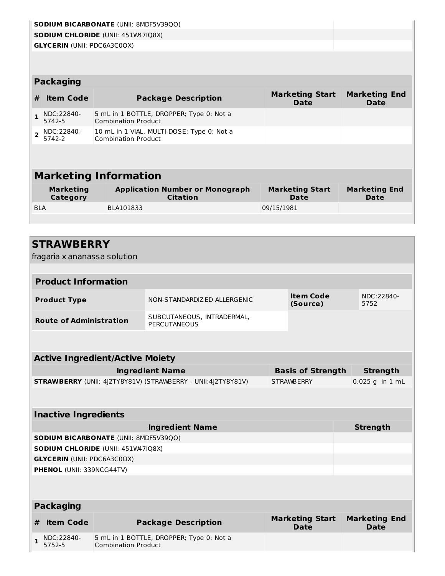|                |                                     | <b>SODIUM BICARBONATE (UNII: 8MDF5V39QO)</b>                             |                                       |                                     |  |
|----------------|-------------------------------------|--------------------------------------------------------------------------|---------------------------------------|-------------------------------------|--|
|                |                                     | <b>SODIUM CHLORIDE (UNII: 451W47IQ8X)</b>                                |                                       |                                     |  |
|                | <b>GLYCERIN (UNII: PDC6A3C0OX)</b>  |                                                                          |                                       |                                     |  |
|                |                                     |                                                                          |                                       |                                     |  |
|                |                                     |                                                                          |                                       |                                     |  |
|                | <b>Packaging</b>                    |                                                                          |                                       |                                     |  |
| #              | <b>Item Code</b>                    | <b>Package Description</b>                                               | <b>Marketing Start</b><br><b>Date</b> | <b>Marketing End</b><br><b>Date</b> |  |
| $\mathbf{1}$   | NDC:22840-<br>5742-5                | 5 mL in 1 BOTTLE, DROPPER; Type 0: Not a<br><b>Combination Product</b>   |                                       |                                     |  |
| $\overline{2}$ | NDC:22840-<br>5742-2                | 10 mL in 1 VIAL, MULTI-DOSE; Type 0: Not a<br><b>Combination Product</b> |                                       |                                     |  |
|                |                                     |                                                                          |                                       |                                     |  |
|                |                                     | <b>Marketing Information</b>                                             |                                       |                                     |  |
|                | <b>Marketing</b><br><b>Category</b> | <b>Application Number or Monograph</b><br><b>Citation</b>                | <b>Marketing Start</b><br><b>Date</b> | <b>Marketing End</b><br><b>Date</b> |  |
| <b>BLA</b>     |                                     | BLA101833                                                                | 09/15/1981                            |                                     |  |
|                |                                     |                                                                          |                                       |                                     |  |
|                |                                     |                                                                          |                                       |                                     |  |
|                | <b>STRAWBERRY</b>                   |                                                                          |                                       |                                     |  |
|                |                                     |                                                                          |                                       |                                     |  |
|                | fragaria x ananassa solution        |                                                                          |                                       |                                     |  |

| <b>Product Information</b>     |                                            |                       |                    |  |  |
|--------------------------------|--------------------------------------------|-----------------------|--------------------|--|--|
| <b>Product Type</b>            | NON-STANDARDIZED ALLERGENIC                | Item Code<br>(Source) | NDC:22840-<br>5752 |  |  |
| <b>Route of Administration</b> | SUBCUTANEOUS, INTRADERMAL,<br>PERCUTANEOUS |                       |                    |  |  |

| <b>Active Ingredient/Active Moiety</b>                              |                          |                         |  |  |
|---------------------------------------------------------------------|--------------------------|-------------------------|--|--|
| <b>Ingredient Name</b>                                              | <b>Basis of Strength</b> | Strength                |  |  |
| <b>STRAWBERRY</b> (UNII: 4)2TY8Y81V) (STRAWBERRY - UNII:4)2TY8Y81V) | <b>STRAWBERRY</b>        | $\vert 0.025$ g in 1 mL |  |  |

| <b>Inactive Ingredients</b>                  |                 |  |  |  |  |
|----------------------------------------------|-----------------|--|--|--|--|
| <b>Ingredient Name</b>                       | <b>Strength</b> |  |  |  |  |
| <b>SODIUM BICARBONATE (UNII: 8MDF5V39QO)</b> |                 |  |  |  |  |
| <b>SODIUM CHLORIDE (UNII: 451W47IQ8X)</b>    |                 |  |  |  |  |
| <b>GLYCERIN (UNII: PDC6A3C0OX)</b>           |                 |  |  |  |  |
| <b>PHENOL</b> (UNII: 339NCG44TV)             |                 |  |  |  |  |
|                                              |                 |  |  |  |  |

|   | Packaging            |                                                                        |                                |                                     |  |  |  |
|---|----------------------|------------------------------------------------------------------------|--------------------------------|-------------------------------------|--|--|--|
| # | <b>Item Code</b>     | <b>Package Description</b>                                             | <b>Marketing Start</b><br>Date | <b>Marketing End</b><br><b>Date</b> |  |  |  |
|   | NDC:22840-<br>5752-5 | 5 mL in 1 BOTTLE, DROPPER; Type 0: Not a<br><b>Combination Product</b> |                                |                                     |  |  |  |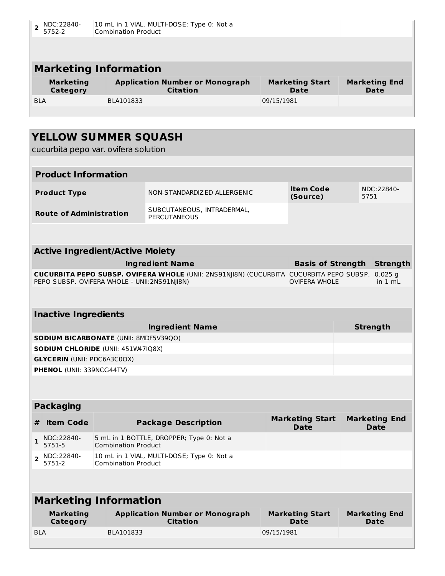|            | NDC:22840-<br>5752-2         | 10 mL in 1 VIAL, MULTI-DOSE; Type 0: Not a<br><b>Combination Product</b> |                                |                              |
|------------|------------------------------|--------------------------------------------------------------------------|--------------------------------|------------------------------|
|            |                              |                                                                          |                                |                              |
|            |                              |                                                                          |                                |                              |
|            |                              | <b>Marketing Information</b>                                             |                                |                              |
|            | <b>Marketing</b><br>Category | <b>Application Number or Monograph</b><br><b>Citation</b>                | <b>Marketing Start</b><br>Date | <b>Marketing End</b><br>Date |
| <b>BLA</b> |                              | BLA101833                                                                | 09/15/1981                     |                              |
|            |                              |                                                                          |                                |                              |
|            |                              |                                                                          |                                |                              |

| <b>YELLOW SUMMER SQUASH</b>                                     |                                                                                                |            |                                       |      |                                     |
|-----------------------------------------------------------------|------------------------------------------------------------------------------------------------|------------|---------------------------------------|------|-------------------------------------|
| cucurbita pepo var. ovifera solution                            |                                                                                                |            |                                       |      |                                     |
|                                                                 |                                                                                                |            |                                       |      |                                     |
| <b>Product Information</b>                                      |                                                                                                |            |                                       |      |                                     |
| <b>Product Type</b>                                             | NON-STANDARDIZ ED ALLERGENIC                                                                   |            | <b>Item Code</b><br>(Source)          | 5751 | NDC:22840-                          |
| <b>Route of Administration</b>                                  | SUBCUTANEOUS, INTRADERMAL,<br><b>PERCUTANEOUS</b>                                              |            |                                       |      |                                     |
|                                                                 |                                                                                                |            |                                       |      |                                     |
| <b>Active Ingredient/Active Moiety</b>                          |                                                                                                |            |                                       |      |                                     |
|                                                                 | <b>Ingredient Name</b>                                                                         |            | <b>Basis of Strength</b>              |      | <b>Strength</b>                     |
| PEPO SUBSP. OVIFERA WHOLE - UNII:2NS91NJI8N)                    | <b>CUCURBITA PEPO SUBSP. OVIFERA WHOLE (UNII: 2NS91NJI8N) (CUCURBITA CUCURBITA PEPO SUBSP.</b> |            | <b>OVIFERA WHOLE</b>                  |      | $0.025$ g<br>in 1 mL                |
|                                                                 |                                                                                                |            |                                       |      |                                     |
| <b>Inactive Ingredients</b>                                     |                                                                                                |            |                                       |      |                                     |
|                                                                 | <b>Ingredient Name</b>                                                                         |            |                                       |      | <b>Strength</b>                     |
| SODIUM BICARBONATE (UNII: 8MDF5V39QO)                           |                                                                                                |            |                                       |      |                                     |
| SODIUM CHLORIDE (UNII: 451W47IQ8X)                              |                                                                                                |            |                                       |      |                                     |
| <b>GLYCERIN (UNII: PDC6A3C0OX)</b><br>PHENOL (UNII: 339NCG44TV) |                                                                                                |            |                                       |      |                                     |
|                                                                 |                                                                                                |            |                                       |      |                                     |
|                                                                 |                                                                                                |            |                                       |      |                                     |
| <b>Packaging</b>                                                |                                                                                                |            |                                       |      |                                     |
| <b>Item Code</b><br>#                                           | <b>Package Description</b>                                                                     |            | <b>Marketing Start</b><br><b>Date</b> |      | <b>Marketing End</b><br><b>Date</b> |
| NDC:22840-<br>$\mathbf{1}$<br>5751-5                            | 5 mL in 1 BOTTLE, DROPPER; Type 0: Not a<br><b>Combination Product</b>                         |            |                                       |      |                                     |
| NDC:22840-<br>$\mathbf{2}$<br>5751-2                            | 10 mL in 1 VIAL, MULTI-DOSE; Type 0: Not a<br><b>Combination Product</b>                       |            |                                       |      |                                     |
|                                                                 |                                                                                                |            |                                       |      |                                     |
| <b>Marketing Information</b>                                    |                                                                                                |            |                                       |      |                                     |
| <b>Marketing</b><br>Category                                    | <b>Application Number or Monograph</b><br><b>Citation</b>                                      |            | <b>Marketing Start</b><br><b>Date</b> |      | <b>Marketing End</b><br><b>Date</b> |
| <b>BLA</b><br>BLA101833                                         |                                                                                                | 09/15/1981 |                                       |      |                                     |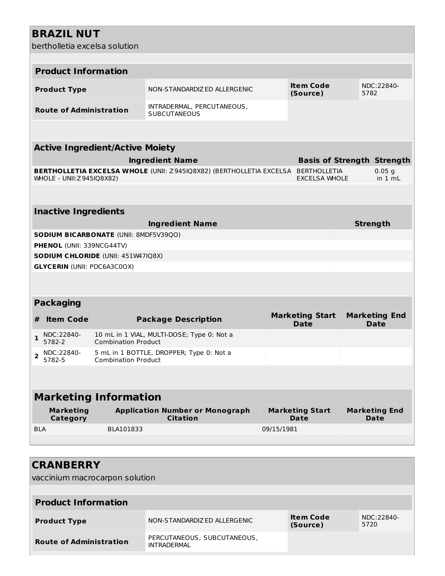## **BRAZIL NUT**

bertholletia excelsa solution

|                              | bertholletia excelsa solution      |                                        |                                                                                         |            |                                       |      |                                     |
|------------------------------|------------------------------------|----------------------------------------|-----------------------------------------------------------------------------------------|------------|---------------------------------------|------|-------------------------------------|
|                              |                                    |                                        |                                                                                         |            |                                       |      |                                     |
|                              | <b>Product Information</b>         |                                        |                                                                                         |            |                                       |      |                                     |
|                              | <b>Product Type</b>                |                                        | NON-STANDARDIZED ALLERGENIC                                                             |            | <b>Item Code</b><br>(Source)          | 5782 | NDC:22840-                          |
|                              | <b>Route of Administration</b>     |                                        | INTRADERMAL, PERCUTANEOUS,<br><b>SUBCUTANEOUS</b>                                       |            |                                       |      |                                     |
|                              |                                    |                                        |                                                                                         |            |                                       |      |                                     |
|                              |                                    | <b>Active Ingredient/Active Moiety</b> |                                                                                         |            |                                       |      |                                     |
|                              |                                    |                                        | <b>Ingredient Name</b>                                                                  |            |                                       |      | <b>Basis of Strength Strength</b>   |
|                              | WHOLE - UNII: Z945IQ8X82)          |                                        | <b>BERTHOLLETIA EXCELSA WHOLE (UNII: Z945IQ8X82) (BERTHOLLETIA EXCELSA BERTHOLLETIA</b> |            | <b>EXCELSA WHOLE</b>                  |      | $0.05$ g<br>in $1 \text{ mL}$       |
|                              |                                    |                                        |                                                                                         |            |                                       |      |                                     |
|                              | <b>Inactive Ingredients</b>        |                                        |                                                                                         |            |                                       |      |                                     |
|                              |                                    |                                        | <b>Ingredient Name</b>                                                                  |            |                                       |      | <b>Strength</b>                     |
|                              |                                    | SODIUM BICARBONATE (UNII: 8MDF5V39Q0)  |                                                                                         |            |                                       |      |                                     |
|                              | <b>PHENOL (UNII: 339NCG44TV)</b>   |                                        |                                                                                         |            |                                       |      |                                     |
|                              |                                    | SODIUM CHLORIDE (UNII: 451W47IQ8X)     |                                                                                         |            |                                       |      |                                     |
|                              | <b>GLYCERIN (UNII: PDC6A3C0OX)</b> |                                        |                                                                                         |            |                                       |      |                                     |
|                              |                                    |                                        |                                                                                         |            |                                       |      |                                     |
|                              | <b>Packaging</b>                   |                                        |                                                                                         |            |                                       |      |                                     |
| #                            | <b>Item Code</b>                   |                                        | <b>Package Description</b>                                                              |            | <b>Marketing Start</b><br><b>Date</b> |      | <b>Marketing End</b><br><b>Date</b> |
| $\mathbf{1}$                 | NDC:22840-<br>5782-2               | <b>Combination Product</b>             | 10 mL in 1 VIAL, MULTI-DOSE; Type 0: Not a                                              |            |                                       |      |                                     |
| $\overline{2}$               | NDC:22840-<br>5782-5               | <b>Combination Product</b>             | 5 mL in 1 BOTTLE, DROPPER; Type 0: Not a                                                |            |                                       |      |                                     |
|                              |                                    |                                        |                                                                                         |            |                                       |      |                                     |
| <b>Marketing Information</b> |                                    |                                        |                                                                                         |            |                                       |      |                                     |
|                              | <b>Marketing</b><br>Category       |                                        | <b>Application Number or Monograph</b><br><b>Citation</b>                               |            | <b>Marketing Start</b><br>Date        |      | <b>Marketing End</b><br><b>Date</b> |
| <b>BLA</b>                   |                                    | BLA101833                              |                                                                                         | 09/15/1981 |                                       |      |                                     |
|                              |                                    |                                        |                                                                                         |            |                                       |      |                                     |

| <b>CRANBERRY</b>               |                                                   |                              |                    |
|--------------------------------|---------------------------------------------------|------------------------------|--------------------|
| vaccinium macrocarpon solution |                                                   |                              |                    |
|                                |                                                   |                              |                    |
| <b>Product Information</b>     |                                                   |                              |                    |
| <b>Product Type</b>            | NON-STANDARDIZ ED ALLERGENIC                      | <b>Item Code</b><br>(Source) | NDC:22840-<br>5720 |
| <b>Route of Administration</b> | PERCUTANEOUS, SUBCUTANEOUS,<br><b>INTRADERMAL</b> |                              |                    |
|                                |                                                   |                              |                    |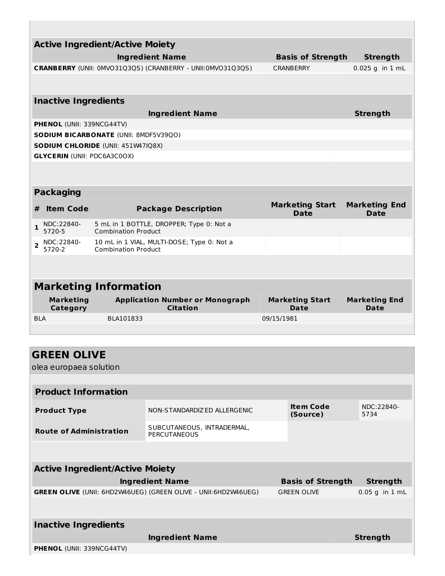|                |                                     | <b>Active Ingredient/Active Moiety</b>                                   |                                       |                                     |
|----------------|-------------------------------------|--------------------------------------------------------------------------|---------------------------------------|-------------------------------------|
|                |                                     | <b>Ingredient Name</b>                                                   | <b>Basis of Strength</b>              | <b>Strength</b>                     |
|                |                                     | CRANBERRY (UNII: 0MVO31Q3QS) (CRANBERRY - UNII:0MVO31Q3QS)               | <b>CRANBERRY</b>                      | 0.025 g in 1 mL                     |
|                |                                     |                                                                          |                                       |                                     |
|                | <b>Inactive Ingredients</b>         |                                                                          |                                       |                                     |
|                |                                     | <b>Ingredient Name</b>                                                   |                                       | <b>Strength</b>                     |
|                | PHENOL (UNII: 339NCG44TV)           |                                                                          |                                       |                                     |
|                |                                     | <b>SODIUM BICARBONATE (UNII: 8MDF5V39QO)</b>                             |                                       |                                     |
|                |                                     | <b>SODIUM CHLORIDE (UNII: 451W47IQ8X)</b>                                |                                       |                                     |
|                |                                     | <b>GLYCERIN (UNII: PDC6A3C0OX)</b>                                       |                                       |                                     |
|                |                                     |                                                                          |                                       |                                     |
|                | <b>Packaging</b>                    |                                                                          |                                       |                                     |
| #              | <b>Item Code</b>                    | <b>Package Description</b>                                               | <b>Marketing Start</b><br><b>Date</b> | <b>Marketing End</b><br><b>Date</b> |
| $\mathbf{1}$   | NDC:22840-<br>5720-5                | 5 mL in 1 BOTTLE, DROPPER; Type 0: Not a<br><b>Combination Product</b>   |                                       |                                     |
| $\overline{2}$ | NDC:22840-<br>5720-2                | 10 mL in 1 VIAL, MULTI-DOSE; Type 0: Not a<br><b>Combination Product</b> |                                       |                                     |
|                |                                     |                                                                          |                                       |                                     |
|                |                                     | <b>Marketing Information</b>                                             |                                       |                                     |
|                | <b>Marketing</b><br><b>Category</b> | <b>Application Number or Monograph</b><br><b>Citation</b>                | <b>Marketing Start</b><br>Date        | <b>Marketing End</b><br>Date        |
| <b>BLA</b>     |                                     | BLA101833                                                                | 09/15/1981                            |                                     |
|                |                                     |                                                                          |                                       |                                     |
|                |                                     |                                                                          |                                       |                                     |
|                | <b>GREEN OLIVE</b>                  |                                                                          |                                       |                                     |
|                | olea europaea solution              |                                                                          |                                       |                                     |
|                |                                     |                                                                          |                                       |                                     |
|                | <b>Product Information</b>          |                                                                          |                                       |                                     |

| <b>Product Type</b>            | NON-STANDARDIZED ALLERGENIC                | Item Code<br>(Source) | NDC:22840-<br>5734 |
|--------------------------------|--------------------------------------------|-----------------------|--------------------|
| <b>Route of Administration</b> | SUBCUTANEOUS, INTRADERMAL,<br>PERCUTANEOUS |                       |                    |

| <b>Active Ingredient/Active Moiety</b>                                |                          |                  |  |  |  |  |  |  |
|-----------------------------------------------------------------------|--------------------------|------------------|--|--|--|--|--|--|
| <b>Ingredient Name</b>                                                | <b>Basis of Strength</b> | <b>Strength</b>  |  |  |  |  |  |  |
| <b>GREEN OLIVE (UNII: 6HD2W46UEG) (GREEN OLIVE - UNII:6HD2W46UEG)</b> | <b>GREEN OLIVE</b>       | $0.05$ g in 1 mL |  |  |  |  |  |  |
|                                                                       |                          |                  |  |  |  |  |  |  |
|                                                                       |                          |                  |  |  |  |  |  |  |
| <b>Inactive Ingredients</b>                                           |                          |                  |  |  |  |  |  |  |

|                                  | <b>Ingredient Name</b> | Strength |
|----------------------------------|------------------------|----------|
| <b>PHENOL</b> (UNII: 339NCG44TV) |                        |          |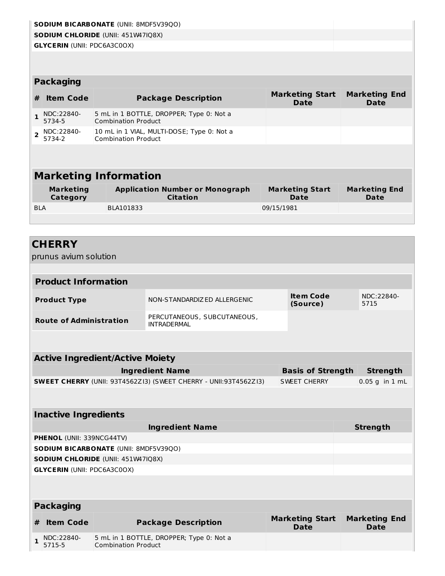|                |                                        | <b>SODIUM BICARBONATE (UNII: 8MDF5V39QO)</b>                                |                                                                         |            |                                       |                                     |
|----------------|----------------------------------------|-----------------------------------------------------------------------------|-------------------------------------------------------------------------|------------|---------------------------------------|-------------------------------------|
|                |                                        | <b>SODIUM CHLORIDE (UNII: 451W47IQ8X)</b>                                   |                                                                         |            |                                       |                                     |
|                | <b>GLYCERIN (UNII: PDC6A3C0OX)</b>     |                                                                             |                                                                         |            |                                       |                                     |
|                |                                        |                                                                             |                                                                         |            |                                       |                                     |
|                |                                        |                                                                             |                                                                         |            |                                       |                                     |
|                | <b>Packaging</b>                       |                                                                             |                                                                         |            |                                       |                                     |
| #              | <b>Item Code</b>                       |                                                                             | <b>Package Description</b>                                              |            | <b>Marketing Start</b><br><b>Date</b> | <b>Marketing End</b><br><b>Date</b> |
| $\mathbf{1}$   | NDC:22840-<br>5734-5                   | <b>Combination Product</b>                                                  | 5 mL in 1 BOTTLE, DROPPER; Type 0: Not a                                |            |                                       |                                     |
| $\overline{2}$ | NDC:22840-<br>5734-2                   | <b>Combination Product</b>                                                  | 10 mL in 1 VIAL, MULTI-DOSE; Type 0: Not a                              |            |                                       |                                     |
|                |                                        |                                                                             |                                                                         |            |                                       |                                     |
|                |                                        | <b>Marketing Information</b>                                                |                                                                         |            |                                       |                                     |
|                | <b>Marketing</b><br>Category           |                                                                             | <b>Application Number or Monograph</b><br><b>Citation</b>               |            | <b>Marketing Start</b><br><b>Date</b> | <b>Marketing End</b><br>Date        |
| <b>BLA</b>     |                                        | BLA101833                                                                   |                                                                         | 09/15/1981 |                                       |                                     |
|                |                                        |                                                                             |                                                                         |            |                                       |                                     |
|                | <b>CHERRY</b><br>prunus avium solution |                                                                             |                                                                         |            |                                       |                                     |
|                | <b>Product Information</b>             |                                                                             |                                                                         |            |                                       |                                     |
|                |                                        |                                                                             |                                                                         |            |                                       |                                     |
|                | <b>Product Type</b>                    |                                                                             | NON-STANDARDIZED ALLERGENIC                                             |            | <b>Item Code</b><br>(Source)          | NDC:22840-<br>5715                  |
|                | <b>Route of Administration</b>         |                                                                             | PERCUTANEOUS, SUBCUTANEOUS,<br><b>INTRADERMAL</b>                       |            |                                       |                                     |
|                |                                        |                                                                             |                                                                         |            |                                       |                                     |
|                |                                        | <b>Active Ingredient/Active Moiety</b>                                      |                                                                         |            |                                       |                                     |
|                |                                        |                                                                             | <b>Ingredient Name</b>                                                  |            | <b>Basis of Strength</b>              | <b>Strength</b>                     |
|                |                                        |                                                                             | <b>SWEET CHERRY</b> (UNII: 93T4562Z13) (SWEET CHERRY - UNII:93T4562Z13) |            | <b>SWEET CHERRY</b>                   | $0.05$ g in $1$ mL                  |
|                |                                        |                                                                             |                                                                         |            |                                       |                                     |
|                | <b>Inactive Ingredients</b>            |                                                                             |                                                                         |            |                                       |                                     |
|                |                                        |                                                                             | <b>Ingredient Name</b>                                                  |            |                                       | <b>Strength</b>                     |
|                | PHENOL (UNII: 339NCG44TV)              |                                                                             |                                                                         |            |                                       |                                     |
|                |                                        |                                                                             |                                                                         |            |                                       |                                     |
|                |                                        | SODIUM BICARBONATE (UNII: 8MDF5V39QO)<br>SODIUM CHLORIDE (UNII: 451W47IQ8X) |                                                                         |            |                                       |                                     |

**GLYCERIN** (UNII: PDC6A3C0OX)

| <b>Packaging</b>     |                                                                        |                                       |                                     |  |  |  |
|----------------------|------------------------------------------------------------------------|---------------------------------------|-------------------------------------|--|--|--|
| <b>Item Code</b>     | <b>Package Description</b>                                             | <b>Marketing Start</b><br><b>Date</b> | <b>Marketing End</b><br><b>Date</b> |  |  |  |
| NDC:22840-<br>5715-5 | 5 mL in 1 BOTTLE, DROPPER; Type 0: Not a<br><b>Combination Product</b> |                                       |                                     |  |  |  |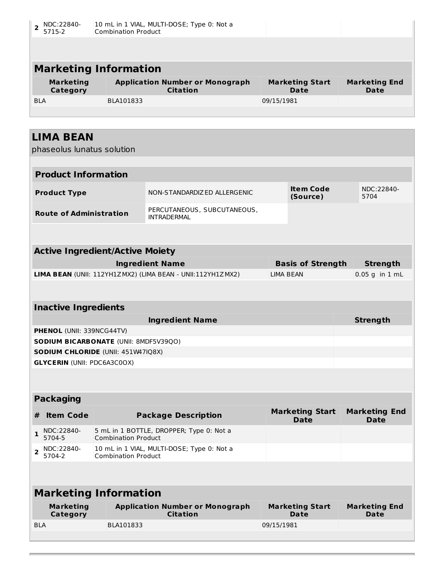| 2              | NDC:22840-<br>5715-2               | <b>Combination Product</b>                   | 10 mL in 1 VIAL, MULTI-DOSE; Type 0: Not a                 |                  |                                       |                                     |  |  |
|----------------|------------------------------------|----------------------------------------------|------------------------------------------------------------|------------------|---------------------------------------|-------------------------------------|--|--|
|                |                                    |                                              |                                                            |                  |                                       |                                     |  |  |
|                |                                    |                                              |                                                            |                  |                                       |                                     |  |  |
|                |                                    | <b>Marketing Information</b>                 |                                                            |                  |                                       |                                     |  |  |
|                | <b>Marketing</b><br>Category       |                                              | <b>Application Number or Monograph</b><br><b>Citation</b>  |                  | <b>Marketing Start</b><br>Date        | <b>Marketing End</b><br><b>Date</b> |  |  |
| <b>BLA</b>     |                                    | BLA101833                                    |                                                            | 09/15/1981       |                                       |                                     |  |  |
|                |                                    |                                              |                                                            |                  |                                       |                                     |  |  |
|                | <b>LIMA BEAN</b>                   |                                              |                                                            |                  |                                       |                                     |  |  |
|                | phaseolus lunatus solution         |                                              |                                                            |                  |                                       |                                     |  |  |
|                |                                    |                                              |                                                            |                  |                                       |                                     |  |  |
|                | <b>Product Information</b>         |                                              |                                                            |                  |                                       |                                     |  |  |
|                | <b>Product Type</b>                |                                              | NON-STANDARDIZ ED ALLERGENIC                               |                  | <b>Item Code</b><br>(Source)          | NDC:22840-<br>5704                  |  |  |
|                | <b>Route of Administration</b>     |                                              | PERCUTANEOUS, SUBCUTANEOUS,<br><b>INTRADERMAL</b>          |                  |                                       |                                     |  |  |
|                |                                    |                                              |                                                            |                  |                                       |                                     |  |  |
|                |                                    | <b>Active Ingredient/Active Moiety</b>       |                                                            |                  |                                       |                                     |  |  |
|                |                                    |                                              | <b>Ingredient Name</b>                                     |                  | <b>Basis of Strength</b>              | <b>Strength</b>                     |  |  |
|                |                                    |                                              | LIMA BEAN (UNII: 112YH1ZMX2) (LIMA BEAN - UNII:112YH1ZMX2) | <b>LIMA BEAN</b> |                                       | $0.05$ g in $1$ mL                  |  |  |
|                |                                    |                                              |                                                            |                  |                                       |                                     |  |  |
|                | <b>Inactive Ingredients</b>        |                                              |                                                            |                  |                                       |                                     |  |  |
|                |                                    |                                              |                                                            |                  |                                       |                                     |  |  |
|                |                                    |                                              | <b>Ingredient Name</b>                                     |                  |                                       | <b>Strength</b>                     |  |  |
|                | <b>PHENOL</b> (UNII: 339NCG44TV)   |                                              |                                                            |                  |                                       |                                     |  |  |
|                |                                    | <b>SODIUM BICARBONATE (UNII: 8MDF5V39QO)</b> |                                                            |                  |                                       |                                     |  |  |
|                |                                    | <b>SODIUM CHLORIDE (UNII: 451W47IQ8X)</b>    |                                                            |                  |                                       |                                     |  |  |
|                | <b>GLYCERIN (UNII: PDC6A3C0OX)</b> |                                              |                                                            |                  |                                       |                                     |  |  |
|                |                                    |                                              |                                                            |                  |                                       |                                     |  |  |
|                | <b>Packaging</b>                   |                                              |                                                            |                  |                                       |                                     |  |  |
| #              | <b>Item Code</b>                   |                                              | <b>Package Description</b>                                 |                  | <b>Marketing Start</b><br><b>Date</b> | <b>Marketing End</b><br><b>Date</b> |  |  |
| $\mathbf{1}$   | NDC:22840-<br>5704-5               | <b>Combination Product</b>                   | 5 mL in 1 BOTTLE, DROPPER; Type 0: Not a                   |                  |                                       |                                     |  |  |
| $\overline{2}$ | NDC:22840-<br>5704-2               | <b>Combination Product</b>                   | 10 mL in 1 VIAL, MULTI-DOSE; Type 0: Not a                 |                  |                                       |                                     |  |  |
|                |                                    |                                              |                                                            |                  |                                       |                                     |  |  |
|                |                                    | <b>Marketing Information</b>                 |                                                            |                  |                                       |                                     |  |  |
|                | <b>Marketing</b><br>Category       |                                              | <b>Application Number or Monograph</b><br><b>Citation</b>  |                  | <b>Marketing Start</b><br>Date        | <b>Marketing End</b><br><b>Date</b> |  |  |
| <b>BLA</b>     |                                    | BLA101833                                    |                                                            | 09/15/1981       |                                       |                                     |  |  |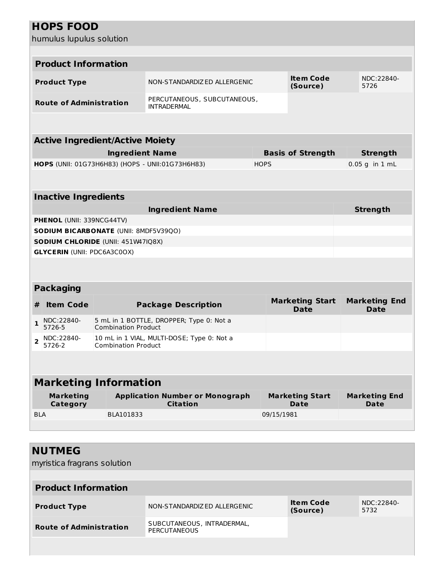|                | <b>HOPS FOOD</b>                   |                                              |                                                   |             |                                       |                 |                                     |  |
|----------------|------------------------------------|----------------------------------------------|---------------------------------------------------|-------------|---------------------------------------|-----------------|-------------------------------------|--|
|                | humulus lupulus solution           |                                              |                                                   |             |                                       |                 |                                     |  |
|                |                                    |                                              |                                                   |             |                                       |                 |                                     |  |
|                | <b>Product Information</b>         |                                              |                                                   |             |                                       |                 |                                     |  |
|                | <b>Product Type</b>                |                                              | NON-STANDARDIZED ALLERGENIC                       |             | <b>Item Code</b><br>(Source)          |                 | NDC:22840-<br>5726                  |  |
|                | <b>Route of Administration</b>     |                                              | PERCUTANEOUS, SUBCUTANEOUS,<br><b>INTRADERMAL</b> |             |                                       |                 |                                     |  |
|                |                                    |                                              |                                                   |             |                                       |                 |                                     |  |
|                |                                    | <b>Active Ingredient/Active Moiety</b>       |                                                   |             |                                       |                 |                                     |  |
|                |                                    | <b>Ingredient Name</b>                       |                                                   |             | <b>Basis of Strength</b>              | <b>Strength</b> |                                     |  |
|                |                                    |                                              | HOPS (UNII: 01G73H6H83) (HOPS - UNII:01G73H6H83)  | <b>HOPS</b> |                                       |                 | $0.05$ g in $1$ mL                  |  |
|                |                                    |                                              |                                                   |             |                                       |                 |                                     |  |
|                | <b>Inactive Ingredients</b>        |                                              |                                                   |             |                                       |                 |                                     |  |
|                |                                    |                                              | <b>Ingredient Name</b>                            |             |                                       | <b>Strength</b> |                                     |  |
|                | PHENOL (UNII: 339NCG44TV)          |                                              |                                                   |             |                                       |                 |                                     |  |
|                |                                    | <b>SODIUM BICARBONATE (UNII: 8MDF5V39QO)</b> |                                                   |             |                                       |                 |                                     |  |
|                |                                    | SODIUM CHLORIDE (UNII: 451W47IQ8X)           |                                                   |             |                                       |                 |                                     |  |
|                | <b>GLYCERIN (UNII: PDC6A3C0OX)</b> |                                              |                                                   |             |                                       |                 |                                     |  |
|                |                                    |                                              |                                                   |             |                                       |                 |                                     |  |
|                | <b>Packaging</b>                   |                                              |                                                   |             |                                       |                 |                                     |  |
| #              | <b>Item Code</b>                   |                                              | <b>Package Description</b>                        |             | <b>Marketing Start</b><br><b>Date</b> |                 | <b>Marketing End</b><br><b>Date</b> |  |
| 1              | NDC:22840-<br>5726-5               | <b>Combination Product</b>                   | 5 mL in 1 BOTTLE, DROPPER; Type 0: Not a          |             |                                       |                 |                                     |  |
| $\overline{2}$ | NDC:22840-<br>$-2222$              |                                              | 10 mL in 1 VIAL, MULTI-DOSE; Type 0: Not a        |             |                                       |                 |                                     |  |

| <b>Marketing Information</b> |                                                           |                                       |                                     |  |  |  |
|------------------------------|-----------------------------------------------------------|---------------------------------------|-------------------------------------|--|--|--|
| <b>Marketing</b><br>Category | <b>Application Number or Monograph</b><br><b>Citation</b> | <b>Marketing Start</b><br><b>Date</b> | <b>Marketing End</b><br><b>Date</b> |  |  |  |
| <b>BLA</b>                   | BLA101833                                                 | 09/15/1981                            |                                     |  |  |  |
|                              |                                                           |                                       |                                     |  |  |  |

5726-2

Combination Product

| <b>NUTMEG</b><br>myristica fragrans solution |                                                   |                              |                    |
|----------------------------------------------|---------------------------------------------------|------------------------------|--------------------|
| <b>Product Information</b>                   |                                                   |                              |                    |
| <b>Product Type</b>                          | NON-STANDARDIZ ED ALLERGENIC                      | <b>Item Code</b><br>(Source) | NDC:22840-<br>5732 |
| <b>Route of Administration</b>               | SUBCUTANEOUS, INTRADERMAL,<br><b>PERCUTANEOUS</b> |                              |                    |
|                                              |                                                   |                              |                    |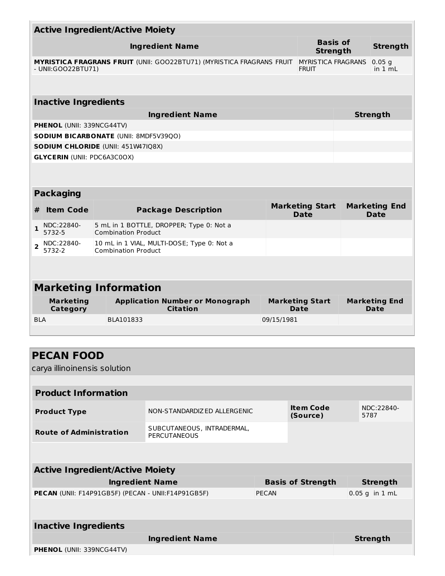|                                                                                                     |                                    | <b>Active Ingredient/Active Moiety</b> |                                                    |              |                                       |  |                                     |
|-----------------------------------------------------------------------------------------------------|------------------------------------|----------------------------------------|----------------------------------------------------|--------------|---------------------------------------|--|-------------------------------------|
|                                                                                                     |                                    |                                        | <b>Ingredient Name</b>                             |              | <b>Basis of</b><br><b>Strength</b>    |  | <b>Strength</b>                     |
| <b>MYRISTICA FRAGRANS FRUIT (UNII: GOO22BTU71) (MYRISTICA FRAGRANS FRUIT</b><br>- UNII: GOO22BTU71) |                                    |                                        |                                                    |              | MYRISTICA FRAGRANS<br><b>FRUIT</b>    |  | $0.05$ g<br>in $1 \text{ mL}$       |
|                                                                                                     |                                    |                                        |                                                    |              |                                       |  |                                     |
|                                                                                                     | <b>Inactive Ingredients</b>        |                                        |                                                    |              |                                       |  |                                     |
|                                                                                                     |                                    |                                        | <b>Ingredient Name</b>                             |              |                                       |  | <b>Strength</b>                     |
|                                                                                                     | <b>PHENOL (UNII: 339NCG44TV)</b>   |                                        |                                                    |              |                                       |  |                                     |
|                                                                                                     |                                    | SODIUM BICARBONATE (UNII: 8MDF5V39QO)  |                                                    |              |                                       |  |                                     |
|                                                                                                     |                                    | SODIUM CHLORIDE (UNII: 451W47IQ8X)     |                                                    |              |                                       |  |                                     |
|                                                                                                     | <b>GLYCERIN (UNII: PDC6A3C0OX)</b> |                                        |                                                    |              |                                       |  |                                     |
|                                                                                                     |                                    |                                        |                                                    |              |                                       |  |                                     |
|                                                                                                     | <b>Packaging</b>                   |                                        |                                                    |              |                                       |  |                                     |
| #                                                                                                   | <b>Item Code</b>                   |                                        | <b>Package Description</b>                         |              | <b>Marketing Start</b><br><b>Date</b> |  | <b>Marketing End</b><br><b>Date</b> |
| 1                                                                                                   | NDC:22840-<br>5732-5               | <b>Combination Product</b>             | 5 mL in 1 BOTTLE, DROPPER; Type 0: Not a           |              |                                       |  |                                     |
| $\overline{2}$                                                                                      | NDC:22840-<br>5732-2               | <b>Combination Product</b>             | 10 mL in 1 VIAL, MULTI-DOSE; Type 0: Not a         |              |                                       |  |                                     |
|                                                                                                     |                                    |                                        |                                                    |              |                                       |  |                                     |
|                                                                                                     |                                    | <b>Marketing Information</b>           |                                                    |              |                                       |  |                                     |
|                                                                                                     | <b>Marketing</b>                   |                                        | <b>Application Number or Monograph</b>             |              | <b>Marketing Start</b>                |  | <b>Marketing End</b>                |
| <b>BLA</b>                                                                                          | Category                           | BLA101833                              | <b>Citation</b>                                    |              | Date<br>09/15/1981                    |  | Date                                |
|                                                                                                     |                                    |                                        |                                                    |              |                                       |  |                                     |
|                                                                                                     |                                    |                                        |                                                    |              |                                       |  |                                     |
|                                                                                                     | <b>PECAN FOOD</b>                  |                                        |                                                    |              |                                       |  |                                     |
|                                                                                                     | carya illinoinensis solution       |                                        |                                                    |              |                                       |  |                                     |
|                                                                                                     |                                    |                                        |                                                    |              |                                       |  |                                     |
|                                                                                                     | <b>Product Information</b>         |                                        |                                                    |              |                                       |  |                                     |
|                                                                                                     | <b>Product Type</b>                |                                        | NON-STANDARDIZ ED ALLERGENIC                       |              | <b>Item Code</b><br>(Source)          |  | NDC:22840-<br>5787                  |
|                                                                                                     | <b>Route of Administration</b>     |                                        | SUBCUTANEOUS, INTRADERMAL,<br><b>PERCUTANEOUS</b>  |              |                                       |  |                                     |
|                                                                                                     |                                    |                                        |                                                    |              |                                       |  |                                     |
|                                                                                                     |                                    | <b>Active Ingredient/Active Moiety</b> |                                                    |              |                                       |  |                                     |
|                                                                                                     |                                    | <b>Ingredient Name</b>                 |                                                    |              | <b>Basis of Strength</b>              |  | <b>Strength</b>                     |
|                                                                                                     |                                    |                                        | PECAN (UNII: F14P91GB5F) (PECAN - UNII:F14P91GB5F) | <b>PECAN</b> |                                       |  | $0.05$ g in 1 mL                    |
|                                                                                                     | <b>Inactive Ingredients</b>        |                                        |                                                    |              |                                       |  |                                     |
|                                                                                                     |                                    |                                        | <b>Ingredient Name</b>                             |              |                                       |  | <b>Strength</b>                     |

**PHENOL** (UNII: 339NCG44TV)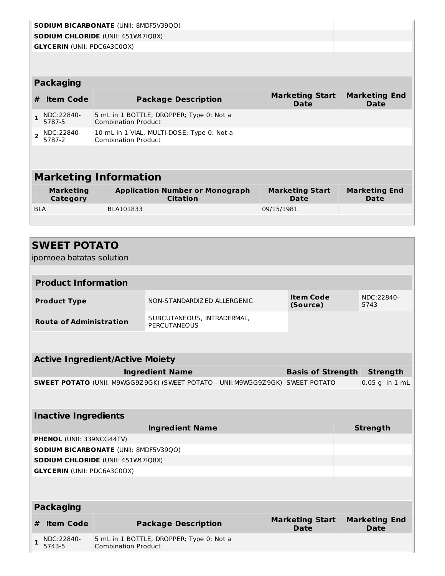|                | <b>SODIUM BICARBONATE (UNII: 8MDF5V39QO)</b> |  |                                                                          |                                       |                              |  |  |  |
|----------------|----------------------------------------------|--|--------------------------------------------------------------------------|---------------------------------------|------------------------------|--|--|--|
|                | <b>SODIUM CHLORIDE (UNII: 451W47IQ8X)</b>    |  |                                                                          |                                       |                              |  |  |  |
|                | <b>GLYCERIN (UNII: PDC6A3C0OX)</b>           |  |                                                                          |                                       |                              |  |  |  |
|                |                                              |  |                                                                          |                                       |                              |  |  |  |
|                |                                              |  |                                                                          |                                       |                              |  |  |  |
|                | <b>Packaging</b>                             |  |                                                                          |                                       |                              |  |  |  |
| #              | <b>Item Code</b>                             |  | <b>Package Description</b>                                               | <b>Marketing Start</b><br><b>Date</b> | <b>Marketing End</b><br>Date |  |  |  |
| 1              | NDC:22840-<br>5787-5                         |  | 5 mL in 1 BOTTLE, DROPPER; Type 0: Not a<br><b>Combination Product</b>   |                                       |                              |  |  |  |
| $\overline{2}$ | NDC:22840-<br>5787-2                         |  | 10 mL in 1 VIAL, MULTI-DOSE; Type 0: Not a<br><b>Combination Product</b> |                                       |                              |  |  |  |
|                |                                              |  |                                                                          |                                       |                              |  |  |  |
|                |                                              |  |                                                                          |                                       |                              |  |  |  |
|                |                                              |  | <b>Marketing Information</b>                                             |                                       |                              |  |  |  |
|                | <b>Marketing</b><br>Category                 |  | <b>Application Number or Monograph</b><br><b>Citation</b>                | <b>Marketing Start</b><br>Date        | <b>Marketing End</b><br>Date |  |  |  |
| <b>BLA</b>     |                                              |  | BLA101833                                                                | 09/15/1981                            |                              |  |  |  |
|                |                                              |  |                                                                          |                                       |                              |  |  |  |
|                |                                              |  |                                                                          |                                       |                              |  |  |  |

|              | <b>SWEET POTATO</b>                                                                  |                                              |                                            |                                       |                                     |  |
|--------------|--------------------------------------------------------------------------------------|----------------------------------------------|--------------------------------------------|---------------------------------------|-------------------------------------|--|
|              | ipomoea batatas solution                                                             |                                              |                                            |                                       |                                     |  |
|              |                                                                                      |                                              |                                            |                                       |                                     |  |
|              | <b>Product Information</b>                                                           |                                              |                                            |                                       |                                     |  |
|              | <b>Product Type</b>                                                                  |                                              | NON-STANDARDIZ ED ALLERGENIC               | <b>Item Code</b><br>(Source)          | NDC:22840-<br>5743                  |  |
|              | <b>Route of Administration</b>                                                       |                                              | SUBCUTANEOUS, INTRADERMAL,<br>PERCUTANEOUS |                                       |                                     |  |
|              |                                                                                      |                                              |                                            |                                       |                                     |  |
|              |                                                                                      | <b>Active Ingredient/Active Moiety</b>       |                                            |                                       |                                     |  |
|              |                                                                                      |                                              | <b>Ingredient Name</b>                     | <b>Basis of Strength</b>              | <b>Strength</b>                     |  |
|              | <b>SWEET POTATO (UNII: M9WGG9Z9GK) (SWEET POTATO - UNII:M9WGG9Z9GK) SWEET POTATO</b> |                                              |                                            |                                       | $0.05$ g in $1$ mL                  |  |
|              |                                                                                      |                                              |                                            |                                       |                                     |  |
|              | <b>Inactive Ingredients</b>                                                          |                                              |                                            |                                       |                                     |  |
|              |                                                                                      |                                              | <b>Ingredient Name</b>                     |                                       | <b>Strength</b>                     |  |
|              | PHENOL (UNII: 339NCG44TV)                                                            |                                              |                                            |                                       |                                     |  |
|              |                                                                                      | <b>SODIUM BICARBONATE (UNII: 8MDF5V39QO)</b> |                                            |                                       |                                     |  |
|              |                                                                                      | SODIUM CHLORIDE (UNII: 451W47IQ8X)           |                                            |                                       |                                     |  |
|              | <b>GLYCERIN (UNII: PDC6A3C0OX)</b>                                                   |                                              |                                            |                                       |                                     |  |
|              |                                                                                      |                                              |                                            |                                       |                                     |  |
|              | <b>Packaging</b>                                                                     |                                              |                                            |                                       |                                     |  |
| #            | <b>Item Code</b>                                                                     |                                              | <b>Package Description</b>                 | <b>Marketing Start</b><br><b>Date</b> | <b>Marketing End</b><br><b>Date</b> |  |
| $\mathbf{1}$ | NDC:22840-<br>5743-5                                                                 | <b>Combination Product</b>                   | 5 mL in 1 BOTTLE, DROPPER; Type 0: Not a   |                                       |                                     |  |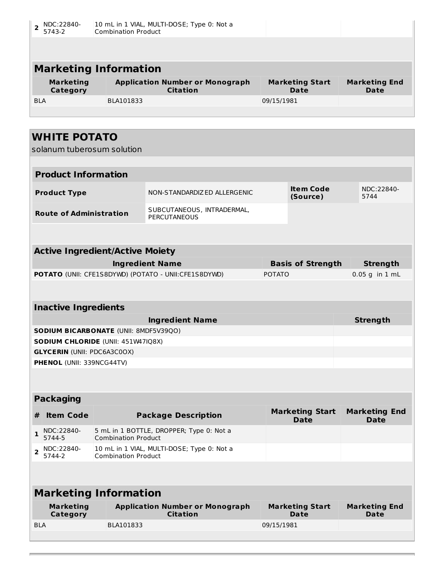| NDC:22840-<br>$\overline{\mathbf{z}}$<br>5743-2 | <b>Combination Product</b>                                                                                                         | 10 mL in 1 VIAL, MULTI-DOSE; Type 0: Not a        |            |                              |  |                    |  |
|-------------------------------------------------|------------------------------------------------------------------------------------------------------------------------------------|---------------------------------------------------|------------|------------------------------|--|--------------------|--|
|                                                 |                                                                                                                                    |                                                   |            |                              |  |                    |  |
| <b>Marketing Information</b>                    |                                                                                                                                    |                                                   |            |                              |  |                    |  |
| <b>Marketing</b><br>Category                    | <b>Application Number or Monograph</b><br><b>Marketing Start</b><br><b>Marketing End</b><br><b>Citation</b><br>Date<br><b>Date</b> |                                                   |            |                              |  |                    |  |
| <b>BIA</b>                                      | BLA101833                                                                                                                          |                                                   | 09/15/1981 |                              |  |                    |  |
|                                                 |                                                                                                                                    |                                                   |            |                              |  |                    |  |
|                                                 |                                                                                                                                    |                                                   |            |                              |  |                    |  |
| <b>WHITE POTATO</b>                             |                                                                                                                                    |                                                   |            |                              |  |                    |  |
| solanum tuberosum solution                      |                                                                                                                                    |                                                   |            |                              |  |                    |  |
|                                                 |                                                                                                                                    |                                                   |            |                              |  |                    |  |
| <b>Product Information</b>                      |                                                                                                                                    |                                                   |            |                              |  |                    |  |
| <b>Product Type</b>                             |                                                                                                                                    | NON-STANDARDIZED ALLERGENIC                       |            | <b>Item Code</b><br>(Source) |  | NDC:22840-<br>5744 |  |
| <b>Route of Administration</b>                  |                                                                                                                                    | SUBCUTANEOUS, INTRADERMAL,<br><b>PERCUTANEOUS</b> |            |                              |  |                    |  |
|                                                 |                                                                                                                                    |                                                   |            |                              |  |                    |  |

| <b>Active Ingredient/Active Moiety</b>                      |                          |                   |  |  |  |
|-------------------------------------------------------------|--------------------------|-------------------|--|--|--|
| <b>Ingredient Name</b>                                      | <b>Basis of Strength</b> | Strength          |  |  |  |
| <b>POTATO</b> (UNII: CFE1S8DYWD) (POTATO - UNII:CFE1S8DYWD) | <b>POTATO</b>            | $ 0.05$ g in 1 mL |  |  |  |
|                                                             |                          |                   |  |  |  |

| <b>Inactive Ingredients</b>                  |                 |  |  |  |  |
|----------------------------------------------|-----------------|--|--|--|--|
| <b>Ingredient Name</b>                       | <b>Strength</b> |  |  |  |  |
| <b>SODIUM BICARBONATE (UNII: 8MDF5V39QO)</b> |                 |  |  |  |  |
| <b>SODIUM CHLORIDE (UNII: 451W47IQ8X)</b>    |                 |  |  |  |  |
| <b>GLYCERIN (UNII: PDC6A3C0OX)</b>           |                 |  |  |  |  |
| <b>PHENOL (UNII: 339NCG44TV)</b>             |                 |  |  |  |  |
|                                              |                 |  |  |  |  |

| <b>Packaging</b> |                      |                                                                          |                                |                                     |  |
|------------------|----------------------|--------------------------------------------------------------------------|--------------------------------|-------------------------------------|--|
|                  | <b>Item Code</b>     | <b>Package Description</b>                                               | <b>Marketing Start</b><br>Date | <b>Marketing End</b><br><b>Date</b> |  |
|                  | NDC:22840-<br>5744-5 | 5 mL in 1 BOTTLE, DROPPER; Type 0: Not a<br><b>Combination Product</b>   |                                |                                     |  |
|                  | NDC:22840-<br>5744-2 | 10 mL in 1 VIAL, MULTI-DOSE; Type 0: Not a<br><b>Combination Product</b> |                                |                                     |  |
|                  |                      |                                                                          |                                |                                     |  |

| <b>Marketing Information</b> |                                                           |                                |                                     |  |  |
|------------------------------|-----------------------------------------------------------|--------------------------------|-------------------------------------|--|--|
| <b>Marketing</b><br>Category | <b>Application Number or Monograph</b><br><b>Citation</b> | <b>Marketing Start</b><br>Date | <b>Marketing End</b><br><b>Date</b> |  |  |
| <b>BLA</b>                   | BLA101833                                                 | 09/15/1981                     |                                     |  |  |
|                              |                                                           |                                |                                     |  |  |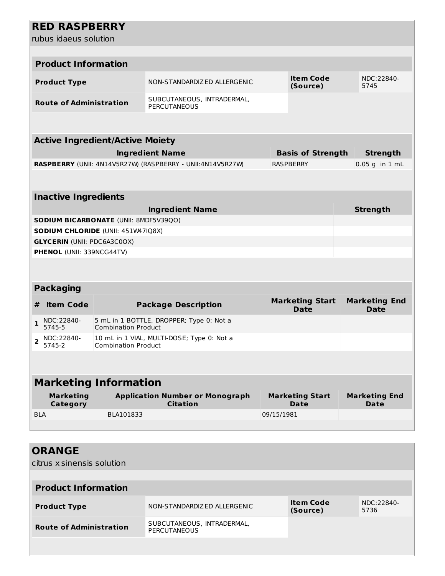### **RED RASPBERRY**

rubus idaeus solution

|                     | rubus idaeus solution              |                                              |                                                            |                          |                                       |                                     |
|---------------------|------------------------------------|----------------------------------------------|------------------------------------------------------------|--------------------------|---------------------------------------|-------------------------------------|
|                     |                                    |                                              |                                                            |                          |                                       |                                     |
|                     | <b>Product Information</b>         |                                              |                                                            |                          |                                       |                                     |
|                     | <b>Product Type</b>                |                                              | NON-STANDARDIZED ALLERGENIC                                |                          | <b>Item Code</b><br>(Source)          | NDC:22840-<br>5745                  |
|                     | <b>Route of Administration</b>     |                                              | SUBCUTANEOUS, INTRADERMAL,<br><b>PERCUTANEOUS</b>          |                          |                                       |                                     |
|                     |                                    |                                              |                                                            |                          |                                       |                                     |
|                     |                                    | <b>Active Ingredient/Active Moiety</b>       |                                                            |                          |                                       |                                     |
|                     |                                    |                                              | <b>Ingredient Name</b>                                     | <b>Basis of Strength</b> |                                       | <b>Strength</b>                     |
|                     |                                    |                                              | RASPBERRY (UNII: 4N14V5R27W) (RASPBERRY - UNII:4N14V5R27W) |                          | <b>RASPBERRY</b>                      | $0.05$ g in $1$ mL                  |
|                     |                                    |                                              |                                                            |                          |                                       |                                     |
|                     | <b>Inactive Ingredients</b>        |                                              |                                                            |                          |                                       |                                     |
|                     |                                    |                                              | <b>Ingredient Name</b>                                     |                          |                                       | <b>Strength</b>                     |
|                     |                                    | <b>SODIUM BICARBONATE (UNII: 8MDF5V39QO)</b> |                                                            |                          |                                       |                                     |
|                     |                                    | <b>SODIUM CHLORIDE (UNII: 451W47IQ8X)</b>    |                                                            |                          |                                       |                                     |
|                     | <b>GLYCERIN (UNII: PDC6A3C0OX)</b> |                                              |                                                            |                          |                                       |                                     |
|                     | PHENOL (UNII: 339NCG44TV)          |                                              |                                                            |                          |                                       |                                     |
|                     |                                    |                                              |                                                            |                          |                                       |                                     |
|                     | <b>Packaging</b>                   |                                              |                                                            |                          |                                       |                                     |
| #                   | <b>Item Code</b>                   |                                              | <b>Package Description</b>                                 |                          | <b>Marketing Start</b><br><b>Date</b> | <b>Marketing End</b><br><b>Date</b> |
| 1                   | NDC:22840-<br>5745-5               | <b>Combination Product</b>                   | 5 mL in 1 BOTTLE, DROPPER; Type 0: Not a                   |                          |                                       |                                     |
| $\overline{2}$      | NDC:22840-<br>5745-2               | <b>Combination Product</b>                   | 10 mL in 1 VIAL, MULTI-DOSE; Type 0: Not a                 |                          |                                       |                                     |
|                     |                                    |                                              |                                                            |                          |                                       |                                     |
|                     |                                    | <b>Marketing Information</b>                 |                                                            |                          |                                       |                                     |
|                     | <b>Marketing</b><br>Category       |                                              | <b>Application Number or Monograph</b><br><b>Citation</b>  |                          | <b>Marketing Start</b><br>Date        | <b>Marketing End</b><br>Date        |
| <b>BLA</b>          |                                    | BLA101833                                    |                                                            | 09/15/1981               |                                       |                                     |
|                     |                                    |                                              |                                                            |                          |                                       |                                     |
|                     | <b>ORANGE</b>                      |                                              |                                                            |                          |                                       |                                     |
|                     | citrus x sinensis solution         |                                              |                                                            |                          |                                       |                                     |
|                     | <b>Product Information</b>         |                                              |                                                            |                          |                                       |                                     |
| <b>Product Type</b> |                                    |                                              | NON-STANDARDIZED ALLERGENIC                                |                          | <b>Item Code</b><br>(Source)          | NDC:22840-<br>5736                  |
|                     | <b>Route of Administration</b>     |                                              | SUBCUTANEOUS, INTRADERMAL,<br>PERCUTANEOUS                 |                          |                                       |                                     |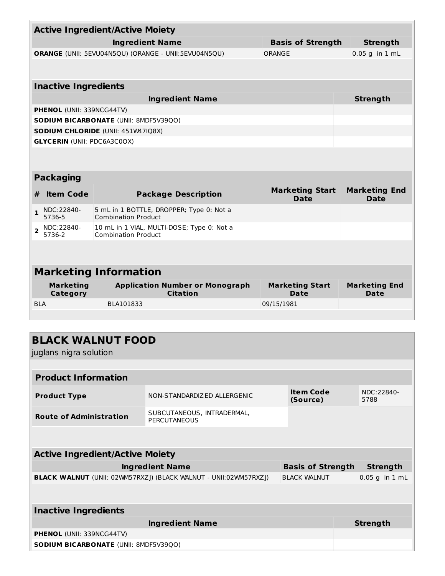| <b>Active Ingredient/Active Moiety</b> |                                    |  |                                                                          |                                       |  |                                     |
|----------------------------------------|------------------------------------|--|--------------------------------------------------------------------------|---------------------------------------|--|-------------------------------------|
|                                        |                                    |  | <b>Ingredient Name</b>                                                   | <b>Basis of Strength</b>              |  | <b>Strength</b>                     |
|                                        |                                    |  | ORANGE (UNII: 5EVU04N5QU) (ORANGE - UNII:5EVU04N5QU)                     | ORANGE                                |  | $0.05$ g in $1$ mL                  |
|                                        |                                    |  |                                                                          |                                       |  |                                     |
|                                        |                                    |  |                                                                          |                                       |  |                                     |
|                                        | <b>Inactive Ingredients</b>        |  |                                                                          |                                       |  |                                     |
|                                        |                                    |  | <b>Ingredient Name</b>                                                   |                                       |  | <b>Strength</b>                     |
|                                        | PHENOL (UNII: 339NCG44TV)          |  |                                                                          |                                       |  |                                     |
|                                        |                                    |  | <b>SODIUM BICARBONATE (UNII: 8MDF5V39QO)</b>                             |                                       |  |                                     |
|                                        |                                    |  | <b>SODIUM CHLORIDE (UNII: 451W47IQ8X)</b>                                |                                       |  |                                     |
|                                        | <b>GLYCERIN (UNII: PDC6A3C0OX)</b> |  |                                                                          |                                       |  |                                     |
|                                        |                                    |  |                                                                          |                                       |  |                                     |
|                                        |                                    |  |                                                                          |                                       |  |                                     |
|                                        | <b>Packaging</b>                   |  |                                                                          |                                       |  |                                     |
| #                                      | <b>Item Code</b>                   |  | <b>Package Description</b>                                               | <b>Marketing Start</b><br>Date        |  | <b>Marketing End</b><br><b>Date</b> |
| $\mathbf{1}$                           | NDC:22840-<br>5736-5               |  | 5 mL in 1 BOTTLE, DROPPER; Type 0: Not a<br><b>Combination Product</b>   |                                       |  |                                     |
| $\overline{2}$                         | NDC:22840-<br>5736-2               |  | 10 mL in 1 VIAL, MULTI-DOSE; Type 0: Not a<br><b>Combination Product</b> |                                       |  |                                     |
|                                        |                                    |  |                                                                          |                                       |  |                                     |
|                                        |                                    |  |                                                                          |                                       |  |                                     |
|                                        |                                    |  | <b>Marketing Information</b>                                             |                                       |  |                                     |
|                                        | <b>Marketing</b><br>Category       |  | <b>Application Number or Monograph</b><br><b>Citation</b>                | <b>Marketing Start</b><br><b>Date</b> |  | <b>Marketing End</b><br><b>Date</b> |
| <b>BLA</b>                             |                                    |  | BLA101833                                                                | 09/15/1981                            |  |                                     |
|                                        |                                    |  |                                                                          |                                       |  |                                     |
|                                        |                                    |  |                                                                          |                                       |  |                                     |
|                                        |                                    |  | <b>BLACK WALNUT FOOD</b>                                                 |                                       |  |                                     |
|                                        | juglans nigra solution             |  |                                                                          |                                       |  |                                     |
|                                        |                                    |  |                                                                          |                                       |  |                                     |

| <b>Product Information</b>                                              |                                                   |                              |                    |  |  |  |
|-------------------------------------------------------------------------|---------------------------------------------------|------------------------------|--------------------|--|--|--|
| <b>Product Type</b>                                                     | NON-STANDARDIZED ALLERGENIC                       | <b>Item Code</b><br>(Source) | NDC:22840-<br>5788 |  |  |  |
| <b>Route of Administration</b>                                          | SUBCUTANEOUS, INTRADERMAL,<br><b>PERCUTANEOUS</b> |                              |                    |  |  |  |
|                                                                         |                                                   |                              |                    |  |  |  |
| <b>Active Ingredient/Active Moiety</b>                                  |                                                   |                              |                    |  |  |  |
| <b>Ingredient Name</b><br><b>Basis of Strength</b><br><b>Strength</b>   |                                                   |                              |                    |  |  |  |
| <b>BLACK WALNUT</b> (UNII: 02WM57RXZJ) (BLACK WALNUT - UNII:02WM57RXZJ) | <b>BLACK WALNUT</b>                               | $0.05$ g in $1$ mL           |                    |  |  |  |
|                                                                         |                                                   |                              |                    |  |  |  |
| <b>Inactive Ingredients</b>                                             |                                                   |                              |                    |  |  |  |
|                                                                         |                                                   | <b>Strength</b>              |                    |  |  |  |
| <b>PHENOL (UNII: 339NCG44TV)</b>                                        |                                                   |                              |                    |  |  |  |

**SODIUM BICARBONATE** (UNII: 8MDF5V39QO)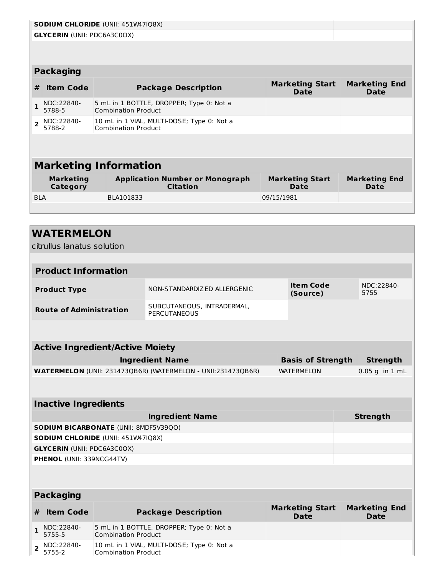|                | <b>SODIUM CHLORIDE (UNII: 451W47IQ8X)</b> |  |                                                                          |                                       |                                     |  |  |
|----------------|-------------------------------------------|--|--------------------------------------------------------------------------|---------------------------------------|-------------------------------------|--|--|
|                | <b>GLYCERIN (UNII: PDC6A3C0OX)</b>        |  |                                                                          |                                       |                                     |  |  |
|                |                                           |  |                                                                          |                                       |                                     |  |  |
|                |                                           |  |                                                                          |                                       |                                     |  |  |
|                | <b>Packaging</b>                          |  |                                                                          |                                       |                                     |  |  |
| #              | <b>Item Code</b>                          |  | <b>Package Description</b>                                               | <b>Marketing Start</b><br><b>Date</b> | <b>Marketing End</b><br><b>Date</b> |  |  |
|                | NDC:22840-<br>5788-5                      |  | 5 mL in 1 BOTTLE, DROPPER; Type 0: Not a<br><b>Combination Product</b>   |                                       |                                     |  |  |
| $\overline{2}$ | NDC:22840-<br>5788-2                      |  | 10 mL in 1 VIAL, MULTI-DOSE; Type 0: Not a<br><b>Combination Product</b> |                                       |                                     |  |  |
|                |                                           |  |                                                                          |                                       |                                     |  |  |
|                |                                           |  |                                                                          |                                       |                                     |  |  |
|                |                                           |  | <b>Marketing Information</b>                                             |                                       |                                     |  |  |
|                | <b>Marketing</b><br>Category              |  | <b>Application Number or Monograph</b><br><b>Citation</b>                | <b>Marketing Start</b><br>Date        | <b>Marketing End</b><br>Date        |  |  |
| <b>BLA</b>     |                                           |  | BLA101833                                                                | 09/15/1981                            |                                     |  |  |
|                |                                           |  |                                                                          |                                       |                                     |  |  |

|              | <b>WATERMELON</b>                  |                                        |                                                              |                                       |  |                                     |
|--------------|------------------------------------|----------------------------------------|--------------------------------------------------------------|---------------------------------------|--|-------------------------------------|
|              | citrullus lanatus solution         |                                        |                                                              |                                       |  |                                     |
|              |                                    |                                        |                                                              |                                       |  |                                     |
|              | <b>Product Information</b>         |                                        |                                                              |                                       |  |                                     |
|              | <b>Product Type</b>                |                                        | NON-STANDARDIZED ALLERGENIC                                  | <b>Item Code</b><br>(Source)          |  | NDC:22840-<br>5755                  |
|              | <b>Route of Administration</b>     |                                        | SUBCUTANEOUS, INTRADERMAL,<br><b>PERCUTANEOUS</b>            |                                       |  |                                     |
|              |                                    |                                        |                                                              |                                       |  |                                     |
|              |                                    | <b>Active Ingredient/Active Moiety</b> |                                                              |                                       |  |                                     |
|              |                                    |                                        | <b>Ingredient Name</b>                                       | <b>Basis of Strength</b>              |  | <b>Strength</b>                     |
|              |                                    |                                        | WATERMELON (UNII: 231473QB6R) (WATERMELON - UNII:231473QB6R) | <b>WATERMELON</b>                     |  | $0.05$ g in $1$ mL                  |
|              |                                    |                                        |                                                              |                                       |  |                                     |
|              |                                    |                                        |                                                              |                                       |  |                                     |
|              | <b>Inactive Ingredients</b>        |                                        |                                                              |                                       |  |                                     |
|              |                                    |                                        | <b>Ingredient Name</b>                                       |                                       |  | <b>Strength</b>                     |
|              |                                    | SODIUM BICARBONATE (UNII: 8MDF5V39QO)  |                                                              |                                       |  |                                     |
|              |                                    | SODIUM CHLORIDE (UNII: 451W47IQ8X)     |                                                              |                                       |  |                                     |
|              | <b>GLYCERIN (UNII: PDC6A3C0OX)</b> |                                        |                                                              |                                       |  |                                     |
|              | PHENOL (UNII: 339NCG44TV)          |                                        |                                                              |                                       |  |                                     |
|              |                                    |                                        |                                                              |                                       |  |                                     |
|              | <b>Packaging</b>                   |                                        |                                                              |                                       |  |                                     |
| #            | <b>Item Code</b>                   |                                        | <b>Package Description</b>                                   | <b>Marketing Start</b><br><b>Date</b> |  | <b>Marketing End</b><br><b>Date</b> |
| $\mathbf{1}$ | NDC:22840-<br>5755-5               | <b>Combination Product</b>             | 5 mL in 1 BOTTLE, DROPPER; Type 0: Not a                     |                                       |  |                                     |

10 mL in 1 VIAL, MULTI-DOSE; Type 0: Not a

Combination Product

**2** NDC:22840-5755-2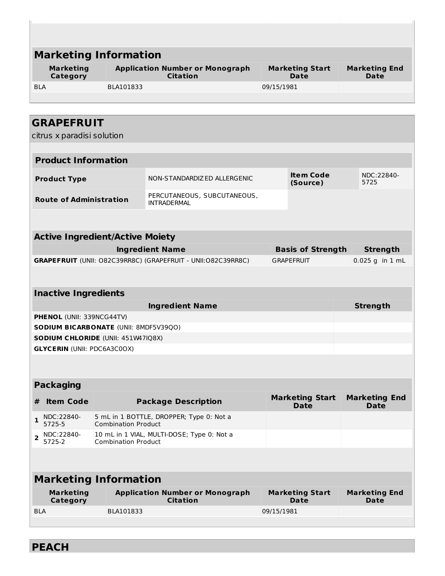|                | <b>Marketing Information</b>       |                                        |                                                              |            |                                       |  |                                     |
|----------------|------------------------------------|----------------------------------------|--------------------------------------------------------------|------------|---------------------------------------|--|-------------------------------------|
|                |                                    |                                        |                                                              |            |                                       |  |                                     |
|                | <b>Marketing</b><br>Category       |                                        | <b>Application Number or Monograph</b><br><b>Citation</b>    |            | <b>Marketing Start</b><br>Date        |  | <b>Marketing End</b><br>Date        |
| <b>BLA</b>     |                                    | BLA101833                              |                                                              | 09/15/1981 |                                       |  |                                     |
|                |                                    |                                        |                                                              |            |                                       |  |                                     |
|                |                                    |                                        |                                                              |            |                                       |  |                                     |
|                | <b>GRAPEFRUIT</b>                  |                                        |                                                              |            |                                       |  |                                     |
|                | citrus x paradisi solution         |                                        |                                                              |            |                                       |  |                                     |
|                |                                    |                                        |                                                              |            |                                       |  |                                     |
|                | <b>Product Information</b>         |                                        |                                                              |            |                                       |  |                                     |
|                | <b>Product Type</b>                |                                        | NON-STANDARDIZ ED ALLERGENIC                                 |            | <b>Item Code</b><br>(Source)          |  | NDC:22840-<br>5725                  |
|                | <b>Route of Administration</b>     |                                        | PERCUTANEOUS, SUBCUTANEOUS,<br><b>INTRADERMAL</b>            |            |                                       |  |                                     |
|                |                                    |                                        |                                                              |            |                                       |  |                                     |
|                |                                    |                                        |                                                              |            |                                       |  |                                     |
|                |                                    | <b>Active Ingredient/Active Moiety</b> |                                                              |            |                                       |  |                                     |
|                |                                    |                                        | <b>Ingredient Name</b>                                       |            | <b>Basis of Strength</b>              |  | <b>Strength</b>                     |
|                |                                    |                                        | GRAPEFRUIT (UNII: O82C39RR8C) (GRAPEFRUIT - UNII:O82C39RR8C) |            | <b>GRAPEFRUIT</b>                     |  | 0.025 g in 1 mL                     |
|                |                                    |                                        |                                                              |            |                                       |  |                                     |
|                | <b>Inactive Ingredients</b>        |                                        |                                                              |            |                                       |  |                                     |
|                |                                    |                                        | <b>Ingredient Name</b>                                       |            |                                       |  | <b>Strength</b>                     |
|                | PHENOL (UNII: 339NCG44TV)          |                                        |                                                              |            |                                       |  |                                     |
|                |                                    | SODIUM BICARBONATE (UNII: 8MDF5V39QO)  |                                                              |            |                                       |  |                                     |
|                |                                    | SODIUM CHLORIDE (UNII: 451W47IQ8X)     |                                                              |            |                                       |  |                                     |
|                | <b>GLYCERIN (UNII: PDC6A3C0OX)</b> |                                        |                                                              |            |                                       |  |                                     |
|                |                                    |                                        |                                                              |            |                                       |  |                                     |
|                |                                    |                                        |                                                              |            |                                       |  |                                     |
|                | <b>Packaging</b>                   |                                        |                                                              |            |                                       |  |                                     |
| #              | <b>Item Code</b>                   |                                        | <b>Package Description</b>                                   |            | <b>Marketing Start</b><br><b>Date</b> |  | <b>Marketing End</b><br><b>Date</b> |
| 1              | NDC:22840-<br>5725-5               | <b>Combination Product</b>             | 5 mL in 1 BOTTLE, DROPPER; Type 0: Not a                     |            |                                       |  |                                     |
| $\overline{2}$ | NDC:22840-<br>5725-2               | <b>Combination Product</b>             | 10 mL in 1 VIAL, MULTI-DOSE; Type 0: Not a                   |            |                                       |  |                                     |
|                |                                    |                                        |                                                              |            |                                       |  |                                     |
|                |                                    | <b>Marketing Information</b>           |                                                              |            |                                       |  |                                     |
|                | <b>Marketing</b>                   |                                        | <b>Application Number or Monograph</b>                       |            | <b>Marketing Start</b>                |  | <b>Marketing End</b>                |
|                | Category                           |                                        | <b>Citation</b>                                              |            | <b>Date</b>                           |  | Date                                |
| <b>BLA</b>     |                                    | BLA101833                              |                                                              | 09/15/1981 |                                       |  |                                     |
|                |                                    |                                        |                                                              |            |                                       |  |                                     |

**PEACH**

L,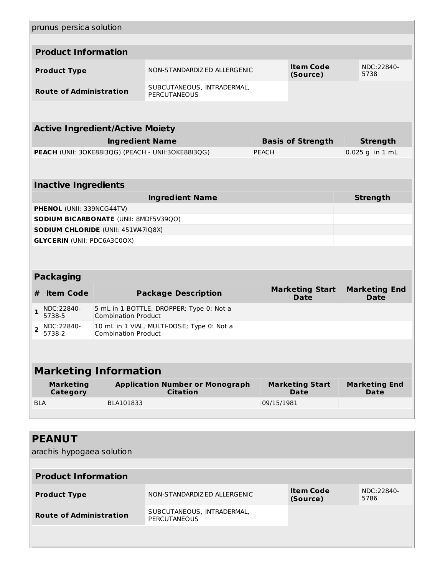|                | prunus persica solution             |                                              |                                                           |              |                                       |  |                                     |
|----------------|-------------------------------------|----------------------------------------------|-----------------------------------------------------------|--------------|---------------------------------------|--|-------------------------------------|
|                |                                     |                                              |                                                           |              |                                       |  |                                     |
|                | <b>Product Information</b>          |                                              |                                                           |              |                                       |  |                                     |
|                | <b>Product Type</b>                 |                                              | NON-STANDARDIZED ALLERGENIC                               |              | <b>Item Code</b><br>(Source)          |  | NDC:22840-<br>5738                  |
|                | <b>Route of Administration</b>      |                                              | SUBCUTANEOUS, INTRADERMAL,<br><b>PERCUTANEOUS</b>         |              |                                       |  |                                     |
|                |                                     |                                              |                                                           |              |                                       |  |                                     |
|                |                                     | <b>Active Ingredient/Active Moiety</b>       |                                                           |              |                                       |  |                                     |
|                |                                     | <b>Ingredient Name</b>                       |                                                           |              | <b>Basis of Strength</b>              |  | <b>Strength</b>                     |
|                |                                     |                                              | PEACH (UNII: 30KE88I3QG) (PEACH - UNII:30KE88I3QG)        | <b>PEACH</b> |                                       |  | $0.025$ g in 1 mL                   |
|                |                                     |                                              |                                                           |              |                                       |  |                                     |
|                | <b>Inactive Ingredients</b>         |                                              |                                                           |              |                                       |  |                                     |
|                |                                     |                                              | <b>Ingredient Name</b>                                    |              |                                       |  | <b>Strength</b>                     |
|                | <b>PHENOL (UNII: 339NCG44TV)</b>    |                                              |                                                           |              |                                       |  |                                     |
|                |                                     | <b>SODIUM BICARBONATE (UNII: 8MDF5V39QO)</b> |                                                           |              |                                       |  |                                     |
|                |                                     | SODIUM CHLORIDE (UNII: 451W47IQ8X)           |                                                           |              |                                       |  |                                     |
|                | <b>GLYCERIN (UNII: PDC6A3C0OX)</b>  |                                              |                                                           |              |                                       |  |                                     |
|                |                                     |                                              |                                                           |              |                                       |  |                                     |
|                |                                     |                                              |                                                           |              |                                       |  |                                     |
|                | <b>Packaging</b>                    |                                              |                                                           |              |                                       |  |                                     |
| #              | <b>Item Code</b>                    |                                              | <b>Package Description</b>                                |              | <b>Marketing Start</b><br><b>Date</b> |  | <b>Marketing End</b><br><b>Date</b> |
| $\mathbf{1}$   | NDC:22840-<br>5738-5                | <b>Combination Product</b>                   | 5 mL in 1 BOTTLE, DROPPER; Type 0: Not a                  |              |                                       |  |                                     |
| $\overline{2}$ | NDC:22840-<br>5738-2                | <b>Combination Product</b>                   | 10 mL in 1 VIAL, MULTI-DOSE; Type 0: Not a                |              |                                       |  |                                     |
|                |                                     |                                              |                                                           |              |                                       |  |                                     |
|                |                                     | <b>Marketing Information</b>                 |                                                           |              |                                       |  |                                     |
|                | <b>Marketing</b><br><b>Category</b> |                                              | <b>Application Number or Monograph</b><br><b>Citation</b> |              | <b>Marketing Start</b><br>Date        |  | <b>Marketing End</b><br>Date        |
| <b>BLA</b>     |                                     | BLA101833                                    |                                                           | 09/15/1981   |                                       |  |                                     |
|                |                                     |                                              |                                                           |              |                                       |  |                                     |
|                |                                     |                                              |                                                           |              |                                       |  |                                     |
|                | <b>PEANUT</b>                       |                                              |                                                           |              |                                       |  |                                     |
|                | arachis hypogaea solution           |                                              |                                                           |              |                                       |  |                                     |
|                |                                     |                                              |                                                           |              |                                       |  |                                     |
|                | <b>Product Information</b>          |                                              |                                                           |              |                                       |  |                                     |

| <b>Product Type</b>            | NON-STANDARDIZ ED ALLERGENIC               | Item Code<br>(Source) | NDC:22840-<br>5786 |
|--------------------------------|--------------------------------------------|-----------------------|--------------------|
| <b>Route of Administration</b> | SUBCUTANEOUS, INTRADERMAL,<br>PERCUTANEOUS |                       |                    |
|                                |                                            |                       |                    |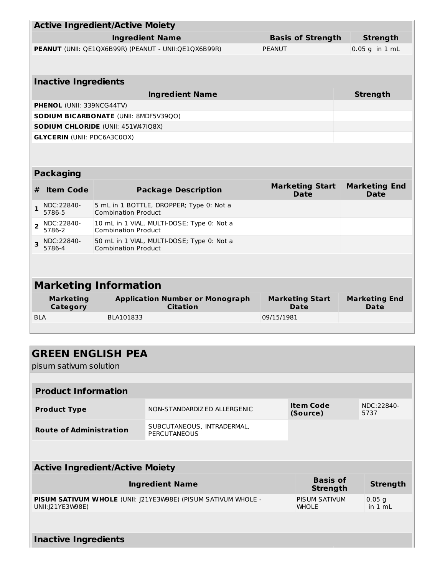|                                              |                                    | <b>Active Ingredient/Active Moiety</b>                                   |                                       |                                     |
|----------------------------------------------|------------------------------------|--------------------------------------------------------------------------|---------------------------------------|-------------------------------------|
|                                              |                                    | <b>Ingredient Name</b>                                                   | <b>Basis of Strength</b>              | <b>Strength</b>                     |
|                                              |                                    | PEANUT (UNII: QE1QX6B99R) (PEANUT - UNII:QE1QX6B99R)                     | PFANUT                                | $0.05$ g in $1$ mL                  |
|                                              |                                    |                                                                          |                                       |                                     |
|                                              | <b>Inactive Ingredients</b>        |                                                                          |                                       |                                     |
|                                              |                                    | <b>Ingredient Name</b>                                                   |                                       | <b>Strength</b>                     |
|                                              | <b>PHENOL (UNII: 339NCG44TV)</b>   |                                                                          |                                       |                                     |
| <b>SODIUM BICARBONATE (UNII: 8MDF5V39QO)</b> |                                    |                                                                          |                                       |                                     |
| SODIUM CHLORIDE (UNII: 451W47IQ8X)           |                                    |                                                                          |                                       |                                     |
|                                              | <b>GLYCERIN (UNII: PDC6A3C0OX)</b> |                                                                          |                                       |                                     |
|                                              |                                    |                                                                          |                                       |                                     |
|                                              | <b>Packaging</b>                   |                                                                          |                                       |                                     |
| #                                            | <b>Item Code</b>                   | <b>Package Description</b>                                               | <b>Marketing Start</b><br><b>Date</b> | <b>Marketing End</b><br><b>Date</b> |
| $\mathbf{1}$                                 | NDC:22840-<br>5786-5               | 5 mL in 1 BOTTLE, DROPPER; Type 0: Not a<br><b>Combination Product</b>   |                                       |                                     |
| $\overline{2}$                               | NDC:22840-<br>5786-2               | 10 mL in 1 VIAL, MULTI-DOSE; Type 0: Not a<br><b>Combination Product</b> |                                       |                                     |
| $\overline{\mathbf{3}}$                      | NDC:22840-<br>5786-4               | 50 mL in 1 VIAL, MULTI-DOSE; Type 0: Not a<br><b>Combination Product</b> |                                       |                                     |
|                                              |                                    |                                                                          |                                       |                                     |
|                                              |                                    | <b>Marketing Information</b>                                             |                                       |                                     |
|                                              | <b>Marketing</b><br>Category       | <b>Application Number or Monograph</b><br><b>Citation</b>                | <b>Marketing Start</b><br>Date        | <b>Marketing End</b><br>Date        |
| <b>BLA</b>                                   |                                    | BLA101833                                                                | 09/15/1981                            |                                     |
|                                              |                                    |                                                                          |                                       |                                     |
|                                              |                                    |                                                                          |                                       |                                     |
|                                              |                                    |                                                                          |                                       |                                     |

| <b>GREEN ENGLISH PEA</b>                                                           |                                                   |                              |                    |  |  |  |
|------------------------------------------------------------------------------------|---------------------------------------------------|------------------------------|--------------------|--|--|--|
| pisum sativum solution                                                             |                                                   |                              |                    |  |  |  |
|                                                                                    |                                                   |                              |                    |  |  |  |
| <b>Product Information</b>                                                         |                                                   |                              |                    |  |  |  |
| <b>Product Type</b>                                                                | NON-STANDARDIZED ALLERGENIC                       | <b>Item Code</b><br>(Source) | NDC:22840-<br>5737 |  |  |  |
| <b>Route of Administration</b>                                                     | SUBCUTANEOUS, INTRADERMAL,<br><b>PERCUTANEOUS</b> |                              |                    |  |  |  |
|                                                                                    |                                                   |                              |                    |  |  |  |
| <b>Active Ingredient/Active Moiety</b>                                             |                                                   |                              |                    |  |  |  |
| <b>Ingredient Name</b>                                                             | <b>Basis of</b><br><b>Strength</b>                | <b>Strength</b>              |                    |  |  |  |
| PISUM SATIVUM WHOLE (UNII: J21YE3W98E) (PISUM SATIVUM WHOLE -<br>UNII: J21YE3W98E) | PISUM SATIVUM<br><b>WHOLE</b>                     | $0.05$ q<br>in $1 mL$        |                    |  |  |  |
|                                                                                    |                                                   |                              |                    |  |  |  |

**Inactive Ingredients**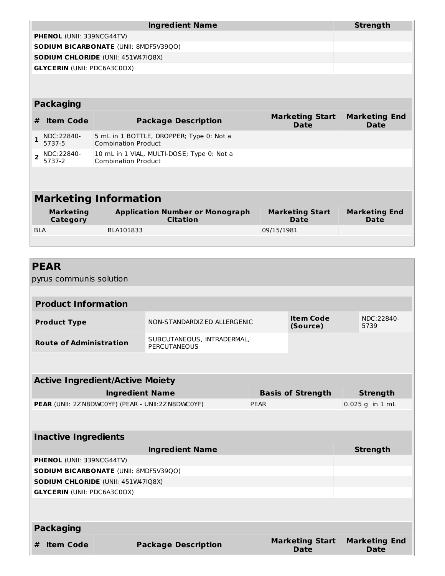|                           |                                              |  | <b>Strength</b>                                                          |                                |                              |  |  |
|---------------------------|----------------------------------------------|--|--------------------------------------------------------------------------|--------------------------------|------------------------------|--|--|
| PHENOL (UNII: 339NCG44TV) |                                              |  |                                                                          |                                |                              |  |  |
|                           | <b>SODIUM BICARBONATE (UNII: 8MDF5V39QO)</b> |  |                                                                          |                                |                              |  |  |
|                           | <b>SODIUM CHLORIDE (UNII: 451W47IQ8X)</b>    |  |                                                                          |                                |                              |  |  |
|                           | <b>GLYCERIN (UNII: PDC6A3C0OX)</b>           |  |                                                                          |                                |                              |  |  |
|                           |                                              |  |                                                                          |                                |                              |  |  |
|                           |                                              |  |                                                                          |                                |                              |  |  |
|                           | <b>Packaging</b>                             |  |                                                                          |                                |                              |  |  |
| #                         | <b>Item Code</b>                             |  | <b>Package Description</b>                                               | <b>Marketing Start</b><br>Date | <b>Marketing End</b><br>Date |  |  |
| $\mathbf{1}$              | NDC:22840-<br>5737-5                         |  | 5 mL in 1 BOTTLE, DROPPER; Type 0: Not a<br><b>Combination Product</b>   |                                |                              |  |  |
| $\overline{2}$            | NDC:22840-<br>5737-2                         |  | 10 mL in 1 VIAL, MULTI-DOSE; Type 0: Not a<br><b>Combination Product</b> |                                |                              |  |  |
|                           |                                              |  |                                                                          |                                |                              |  |  |
|                           |                                              |  |                                                                          |                                |                              |  |  |
|                           |                                              |  | <b>Marketing Information</b>                                             |                                |                              |  |  |
|                           | <b>Marketing</b><br>Category                 |  | <b>Application Number or Monograph</b><br><b>Citation</b>                | <b>Marketing Start</b><br>Date | <b>Marketing End</b><br>Date |  |  |
| <b>BIA</b>                |                                              |  | BLA101833                                                                | 09/15/1981                     |                              |  |  |
|                           |                                              |  |                                                                          |                                |                              |  |  |

## **PEAR**

pyrus communis solution

| <b>Product Information</b>     |                                            |                       |                    |  |
|--------------------------------|--------------------------------------------|-----------------------|--------------------|--|
| <b>Product Type</b>            | NON-STANDARDIZ ED ALLERGENIC               | Item Code<br>(Source) | NDC:22840-<br>5739 |  |
| <b>Route of Administration</b> | SUBCUTANEOUS, INTRADERMAL,<br>PERCUTANEOUS |                       |                    |  |

| <b>Active Ingredient/Active Moiety</b>                    |                          |                   |
|-----------------------------------------------------------|--------------------------|-------------------|
| <b>Ingredient Name</b>                                    | <b>Basis of Strength</b> | <b>Strength</b>   |
| <b>PEAR</b> (UNII: 2Z N8DWC0YF) (PEAR - UNII:2Z N8DWC0YF) | <b>PEAR</b>              | $0.025$ g in 1 mL |
|                                                           |                          |                   |
|                                                           |                          |                   |

|   | <b>Inactive Ingredients</b>                  |                                           |                                |                              |  |  |
|---|----------------------------------------------|-------------------------------------------|--------------------------------|------------------------------|--|--|
|   |                                              | <b>Ingredient Name</b>                    |                                | Strength                     |  |  |
|   | <b>PHENOL (UNII: 339NCG44TV)</b>             |                                           |                                |                              |  |  |
|   | <b>SODIUM BICARBONATE (UNII: 8MDF5V39QO)</b> |                                           |                                |                              |  |  |
|   |                                              | <b>SODIUM CHLORIDE (UNII: 451W47IQ8X)</b> |                                |                              |  |  |
|   | <b>GLYCERIN (UNII: PDC6A3C0OX)</b>           |                                           |                                |                              |  |  |
|   |                                              |                                           |                                |                              |  |  |
|   |                                              |                                           |                                |                              |  |  |
|   | <b>Packaging</b>                             |                                           |                                |                              |  |  |
| # | <b>Item Code</b>                             | <b>Package Description</b>                | <b>Marketing Start</b><br>Date | <b>Marketing End</b><br>Date |  |  |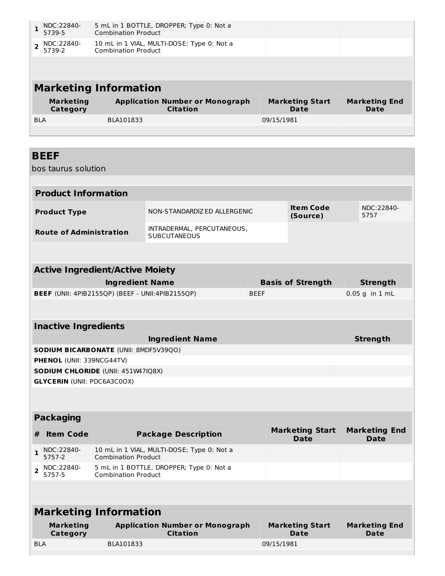|                          | NDC:22840-<br>5739-5 | 5 mL in 1 BOTTLE, DROPPER; Type 0: Not a<br><b>Combination Product</b>   |                        |                      |
|--------------------------|----------------------|--------------------------------------------------------------------------|------------------------|----------------------|
| $\overline{\phantom{a}}$ | NDC:22840-<br>5739-2 | 10 mL in 1 VIAL, MULTI-DOSE; Type 0: Not a<br><b>Combination Product</b> |                        |                      |
|                          |                      |                                                                          |                        |                      |
|                          |                      | <b>Marketing Information</b>                                             |                        |                      |
|                          | <b>Marketing</b>     | <b>Application Number or Monograph</b>                                   | <b>Marketing Start</b> | <b>Marketing End</b> |
|                          | Category             | <b>Citation</b>                                                          | <b>Date</b>            | Date                 |
| <b>BLA</b>               |                      | BLA101833                                                                | 09/15/1981             |                      |

## **BEEF**

bos taurus solution

| <b>Product Information</b>     |                                                   |                              |                    |  |
|--------------------------------|---------------------------------------------------|------------------------------|--------------------|--|
| <b>Product Type</b>            | NON-STANDARDIZ ED ALLERGENIC                      | <b>Item Code</b><br>(Source) | NDC:22840-<br>5757 |  |
| <b>Route of Administration</b> | INTRADERMAL, PERCUTANEOUS,<br><b>SUBCUTANEOUS</b> |                              |                    |  |

#### **Active Ingredient/Active Moiety Ingredient Name Basis of Strength Strength BEEF** (UNII: 4PIB2155QP) (BEEF - UNII:4PIB2155QP) BEEF 8 8 8 8 8 9 9 1 mL

| <b>Inactive Ingredients</b>                  |                 |  |  |  |
|----------------------------------------------|-----------------|--|--|--|
| <b>Ingredient Name</b>                       | <b>Strength</b> |  |  |  |
| <b>SODIUM BICARBONATE (UNII: 8MDF5V39QO)</b> |                 |  |  |  |
| <b>PHENOL</b> (UNII: 339NCG44TV)             |                 |  |  |  |
| <b>SODIUM CHLORIDE (UNII: 451W47IQ8X)</b>    |                 |  |  |  |
| <b>GLYCERIN (UNII: PDC6A3C0OX)</b>           |                 |  |  |  |

#### **Packaging**

| <b>Item Code</b>                  | <b>Package Description</b>                                               | <b>Marketing Start</b><br>Date | <b>Marketing End</b><br><b>Date</b> |
|-----------------------------------|--------------------------------------------------------------------------|--------------------------------|-------------------------------------|
| $\frac{1}{5757-2}$                | 10 mL in 1 VIAL, MULTI-DOSE; Type 0: Not a<br><b>Combination Product</b> |                                |                                     |
| $\mathbf{Z}$ NDC:22840-<br>5757-5 | 5 mL in 1 BOTTLE, DROPPER; Type 0: Not a<br><b>Combination Product</b>   |                                |                                     |

## **Marketing Information**

| Marketing  | <b>Application Number or Monograph</b> | <b>Marketing Start</b> | <b>Marketing End</b> |
|------------|----------------------------------------|------------------------|----------------------|
| Category   | <b>Citation</b>                        | Date                   | Date                 |
| <b>BLA</b> | BLA101833                              | 09/15/1981             |                      |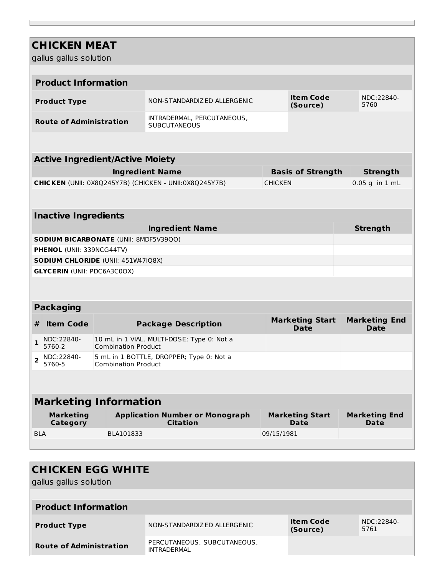## **CHICKEN MEAT**

gallus gallus solution

| <b>Product Information</b>     |                                                   |                              |                    |  |
|--------------------------------|---------------------------------------------------|------------------------------|--------------------|--|
| <b>Product Type</b>            | NON-STANDARDIZ ED ALLERGENIC                      | <b>Item Code</b><br>(Source) | NDC:22840-<br>5760 |  |
| <b>Route of Administration</b> | INTRADERMAL, PERCUTANEOUS,<br><b>SUBCUTANEOUS</b> |                              |                    |  |

# **Active Ingredient/Active Moiety**

| <b>Ingredient Name</b>                                        | <b>Basis of Strength</b> | Strength               |
|---------------------------------------------------------------|--------------------------|------------------------|
| <b>CHICKEN</b> (UNII: 0X8Q245Y7B) (CHICKEN - UNII:0X8Q245Y7B) | <b>CHICKEN</b>           | $\vert 0.05$ g in 1 mL |

#### **Inactive Ingredients**

| <b>Ingredient Name</b>                       | <b>Strength</b> |
|----------------------------------------------|-----------------|
| <b>SODIUM BICARBONATE (UNII: 8MDF5V39QO)</b> |                 |
| <b>PHENOL</b> (UNII: 339NCG44TV)             |                 |
| <b>SODIUM CHLORIDE</b> (UNII: 451W47IQ8X)    |                 |
| <b>GLYCERIN (UNII: PDC6A3C0OX)</b>           |                 |

#### **Packaging**

| <b>Item Code</b>                | <b>Package Description</b>                                               | <b>Marketing Start</b><br>Date | <b>Marketing End</b><br>Date |
|---------------------------------|--------------------------------------------------------------------------|--------------------------------|------------------------------|
| $\big _1$ NDC:22840-<br>5760-2  | 10 mL in 1 VIAL, MULTI-DOSE; Type 0: Not a<br><b>Combination Product</b> |                                |                              |
| $\sqrt{ }$ NDC:22840-<br>5760-5 | 5 mL in 1 BOTTLE, DROPPER; Type 0: Not a<br><b>Combination Product</b>   |                                |                              |

### **Marketing Information**

| <b>Marketing</b> | <b>Application Number or Monograph</b> | <b>Marketing Start</b> | <b>Marketing End</b> |
|------------------|----------------------------------------|------------------------|----------------------|
| Category         | <b>Citation</b>                        | Date                   | Date                 |
| <b>BLA</b>       | BLA101833                              | 09/15/1981             |                      |

### **CHICKEN EGG WHITE**

gallus gallus solution

| <b>Product Information</b>     |                                            |                              |                    |  |
|--------------------------------|--------------------------------------------|------------------------------|--------------------|--|
| <b>Product Type</b>            | NON-STANDARDIZ ED ALLERGENIC               | <b>Item Code</b><br>(Source) | NDC:22840-<br>5761 |  |
| <b>Route of Administration</b> | PERCUTANEOUS, SUBCUTANEOUS,<br>INTRADFRMAI |                              |                    |  |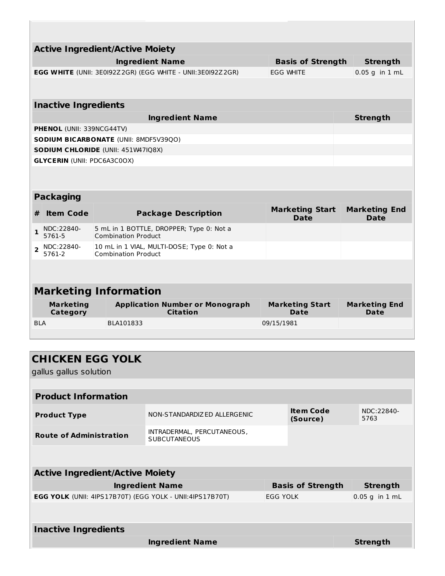|                                        | <b>Active Ingredient/Active Moiety</b> |                                                            |                                       |                                     |
|----------------------------------------|----------------------------------------|------------------------------------------------------------|---------------------------------------|-------------------------------------|
|                                        | <b>Ingredient Name</b>                 |                                                            | <b>Basis of Strength</b>              | <b>Strength</b>                     |
|                                        |                                        | EGG WHITE (UNII: 3E0I92Z2GR) (EGG WHITE - UNII:3E0I92Z2GR) | <b>EGG WHITE</b>                      | $0.05$ g in $1$ mL                  |
|                                        |                                        |                                                            |                                       |                                     |
| <b>Inactive Ingredients</b>            |                                        |                                                            |                                       |                                     |
|                                        |                                        | <b>Ingredient Name</b>                                     |                                       | <b>Strength</b>                     |
| <b>PHENOL (UNII: 339NCG44TV)</b>       |                                        |                                                            |                                       |                                     |
|                                        | SODIUM BICARBONATE (UNII: 8MDF5V39QO)  |                                                            |                                       |                                     |
|                                        | SODIUM CHLORIDE (UNII: 451W47IQ8X)     |                                                            |                                       |                                     |
| <b>GLYCERIN (UNII: PDC6A3C0OX)</b>     |                                        |                                                            |                                       |                                     |
|                                        |                                        |                                                            |                                       |                                     |
| <b>Packaging</b>                       |                                        |                                                            |                                       |                                     |
| <b>Item Code</b><br>#                  |                                        | <b>Package Description</b>                                 | <b>Marketing Start</b><br><b>Date</b> | <b>Marketing End</b><br><b>Date</b> |
| NDC:22840-<br>$\mathbf{1}$<br>5761-5   | <b>Combination Product</b>             | 5 mL in 1 BOTTLE, DROPPER; Type 0: Not a                   |                                       |                                     |
| NDC:22840-<br>$\overline{2}$<br>5761-2 | <b>Combination Product</b>             | 10 mL in 1 VIAL, MULTI-DOSE; Type 0: Not a                 |                                       |                                     |
|                                        |                                        |                                                            |                                       |                                     |
|                                        | <b>Marketing Information</b>           |                                                            |                                       |                                     |
| <b>Marketing</b><br>Category           |                                        | <b>Application Number or Monograph</b><br><b>Citation</b>  | <b>Marketing Start</b><br><b>Date</b> | <b>Marketing End</b><br>Date        |
| <b>BLA</b>                             | BLA101833                              |                                                            | 09/15/1981                            |                                     |
|                                        |                                        |                                                            |                                       |                                     |

gallus gallus solution

| <b>Product Information</b>     |                                                   |                              |                    |  |
|--------------------------------|---------------------------------------------------|------------------------------|--------------------|--|
| <b>Product Type</b>            | NON-STANDARDIZ ED ALLERGENIC                      | <b>Item Code</b><br>(Source) | NDC:22840-<br>5763 |  |
| <b>Route of Administration</b> | INTRADERMAL, PERCUTANEOUS,<br><b>SUBCUTANEOUS</b> |                              |                    |  |
|                                |                                                   |                              |                    |  |

| <b>Active Ingredient/Active Moiety</b>                          |                          |                  |  |  |  |  |
|-----------------------------------------------------------------|--------------------------|------------------|--|--|--|--|
| <b>Ingredient Name</b>                                          | <b>Basis of Strength</b> | <b>Strength</b>  |  |  |  |  |
| <b>EGG YOLK (UNII: 4IPS17B70T) (EGG YOLK - UNII:4IPS17B70T)</b> | EGG YOLK                 | $0.05$ g in 1 mL |  |  |  |  |
|                                                                 |                          |                  |  |  |  |  |
| <b>Inactive Ingredients</b>                                     |                          |                  |  |  |  |  |
| <b>Ingredient Name</b>                                          |                          | <b>Strength</b>  |  |  |  |  |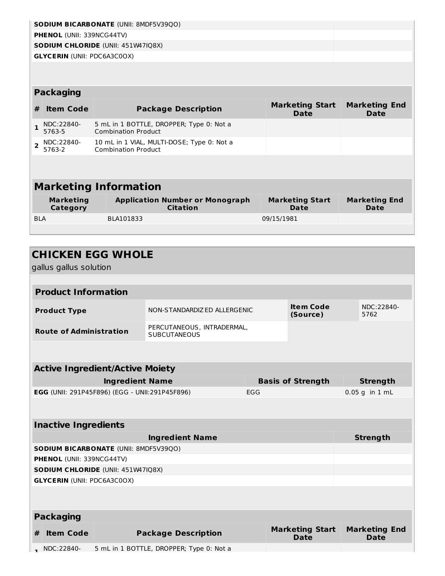|                | <b>SODIUM BICARBONATE (UNII: 8MDF5V39QO)</b> |                                                                          |                                |                              |  |  |  |
|----------------|----------------------------------------------|--------------------------------------------------------------------------|--------------------------------|------------------------------|--|--|--|
|                | <b>PHENOL (UNII: 339NCG44TV)</b>             |                                                                          |                                |                              |  |  |  |
|                |                                              | <b>SODIUM CHLORIDE (UNII: 451W47IQ8X)</b>                                |                                |                              |  |  |  |
|                | <b>GLYCERIN (UNII: PDC6A3C0OX)</b>           |                                                                          |                                |                              |  |  |  |
|                |                                              |                                                                          |                                |                              |  |  |  |
|                |                                              |                                                                          |                                |                              |  |  |  |
|                | <b>Packaging</b>                             |                                                                          |                                |                              |  |  |  |
| #              | <b>Item Code</b>                             | <b>Package Description</b>                                               | <b>Marketing Start</b><br>Date | <b>Marketing End</b><br>Date |  |  |  |
| $\mathbf{1}$   | NDC:22840-<br>5763-5                         | 5 mL in 1 BOTTLE, DROPPER; Type 0: Not a<br><b>Combination Product</b>   |                                |                              |  |  |  |
| $\overline{2}$ | NDC:22840-<br>5763-2                         | 10 mL in 1 VIAL, MULTI-DOSE; Type 0: Not a<br><b>Combination Product</b> |                                |                              |  |  |  |
|                |                                              |                                                                          |                                |                              |  |  |  |
|                |                                              |                                                                          |                                |                              |  |  |  |
|                | <b>Marketing Information</b>                 |                                                                          |                                |                              |  |  |  |
|                | <b>Marketing</b><br>Category                 | <b>Application Number or Monograph</b><br><b>Citation</b>                | <b>Marketing Start</b><br>Date | <b>Marketing End</b><br>Date |  |  |  |
| <b>BLA</b>     |                                              | BLA101833                                                                | 09/15/1981                     |                              |  |  |  |
|                |                                              |                                                                          |                                |                              |  |  |  |

|                                                       | gallus gallus solution             | <b>CHICKEN EGG WHOLE</b>                     |                                                             |  |                    |                                       |                    |                                     |
|-------------------------------------------------------|------------------------------------|----------------------------------------------|-------------------------------------------------------------|--|--------------------|---------------------------------------|--------------------|-------------------------------------|
|                                                       |                                    |                                              |                                                             |  |                    |                                       |                    |                                     |
|                                                       | <b>Product Information</b>         |                                              |                                                             |  |                    |                                       |                    |                                     |
|                                                       | <b>Product Type</b>                |                                              | <b>Item Code</b><br>NON-STANDARDIZED ALLERGENIC<br>(Source) |  |                    |                                       | NDC:22840-<br>5762 |                                     |
|                                                       | <b>Route of Administration</b>     |                                              | PERCUTANEOUS, INTRADERMAL,<br><b>SUBCUTANEOUS</b>           |  |                    |                                       |                    |                                     |
|                                                       |                                    |                                              |                                                             |  |                    |                                       |                    |                                     |
|                                                       |                                    | <b>Active Ingredient/Active Moiety</b>       |                                                             |  |                    |                                       |                    |                                     |
|                                                       |                                    | <b>Ingredient Name</b>                       |                                                             |  |                    | <b>Basis of Strength</b>              |                    | <b>Strength</b>                     |
| EGG (UNII: 291P45F896) (EGG - UNII:291P45F896)<br>EGG |                                    |                                              |                                                             |  | $0.05$ g in $1$ mL |                                       |                    |                                     |
|                                                       |                                    |                                              |                                                             |  |                    |                                       |                    |                                     |
|                                                       | <b>Inactive Ingredients</b>        |                                              |                                                             |  |                    |                                       |                    |                                     |
|                                                       |                                    |                                              | <b>Ingredient Name</b>                                      |  |                    |                                       |                    | <b>Strength</b>                     |
|                                                       |                                    | <b>SODIUM BICARBONATE (UNII: 8MDF5V39QO)</b> |                                                             |  |                    |                                       |                    |                                     |
|                                                       | PHENOL (UNII: 339NCG44TV)          |                                              |                                                             |  |                    |                                       |                    |                                     |
|                                                       |                                    | SODIUM CHLORIDE (UNII: 451W47IQ8X)           |                                                             |  |                    |                                       |                    |                                     |
|                                                       | <b>GLYCERIN (UNII: PDC6A3C0OX)</b> |                                              |                                                             |  |                    |                                       |                    |                                     |
|                                                       |                                    |                                              |                                                             |  |                    |                                       |                    |                                     |
|                                                       | <b>Packaging</b>                   |                                              |                                                             |  |                    |                                       |                    |                                     |
| #                                                     | <b>Item Code</b>                   |                                              | <b>Package Description</b>                                  |  |                    | <b>Marketing Start</b><br><b>Date</b> |                    | <b>Marketing End</b><br><b>Date</b> |
|                                                       | NDC:22840-                         |                                              | 5 mL in 1 BOTTLE, DROPPER; Type 0: Not a                    |  |                    |                                       |                    |                                     |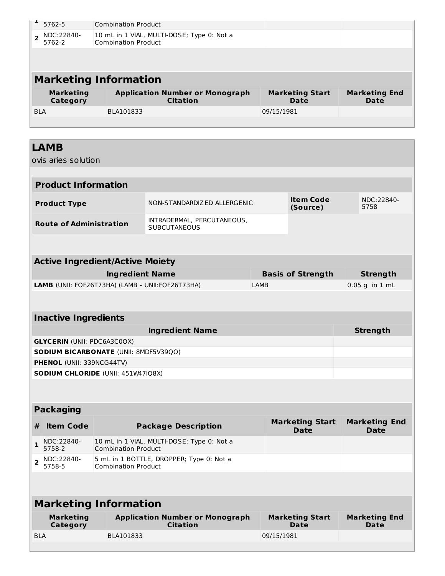| 5762-5                                 | <b>Combination Product</b> |                                                   |            |                              |                      |  |
|----------------------------------------|----------------------------|---------------------------------------------------|------------|------------------------------|----------------------|--|
| NDC:22840-<br>$\overline{2}$           |                            | 10 mL in 1 VIAL, MULTI-DOSE; Type 0: Not a        |            |                              |                      |  |
| 5762-2                                 | <b>Combination Product</b> |                                                   |            |                              |                      |  |
|                                        |                            |                                                   |            |                              |                      |  |
| <b>Marketing Information</b>           |                            |                                                   |            |                              |                      |  |
| <b>Marketing</b>                       |                            | <b>Application Number or Monograph</b>            |            | <b>Marketing Start</b>       | <b>Marketing End</b> |  |
| Category                               |                            | <b>Citation</b>                                   |            | Date                         | Date                 |  |
| <b>BLA</b>                             | BLA101833                  |                                                   | 09/15/1981 |                              |                      |  |
|                                        |                            |                                                   |            |                              |                      |  |
|                                        |                            |                                                   |            |                              |                      |  |
| <b>LAMB</b>                            |                            |                                                   |            |                              |                      |  |
| ovis aries solution                    |                            |                                                   |            |                              |                      |  |
| <b>Product Information</b>             |                            |                                                   |            |                              |                      |  |
|                                        |                            |                                                   |            |                              |                      |  |
| <b>Product Type</b>                    |                            | NON-STANDARDIZED ALLERGENIC                       |            | <b>Item Code</b><br>(Source) | NDC:22840-<br>5758   |  |
| <b>Route of Administration</b>         |                            | INTRADERMAL, PERCUTANEOUS,<br><b>SUBCUTANEOUS</b> |            |                              |                      |  |
|                                        |                            |                                                   |            |                              |                      |  |
| <b>Active Ingredient/Active Moiety</b> |                            |                                                   |            |                              |                      |  |
|                                        | <b>Ingredient Name</b>     |                                                   |            | <b>Basis of Strength</b>     | <b>Strength</b>      |  |
|                                        |                            | LAMB (UNII: FOF26T73HA) (LAMB - UNII: FOF26T73HA) | LAMB       |                              | $0.05$ g in $1$ mL   |  |
|                                        |                            |                                                   |            |                              |                      |  |
| <b>Inactive Ingredients</b>            |                            |                                                   |            |                              |                      |  |
|                                        |                            | <b>Ingredient Name</b>                            |            |                              | <b>Strength</b>      |  |
| <b>GLYCERIN (UNII: PDC6A3C0OX)</b>     |                            |                                                   |            |                              |                      |  |
| SODIUM BICARBONATE (UNII: 8MDF5V39QO)  |                            |                                                   |            |                              |                      |  |
| PHENOL (UNII: 339NCG44TV)              |                            |                                                   |            |                              |                      |  |
| SODIUM CHLORIDE (UNII: 451W47IQ8X)     |                            |                                                   |            |                              |                      |  |

## **Packaging**

| <b>Item Code</b>                | <b>Package Description</b>                                               | <b>Marketing Start</b><br>Date | <b>Marketing End</b><br><b>Date</b> |
|---------------------------------|--------------------------------------------------------------------------|--------------------------------|-------------------------------------|
| $\frac{1}{5758-2}$              | 10 mL in 1 VIAL, MULTI-DOSE; Type 0: Not a<br><b>Combination Product</b> |                                |                                     |
| $\sum_{2}$ NDC:22840-<br>5758-5 | 5 mL in 1 BOTTLE, DROPPER; Type 0: Not a<br><b>Combination Product</b>   |                                |                                     |

| <b>Marketing Information</b> |                                                           |                                |                              |  |  |  |  |
|------------------------------|-----------------------------------------------------------|--------------------------------|------------------------------|--|--|--|--|
| <b>Marketing</b><br>Category | <b>Application Number or Monograph</b><br><b>Citation</b> | <b>Marketing Start</b><br>Date | <b>Marketing End</b><br>Date |  |  |  |  |
| <b>BLA</b>                   | BLA101833                                                 | 09/15/1981                     |                              |  |  |  |  |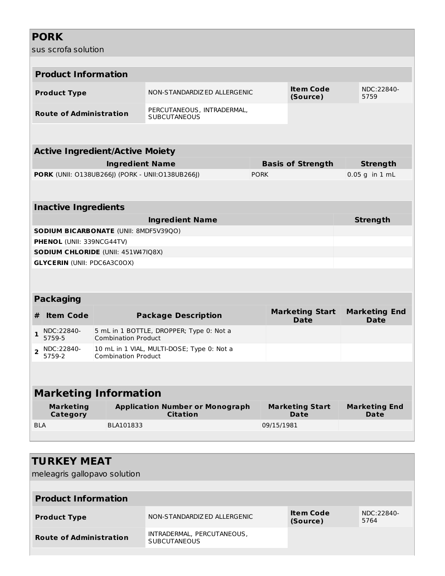## **PORK**

sus scrofa solution

|                | <b>Product Information</b>         |                                        |                                                           |             |            |                                       |                                     |
|----------------|------------------------------------|----------------------------------------|-----------------------------------------------------------|-------------|------------|---------------------------------------|-------------------------------------|
|                | <b>Product Type</b>                |                                        | NON-STANDARDIZ ED ALLERGENIC                              |             |            | <b>Item Code</b><br>(Source)          | NDC:22840-<br>5759                  |
|                | <b>Route of Administration</b>     |                                        | PERCUTANEOUS, INTRADERMAL,<br><b>SUBCUTANEOUS</b>         |             |            |                                       |                                     |
|                |                                    |                                        |                                                           |             |            |                                       |                                     |
|                |                                    | <b>Active Ingredient/Active Moiety</b> |                                                           |             |            |                                       |                                     |
|                |                                    | <b>Ingredient Name</b>                 |                                                           |             |            | <b>Basis of Strength</b>              | <b>Strength</b>                     |
|                |                                    |                                        | PORK (UNII: 0138UB266J) (PORK - UNII: 0138UB266J)         | <b>PORK</b> |            |                                       | 0.05 g in 1 mL                      |
|                |                                    |                                        |                                                           |             |            |                                       |                                     |
|                | <b>Inactive Ingredients</b>        |                                        |                                                           |             |            |                                       |                                     |
|                |                                    |                                        | <b>Ingredient Name</b>                                    |             |            |                                       | <b>Strength</b>                     |
|                |                                    | SODIUM BICARBONATE (UNII: 8MDF5V39QO)  |                                                           |             |            |                                       |                                     |
|                | PHENOL (UNII: 339NCG44TV)          |                                        |                                                           |             |            |                                       |                                     |
|                |                                    | SODIUM CHLORIDE (UNII: 451W47IQ8X)     |                                                           |             |            |                                       |                                     |
|                | <b>GLYCERIN (UNII: PDC6A3C0OX)</b> |                                        |                                                           |             |            |                                       |                                     |
|                |                                    |                                        |                                                           |             |            |                                       |                                     |
|                | <b>Packaging</b>                   |                                        |                                                           |             |            |                                       |                                     |
| #              | <b>Item Code</b>                   |                                        | <b>Package Description</b>                                |             |            | <b>Marketing Start</b><br><b>Date</b> | <b>Marketing End</b><br><b>Date</b> |
| $\mathbf{1}$   | NDC:22840-<br>5759-5               | <b>Combination Product</b>             | 5 mL in 1 BOTTLE, DROPPER; Type 0: Not a                  |             |            |                                       |                                     |
| $\overline{2}$ | NDC:22840-<br>5759-2               | <b>Combination Product</b>             | 10 mL in 1 VIAL, MULTI-DOSE; Type 0: Not a                |             |            |                                       |                                     |
|                |                                    |                                        |                                                           |             |            |                                       |                                     |
|                |                                    | <b>Marketing Information</b>           |                                                           |             |            |                                       |                                     |
|                | <b>Marketing</b><br>Category       |                                        | <b>Application Number or Monograph</b><br><b>Citation</b> |             |            | <b>Marketing Start</b><br><b>Date</b> | <b>Marketing End</b><br><b>Date</b> |
| <b>BLA</b>     |                                    | BLA101833                              |                                                           |             | 09/15/1981 |                                       |                                     |
|                |                                    |                                        |                                                           |             |            |                                       |                                     |
|                |                                    |                                        |                                                           |             |            |                                       |                                     |
|                | <b>TURKEY MEAT</b>                 |                                        |                                                           |             |            |                                       |                                     |
|                | meleagris gallopavo solution       |                                        |                                                           |             |            |                                       |                                     |
|                |                                    |                                        |                                                           |             |            |                                       |                                     |
|                | <b>Product Information</b>         |                                        |                                                           |             |            |                                       |                                     |
|                | <b>Product Type</b>                |                                        | NON-STANDARDIZ ED ALLERGENIC                              |             |            | <b>Item Code</b><br>(Source)          | NDC:22840-<br>5764                  |
|                | <b>Route of Administration</b>     |                                        | INTRADERMAL, PERCUTANEOUS,<br><b>SUBCUTANEOUS</b>         |             |            |                                       |                                     |
|                |                                    |                                        |                                                           |             |            |                                       |                                     |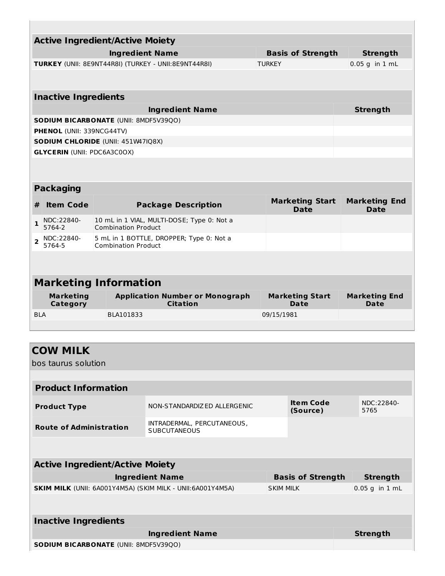| <b>Active Ingredient/Active Moiety</b> |                                                             |                                                                          |                                       |                                     |  |  |  |  |
|----------------------------------------|-------------------------------------------------------------|--------------------------------------------------------------------------|---------------------------------------|-------------------------------------|--|--|--|--|
|                                        |                                                             | <b>Ingredient Name</b>                                                   | <b>Basis of Strength</b>              | <b>Strength</b>                     |  |  |  |  |
|                                        | <b>TURKEY</b> (UNII: 8E9NT44R8I) (TURKEY - UNII:8E9NT44R8I) | $0.05$ g in $1$ mL                                                       |                                       |                                     |  |  |  |  |
|                                        |                                                             |                                                                          |                                       |                                     |  |  |  |  |
|                                        | <b>Inactive Ingredients</b>                                 |                                                                          |                                       |                                     |  |  |  |  |
|                                        |                                                             | <b>Ingredient Name</b>                                                   |                                       | <b>Strength</b>                     |  |  |  |  |
|                                        |                                                             | <b>SODIUM BICARBONATE (UNII: 8MDF5V39QO)</b>                             |                                       |                                     |  |  |  |  |
|                                        | <b>PHENOL (UNII: 339NCG44TV)</b>                            |                                                                          |                                       |                                     |  |  |  |  |
|                                        |                                                             | <b>SODIUM CHLORIDE (UNII: 451W47IQ8X)</b>                                |                                       |                                     |  |  |  |  |
|                                        | <b>GLYCERIN (UNII: PDC6A3C0OX)</b>                          |                                                                          |                                       |                                     |  |  |  |  |
|                                        | <b>Packaging</b>                                            |                                                                          |                                       |                                     |  |  |  |  |
| #                                      | <b>Item Code</b>                                            | <b>Package Description</b>                                               | <b>Marketing Start</b><br><b>Date</b> | <b>Marketing End</b><br><b>Date</b> |  |  |  |  |
| $\mathbf{1}$                           | NDC:22840-<br>5764-2                                        | 10 mL in 1 VIAL, MULTI-DOSE; Type 0: Not a<br><b>Combination Product</b> |                                       |                                     |  |  |  |  |
| $\overline{2}$                         | NDC:22840-<br>5764-5                                        | 5 mL in 1 BOTTLE, DROPPER; Type 0: Not a<br><b>Combination Product</b>   |                                       |                                     |  |  |  |  |
|                                        |                                                             |                                                                          |                                       |                                     |  |  |  |  |
|                                        |                                                             | <b>Marketing Information</b>                                             |                                       |                                     |  |  |  |  |
|                                        | <b>Marketing</b><br>Category                                | <b>Application Number or Monograph</b><br><b>Citation</b>                | <b>Marketing Start</b><br>Date        | <b>Marketing End</b><br>Date        |  |  |  |  |
| <b>BLA</b>                             |                                                             | BLA101833                                                                | 09/15/1981                            |                                     |  |  |  |  |
|                                        |                                                             |                                                                          |                                       |                                     |  |  |  |  |

| <b>COW MILK</b>                                             |                                                   |                  |                              |                    |
|-------------------------------------------------------------|---------------------------------------------------|------------------|------------------------------|--------------------|
| bos taurus solution                                         |                                                   |                  |                              |                    |
|                                                             |                                                   |                  |                              |                    |
| <b>Product Information</b>                                  |                                                   |                  |                              |                    |
| <b>Product Type</b>                                         | NON-STANDARDIZED ALLERGENIC                       |                  | <b>Item Code</b><br>(Source) | NDC:22840-<br>5765 |
| <b>Route of Administration</b>                              | INTRADERMAL, PERCUTANEOUS,<br><b>SUBCUTANEOUS</b> |                  |                              |                    |
|                                                             |                                                   |                  |                              |                    |
| <b>Active Ingredient/Active Moiety</b>                      |                                                   |                  |                              |                    |
|                                                             | <b>Ingredient Name</b>                            |                  | <b>Basis of Strength</b>     | <b>Strength</b>    |
| SKIM MILK (UNII: 6A001Y4M5A) (SKIM MILK - UNII: 6A001Y4M5A) |                                                   | <b>SKIM MILK</b> |                              | $0.05$ g in $1$ mL |
|                                                             |                                                   |                  |                              |                    |
| <b>Inactive Ingredients</b>                                 |                                                   |                  |                              |                    |
|                                                             | <b>Ingredient Name</b>                            |                  |                              | <b>Strength</b>    |
| <b>SODIUM BICARBONATE (UNII: 8MDF5V39QO)</b>                |                                                   |                  |                              |                    |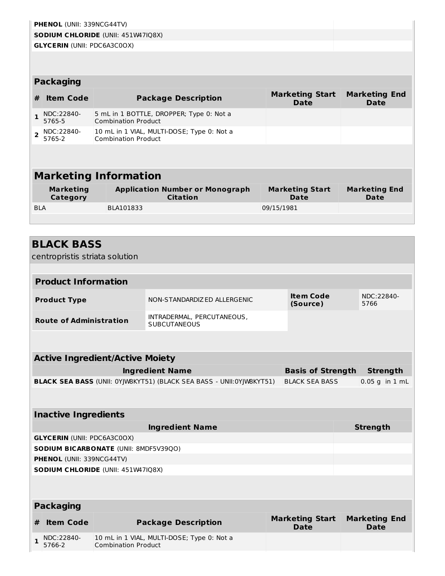|                | <b>PHENOL (UNII: 339NCG44TV)</b>                    |                                        |                                                                      |            |                                       |                                     |                    |
|----------------|-----------------------------------------------------|----------------------------------------|----------------------------------------------------------------------|------------|---------------------------------------|-------------------------------------|--------------------|
|                | <b>SODIUM CHLORIDE (UNII: 451W47IQ8X)</b>           |                                        |                                                                      |            |                                       |                                     |                    |
|                | <b>GLYCERIN (UNII: PDC6A3C0OX)</b>                  |                                        |                                                                      |            |                                       |                                     |                    |
|                |                                                     |                                        |                                                                      |            |                                       |                                     |                    |
|                | <b>Packaging</b>                                    |                                        |                                                                      |            |                                       |                                     |                    |
| #              | <b>Item Code</b>                                    |                                        | <b>Package Description</b>                                           |            | <b>Marketing Start</b><br><b>Date</b> | <b>Marketing End</b><br><b>Date</b> |                    |
| $\mathbf{1}$   | NDC:22840-<br>5765-5                                | <b>Combination Product</b>             | 5 mL in 1 BOTTLE, DROPPER; Type 0: Not a                             |            |                                       |                                     |                    |
| $\overline{2}$ | NDC:22840-<br>5765-2                                | <b>Combination Product</b>             | 10 mL in 1 VIAL, MULTI-DOSE; Type 0: Not a                           |            |                                       |                                     |                    |
|                |                                                     |                                        |                                                                      |            |                                       |                                     |                    |
|                |                                                     | <b>Marketing Information</b>           |                                                                      |            |                                       |                                     |                    |
|                | <b>Marketing</b><br>Category                        |                                        | <b>Application Number or Monograph</b><br><b>Citation</b>            |            | <b>Marketing Start</b><br><b>Date</b> | <b>Marketing End</b><br>Date        |                    |
| <b>BLA</b>     |                                                     | BLA101833                              |                                                                      | 09/15/1981 |                                       |                                     |                    |
|                | <b>BLACK BASS</b><br>centropristis striata solution |                                        |                                                                      |            |                                       |                                     |                    |
|                | <b>Product Information</b>                          |                                        |                                                                      |            |                                       |                                     |                    |
|                | <b>Product Type</b>                                 |                                        | NON-STANDARDIZ ED ALLERGENIC                                         |            | <b>Item Code</b><br>(Source)          | 5766                                | NDC:22840-         |
|                | <b>Route of Administration</b>                      |                                        | INTRADERMAL, PERCUTANEOUS,<br><b>SUBCUTANEOUS</b>                    |            |                                       |                                     |                    |
|                |                                                     |                                        |                                                                      |            |                                       |                                     |                    |
|                |                                                     | <b>Active Ingredient/Active Moiety</b> |                                                                      |            |                                       |                                     |                    |
|                |                                                     |                                        | <b>Ingredient Name</b>                                               |            | <b>Basis of Strength</b>              |                                     | <b>Strength</b>    |
|                |                                                     |                                        | BLACK SEA BASS (UNII: 0YJW8KYT51) (BLACK SEA BASS - UNII:0YJW8KYT51) |            | <b>BLACK SEA BASS</b>                 |                                     | $0.05$ g in $1$ mL |
|                |                                                     |                                        |                                                                      |            |                                       |                                     |                    |
|                | <b>Inactive Ingredients</b>                         |                                        |                                                                      |            |                                       |                                     |                    |
|                |                                                     |                                        | <b>Ingredient Name</b>                                               |            |                                       | <b>Strength</b>                     |                    |

| <b>Ingredient Name</b>                       | <b>Strength</b> |
|----------------------------------------------|-----------------|
| <b>GLYCERIN (UNII: PDC6A3C0OX)</b>           |                 |
| <b>SODIUM BICARBONATE (UNII: 8MDF5V39QO)</b> |                 |
| <b>PHENOL</b> (UNII: 339NCG44TV)             |                 |
| <b>SODIUM CHLORIDE</b> (UNII: 451W47IQ8X)    |                 |
|                                              |                 |

| <b>Packaging</b> |                          |                                                                          |                                |                                     |  |  |
|------------------|--------------------------|--------------------------------------------------------------------------|--------------------------------|-------------------------------------|--|--|
|                  | # Item Code              | <b>Package Description</b>                                               | <b>Marketing Start</b><br>Date | <b>Marketing End</b><br><b>Date</b> |  |  |
|                  | $1$ NDC:22840-<br>5766-2 | 10 mL in 1 VIAL, MULTI-DOSE; Type 0: Not a<br><b>Combination Product</b> |                                |                                     |  |  |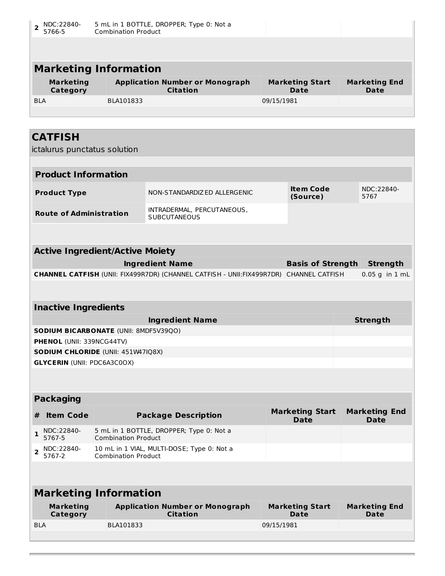| NDC:22840-<br>$\overline{2}$<br>5766-5         | <b>Combination Product</b> | 5 mL in 1 BOTTLE, DROPPER; Type 0: Not a                  |            |                                       |                                        |
|------------------------------------------------|----------------------------|-----------------------------------------------------------|------------|---------------------------------------|----------------------------------------|
|                                                |                            |                                                           |            |                                       |                                        |
| <b>Marketing Information</b>                   |                            |                                                           |            |                                       |                                        |
| <b>Marketing</b><br>Category                   |                            | <b>Application Number or Monograph</b><br><b>Citation</b> |            | <b>Marketing Start</b><br><b>Date</b> | <b>Marketing End</b><br><b>Date</b>    |
| <b>BLA</b>                                     | BLA101833                  |                                                           | 09/15/1981 |                                       |                                        |
|                                                |                            |                                                           |            |                                       |                                        |
| <b>CATFISH</b><br>ictalurus punctatus solution |                            |                                                           |            |                                       |                                        |
| <b>Product Information</b>                     |                            |                                                           |            |                                       |                                        |
| <b>Product Type</b>                            |                            | NON-STANDARDIZED ALLERGENIC                               |            | <b>Item Code</b><br>(Source)          | NDC:22840-<br>5767                     |
| <b>Route of Administration</b>                 |                            | INTRADERMAL, PERCUTANEOUS,<br><b>SUBCUTANEOUS</b>         |            |                                       |                                        |
|                                                |                            |                                                           |            |                                       |                                        |
| <b>Active Ingredient/Active Moiety</b>         |                            |                                                           |            |                                       |                                        |
|                                                |                            |                                                           |            | .                                     | $\mathbf{r}$ . The set of $\mathbf{r}$ |

| <b>Ingredient Name</b>                                                                         | <b>Basis of Strength Strength</b> |                        |
|------------------------------------------------------------------------------------------------|-----------------------------------|------------------------|
| <b>CHANNEL CATFISH</b> (UNII: FIX499R7DR) (CHANNEL CATFISH - UNII: FIX499R7DR) CHANNEL CATFISH |                                   | $\vert 0.05$ g in 1 mL |

### **Inactive Ingredients**

| <b>Ingredient Name</b>                       | <b>Strength</b> |
|----------------------------------------------|-----------------|
| <b>SODIUM BICARBONATE (UNII: 8MDF5V39QO)</b> |                 |
| <b>PHENOL</b> (UNII: 339NCG44TV)             |                 |
| <b>SODIUM CHLORIDE (UNII: 451W47IQ8X)</b>    |                 |
| <b>GLYCERIN (UNII: PDC6A3C0OX)</b>           |                 |

## **Packaging**

| # | Item Code                | <b>Package Description</b>                                               | <b>Marketing Start</b><br>Date | <b>Marketing End</b><br><b>Date</b> |
|---|--------------------------|--------------------------------------------------------------------------|--------------------------------|-------------------------------------|
|   | NDC:22840-<br>5767-5     | 5 mL in 1 BOTTLE, DROPPER; Type 0: Not a<br><b>Combination Product</b>   |                                |                                     |
|   | $2$ NDC:22840-<br>5767-2 | 10 mL in 1 VIAL, MULTI-DOSE; Type 0: Not a<br><b>Combination Product</b> |                                |                                     |

# **Marketing Information**

| Marketing  | <b>Application Number or Monograph</b> | <b>Marketing Start</b> | <b>Marketing End</b> |
|------------|----------------------------------------|------------------------|----------------------|
| Category   | <b>Citation</b>                        | Date                   | <b>Date</b>          |
| <b>BLA</b> | BLA101833                              | 09/15/1981             |                      |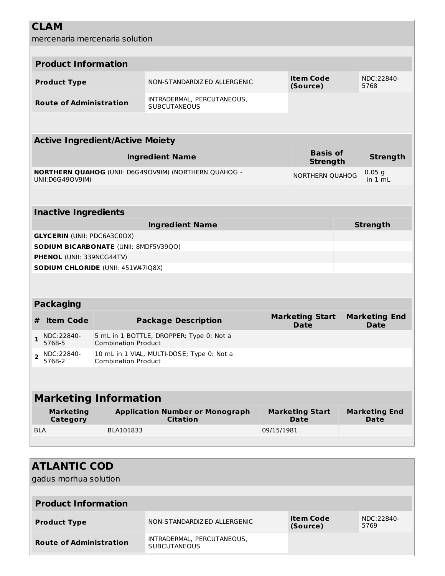**CLAM** mercenaria mercenaria solution **Product Information Product Type** NON-STANDARDIZED ALLERGENIC **Item Code (Source)** NDC:22840- 5768 **Route of Administration** INTRADERMAL, PERCUTANEOUS, **SUBCUTANEOUS Active Ingredient/Active Moiety Ingredient Name Basis of Strength Strength NORTHERN QUAHOG** (UNII: D6G49OV9IM) (NORTHERN QUAHOG - UNII:D6G49OV9IM) NORTHERN QUAHOG 0.05 g in 1 mL **Inactive Ingredients Ingredient Name Strength GLYCERIN** (UNII: PDC6A3C0OX) **SODIUM BICARBONATE** (UNII: 8MDF5V39QO) **PHENOL** (UNII: 339NCG44TV) **SODIUM CHLORIDE** (UNII: 451W47IQ8X) **Packaging # Item Code Package Description Marketing Start Date Marketing End Date 1** NDC:22840- 5768-5 5 mL in 1 BOTTLE, DROPPER; Type 0: Not a Combination Product **2** NDC:22840-5768-2 10 mL in 1 VIAL, MULTI-DOSE; Type 0: Not a Combination Product **Marketing Information Marketing Category Application Number or Monograph Citation Marketing Start Date Marketing End Date**

| <b>ATLANTIC COD</b><br>gadus morhua solution |                                                   |                              |                     |
|----------------------------------------------|---------------------------------------------------|------------------------------|---------------------|
|                                              |                                                   |                              |                     |
| <b>Product Information</b>                   |                                                   |                              |                     |
| <b>Product Type</b>                          | NON-STANDARDIZ ED ALLERGENIC                      | <b>Item Code</b><br>(Source) | NDC: 22840-<br>5769 |
| <b>Route of Administration</b>               | INTRADERMAL, PERCUTANEOUS,<br><b>SUBCUTANEOUS</b> |                              |                     |

BLA BLA101833 09/15/1981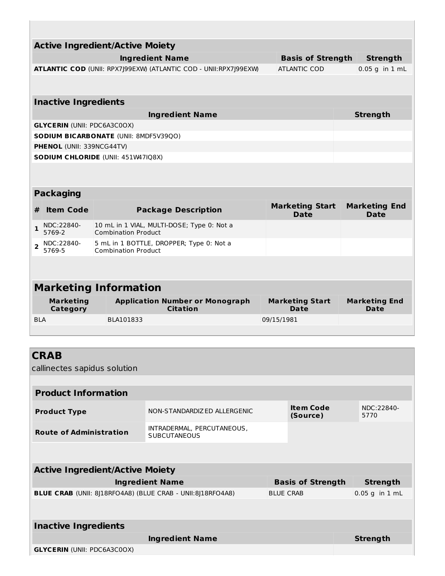|                | <b>Active Ingredient/Active Moiety</b>      |                                              |                                                                  |            |                                       |  |                              |  |
|----------------|---------------------------------------------|----------------------------------------------|------------------------------------------------------------------|------------|---------------------------------------|--|------------------------------|--|
|                |                                             |                                              | <b>Ingredient Name</b>                                           |            | <b>Basis of Strength</b>              |  | <b>Strength</b>              |  |
|                |                                             |                                              | ATLANTIC COD (UNII: RPX7J99EXW) (ATLANTIC COD - UNII:RPX7J99EXW) |            | ATLANTIC COD                          |  | $0.05$ a in $1$ mL           |  |
|                |                                             |                                              |                                                                  |            |                                       |  |                              |  |
|                | <b>Inactive Ingredients</b>                 |                                              |                                                                  |            |                                       |  |                              |  |
|                |                                             |                                              | <b>Ingredient Name</b>                                           |            |                                       |  | <b>Strength</b>              |  |
|                | <b>GLYCERIN (UNII: PDC6A3C0OX)</b>          |                                              |                                                                  |            |                                       |  |                              |  |
|                |                                             | <b>SODIUM BICARBONATE (UNII: 8MDF5V39QO)</b> |                                                                  |            |                                       |  |                              |  |
|                | <b>PHENOL (UNII: 339NCG44TV)</b>            |                                              |                                                                  |            |                                       |  |                              |  |
|                |                                             | <b>SODIUM CHLORIDE (UNII: 451W47IQ8X)</b>    |                                                                  |            |                                       |  |                              |  |
|                |                                             |                                              |                                                                  |            |                                       |  |                              |  |
|                | <b>Packaging</b>                            |                                              |                                                                  |            |                                       |  |                              |  |
| #              | <b>Item Code</b>                            |                                              | <b>Package Description</b>                                       |            | <b>Marketing Start</b><br><b>Date</b> |  | <b>Marketing End</b><br>Date |  |
| 1              | NDC:22840-<br>5769-2                        | <b>Combination Product</b>                   | 10 mL in 1 VIAL, MULTI-DOSE; Type 0: Not a                       |            |                                       |  |                              |  |
| $\overline{2}$ | NDC:22840-<br>5769-5                        | <b>Combination Product</b>                   | 5 mL in 1 BOTTLE, DROPPER; Type 0: Not a                         |            |                                       |  |                              |  |
|                |                                             |                                              |                                                                  |            |                                       |  |                              |  |
|                |                                             | <b>Marketing Information</b>                 |                                                                  |            |                                       |  |                              |  |
|                | <b>Marketing</b><br><b>Category</b>         |                                              | <b>Application Number or Monograph</b><br><b>Citation</b>        |            | <b>Marketing Start</b><br>Date        |  | <b>Marketing End</b><br>Date |  |
| <b>BLA</b>     |                                             | BLA101833                                    |                                                                  | 09/15/1981 |                                       |  |                              |  |
|                |                                             |                                              |                                                                  |            |                                       |  |                              |  |
|                |                                             |                                              |                                                                  |            |                                       |  |                              |  |
|                | <b>CRAB</b><br>callinectes sapidus solution |                                              |                                                                  |            |                                       |  |                              |  |
|                |                                             |                                              |                                                                  |            |                                       |  |                              |  |
|                | <b>Product Information</b>                  |                                              |                                                                  |            |                                       |  |                              |  |
|                | <b>Product Type</b>                         |                                              | NON-STANDARDIZ ED ALLERGENIC                                     |            | Item Code<br>(Source)                 |  | NDC:22840-<br>5770           |  |
|                | <b>Route of Administration</b>              |                                              | INTRADERMAL, PERCUTANEOUS,<br><b>SUBCUTANEOUS</b>                |            |                                       |  |                              |  |
|                |                                             |                                              |                                                                  |            |                                       |  |                              |  |
|                |                                             | <b>Active Ingredient/Active Moiety</b>       |                                                                  |            |                                       |  |                              |  |
|                |                                             |                                              | <b>Ingredient Name</b>                                           |            | <b>Basis of Strength</b>              |  | <b>Strength</b>              |  |
|                |                                             |                                              |                                                                  |            |                                       |  |                              |  |

| <b>BLUE CRAB</b> (UNII: 8J18RFO4A8) (BLUE CRAB - UNII:8J18RFO4A8) | <b>BLUE CRAB</b> | $\vert 0.05$ g in 1 mL |
|-------------------------------------------------------------------|------------------|------------------------|
|                                                                   |                  |                        |

| <b>Inactive Ingredients</b>        |          |  |  |  |  |  |
|------------------------------------|----------|--|--|--|--|--|
| <b>Ingredient Name</b>             | Strength |  |  |  |  |  |
| <b>GLYCERIN (UNII: PDC6A3C0OX)</b> |          |  |  |  |  |  |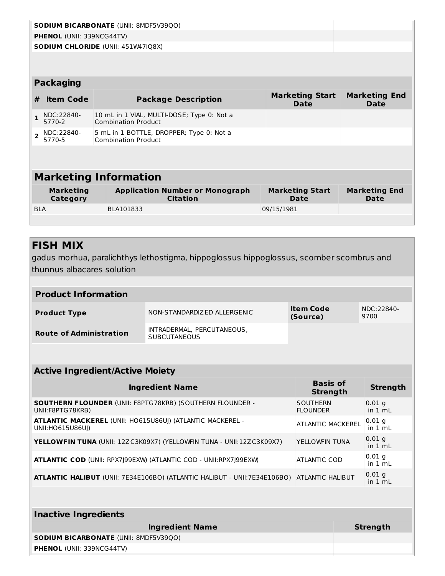|                |                                  | <b>SODIUM BICARBONATE (UNII: 8MDF5V39QO)</b>                             |                                       |                                     |
|----------------|----------------------------------|--------------------------------------------------------------------------|---------------------------------------|-------------------------------------|
|                | <b>PHENOL (UNII: 339NCG44TV)</b> |                                                                          |                                       |                                     |
|                |                                  | <b>SODIUM CHLORIDE (UNII: 451W47IQ8X)</b>                                |                                       |                                     |
|                |                                  |                                                                          |                                       |                                     |
|                |                                  |                                                                          |                                       |                                     |
|                | <b>Packaging</b>                 |                                                                          |                                       |                                     |
| #              | <b>Item Code</b>                 | <b>Package Description</b>                                               | <b>Marketing Start</b><br><b>Date</b> | <b>Marketing End</b><br><b>Date</b> |
| 1              | NDC:22840-<br>5770-2             | 10 mL in 1 VIAL, MULTI-DOSE; Type 0: Not a<br><b>Combination Product</b> |                                       |                                     |
| $\overline{2}$ | NDC:22840-<br>5770-5             | 5 mL in 1 BOTTLE, DROPPER; Type 0: Not a<br><b>Combination Product</b>   |                                       |                                     |
|                |                                  |                                                                          |                                       |                                     |
|                |                                  |                                                                          |                                       |                                     |
|                |                                  | <b>Marketing Information</b>                                             |                                       |                                     |
|                | <b>Marketing</b><br>Category     | <b>Application Number or Monograph</b><br><b>Citation</b>                | <b>Marketing Start</b><br>Date        | <b>Marketing End</b><br><b>Date</b> |
| <b>BLA</b>     |                                  | BLA101833                                                                | 09/15/1981                            |                                     |
|                |                                  |                                                                          |                                       |                                     |
|                |                                  |                                                                          |                                       |                                     |

## **FISH MIX**

gadus morhua, paralichthys lethostigma, hippoglossus hippoglossus, scomber scombrus and thunnus albacares solution

| <b>Product Information</b>     |                                                   |                              |                    |  |  |  |  |  |
|--------------------------------|---------------------------------------------------|------------------------------|--------------------|--|--|--|--|--|
| <b>Product Type</b>            | NON-STANDARDIZ ED ALLERGENIC                      | <b>Item Code</b><br>(Source) | NDC:22840-<br>9700 |  |  |  |  |  |
| <b>Route of Administration</b> | INTRADERMAL, PERCUTANEOUS,<br><b>SUBCUTANEOUS</b> |                              |                    |  |  |  |  |  |

| <b>Active Ingredient/Active Moiety</b>                                                           |                                    |                     |  |  |  |  |  |
|--------------------------------------------------------------------------------------------------|------------------------------------|---------------------|--|--|--|--|--|
| <b>Ingredient Name</b>                                                                           | <b>Basis of</b><br><b>Strength</b> | <b>Strength</b>     |  |  |  |  |  |
| <b>SOUTHERN FLOUNDER (UNII: F8PTG78KRB) (SOUTHERN FLOUNDER -</b><br>UNII: F8PTG78KRB)            | SOUTHERN<br><b>FLOUNDER</b>        | $0.01$ q<br>in 1 mL |  |  |  |  |  |
| <b>ATLANTIC MACKEREL (UNII: HO615U86UJ) (ATLANTIC MACKEREL -</b><br>UNII: HO615U86UI)            | ATLANTIC MACKEREL                  | $0.01$ g<br>in 1 mL |  |  |  |  |  |
| <b>YELLOWFIN TUNA (UNII: 12ZC3K09X7) (YELLOWFIN TUNA - UNII:12ZC3K09X7)</b>                      | YELLOWFIN TUNA                     | $0.01$ q<br>in 1 mL |  |  |  |  |  |
| <b>ATLANTIC COD (UNII: RPX7J99EXW) (ATLANTIC COD - UNII: RPX7J99EXW)</b>                         | <b>ATLANTIC COD</b>                | $0.01$ q<br>in 1 mL |  |  |  |  |  |
| <b>ATLANTIC HALIBUT</b> (UNII: 7E34E106BO) (ATLANTIC HALIBUT - UNII:7E34E106BO) ATLANTIC HALIBUT |                                    | $0.01$ q<br>in 1 mL |  |  |  |  |  |

| Inactive Ingredients                         |          |  |  |  |
|----------------------------------------------|----------|--|--|--|
| <b>Ingredient Name</b>                       | Strength |  |  |  |
| <b>SODIUM BICARBONATE (UNII: 8MDF5V39QO)</b> |          |  |  |  |
| <b>PHENOL (UNII: 339NCG44TV)</b>             |          |  |  |  |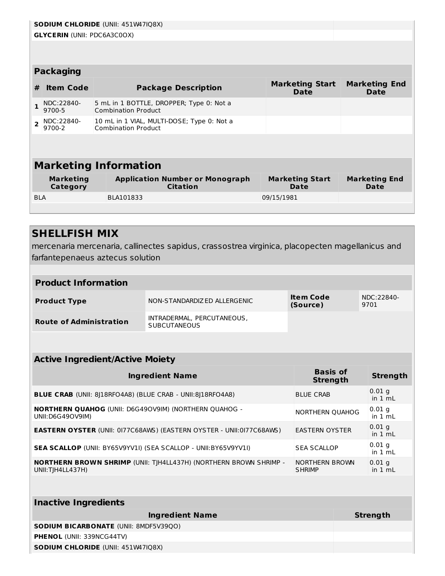|                                                                                                                             | <b>SODIUM CHLORIDE (UNII: 451W47IQ8X)</b>                                                                                      |                              |                                                                          |            |  |  |
|-----------------------------------------------------------------------------------------------------------------------------|--------------------------------------------------------------------------------------------------------------------------------|------------------------------|--------------------------------------------------------------------------|------------|--|--|
|                                                                                                                             | <b>GLYCERIN (UNII: PDC6A3C0OX)</b>                                                                                             |                              |                                                                          |            |  |  |
|                                                                                                                             |                                                                                                                                |                              |                                                                          |            |  |  |
|                                                                                                                             |                                                                                                                                |                              |                                                                          |            |  |  |
|                                                                                                                             | <b>Packaging</b>                                                                                                               |                              |                                                                          |            |  |  |
| #                                                                                                                           | <b>Marketing Start</b><br><b>Marketing End</b><br><b>Item Code</b><br><b>Package Description</b><br><b>Date</b><br><b>Date</b> |                              |                                                                          |            |  |  |
|                                                                                                                             | NDC:22840-<br>9700-5                                                                                                           |                              | 5 mL in 1 BOTTLE, DROPPER; Type 0: Not a<br><b>Combination Product</b>   |            |  |  |
| $\overline{\phantom{a}}$                                                                                                    | NDC:22840-<br>9700-2                                                                                                           |                              | 10 mL in 1 VIAL, MULTI-DOSE; Type 0: Not a<br><b>Combination Product</b> |            |  |  |
|                                                                                                                             |                                                                                                                                |                              |                                                                          |            |  |  |
|                                                                                                                             |                                                                                                                                |                              |                                                                          |            |  |  |
| <b>Marketing Information</b>                                                                                                |                                                                                                                                |                              |                                                                          |            |  |  |
| <b>Marketing</b><br><b>Application Number or Monograph</b><br><b>Marketing Start</b><br><b>Citation</b><br>Category<br>Date |                                                                                                                                | <b>Marketing End</b><br>Date |                                                                          |            |  |  |
| <b>BLA</b>                                                                                                                  |                                                                                                                                |                              | BLA101833                                                                | 09/15/1981 |  |  |
|                                                                                                                             |                                                                                                                                |                              |                                                                          |            |  |  |

#### **SHELLFISH MIX**

mercenaria mercenaria, callinectes sapidus, crassostrea virginica, placopecten magellanicus and farfantepenaeus aztecus solution

| <b>Product Information</b>     |                                                   |                       |                    |  |
|--------------------------------|---------------------------------------------------|-----------------------|--------------------|--|
| <b>Product Type</b>            | NON-STANDARDIZED ALLERGENIC                       | Item Code<br>(Source) | NDC:22840-<br>9701 |  |
| <b>Route of Administration</b> | INTRADERMAL, PERCUTANEOUS,<br><b>SUBCUTANEOUS</b> |                       |                    |  |

| <b>Active Ingredient/Active Moiety</b>                                                       |                                    |                     |  |  |
|----------------------------------------------------------------------------------------------|------------------------------------|---------------------|--|--|
| <b>Ingredient Name</b>                                                                       | <b>Basis of</b><br><b>Strength</b> | <b>Strength</b>     |  |  |
| <b>BLUE CRAB</b> (UNII: 8)18RFO4A8) (BLUE CRAB - UNII:8)18RFO4A8)                            | <b>BLUE CRAB</b>                   | $0.01$ q<br>in 1 mL |  |  |
| <b>NORTHERN QUAHOG (UNII: D6G49OV9IM) (NORTHERN QUAHOG -</b><br>UNII: D6G490V9IM)            | NORTHERN QUAHOG                    | $0.01$ q<br>in 1 mL |  |  |
| <b>EASTERN OYSTER (UNII: 0177C68AWS) (EASTERN OYSTER - UNII:0177C68AWS)</b>                  | <b>EASTERN OYSTER</b>              | $0.01$ q<br>in 1 mL |  |  |
| <b>SEA SCALLOP (UNII: BY65V9YV1I) (SEA SCALLOP - UNII:BY65V9YV1I)</b>                        | <b>SEA SCALLOP</b>                 | $0.01$ q<br>in 1 mL |  |  |
| <b>NORTHERN BROWN SHRIMP (UNII: TIH4LL437H) (NORTHERN BROWN SHRIMP -</b><br>UNII:TIH4LL437H) | NORTHERN BROWN<br><b>SHRIMP</b>    | $0.01$ q<br>in 1 mL |  |  |

| <b>Inactive Ingredients</b>                  |          |  |  |  |
|----------------------------------------------|----------|--|--|--|
| <b>Ingredient Name</b>                       | Strength |  |  |  |
| <b>SODIUM BICARBONATE (UNII: 8MDF5V39QO)</b> |          |  |  |  |
| <b>PHENOL (UNII: 339NCG44TV)</b>             |          |  |  |  |
| <b>SODIUM CHLORIDE (UNII: 451W47IQ8X)</b>    |          |  |  |  |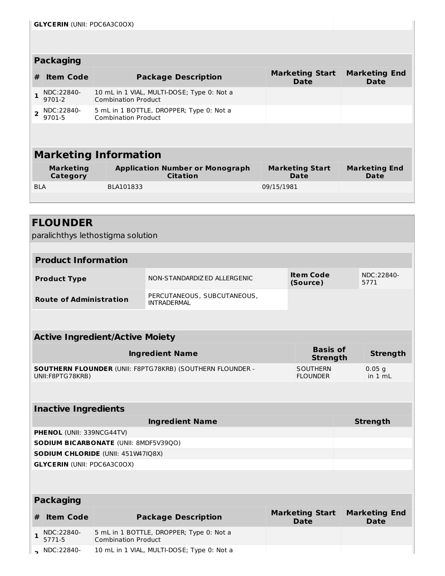| <b>Packaging</b>             |                      |                                                                          |                                |                              |  |  |
|------------------------------|----------------------|--------------------------------------------------------------------------|--------------------------------|------------------------------|--|--|
| #                            | <b>Item Code</b>     | <b>Package Description</b>                                               | <b>Marketing Start</b><br>Date | <b>Marketing End</b><br>Date |  |  |
|                              | NDC:22840-<br>9701-2 | 10 mL in 1 VIAL, MULTI-DOSE; Type 0: Not a<br><b>Combination Product</b> |                                |                              |  |  |
|                              | NDC:22840-<br>9701-5 | 5 mL in 1 BOTTLE, DROPPER; Type 0: Not a<br>Combination Product          |                                |                              |  |  |
|                              |                      |                                                                          |                                |                              |  |  |
| <b>Marketing Information</b> |                      |                                                                          |                                |                              |  |  |

| <b>Marketing</b><br>Category | <b>Application Number or Monograph</b><br>Citation | <b>Marketing Start</b><br>Date | <b>Marketing End</b><br>Date |
|------------------------------|----------------------------------------------------|--------------------------------|------------------------------|
| <b>BLA</b>                   | BLA101833                                          | 09/15/1981                     |                              |
|                              |                                                    |                                |                              |

paralichthys lethostigma solution

| <b>Product Information</b>     |                                            |                              |                    |  |
|--------------------------------|--------------------------------------------|------------------------------|--------------------|--|
| <b>Product Type</b>            | NON-STANDARDIZ ED ALLERGENIC               | <b>Item Code</b><br>(Source) | NDC:22840-<br>5771 |  |
| <b>Route of Administration</b> | PERCUTANEOUS, SUBCUTANEOUS,<br>INTRADERMAL |                              |                    |  |

| <b>Active Ingredient/Active Moiety</b>                                               |                                    |                     |  |  |
|--------------------------------------------------------------------------------------|------------------------------------|---------------------|--|--|
| <b>Ingredient Name</b>                                                               | <b>Basis of</b><br><b>Strength</b> | Strength            |  |  |
| <b>SOUTHERN FLOUNDER (UNII: F8PTG78KRB) (SOUTHERN FLOUNDER -</b><br>UNII:F8PTG78KRB) | <b>SOUTHERN</b><br><b>FLOUNDER</b> | $0.05$ q<br>in 1 mL |  |  |

| <b>Inactive Ingredients</b>                  |                 |  |  |  |
|----------------------------------------------|-----------------|--|--|--|
| <b>Ingredient Name</b>                       | <b>Strength</b> |  |  |  |
| <b>PHENOL</b> (UNII: 339NCG44TV)             |                 |  |  |  |
| <b>SODIUM BICARBONATE (UNII: 8MDF5V39QO)</b> |                 |  |  |  |
| <b>SODIUM CHLORIDE (UNII: 451W47IQ8X)</b>    |                 |  |  |  |
| <b>GLYCERIN (UNII: PDC6A3C0OX)</b>           |                 |  |  |  |
|                                              |                 |  |  |  |

| <b>Packaging</b> |                      |                                                                        |                                |                                     |  |
|------------------|----------------------|------------------------------------------------------------------------|--------------------------------|-------------------------------------|--|
|                  | <b>Item Code</b>     | <b>Package Description</b>                                             | <b>Marketing Start</b><br>Date | <b>Marketing End</b><br><b>Date</b> |  |
|                  | NDC:22840-<br>5771-5 | 5 mL in 1 BOTTLE, DROPPER; Type 0: Not a<br><b>Combination Product</b> |                                |                                     |  |
|                  | $\sim$ NDC:22840-    | 10 mL in 1 VIAL, MULTI-DOSE; Type 0: Not a                             |                                |                                     |  |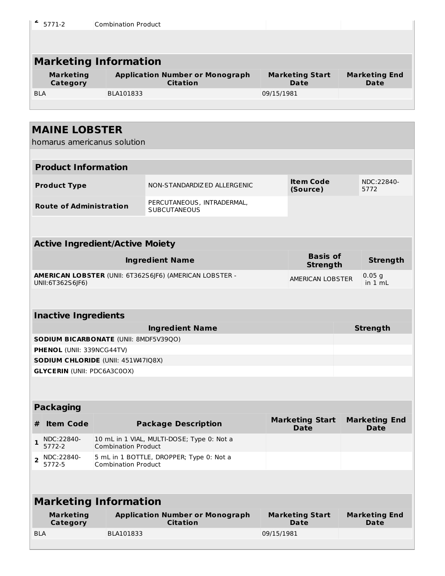| ۷<br>5771-2                                                                     | <b>Combination Product</b> |                                                           |            |                                       |                                     |
|---------------------------------------------------------------------------------|----------------------------|-----------------------------------------------------------|------------|---------------------------------------|-------------------------------------|
|                                                                                 |                            |                                                           |            |                                       |                                     |
| <b>Marketing Information</b>                                                    |                            |                                                           |            |                                       |                                     |
| <b>Marketing</b>                                                                |                            | <b>Application Number or Monograph</b>                    |            | <b>Marketing Start</b>                | <b>Marketing End</b>                |
| Category                                                                        |                            | <b>Citation</b>                                           |            | <b>Date</b>                           | <b>Date</b>                         |
| <b>BLA</b>                                                                      | BLA101833                  |                                                           | 09/15/1981 |                                       |                                     |
|                                                                                 |                            |                                                           |            |                                       |                                     |
| <b>MAINE LOBSTER</b>                                                            |                            |                                                           |            |                                       |                                     |
| homarus americanus solution                                                     |                            |                                                           |            |                                       |                                     |
| <b>Product Information</b>                                                      |                            |                                                           |            |                                       |                                     |
|                                                                                 |                            |                                                           |            |                                       |                                     |
| <b>Product Type</b>                                                             |                            | NON-STANDARDIZ ED ALLERGENIC                              |            | <b>Item Code</b><br>(Source)          | NDC:22840-<br>5772                  |
| <b>Route of Administration</b>                                                  |                            | PERCUTANEOUS, INTRADERMAL,<br><b>SUBCUTANEOUS</b>         |            |                                       |                                     |
|                                                                                 |                            |                                                           |            |                                       |                                     |
| <b>Active Ingredient/Active Moiety</b>                                          |                            |                                                           |            |                                       |                                     |
|                                                                                 |                            | <b>Ingredient Name</b>                                    |            | <b>Basis of</b><br><b>Strength</b>    | <b>Strength</b>                     |
| UNII: 6T362S6JF6)                                                               |                            | AMERICAN LOBSTER (UNII: 6T362S6JF6) (AMERICAN LOBSTER -   |            | AMERICAN LOBSTER                      | $0.05$ g<br>in $1 \text{ mL}$       |
|                                                                                 |                            |                                                           |            |                                       |                                     |
| <b>Inactive Ingredients</b>                                                     |                            |                                                           |            |                                       |                                     |
|                                                                                 |                            | <b>Ingredient Name</b>                                    |            |                                       | <b>Strength</b>                     |
| <b>SODIUM BICARBONATE (UNII: 8MDF5V39QO)</b>                                    |                            |                                                           |            |                                       |                                     |
| PHENOL (UNII: 339NCG44TV)                                                       |                            |                                                           |            |                                       |                                     |
| <b>SODIUM CHLORIDE (UNII: 451W47IQ8X)</b><br><b>GLYCERIN (UNII: PDC6A3C0OX)</b> |                            |                                                           |            |                                       |                                     |
|                                                                                 |                            |                                                           |            |                                       |                                     |
|                                                                                 |                            |                                                           |            |                                       |                                     |
| <b>Packaging</b>                                                                |                            |                                                           |            |                                       |                                     |
| <b>Item Code</b><br>#                                                           |                            | <b>Package Description</b>                                |            | <b>Marketing Start</b><br><b>Date</b> | <b>Marketing End</b><br><b>Date</b> |
| NDC:22840-<br>1<br>5772-2                                                       | <b>Combination Product</b> | 10 mL in 1 VIAL, MULTI-DOSE; Type 0: Not a                |            |                                       |                                     |
| NDC:22840-<br>2<br>5772-5                                                       | <b>Combination Product</b> | 5 mL in 1 BOTTLE, DROPPER; Type 0: Not a                  |            |                                       |                                     |
|                                                                                 |                            |                                                           |            |                                       |                                     |
| <b>Marketing Information</b>                                                    |                            |                                                           |            |                                       |                                     |
| <b>Marketing</b><br>Category                                                    |                            | <b>Application Number or Monograph</b><br><b>Citation</b> |            | <b>Marketing Start</b><br><b>Date</b> | <b>Marketing End</b><br>Date        |
| <b>BLA</b>                                                                      | BLA101833                  |                                                           | 09/15/1981 |                                       |                                     |
|                                                                                 |                            |                                                           |            |                                       |                                     |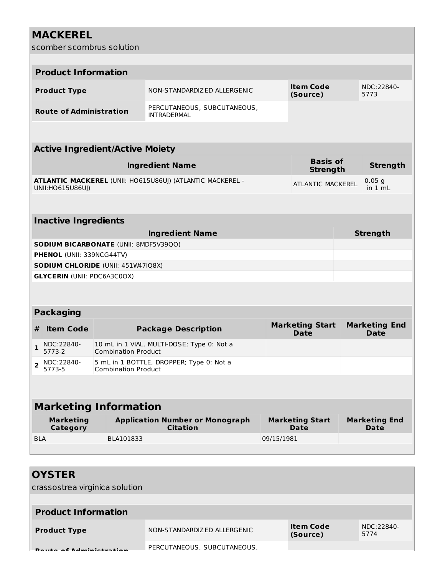| <b>MACKEREL</b>                                                          |                            |                                                                  |            |                                       |                                     |
|--------------------------------------------------------------------------|----------------------------|------------------------------------------------------------------|------------|---------------------------------------|-------------------------------------|
| scomber scombrus solution                                                |                            |                                                                  |            |                                       |                                     |
|                                                                          |                            |                                                                  |            |                                       |                                     |
| <b>Product Information</b>                                               |                            |                                                                  |            |                                       |                                     |
| <b>Product Type</b>                                                      |                            | NON-STANDARDIZED ALLERGENIC                                      |            | <b>Item Code</b><br>(Source)          | NDC:22840-<br>5773                  |
| <b>Route of Administration</b>                                           |                            | PERCUTANEOUS, SUBCUTANEOUS,<br><b>INTRADERMAL</b>                |            |                                       |                                     |
|                                                                          |                            |                                                                  |            |                                       |                                     |
| <b>Active Ingredient/Active Moiety</b>                                   |                            |                                                                  |            |                                       |                                     |
|                                                                          |                            | <b>Ingredient Name</b>                                           |            | <b>Basis of</b><br><b>Strength</b>    | <b>Strength</b>                     |
| UNII:HO615U86UJ)                                                         |                            | <b>ATLANTIC MACKEREL (UNII: HO615U86UJ) (ATLANTIC MACKEREL -</b> |            | <b>ATLANTIC MACKEREL</b>              | 0.05 <sub>q</sub><br>in $1 mL$      |
|                                                                          |                            |                                                                  |            |                                       |                                     |
| <b>Inactive Ingredients</b>                                              |                            |                                                                  |            |                                       |                                     |
|                                                                          |                            | <b>Ingredient Name</b>                                           |            |                                       | <b>Strength</b>                     |
| SODIUM BICARBONATE (UNII: 8MDF5V39Q0)                                    |                            |                                                                  |            |                                       |                                     |
| PHENOL (UNII: 339NCG44TV)                                                |                            |                                                                  |            |                                       |                                     |
| SODIUM CHLORIDE (UNII: 451W47IQ8X)<br><b>GLYCERIN (UNII: PDC6A3C0OX)</b> |                            |                                                                  |            |                                       |                                     |
|                                                                          |                            |                                                                  |            |                                       |                                     |
|                                                                          |                            |                                                                  |            |                                       |                                     |
| <b>Packaging</b>                                                         |                            |                                                                  |            |                                       |                                     |
| <b>Item Code</b><br>#                                                    |                            | <b>Package Description</b>                                       |            | <b>Marketing Start</b><br><b>Date</b> | <b>Marketing End</b><br><b>Date</b> |
| NDC:22840-<br>1<br>5773-2                                                | <b>Combination Product</b> | 10 mL in 1 VIAL, MULTI-DOSE; Type 0: Not a                       |            |                                       |                                     |
| NDC:22840-<br>$\overline{2}$<br>5773-5                                   | <b>Combination Product</b> | 5 mL in 1 BOTTLE, DROPPER; Type 0: Not a                         |            |                                       |                                     |
|                                                                          |                            |                                                                  |            |                                       |                                     |
| <b>Marketing Information</b>                                             |                            |                                                                  |            |                                       |                                     |
| <b>Marketing</b><br>Category                                             |                            | <b>Application Number or Monograph</b><br><b>Citation</b>        |            | <b>Marketing Start</b><br><b>Date</b> | <b>Marketing End</b><br><b>Date</b> |
| <b>BLA</b>                                                               | BLA101833                  |                                                                  | 09/15/1981 |                                       |                                     |

| <b>OYSTER</b>                                               |                             |                              |                    |
|-------------------------------------------------------------|-----------------------------|------------------------------|--------------------|
| crassostrea virginica solution                              |                             |                              |                    |
| <b>Product Information</b>                                  |                             |                              |                    |
| <b>Product Type</b>                                         | NON-STANDARDIZED ALLERGENIC | <b>Item Code</b><br>(Source) | NDC:22840-<br>5774 |
| <b>Contract Construction in Advised Advised Association</b> | PERCUTANEOUS, SUBCUTANEOUS, |                              |                    |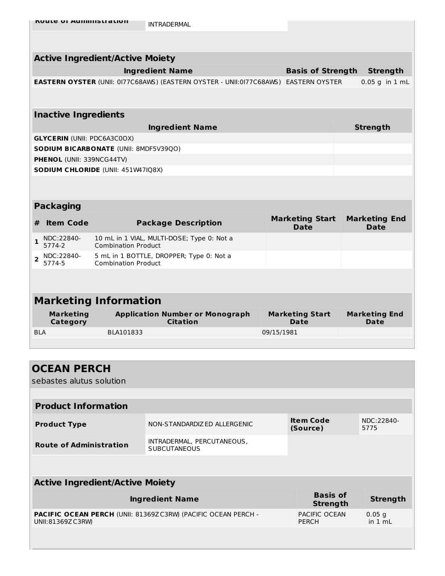|                | <b>Active Ingredient/Active Moiety</b> |  |                                                                                            |            |                                       |  |                                     |  |  |  |
|----------------|----------------------------------------|--|--------------------------------------------------------------------------------------------|------------|---------------------------------------|--|-------------------------------------|--|--|--|
|                |                                        |  | <b>Ingredient Name</b>                                                                     |            | <b>Basis of Strength</b>              |  | <b>Strength</b>                     |  |  |  |
|                |                                        |  | <b>EASTERN OYSTER</b> (UNII: 0177C68AWS) (EASTERN OYSTER - UNII:0177C68AWS) EASTERN OYSTER |            |                                       |  | $0.05$ g in $1$ mL                  |  |  |  |
|                |                                        |  |                                                                                            |            |                                       |  |                                     |  |  |  |
|                | <b>Inactive Ingredients</b>            |  |                                                                                            |            |                                       |  |                                     |  |  |  |
|                |                                        |  | <b>Ingredient Name</b>                                                                     |            |                                       |  | <b>Strength</b>                     |  |  |  |
|                | <b>GLYCERIN (UNII: PDC6A3C0OX)</b>     |  |                                                                                            |            |                                       |  |                                     |  |  |  |
|                |                                        |  | <b>SODIUM BICARBONATE (UNII: 8MDF5V39QO)</b>                                               |            |                                       |  |                                     |  |  |  |
|                | <b>PHENOL (UNII: 339NCG44TV)</b>       |  |                                                                                            |            |                                       |  |                                     |  |  |  |
|                |                                        |  | <b>SODIUM CHLORIDE (UNII: 451W47IQ8X)</b>                                                  |            |                                       |  |                                     |  |  |  |
|                |                                        |  |                                                                                            |            |                                       |  |                                     |  |  |  |
|                |                                        |  |                                                                                            |            |                                       |  |                                     |  |  |  |
|                | <b>Packaging</b>                       |  |                                                                                            |            |                                       |  |                                     |  |  |  |
| #              | <b>Item Code</b>                       |  | <b>Package Description</b>                                                                 |            | <b>Marketing Start</b><br><b>Date</b> |  | <b>Marketing End</b><br><b>Date</b> |  |  |  |
| 1              | NDC:22840-<br>5774-2                   |  | 10 mL in 1 VIAL, MULTI-DOSE; Type 0: Not a<br><b>Combination Product</b>                   |            |                                       |  |                                     |  |  |  |
| $\overline{2}$ | NDC:22840-<br>5774-5                   |  | 5 mL in 1 BOTTLE, DROPPER; Type 0: Not a<br><b>Combination Product</b>                     |            |                                       |  |                                     |  |  |  |
|                |                                        |  |                                                                                            |            |                                       |  |                                     |  |  |  |
|                |                                        |  |                                                                                            |            |                                       |  |                                     |  |  |  |
|                |                                        |  | <b>Marketing Information</b>                                                               |            |                                       |  |                                     |  |  |  |
|                | <b>Marketing</b><br>Category           |  | <b>Application Number or Monograph</b><br><b>Citation</b>                                  |            | <b>Marketing Start</b><br>Date        |  | <b>Marketing End</b><br>Date        |  |  |  |
| <b>BLA</b>     |                                        |  | BLA101833                                                                                  | 09/15/1981 |                                       |  |                                     |  |  |  |

| <b>OCEAN PERCH</b><br>sebastes alutus solution |                                                                      |                                    |                       |
|------------------------------------------------|----------------------------------------------------------------------|------------------------------------|-----------------------|
|                                                |                                                                      |                                    |                       |
| <b>Product Information</b>                     |                                                                      |                                    |                       |
| <b>Product Type</b>                            | NON-STANDARDIZED ALLERGENIC                                          | <b>Item Code</b><br>(Source)       | NDC:22840-<br>5775    |
| <b>Route of Administration</b>                 | INTRADERMAL, PERCUTANEOUS,<br><b>SUBCUTANEOUS</b>                    |                                    |                       |
|                                                |                                                                      |                                    |                       |
| <b>Active Ingredient/Active Moiety</b>         |                                                                      |                                    |                       |
|                                                | <b>Ingredient Name</b>                                               | <b>Basis of</b><br><b>Strength</b> | <b>Strength</b>       |
| UNII:81369ZC3RW                                | <b>PACIFIC OCEAN PERCH (UNII: 81369ZC3RW) (PACIFIC OCEAN PERCH -</b> | PACIFIC OCEAN<br><b>PERCH</b>      | $0.05$ g<br>in $1 mL$ |
|                                                |                                                                      |                                    |                       |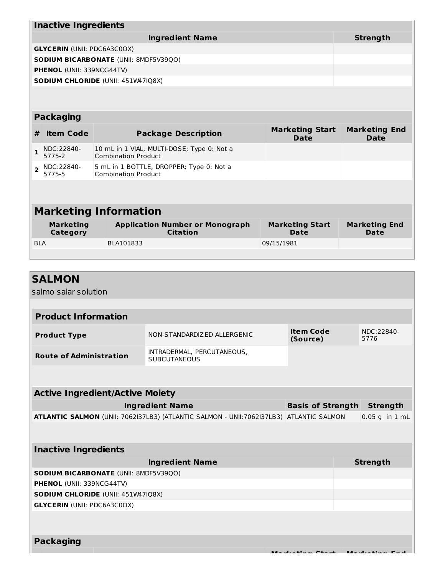|                        | <b>Inactive Ingredients</b>        |  |                                                                          |                                       |                                     |  |  |  |
|------------------------|------------------------------------|--|--------------------------------------------------------------------------|---------------------------------------|-------------------------------------|--|--|--|
| <b>Ingredient Name</b> |                                    |  |                                                                          |                                       | <b>Strength</b>                     |  |  |  |
|                        | <b>GLYCERIN (UNII: PDC6A3C0OX)</b> |  |                                                                          |                                       |                                     |  |  |  |
|                        |                                    |  | SODIUM BICARBONATE (UNII: 8MDF5V39QO)                                    |                                       |                                     |  |  |  |
|                        | <b>PHENOL (UNII: 339NCG44TV)</b>   |  |                                                                          |                                       |                                     |  |  |  |
|                        |                                    |  | <b>SODIUM CHLORIDE (UNII: 451W47IQ8X)</b>                                |                                       |                                     |  |  |  |
|                        |                                    |  |                                                                          |                                       |                                     |  |  |  |
|                        |                                    |  |                                                                          |                                       |                                     |  |  |  |
|                        | <b>Packaging</b>                   |  |                                                                          |                                       |                                     |  |  |  |
| #                      | <b>Item Code</b>                   |  | <b>Package Description</b>                                               | <b>Marketing Start</b><br><b>Date</b> | <b>Marketing End</b><br><b>Date</b> |  |  |  |
| $\mathbf{1}$           | NDC:22840-<br>5775-2               |  | 10 mL in 1 VIAL, MULTI-DOSE; Type 0: Not a<br><b>Combination Product</b> |                                       |                                     |  |  |  |
| $\overline{2}$         | NDC:22840-<br>5775-5               |  | 5 mL in 1 BOTTLE, DROPPER; Type 0: Not a<br><b>Combination Product</b>   |                                       |                                     |  |  |  |
|                        |                                    |  |                                                                          |                                       |                                     |  |  |  |
|                        |                                    |  |                                                                          |                                       |                                     |  |  |  |
|                        |                                    |  | <b>Marketing Information</b>                                             |                                       |                                     |  |  |  |
|                        | <b>Marketing</b><br>Category       |  | <b>Application Number or Monograph</b><br><b>Citation</b>                | <b>Marketing Start</b><br><b>Date</b> | <b>Marketing End</b><br>Date        |  |  |  |
| <b>BLA</b>             |                                    |  | BLA101833                                                                | 09/15/1981                            |                                     |  |  |  |
|                        |                                    |  |                                                                          |                                       |                                     |  |  |  |

| <b>SALMON</b>                                |                                                                                         |                              |                    |
|----------------------------------------------|-----------------------------------------------------------------------------------------|------------------------------|--------------------|
| salmo salar solution                         |                                                                                         |                              |                    |
|                                              |                                                                                         |                              |                    |
| <b>Product Information</b>                   |                                                                                         |                              |                    |
| <b>Product Type</b>                          | NON-STANDARDIZED ALLERGENIC                                                             | <b>Item Code</b><br>(Source) | NDC:22840-<br>5776 |
| <b>Route of Administration</b>               | INTRADERMAL, PERCUTANEOUS,<br><b>SUBCUTANEOUS</b>                                       |                              |                    |
|                                              |                                                                                         |                              |                    |
| <b>Active Ingredient/Active Moiety</b>       |                                                                                         |                              |                    |
|                                              | <b>Ingredient Name</b>                                                                  | <b>Basis of Strength</b>     | <b>Strength</b>    |
|                                              | ATLANTIC SALMON (UNII: 7062137LB3) (ATLANTIC SALMON - UNII: 7062137LB3) ATLANTIC SALMON |                              | $0.05$ g in $1$ mL |
|                                              |                                                                                         |                              |                    |
| <b>Inactive Ingredients</b>                  |                                                                                         |                              |                    |
|                                              | <b>Ingredient Name</b>                                                                  |                              | <b>Strength</b>    |
| <b>SODIUM BICARBONATE (UNII: 8MDF5V39QO)</b> |                                                                                         |                              |                    |
| PHENOL (UNII: 339NCG44TV)                    |                                                                                         |                              |                    |
| SODIUM CHLORIDE (UNII: 451W47IQ8X)           |                                                                                         |                              |                    |
| <b>GLYCERIN (UNII: PDC6A3C0OX)</b>           |                                                                                         |                              |                    |
|                                              |                                                                                         |                              |                    |
| <b>Packaging</b>                             |                                                                                         |                              |                    |
|                                              |                                                                                         | Markating Chart              |                    |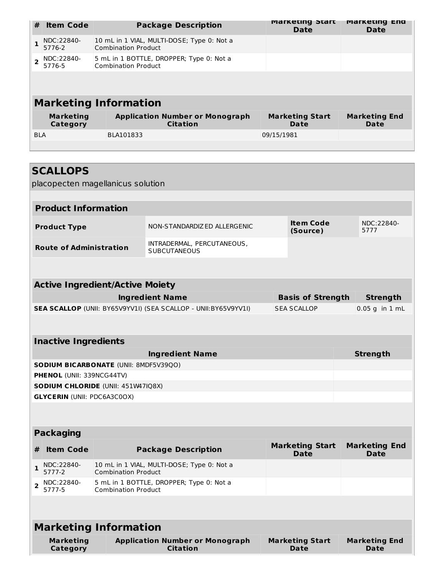| #          | <b>Item Code</b>             | <b>Package Description</b>                                               | <b>Marketing Start</b><br>Date | <b>Marketing End</b><br><b>Date</b> |
|------------|------------------------------|--------------------------------------------------------------------------|--------------------------------|-------------------------------------|
|            | NDC:22840-<br>5776-2         | 10 mL in 1 VIAL, MULTI-DOSE; Type 0: Not a<br><b>Combination Product</b> |                                |                                     |
|            | NDC:22840-<br>5776-5         | 5 mL in 1 BOTTLE, DROPPER; Type 0: Not a<br><b>Combination Product</b>   |                                |                                     |
|            |                              |                                                                          |                                |                                     |
|            |                              | <b>Marketing Information</b>                                             |                                |                                     |
|            | <b>Marketing</b><br>Category | <b>Application Number or Monograph</b><br><b>Citation</b>                | <b>Marketing Start</b><br>Date | <b>Marketing End</b><br>Date        |
| <b>BLA</b> |                              | BLA101833                                                                | 09/15/1981                     |                                     |
|            |                              |                                                                          |                                |                                     |

| <b>SCALLOPS</b><br>placopecten magellanicus solution |                            |                                                                |                                       |                                     |
|------------------------------------------------------|----------------------------|----------------------------------------------------------------|---------------------------------------|-------------------------------------|
|                                                      |                            |                                                                |                                       |                                     |
| <b>Product Information</b>                           |                            |                                                                |                                       |                                     |
| <b>Product Type</b>                                  |                            | NON-STANDARDIZ ED ALLERGENIC                                   | <b>Item Code</b><br>(Source)          | NDC:22840-<br>5777                  |
| <b>Route of Administration</b>                       |                            | INTRADERMAL, PERCUTANEOUS,<br><b>SUBCUTANEOUS</b>              |                                       |                                     |
|                                                      |                            |                                                                |                                       |                                     |
| <b>Active Ingredient/Active Moiety</b>               |                            |                                                                |                                       |                                     |
|                                                      |                            | <b>Ingredient Name</b>                                         | <b>Basis of Strength</b>              | <b>Strength</b>                     |
|                                                      |                            | SEA SCALLOP (UNII: BY65V9YV1I) (SEA SCALLOP - UNII:BY65V9YV1I) | <b>SEA SCALLOP</b>                    | $0.05$ g in $1$ mL                  |
|                                                      |                            |                                                                |                                       |                                     |
| <b>Inactive Ingredients</b>                          |                            |                                                                |                                       |                                     |
|                                                      |                            | <b>Ingredient Name</b>                                         |                                       | <b>Strength</b>                     |
| <b>SODIUM BICARBONATE (UNII: 8MDF5V39QO)</b>         |                            |                                                                |                                       |                                     |
| <b>PHENOL (UNII: 339NCG44TV)</b>                     |                            |                                                                |                                       |                                     |
| <b>SODIUM CHLORIDE (UNII: 451W47IQ8X)</b>            |                            |                                                                |                                       |                                     |
| <b>GLYCERIN (UNII: PDC6A3C0OX)</b>                   |                            |                                                                |                                       |                                     |
|                                                      |                            |                                                                |                                       |                                     |
| <b>Packaging</b>                                     |                            |                                                                |                                       |                                     |
| <b>Item Code</b><br>#                                |                            | <b>Package Description</b>                                     | <b>Marketing Start</b><br><b>Date</b> | <b>Marketing End</b><br><b>Date</b> |
| NDC:22840-<br>1<br>5777-2                            | <b>Combination Product</b> | 10 mL in 1 VIAL, MULTI-DOSE; Type 0: Not a                     |                                       |                                     |
| NDC:22840-<br>2<br>5777-5                            | <b>Combination Product</b> | 5 mL in 1 BOTTLE, DROPPER; Type 0: Not a                       |                                       |                                     |
|                                                      |                            |                                                                |                                       |                                     |
| <b>Marketing Information</b>                         |                            |                                                                |                                       |                                     |
| <b>Marketing</b><br><b>Category</b>                  |                            | <b>Application Number or Monograph</b><br><b>Citation</b>      | <b>Marketing Start</b><br><b>Date</b> | <b>Marketing End</b><br><b>Date</b> |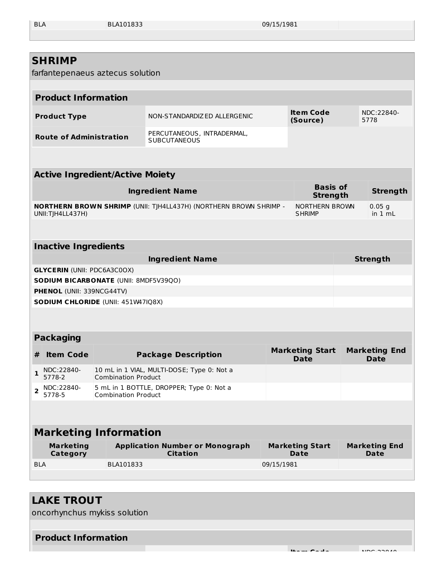BLA BLA101833 09/15/1981

**Item Code** NDC:22840-

| <b>SHRIMP</b><br>farfantepenaeus aztecus solution                                  |                            |                                                                   |            |                                       |                                     |
|------------------------------------------------------------------------------------|----------------------------|-------------------------------------------------------------------|------------|---------------------------------------|-------------------------------------|
|                                                                                    |                            |                                                                   |            |                                       |                                     |
| <b>Product Information</b>                                                         |                            |                                                                   |            |                                       |                                     |
| <b>Product Type</b>                                                                |                            | NON-STANDARDIZED ALLERGENIC                                       |            | <b>Item Code</b><br>(Source)          | NDC:22840-<br>5778                  |
| <b>Route of Administration</b>                                                     |                            | PERCUTANEOUS, INTRADERMAL,<br><b>SUBCUTANEOUS</b>                 |            |                                       |                                     |
|                                                                                    |                            |                                                                   |            |                                       |                                     |
| <b>Active Ingredient/Active Moiety</b>                                             |                            |                                                                   |            |                                       |                                     |
|                                                                                    |                            | <b>Ingredient Name</b>                                            |            | <b>Basis of</b><br><b>Strength</b>    | <b>Strength</b>                     |
| UNII: TJH4LL437H)                                                                  |                            | NORTHERN BROWN SHRIMP (UNII: TJH4LL437H) (NORTHERN BROWN SHRIMP - |            | NORTHERN BROWN<br><b>SHRIMP</b>       | $0.05$ g<br>in 1 mL                 |
|                                                                                    |                            |                                                                   |            |                                       |                                     |
| <b>Inactive Ingredients</b>                                                        |                            |                                                                   |            |                                       |                                     |
|                                                                                    |                            | <b>Ingredient Name</b>                                            |            |                                       | <b>Strength</b>                     |
| <b>GLYCERIN (UNII: PDC6A3C0OX)</b><br><b>SODIUM BICARBONATE (UNII: 8MDF5V39QO)</b> |                            |                                                                   |            |                                       |                                     |
| PHENOL (UNII: 339NCG44TV)                                                          |                            |                                                                   |            |                                       |                                     |
| SODIUM CHLORIDE (UNII: 451W47IQ8X)                                                 |                            |                                                                   |            |                                       |                                     |
|                                                                                    |                            |                                                                   |            |                                       |                                     |
|                                                                                    |                            |                                                                   |            |                                       |                                     |
| <b>Packaging</b>                                                                   |                            |                                                                   |            |                                       |                                     |
| <b>Item Code</b><br>#                                                              |                            | <b>Package Description</b>                                        |            | <b>Marketing Start</b><br><b>Date</b> | <b>Marketing End</b><br><b>Date</b> |
| NDC:22840-<br>5778-2                                                               | <b>Combination Product</b> | 10 mL in 1 VIAL, MULTI-DOSE; Type 0: Not a                        |            |                                       |                                     |
| NDC:22840-<br>$\mathbf{2}$<br>5778-5                                               | <b>Combination Product</b> | 5 mL in 1 BOTTLE, DROPPER; Type 0: Not a                          |            |                                       |                                     |
|                                                                                    |                            |                                                                   |            |                                       |                                     |
| <b>Marketing Information</b>                                                       |                            |                                                                   |            |                                       |                                     |
| <b>Marketing</b><br><b>Category</b>                                                |                            | <b>Application Number or Monograph</b><br><b>Citation</b>         |            | <b>Marketing Start</b><br>Date        | <b>Marketing End</b><br>Date        |
| <b>BLA</b>                                                                         | BLA101833                  |                                                                   | 09/15/1981 |                                       |                                     |
|                                                                                    |                            |                                                                   |            |                                       |                                     |

## **LAKE TROUT**

oncorhynchus mykiss solution

#### **Product Information**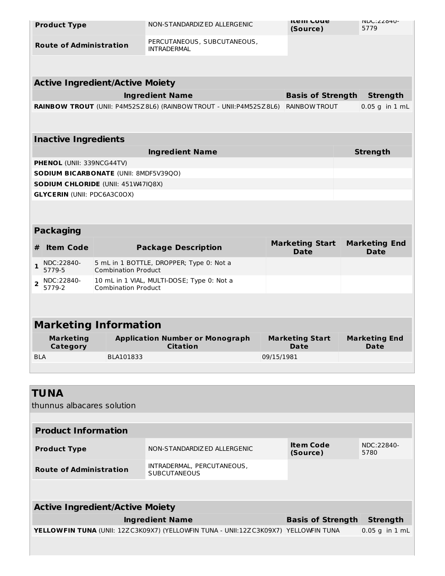|                | <b>Product Type</b>                |                                           | NON-STANDARDIZ ED ALLERGENIC                                       |            | <b>ITEM COUP</b><br>(Source)          | INDU: ZZ84U-<br>5779                |
|----------------|------------------------------------|-------------------------------------------|--------------------------------------------------------------------|------------|---------------------------------------|-------------------------------------|
|                | <b>Route of Administration</b>     |                                           | PERCUTANEOUS, SUBCUTANEOUS,<br><b>INTRADERMAL</b>                  |            |                                       |                                     |
|                |                                    |                                           |                                                                    |            |                                       |                                     |
|                |                                    | <b>Active Ingredient/Active Moiety</b>    |                                                                    |            |                                       |                                     |
|                |                                    |                                           | <b>Ingredient Name</b>                                             |            | <b>Basis of Strength</b>              | <b>Strength</b>                     |
|                |                                    |                                           | RAINBOW TROUT (UNII: P4M52SZ8L6) (RAINBOW TROUT - UNII:P4M52SZ8L6) |            | <b>RAINBOW TROUT</b>                  | $0.05$ g in $1$ mL                  |
|                |                                    |                                           |                                                                    |            |                                       |                                     |
|                | <b>Inactive Ingredients</b>        |                                           |                                                                    |            |                                       |                                     |
|                |                                    |                                           | <b>Ingredient Name</b>                                             |            |                                       | <b>Strength</b>                     |
|                | <b>PHENOL (UNII: 339NCG44TV)</b>   |                                           |                                                                    |            |                                       |                                     |
|                |                                    | SODIUM BICARBONATE (UNII: 8MDF5V39QO)     |                                                                    |            |                                       |                                     |
|                |                                    | <b>SODIUM CHLORIDE (UNII: 451W47IQ8X)</b> |                                                                    |            |                                       |                                     |
|                | <b>GLYCERIN (UNII: PDC6A3C0OX)</b> |                                           |                                                                    |            |                                       |                                     |
|                |                                    |                                           |                                                                    |            |                                       |                                     |
|                | <b>Packaging</b>                   |                                           |                                                                    |            |                                       |                                     |
| #              | <b>Item Code</b>                   |                                           | <b>Package Description</b>                                         |            | <b>Marketing Start</b><br><b>Date</b> | <b>Marketing End</b><br><b>Date</b> |
| $\mathbf{1}$   | NDC:22840-<br>5779-5               | <b>Combination Product</b>                | 5 mL in 1 BOTTLE, DROPPER; Type 0: Not a                           |            |                                       |                                     |
| $\overline{2}$ | NDC:22840-<br>5779-2               | <b>Combination Product</b>                | 10 mL in 1 VIAL, MULTI-DOSE; Type 0: Not a                         |            |                                       |                                     |
|                |                                    |                                           |                                                                    |            |                                       |                                     |
|                |                                    | <b>Marketing Information</b>              |                                                                    |            |                                       |                                     |
|                | <b>Marketing</b>                   |                                           | <b>Application Number or Monograph</b>                             |            | <b>Marketing Start</b>                | <b>Marketing End</b>                |
|                | Category                           |                                           | <b>Citation</b>                                                    |            | Date                                  | <b>Date</b>                         |
| <b>BLA</b>     |                                    | BLA101833                                 |                                                                    | 09/15/1981 |                                       |                                     |
|                |                                    |                                           |                                                                    |            |                                       |                                     |

| <b>TUNA</b><br>thunnus albacares solution |                                                                                       |                              |                    |
|-------------------------------------------|---------------------------------------------------------------------------------------|------------------------------|--------------------|
|                                           |                                                                                       |                              |                    |
| <b>Product Information</b>                |                                                                                       |                              |                    |
| <b>Product Type</b>                       | NON-STANDARDIZED ALLERGENIC                                                           | <b>Item Code</b><br>(Source) | NDC:22840-<br>5780 |
| <b>Route of Administration</b>            | INTRADERMAL, PERCUTANEOUS,<br><b>SUBCUTANEOUS</b>                                     |                              |                    |
|                                           |                                                                                       |                              |                    |
| <b>Active Ingredient/Active Moiety</b>    |                                                                                       |                              |                    |
|                                           | <b>Ingredient Name</b>                                                                | <b>Basis of Strength</b>     | <b>Strength</b>    |
|                                           | YELLOWFIN TUNA (UNII: 12ZC3K09X7) (YELLOWFIN TUNA - UNII:12ZC3K09X7)   YELLOWFIN TUNA |                              | $0.05$ g in 1 mL   |
|                                           |                                                                                       |                              |                    |
|                                           |                                                                                       |                              |                    |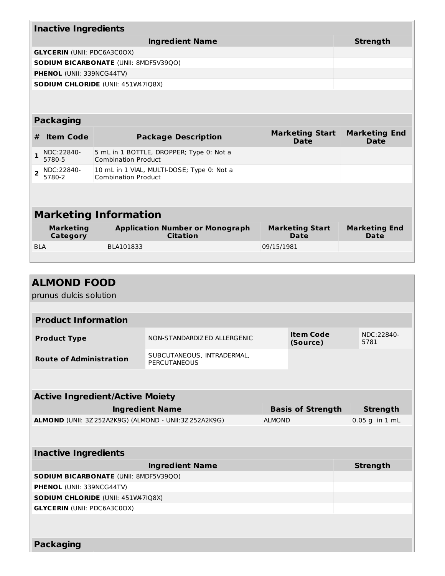| <b>Inactive Ingredients</b> |                                    |                                                                          |                                                                        |                                |                              |  |  |
|-----------------------------|------------------------------------|--------------------------------------------------------------------------|------------------------------------------------------------------------|--------------------------------|------------------------------|--|--|
|                             |                                    |                                                                          | <b>Strength</b>                                                        |                                |                              |  |  |
|                             | <b>GLYCERIN (UNII: PDC6A3C0OX)</b> |                                                                          |                                                                        |                                |                              |  |  |
|                             |                                    |                                                                          | <b>SODIUM BICARBONATE (UNII: 8MDF5V39QO)</b>                           |                                |                              |  |  |
|                             | <b>PHENOL (UNII: 339NCG44TV)</b>   |                                                                          |                                                                        |                                |                              |  |  |
|                             |                                    |                                                                          | <b>SODIUM CHLORIDE (UNII: 451W47IQ8X)</b>                              |                                |                              |  |  |
|                             |                                    |                                                                          |                                                                        |                                |                              |  |  |
|                             | <b>Packaging</b>                   |                                                                          |                                                                        |                                |                              |  |  |
| #                           | <b>Item Code</b>                   |                                                                          | <b>Package Description</b>                                             | <b>Marketing Start</b><br>Date | <b>Marketing End</b><br>Date |  |  |
| 1.                          | NDC:22840-<br>5780-5               |                                                                          | 5 mL in 1 BOTTLE, DROPPER; Type 0: Not a<br><b>Combination Product</b> |                                |                              |  |  |
| $\overline{2}$              | NDC:22840-<br>5780-2               | 10 mL in 1 VIAL, MULTI-DOSE; Type 0: Not a<br><b>Combination Product</b> |                                                                        |                                |                              |  |  |
|                             |                                    |                                                                          |                                                                        |                                |                              |  |  |
|                             |                                    |                                                                          |                                                                        |                                |                              |  |  |
|                             | <b>Marketing Information</b>       |                                                                          |                                                                        |                                |                              |  |  |
|                             | <b>Marketing</b><br>Category       |                                                                          | <b>Application Number or Monograph</b><br><b>Citation</b>              | <b>Marketing Start</b><br>Date | <b>Marketing End</b><br>Date |  |  |
| <b>BLA</b>                  |                                    |                                                                          | BLA101833                                                              | 09/15/1981                     |                              |  |  |

| <b>ALMOND FOOD</b>                                            |                                            |                          |                              |                    |  |
|---------------------------------------------------------------|--------------------------------------------|--------------------------|------------------------------|--------------------|--|
| prunus dulcis solution                                        |                                            |                          |                              |                    |  |
|                                                               |                                            |                          |                              |                    |  |
| <b>Product Information</b>                                    |                                            |                          |                              |                    |  |
| <b>Product Type</b>                                           | NON-STANDARDIZ ED ALLERGENIC               |                          | <b>Item Code</b><br>(Source) | NDC:22840-<br>5781 |  |
| <b>Route of Administration</b>                                | SUBCUTANEOUS, INTRADERMAL,<br>PERCUTANEOUS |                          |                              |                    |  |
|                                                               |                                            |                          |                              |                    |  |
| <b>Active Ingredient/Active Moiety</b>                        |                                            |                          |                              |                    |  |
|                                                               | <b>Ingredient Name</b>                     | <b>Basis of Strength</b> |                              | <b>Strength</b>    |  |
| <b>ALMOND</b> (UNII: 3Z 252A2K9G) (ALMOND - UNII:3Z 252A2K9G) |                                            |                          | <b>ALMOND</b>                | $0.05$ g in $1$ mL |  |
|                                                               |                                            |                          |                              |                    |  |
| <b>Inactive Ingredients</b>                                   |                                            |                          |                              |                    |  |
|                                                               | <b>Ingredient Name</b>                     |                          |                              | <b>Strength</b>    |  |
| <b>SODIUM BICARBONATE (UNII: 8MDF5V39QO)</b>                  |                                            |                          |                              |                    |  |
| PHENOL (UNII: 339NCG44TV)                                     |                                            |                          |                              |                    |  |
| SODIUM CHLORIDE (UNII: 451W47IQ8X)                            |                                            |                          |                              |                    |  |
| <b>GLYCERIN (UNII: PDC6A3C0OX)</b>                            |                                            |                          |                              |                    |  |
|                                                               |                                            |                          |                              |                    |  |
| <b>Packaging</b>                                              |                                            |                          |                              |                    |  |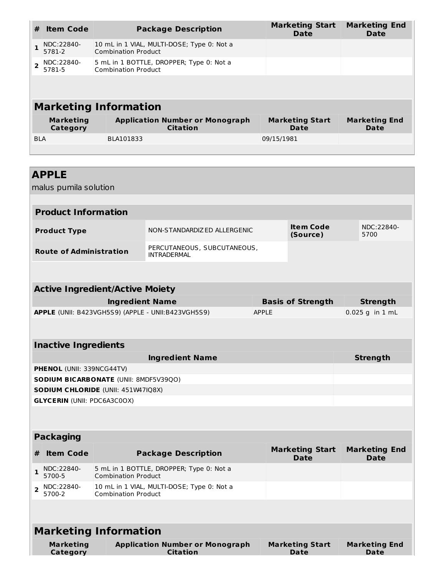| #          | <b>Item Code</b>             | <b>Package Description</b>                                               | <b>Marketing Start</b><br><b>Date</b> | <b>Marketing End</b><br>Date |  |  |
|------------|------------------------------|--------------------------------------------------------------------------|---------------------------------------|------------------------------|--|--|
|            | NDC:22840-<br>5781-2         | 10 mL in 1 VIAL, MULTI-DOSE; Type 0: Not a<br><b>Combination Product</b> |                                       |                              |  |  |
|            | NDC:22840-<br>5781-5         | 5 mL in 1 BOTTLE, DROPPER; Type 0: Not a<br><b>Combination Product</b>   |                                       |                              |  |  |
|            |                              |                                                                          |                                       |                              |  |  |
|            | <b>Marketing Information</b> |                                                                          |                                       |                              |  |  |
|            | <b>Marketing</b><br>Category | <b>Application Number or Monograph</b><br><b>Citation</b>                | <b>Marketing Start</b><br>Date        | <b>Marketing End</b><br>Date |  |  |
| <b>BLA</b> |                              | BLA101833                                                                | 09/15/1981                            |                              |  |  |

| <b>APPLE</b><br>malus pumila solution                                    |                                                                                     |                                                           |              |                                       |                                     |  |  |
|--------------------------------------------------------------------------|-------------------------------------------------------------------------------------|-----------------------------------------------------------|--------------|---------------------------------------|-------------------------------------|--|--|
|                                                                          |                                                                                     |                                                           |              |                                       |                                     |  |  |
| <b>Product Information</b>                                               |                                                                                     |                                                           |              |                                       |                                     |  |  |
| <b>Product Type</b>                                                      |                                                                                     | NON-STANDARDIZED ALLERGENIC                               |              | <b>Item Code</b><br>(Source)          | NDC:22840-<br>5700                  |  |  |
|                                                                          | PERCUTANEOUS, SUBCUTANEOUS,<br><b>Route of Administration</b><br><b>INTRADERMAL</b> |                                                           |              |                                       |                                     |  |  |
|                                                                          |                                                                                     |                                                           |              |                                       |                                     |  |  |
| <b>Active Ingredient/Active Moiety</b>                                   |                                                                                     |                                                           |              |                                       |                                     |  |  |
|                                                                          | <b>Ingredient Name</b>                                                              |                                                           |              | <b>Basis of Strength</b>              | <b>Strength</b>                     |  |  |
|                                                                          |                                                                                     | APPLE (UNII: B423VGH5S9) (APPLE - UNII:B423VGH5S9)        | <b>APPLE</b> |                                       | 0.025 g in 1 mL                     |  |  |
|                                                                          |                                                                                     |                                                           |              |                                       |                                     |  |  |
| <b>Inactive Ingredients</b>                                              |                                                                                     |                                                           |              |                                       |                                     |  |  |
|                                                                          | <b>Ingredient Name</b><br><b>Strength</b>                                           |                                                           |              |                                       |                                     |  |  |
|                                                                          | PHENOL (UNII: 339NCG44TV)                                                           |                                                           |              |                                       |                                     |  |  |
| SODIUM BICARBONATE (UNII: 8MDF5V39QO)                                    |                                                                                     |                                                           |              |                                       |                                     |  |  |
| SODIUM CHLORIDE (UNII: 451W47IQ8X)<br><b>GLYCERIN (UNII: PDC6A3C0OX)</b> |                                                                                     |                                                           |              |                                       |                                     |  |  |
|                                                                          |                                                                                     |                                                           |              |                                       |                                     |  |  |
| <b>Packaging</b>                                                         |                                                                                     |                                                           |              |                                       |                                     |  |  |
| <b>Item Code</b><br>#                                                    |                                                                                     | <b>Package Description</b>                                |              | <b>Marketing Start</b><br><b>Date</b> | <b>Marketing End</b><br><b>Date</b> |  |  |
| NDC:22840-<br>$\mathbf{1}$<br>5700-5                                     | <b>Combination Product</b>                                                          | 5 mL in 1 BOTTLE, DROPPER; Type 0: Not a                  |              |                                       |                                     |  |  |
| NDC:22840-<br>$\overline{2}$<br>5700-2                                   | 10 mL in 1 VIAL, MULTI-DOSE; Type 0: Not a<br><b>Combination Product</b>            |                                                           |              |                                       |                                     |  |  |
|                                                                          |                                                                                     |                                                           |              |                                       |                                     |  |  |
| <b>Marketing Information</b>                                             |                                                                                     |                                                           |              |                                       |                                     |  |  |
| <b>Marketing</b><br>Category                                             |                                                                                     | <b>Application Number or Monograph</b><br><b>Citation</b> |              | <b>Marketing Start</b><br><b>Date</b> | <b>Marketing End</b><br><b>Date</b> |  |  |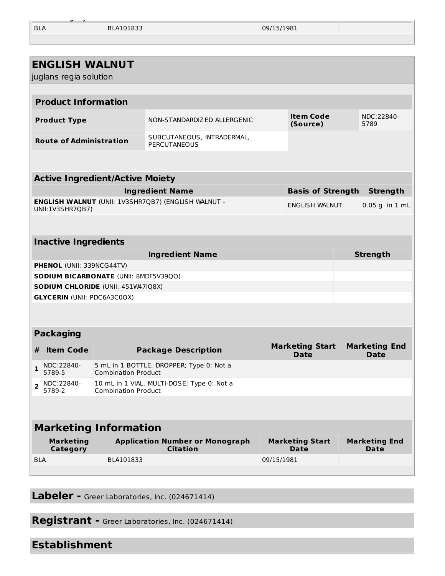BLA BLA101833 09/15/1981

| <b>ENGLISH WALNUT</b><br>juglans regia solution |                                    |                                        |                                                            |            |                                       |  |                                     |  |
|-------------------------------------------------|------------------------------------|----------------------------------------|------------------------------------------------------------|------------|---------------------------------------|--|-------------------------------------|--|
|                                                 |                                    |                                        |                                                            |            |                                       |  |                                     |  |
|                                                 | <b>Product Information</b>         |                                        |                                                            |            |                                       |  |                                     |  |
|                                                 | <b>Product Type</b>                |                                        | NON-STANDARDIZED ALLERGENIC                                |            | <b>Item Code</b><br>(Source)          |  | NDC:22840-<br>5789                  |  |
|                                                 | <b>Route of Administration</b>     |                                        | SUBCUTANEOUS, INTRADERMAL,<br>PERCUTANEOUS                 |            |                                       |  |                                     |  |
|                                                 |                                    |                                        |                                                            |            |                                       |  |                                     |  |
|                                                 |                                    | <b>Active Ingredient/Active Moiety</b> |                                                            |            |                                       |  |                                     |  |
|                                                 |                                    |                                        | <b>Ingredient Name</b>                                     |            | <b>Basis of Strength</b>              |  | <b>Strength</b>                     |  |
|                                                 | UNII:1V3SHR7QB7)                   |                                        | <b>ENGLISH WALNUT (UNII: 1V3SHR7QB7) (ENGLISH WALNUT -</b> |            | ENGLISH WALNUT                        |  | $0.05$ g in $1$ mL                  |  |
|                                                 |                                    |                                        |                                                            |            |                                       |  |                                     |  |
|                                                 | <b>Inactive Ingredients</b>        |                                        |                                                            |            |                                       |  |                                     |  |
|                                                 |                                    |                                        | <b>Ingredient Name</b>                                     |            |                                       |  | <b>Strength</b>                     |  |
|                                                 | PHENOL (UNII: 339NCG44TV)          |                                        |                                                            |            |                                       |  |                                     |  |
|                                                 |                                    | SODIUM BICARBONATE (UNII: 8MDF5V39QO)  |                                                            |            |                                       |  |                                     |  |
|                                                 | <b>GLYCERIN (UNII: PDC6A3C0OX)</b> | SODIUM CHLORIDE (UNII: 451W47IQ8X)     |                                                            |            |                                       |  |                                     |  |
|                                                 |                                    |                                        |                                                            |            |                                       |  |                                     |  |
|                                                 | <b>Packaging</b>                   |                                        |                                                            |            |                                       |  |                                     |  |
| #                                               | <b>Item Code</b>                   |                                        | <b>Package Description</b>                                 |            | <b>Marketing Start</b><br><b>Date</b> |  | <b>Marketing End</b><br><b>Date</b> |  |
| $\mathbf{1}$                                    | NDC:22840-<br>5789-5               | <b>Combination Product</b>             | 5 mL in 1 BOTTLE, DROPPER; Type 0: Not a                   |            |                                       |  |                                     |  |
| $\overline{\mathbf{2}}$                         | NDC:22840-<br>5789-2               | <b>Combination Product</b>             | 10 mL in 1 VIAL, MULTI-DOSE; Type 0: Not a                 |            |                                       |  |                                     |  |
|                                                 |                                    |                                        |                                                            |            |                                       |  |                                     |  |
| <b>Marketing Information</b>                    |                                    |                                        |                                                            |            |                                       |  |                                     |  |
|                                                 | <b>Marketing</b><br>Category       |                                        | <b>Application Number or Monograph</b><br><b>Citation</b>  |            | <b>Marketing Start</b><br>Date        |  | <b>Marketing End</b><br><b>Date</b> |  |
| <b>BLA</b>                                      |                                    | BLA101833                              |                                                            | 09/15/1981 |                                       |  |                                     |  |
|                                                 |                                    |                                        |                                                            |            |                                       |  |                                     |  |

**Category Citation Date Date**

**Labeler -** Greer Laboratories, Inc. (024671414)

**Registrant -** Greer Laboratories, Inc. (024671414)

#### **Establishment**